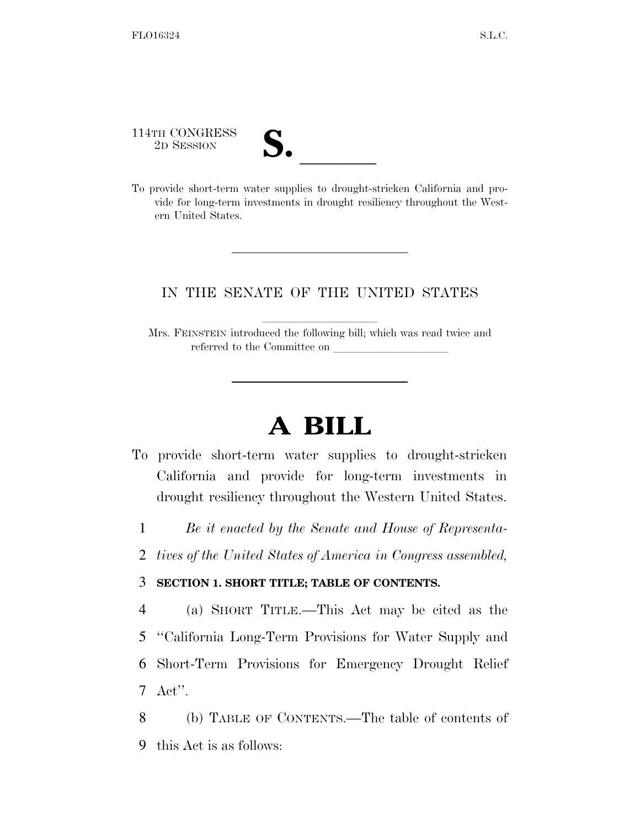114TH CONGRESS

114TH CONGRESS<br>
2D SESSION<br>
To provide short-term water supplies to drought-stricken California and provide for long-term investments in drought resiliency throughout the Western United States.

# IN THE SENATE OF THE UNITED STATES

Mrs. FEINSTEIN introduced the following bill; which was read twice and referred to the Committee on

# **A BILL**

- To provide short-term water supplies to drought-stricken California and provide for long-term investments in drought resiliency throughout the Western United States.
	- 1 *Be it enacted by the Senate and House of Representa-*
	- 2 *tives of the United States of America in Congress assembled,*

# 3 **SECTION 1. SHORT TITLE; TABLE OF CONTENTS.**

 (a) SHORT TITLE.—This Act may be cited as the ''California Long-Term Provisions for Water Supply and Short-Term Provisions for Emergency Drought Relief 7 Act''.

8 (b) TABLE OF CONTENTS.—The table of contents of 9 this Act is as follows: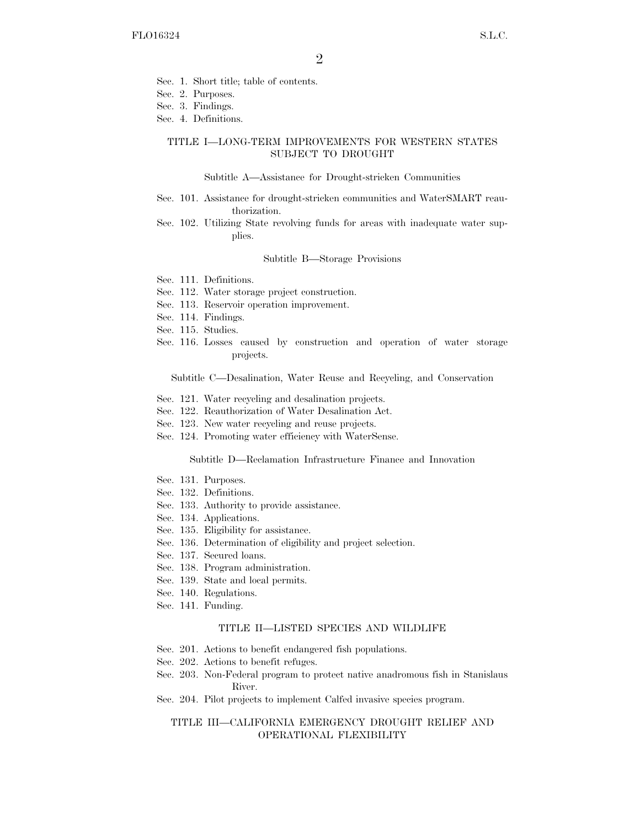- Sec. 1. Short title; table of contents.
- Sec. 2. Purposes.
- Sec. 3. Findings.
- Sec. 4. Definitions.

#### TITLE I—LONG-TERM IMPROVEMENTS FOR WESTERN STATES SUBJECT TO DROUGHT

#### Subtitle A—Assistance for Drought-stricken Communities

- Sec. 101. Assistance for drought-stricken communities and WaterSMART reauthorization.
- Sec. 102. Utilizing State revolving funds for areas with inadequate water supplies.

#### Subtitle B—Storage Provisions

- Sec. 111. Definitions.
- Sec. 112. Water storage project construction.
- Sec. 113. Reservoir operation improvement.
- Sec. 114. Findings.
- Sec. 115. Studies.
- Sec. 116. Losses caused by construction and operation of water storage projects.

Subtitle C—Desalination, Water Reuse and Recycling, and Conservation

- Sec. 121. Water recycling and desalination projects.
- Sec. 122. Reauthorization of Water Desalination Act.
- Sec. 123. New water recycling and reuse projects.
- Sec. 124. Promoting water efficiency with WaterSense.

#### Subtitle D—Reclamation Infrastructure Finance and Innovation

- Sec. 131. Purposes.
- Sec. 132. Definitions.
- Sec. 133. Authority to provide assistance.
- Sec. 134. Applications.
- Sec. 135. Eligibility for assistance.
- Sec. 136. Determination of eligibility and project selection.
- Sec. 137. Secured loans.
- Sec. 138. Program administration.
- Sec. 139. State and local permits.
- Sec. 140. Regulations.
- Sec. 141. Funding.

#### TITLE II—LISTED SPECIES AND WILDLIFE

- Sec. 201. Actions to benefit endangered fish populations.
- Sec. 202. Actions to benefit refuges.
- Sec. 203. Non-Federal program to protect native anadromous fish in Stanislaus River.
- Sec. 204. Pilot projects to implement Calfed invasive species program.

### TITLE III—CALIFORNIA EMERGENCY DROUGHT RELIEF AND OPERATIONAL FLEXIBILITY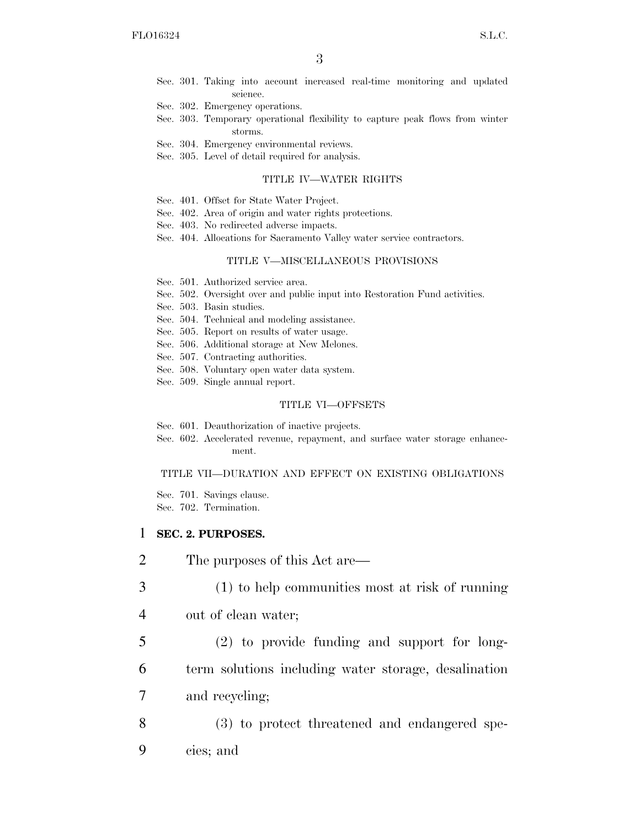- Sec. 301. Taking into account increased real-time monitoring and updated science.
- Sec. 302. Emergency operations.
- Sec. 303. Temporary operational flexibility to capture peak flows from winter storms.
- Sec. 304. Emergency environmental reviews.
- Sec. 305. Level of detail required for analysis.

#### TITLE IV—WATER RIGHTS

- Sec. 401. Offset for State Water Project.
- Sec. 402. Area of origin and water rights protections.
- Sec. 403. No redirected adverse impacts.
- Sec. 404. Allocations for Sacramento Valley water service contractors.

#### TITLE V—MISCELLANEOUS PROVISIONS

- Sec. 501. Authorized service area.
- Sec. 502. Oversight over and public input into Restoration Fund activities.
- Sec. 503. Basin studies.
- Sec. 504. Technical and modeling assistance.
- Sec. 505. Report on results of water usage.
- Sec. 506. Additional storage at New Melones.
- Sec. 507. Contracting authorities.
- Sec. 508. Voluntary open water data system.
- Sec. 509. Single annual report.

#### TITLE VI—OFFSETS

- Sec. 601. Deauthorization of inactive projects.
- Sec. 602. Accelerated revenue, repayment, and surface water storage enhancement.

#### TITLE VII—DURATION AND EFFECT ON EXISTING OBLIGATIONS

Sec. 701. Savings clause. Sec. 702. Termination.

## 1 **SEC. 2. PURPOSES.**

- 2 The purposes of this Act are—
- 3 (1) to help communities most at risk of running
- 4 out of clean water;
- 5 (2) to provide funding and support for long-6 term solutions including water storage, desalination 7 and recycling;
- 8 (3) to protect threatened and endangered spe-9 cies; and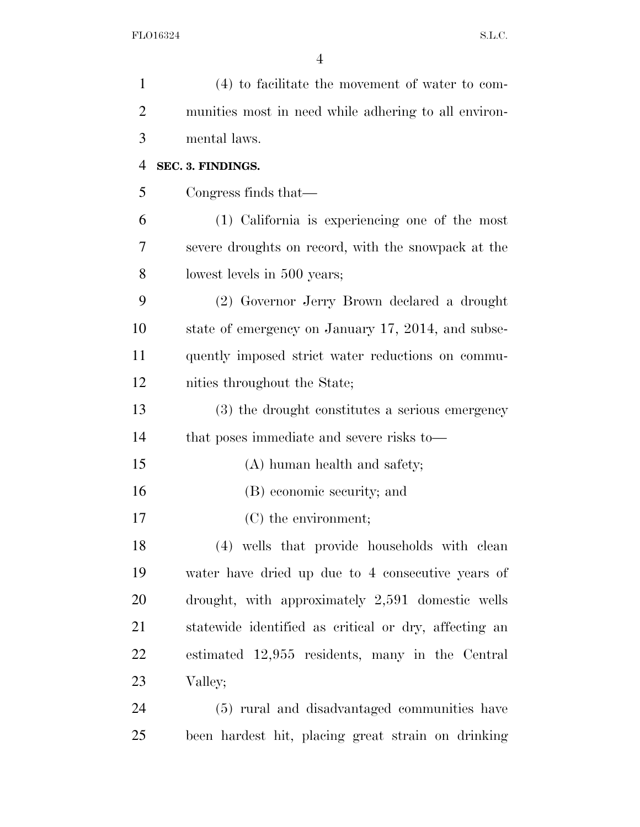| $\mathbf{1}$   | (4) to facilitate the movement of water to com-       |
|----------------|-------------------------------------------------------|
| $\overline{2}$ | munities most in need while adhering to all environ-  |
| 3              | mental laws.                                          |
| $\overline{4}$ | SEC. 3. FINDINGS.                                     |
| 5              | Congress finds that—                                  |
| 6              | (1) California is experiencing one of the most        |
| 7              | severe droughts on record, with the snowpack at the   |
| 8              | lowest levels in 500 years;                           |
| 9              | (2) Governor Jerry Brown declared a drought           |
| 10             | state of emergency on January 17, 2014, and subse-    |
| 11             | quently imposed strict water reductions on commu-     |
| 12             | nities throughout the State;                          |
| 13             | (3) the drought constitutes a serious emergency       |
| 14             | that poses immediate and severe risks to—             |
| 15             | (A) human health and safety;                          |
| 16             | (B) economic security; and                            |
| 17             | (C) the environment;                                  |
| 18             | (4) wells that provide households with clean          |
| 19             | water have dried up due to 4 consecutive years of     |
| 20             | drought, with approximately 2,591 domestic wells      |
| 21             | statewide identified as critical or dry, affecting an |
| 22             | estimated 12,955 residents, many in the Central       |
| 23             | Valley;                                               |
| 24             | (5) rural and disadvantaged communities have          |
| 25             | been hardest hit, placing great strain on drinking    |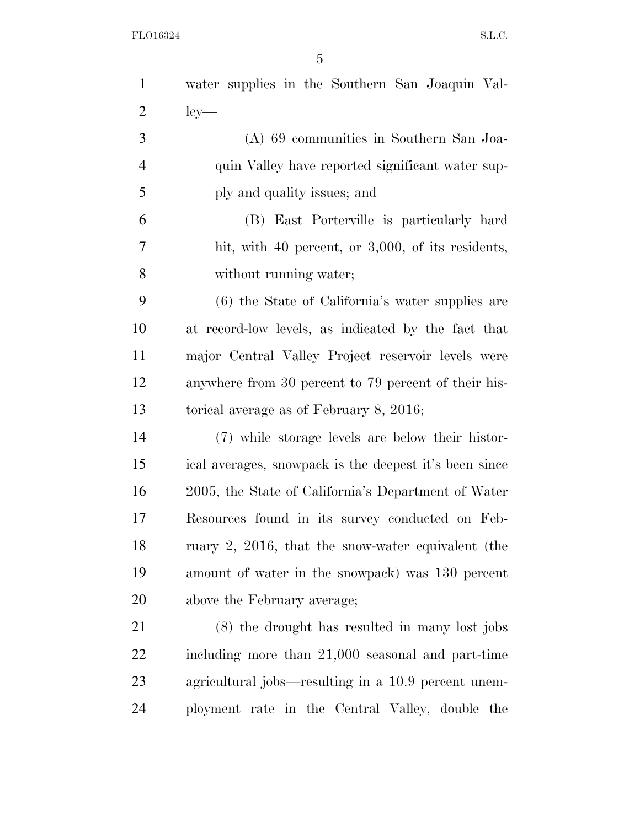| $\mathbf{1}$   | water supplies in the Southern San Joaquin Val-        |
|----------------|--------------------------------------------------------|
| $\overline{2}$ | $ley-$                                                 |
| 3              | $(A)$ 69 communities in Southern San Joa-              |
| $\overline{4}$ | quin Valley have reported significant water sup-       |
| 5              | ply and quality issues; and                            |
| 6              | (B) East Porterville is particularly hard              |
| 7              | hit, with 40 percent, or 3,000, of its residents,      |
| 8              | without running water;                                 |
| 9              | (6) the State of California's water supplies are       |
| 10             | at record-low levels, as indicated by the fact that    |
| 11             | major Central Valley Project reservoir levels were     |
| 12             | anywhere from 30 percent to 79 percent of their his-   |
| 13             | torical average as of February 8, 2016;                |
| 14             | (7) while storage levels are below their histor-       |
| 15             | ical averages, snowpack is the deepest it's been since |
| 16             | 2005, the State of California's Department of Water    |
| 17             | Resources found in its survey conducted on Feb-        |
| 18             | ruary $2, 2016$ , that the snow-water equivalent (the  |
| 19             | amount of water in the snowpack) was 130 percent       |
| <b>20</b>      | above the February average;                            |
| 21             | (8) the drought has resulted in many lost jobs         |
| <u>22</u>      | including more than 21,000 seasonal and part-time      |
| 23             | agricultural jobs—resulting in a 10.9 percent unem-    |
| 24             | ployment rate in the Central Valley, double the        |
|                |                                                        |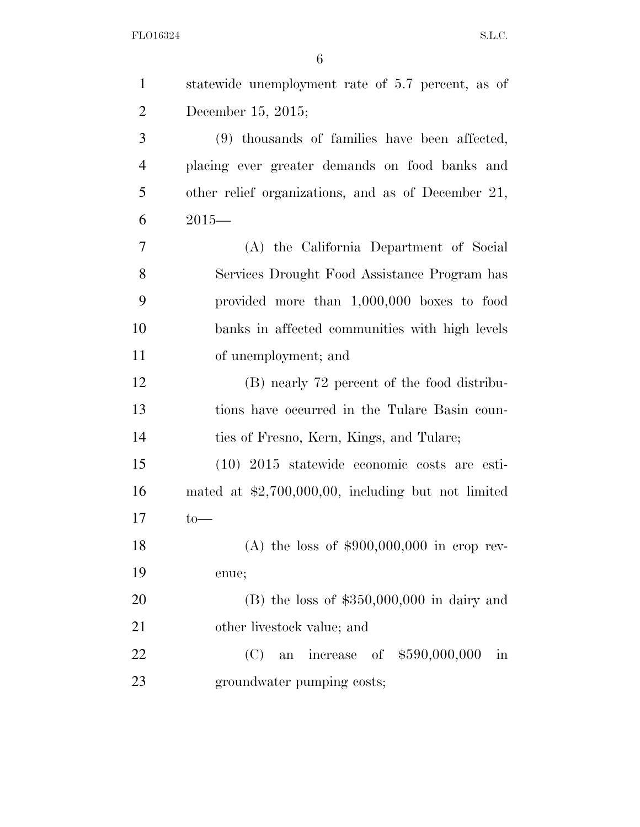| $\mathbf{1}$   | statewide unemployment rate of 5.7 percent, as of          |
|----------------|------------------------------------------------------------|
| $\overline{2}$ | December 15, 2015;                                         |
| 3              | (9) thousands of families have been affected,              |
| $\overline{4}$ | placing ever greater demands on food banks and             |
| 5              | other relief organizations, and as of December 21,         |
| 6              | $2015-$                                                    |
| 7              | (A) the California Department of Social                    |
| 8              | Services Drought Food Assistance Program has               |
| 9              | provided more than 1,000,000 boxes to food                 |
| 10             | banks in affected communities with high levels             |
| 11             | of unemployment; and                                       |
| 12             | (B) nearly 72 percent of the food distribu-                |
| 13             | tions have occurred in the Tulare Basin coun-              |
| 14             | ties of Fresno, Kern, Kings, and Tulare;                   |
| 15             | $(10)$ 2015 statewide economic costs are esti-             |
| 16             | mated at $$2,700,000,00$ , including but not limited       |
| 17             | $to-$                                                      |
| 18             | (A) the loss of $$900,000,000$ in crop rev-                |
| 19             | enue;                                                      |
| 20             | $(B)$ the loss of \$350,000,000 in dairy and               |
| 21             | other livestock value; and                                 |
| 22             | an increase of \$590,000,000<br>(C)<br>$\operatorname{in}$ |
| 23             | groundwater pumping costs;                                 |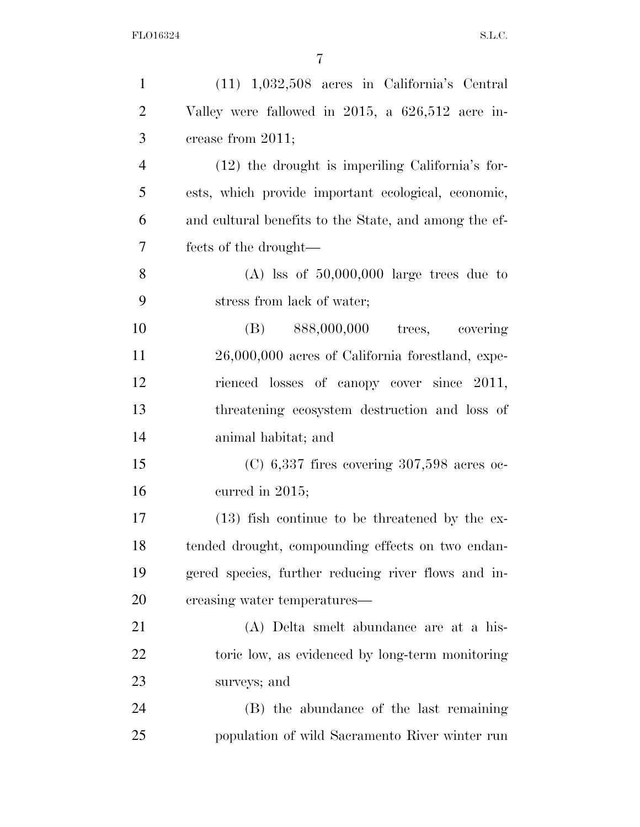| $\mathbf{1}$   | $(11)$ 1,032,508 acres in California's Central        |
|----------------|-------------------------------------------------------|
| $\overline{2}$ | Valley were fallowed in 2015, a 626,512 acre in-      |
| 3              | crease from 2011;                                     |
| $\overline{4}$ | $(12)$ the drought is imperiling California's for-    |
| 5              | ests, which provide important ecological, economic,   |
| 6              | and cultural benefits to the State, and among the ef- |
| $\overline{7}$ | fects of the drought—                                 |
| 8              | $(A)$ lss of 50,000,000 large trees due to            |
| 9              | stress from lack of water;                            |
| 10             | $(B)$ 888,000,000<br>covering<br>trees,               |
| 11             | 26,000,000 acres of California forestland, expe-      |
| 12             | rienced losses of canopy cover since 2011,            |
| 13             | threatening ecosystem destruction and loss of         |
| 14             | animal habitat; and                                   |
| 15             | $(C)$ 6,337 fires covering 307,598 acres oc-          |
| 16             | curred in $2015$ ;                                    |
| 17             | $(13)$ fish continue to be threatened by the ex-      |
| 18             | tended drought, compounding effects on two endan-     |
| 19             | gered species, further reducing river flows and in-   |
| 20             | creasing water temperatures—                          |
| 21             | (A) Delta smelt abundance are at a his-               |
| 22             | toric low, as evidenced by long-term monitoring       |
| 23             | surveys; and                                          |
| 24             | (B) the abundance of the last remaining               |
| 25             | population of wild Sacramento River winter run        |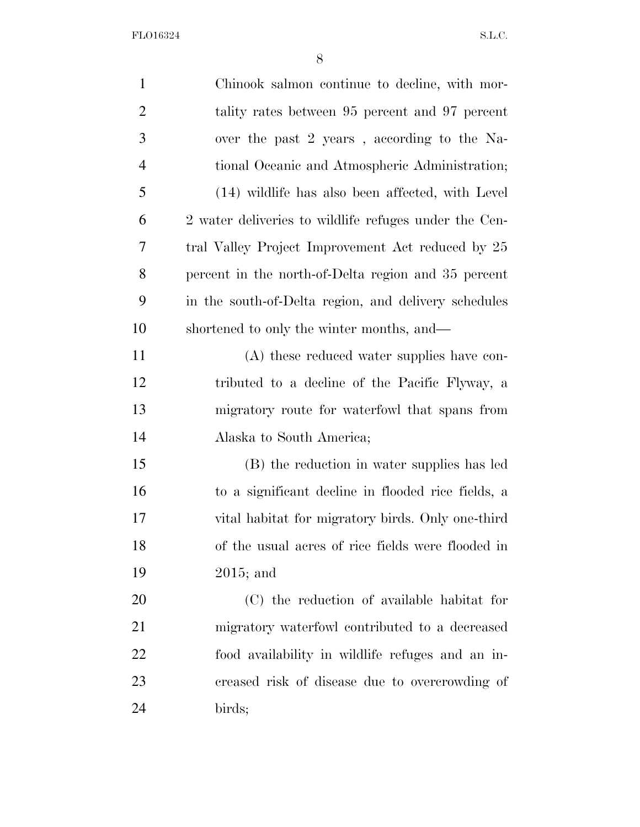| $\mathbf{1}$   | Chinook salmon continue to decline, with mor-         |
|----------------|-------------------------------------------------------|
| $\overline{2}$ | tality rates between 95 percent and 97 percent        |
| 3              | over the past 2 years, according to the Na-           |
| $\overline{4}$ | tional Oceanic and Atmospheric Administration;        |
| 5              | (14) wildlife has also been affected, with Level      |
| 6              | 2 water deliveries to wildlife refuges under the Cen- |
| 7              | tral Valley Project Improvement Act reduced by 25     |
| 8              | percent in the north-of-Delta region and 35 percent   |
| 9              | in the south-of-Delta region, and delivery schedules  |
| 10             | shortened to only the winter months, and—             |
| 11             | (A) these reduced water supplies have con-            |
| 12             | tributed to a decline of the Pacific Flyway, a        |
| 13             | migratory route for waterfowl that spans from         |
| 14             | Alaska to South America;                              |
| 15             | (B) the reduction in water supplies has led           |
| 16             | to a significant decline in flooded rice fields, a    |
| 17             | vital habitat for migratory birds. Only one-third     |
| 18             | of the usual acres of rice fields were flooded in     |
| 19             | $2015$ ; and                                          |
| 20             | (C) the reduction of available habitat for            |
| 21             | migratory waterfowl contributed to a decreased        |
| 22             | food availability in wildlife refuges and an in-      |
| 23             | creased risk of disease due to overcrowding of        |
| 24             | birds;                                                |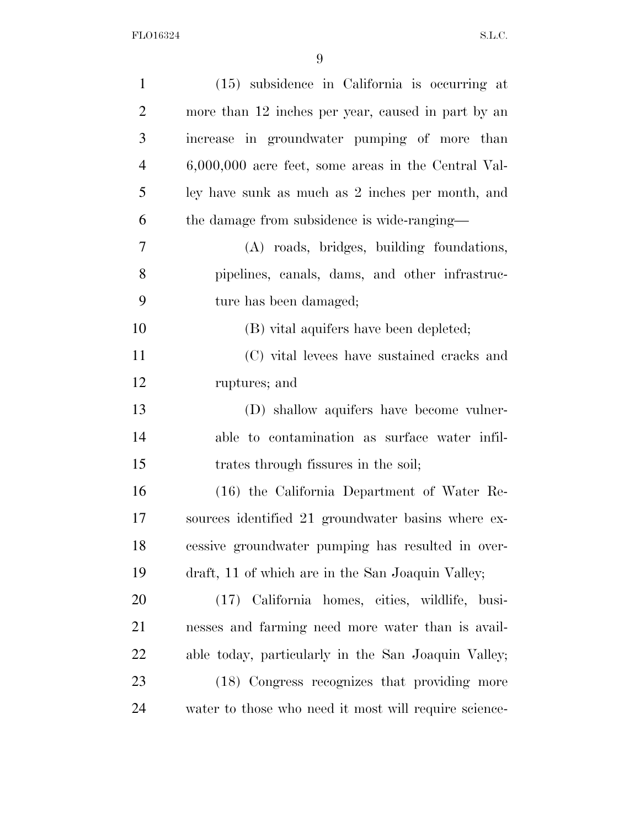| $\mathbf{1}$   | $(15)$ subsidence in California is occurring at       |
|----------------|-------------------------------------------------------|
| $\overline{2}$ | more than 12 inches per year, caused in part by an    |
| 3              | increase in groundwater pumping of more than          |
| $\overline{4}$ | $6,000,000$ acre feet, some areas in the Central Val- |
| 5              | ley have sunk as much as 2 inches per month, and      |
| 6              | the damage from subsidence is wide-ranging—           |
| 7              | (A) roads, bridges, building foundations,             |
| 8              | pipelines, canals, dams, and other infrastruc-        |
| 9              | ture has been damaged;                                |
| 10             | (B) vital aquifers have been depleted;                |
| 11             | (C) vital levees have sustained cracks and            |
| 12             | ruptures; and                                         |
| 13             | (D) shallow aquifers have become vulner-              |
| 14             | able to contamination as surface water infil-         |
| 15             | trates through fissures in the soil;                  |
| 16             | (16) the California Department of Water Re-           |
| 17             | sources identified 21 groundwater basins where ex-    |
| 18             | cessive groundwater pumping has resulted in over-     |
| 19             | draft, 11 of which are in the San Joaquin Valley;     |
| 20             | (17) California homes, cities, wildlife, busi-        |
| 21             | nesses and farming need more water than is avail-     |
| 22             | able today, particularly in the San Joaquin Valley;   |
| 23             | (18) Congress recognizes that providing more          |
| 24             | water to those who need it most will require science- |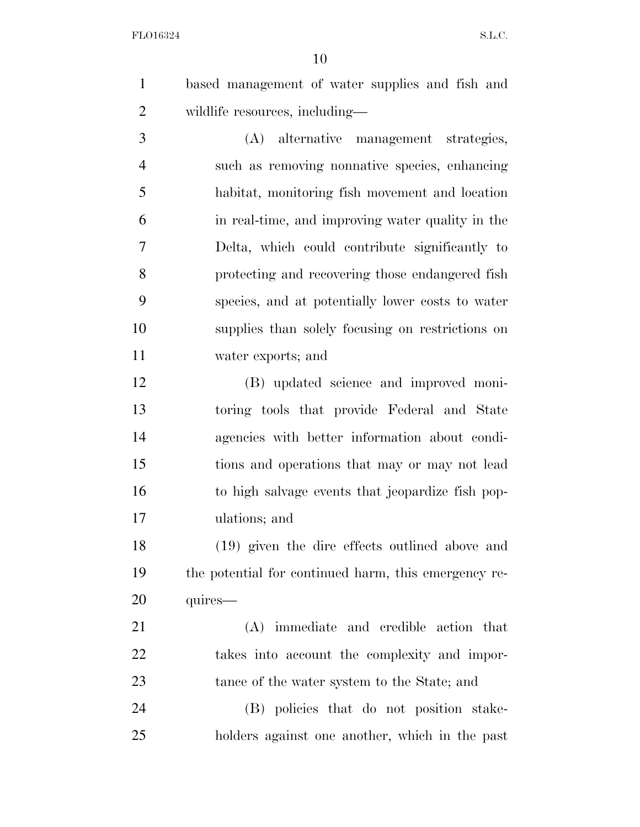based management of water supplies and fish and wildlife resources, including—

 (A) alternative management strategies, such as removing nonnative species, enhancing habitat, monitoring fish movement and location in real-time, and improving water quality in the Delta, which could contribute significantly to protecting and recovering those endangered fish species, and at potentially lower costs to water supplies than solely focusing on restrictions on water exports; and

 (B) updated science and improved moni- toring tools that provide Federal and State agencies with better information about condi- tions and operations that may or may not lead to high salvage events that jeopardize fish pop-ulations; and

 (19) given the dire effects outlined above and the potential for continued harm, this emergency re-20 quires—

 (A) immediate and credible action that takes into account the complexity and impor-23 tance of the water system to the State; and

 (B) policies that do not position stake-holders against one another, which in the past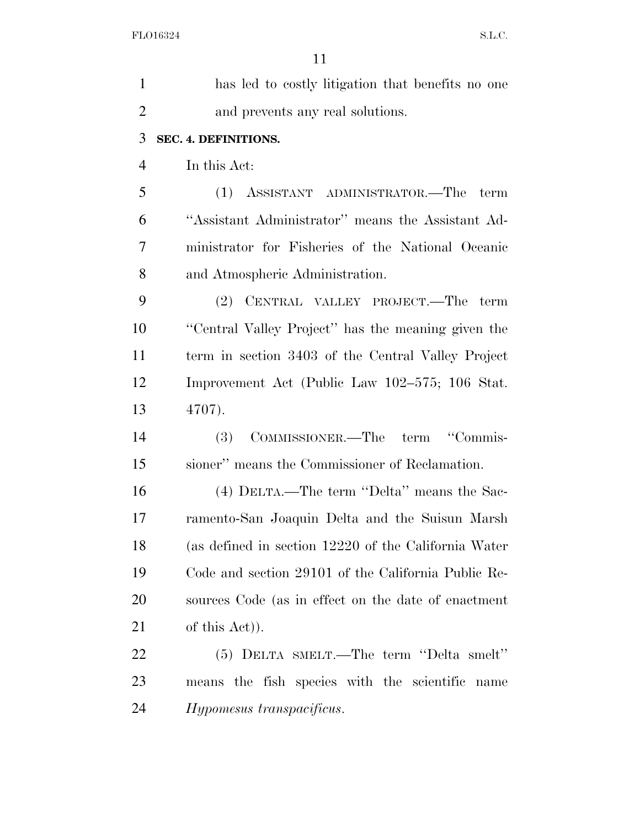| $\mathbf{1}$   | has led to costly litigation that benefits no one    |
|----------------|------------------------------------------------------|
| $\overline{2}$ | and prevents any real solutions.                     |
| 3              | SEC. 4. DEFINITIONS.                                 |
| $\overline{4}$ | In this Act:                                         |
| 5              | (1) ASSISTANT ADMINISTRATOR.—The<br>term             |
| 6              | "Assistant Administrator" means the Assistant Ad-    |
| 7              | ministrator for Fisheries of the National Oceanic    |
| 8              | and Atmospheric Administration.                      |
| 9              | (2) CENTRAL VALLEY PROJECT.—The term                 |
| 10             | "Central Valley Project" has the meaning given the   |
| 11             | term in section 3403 of the Central Valley Project   |
| 12             | Improvement Act (Public Law 102–575; 106 Stat.       |
| 13             | 4707).                                               |
| 14             | COMMISSIONER.—The term "Commis-<br><b>(3)</b>        |
| 15             | sioner" means the Commissioner of Reclamation.       |
| 16             | (4) DELTA.—The term "Delta" means the Sac-           |
| 17             | ramento-San Joaquin Delta and the Suisun Marsh       |
| 18             | (as defined in section 12220 of the California Water |
| 19             | Code and section 29101 of the California Public Re-  |
| 20             | sources Code (as in effect on the date of enactment  |
| 21             | of this Act).                                        |
| 22             | (5) DELTA SMELT.—The term "Delta smelt"              |
| 23             | means the fish species with the scientific<br>name   |
| 24             | Hypomesus transpacificus.                            |
|                |                                                      |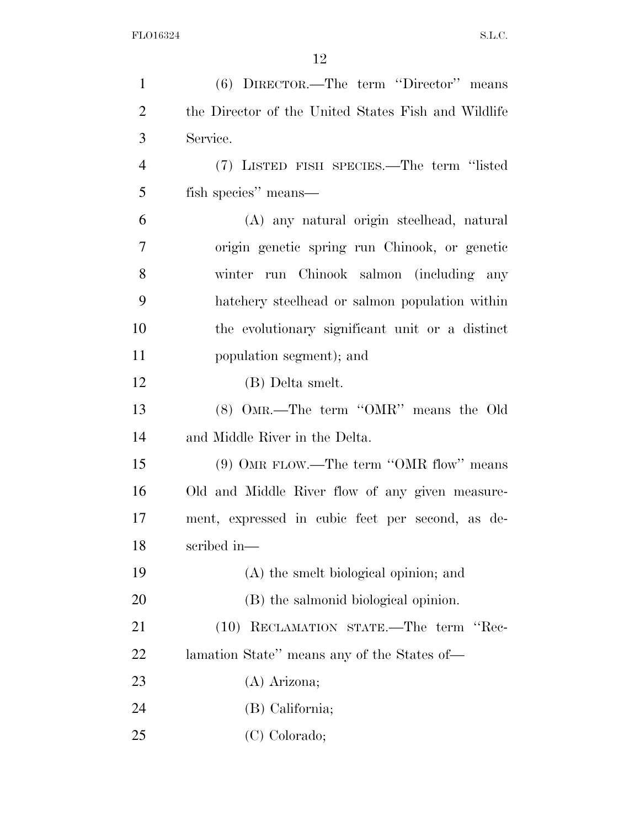| $\mathbf{1}$   | (6) DIRECTOR.—The term "Director" means             |
|----------------|-----------------------------------------------------|
| $\overline{2}$ | the Director of the United States Fish and Wildlife |
| 3              | Service.                                            |
| $\overline{4}$ | (7) LISTED FISH SPECIES.—The term "listed           |
| 5              | fish species" means—                                |
| 6              | (A) any natural origin steelhead, natural           |
| $\overline{7}$ | origin genetic spring run Chinook, or genetic       |
| 8              | winter run Chinook salmon (including any            |
| 9              | hatchery steelhead or salmon population within      |
| 10             | the evolutionary significant unit or a distinct     |
| 11             | population segment); and                            |
| 12             | (B) Delta smelt.                                    |
| 13             | $(8)$ OMR.—The term "OMR" means the Old             |
| 14             | and Middle River in the Delta.                      |
| 15             | $(9)$ OMR FLOW.—The term "OMR flow" means           |
| 16             | Old and Middle River flow of any given measure-     |
| 17             | ment, expressed in cubic feet per second, as de-    |
| 18             | scribed in-                                         |
| 19             | (A) the smelt biological opinion; and               |
| 20             | (B) the salmonid biological opinion.                |
| 21             | (10) RECLAMATION STATE.—The term "Rec-              |
| 22             | lamation State" means any of the States of-         |
| 23             | (A) Arizona;                                        |
| 24             | (B) California;                                     |
| 25             | (C) Colorado;                                       |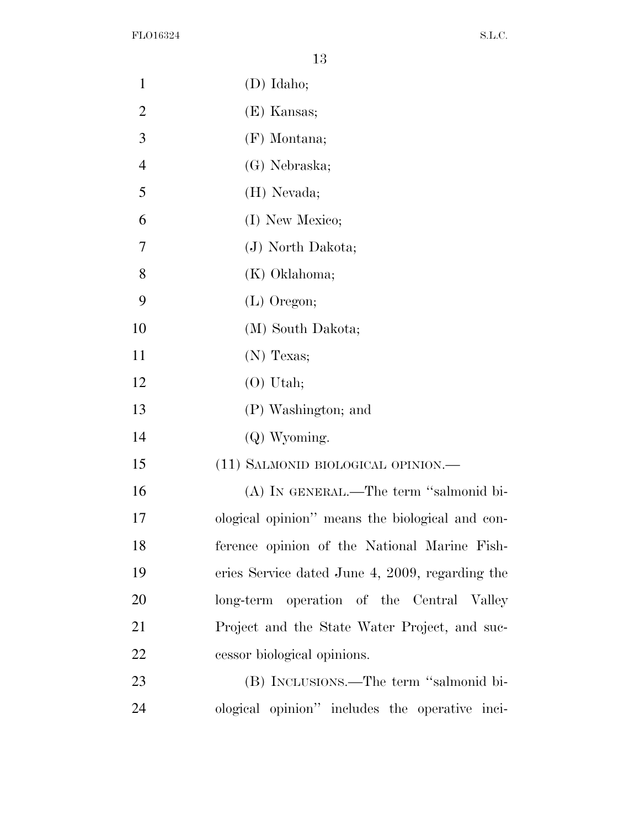| $\mathbf{1}$   | $(D)$ Idaho;                                    |
|----------------|-------------------------------------------------|
| $\overline{2}$ | (E) Kansas;                                     |
| 3              | $(F)$ Montana;                                  |
| $\overline{4}$ | (G) Nebraska;                                   |
| 5              | (H) Nevada;                                     |
| 6              | (I) New Mexico;                                 |
| 7              | (J) North Dakota;                               |
| 8              | (K) Oklahoma;                                   |
| 9              | (L) Oregon;                                     |
| 10             | (M) South Dakota;                               |
| 11             | (N) Texas;                                      |
| 12             | $(O)$ Utah;                                     |
| 13             | (P) Washington; and                             |
| 14             | $(Q)$ Wyoming.                                  |
| 15             | (11) SALMONID BIOLOGICAL OPINION.—              |
| 16             | (A) IN GENERAL.—The term "salmonid bi-          |
| 17             | ological opinion" means the biological and con- |
| 18             | ference opinion of the National Marine Fish-    |
| 19             | eries Service dated June 4, 2009, regarding the |
| 20             | long-term operation of the Central Valley       |
| 21             | Project and the State Water Project, and suc-   |
| 22             | cessor biological opinions.                     |
| 23             | (B) INCLUSIONS.—The term "salmonid bi-          |
| 24             | ological opinion" includes the operative inci-  |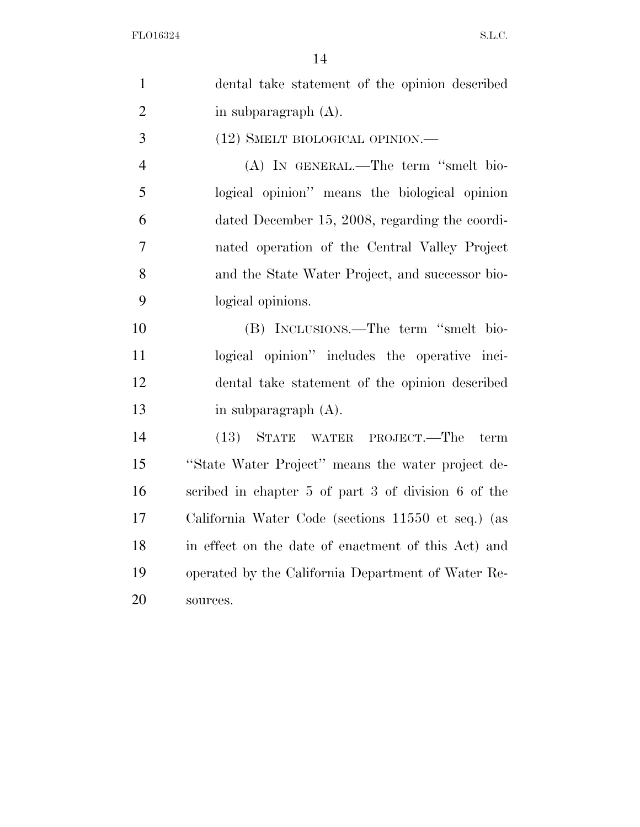| $\mathbf{1}$   | dental take statement of the opinion described      |
|----------------|-----------------------------------------------------|
| $\overline{2}$ | in subparagraph $(A)$ .                             |
| 3              | (12) SMELT BIOLOGICAL OPINION.—                     |
| $\overline{4}$ | (A) IN GENERAL.—The term "smelt bio-                |
| 5              | logical opinion" means the biological opinion       |
| 6              | dated December 15, 2008, regarding the coordi-      |
| 7              | nated operation of the Central Valley Project       |
| 8              | and the State Water Project, and successor bio-     |
| 9              | logical opinions.                                   |
| 10             | (B) INCLUSIONS.—The term "smelt bio-                |
| 11             | logical opinion" includes the operative inci-       |
| 12             | dental take statement of the opinion described      |
| 13             | in subparagraph $(A)$ .                             |
| 14             | (13)<br>STATE<br>WATER PROJECT.—The<br>term         |
| 15             | "State Water Project" means the water project de-   |
| 16             | scribed in chapter 5 of part 3 of division 6 of the |
| 17             | California Water Code (sections 11550 et seq.) (as  |
| 18             | in effect on the date of enactment of this Act) and |
| 19             | operated by the California Department of Water Re-  |
| 20             | sources.                                            |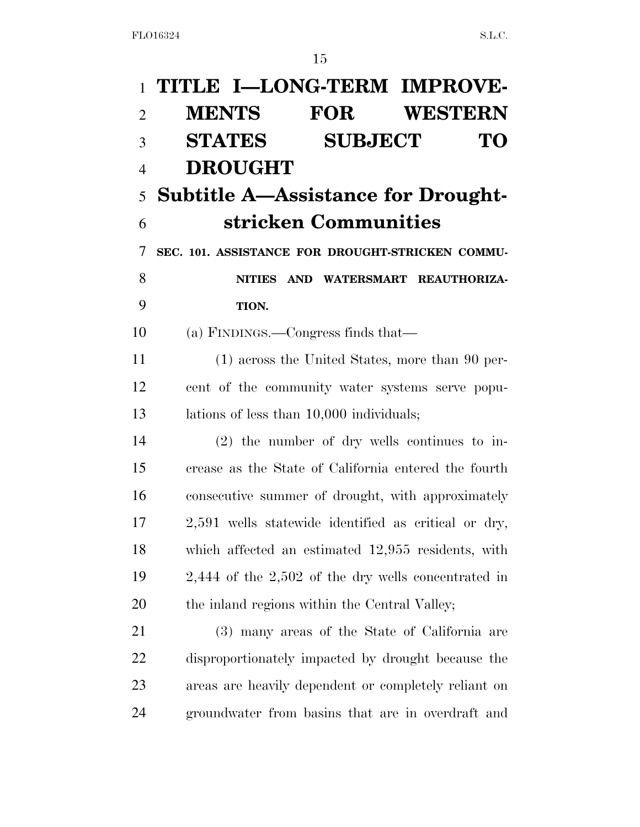|                | 1 TITLE I-LONG-TERM IMPROVE-                            |
|----------------|---------------------------------------------------------|
| $\overline{2}$ | <b>MENTS FOR WESTERN</b>                                |
| 3              | <b>SUBJECT</b><br><b>STATES</b><br>TО                   |
| $\overline{4}$ | <b>DROUGHT</b>                                          |
| 5              | <b>Subtitle A—Assistance for Drought-</b>               |
| 6              | stricken Communities                                    |
| 7              | SEC. 101. ASSISTANCE FOR DROUGHT-STRICKEN COMMU-        |
| 8              | NITIES AND WATERSMART REAUTHORIZA-                      |
| 9              | TION.                                                   |
| 10             | (a) FINDINGS.—Congress finds that—                      |
| 11             | (1) across the United States, more than 90 per-         |
| 12             | cent of the community water systems serve popu-         |
| 13             | lations of less than 10,000 individuals;                |
| 14             | $(2)$ the number of dry wells continues to in-          |
| 15             | crease as the State of California entered the fourth    |
| 16             | consecutive summer of drought, with approximately       |
| 17             | 2,591 wells statewide identified as critical or dry,    |
| 18             | which affected an estimated 12,955 residents, with      |
| 19             | $2,444$ of the $2,502$ of the dry wells concentrated in |
| 20             | the inland regions within the Central Valley;           |
| 21             | (3) many areas of the State of California are           |
| 22             | disproportionately impacted by drought because the      |
| 23             | areas are heavily dependent or completely reliant on    |
| 24             | groundwater from basins that are in overdraft and       |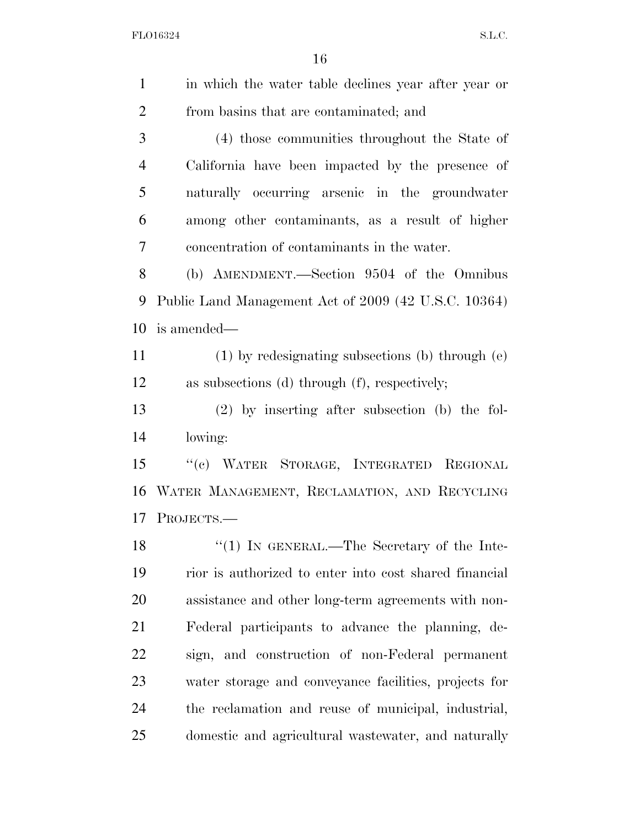| $\mathbf{1}$   | in which the water table declines year after year or   |
|----------------|--------------------------------------------------------|
| $\overline{2}$ | from basins that are contaminated; and                 |
| 3              | (4) those communities throughout the State of          |
| $\overline{4}$ | California have been impacted by the presence of       |
| 5              | naturally occurring arsenic in the groundwater         |
| 6              | among other contaminants, as a result of higher        |
| 7              | concentration of contaminants in the water.            |
| 8              | (b) AMENDMENT.—Section 9504 of the Omnibus             |
| 9              | Public Land Management Act of 2009 (42 U.S.C. 10364)   |
| 10             | is amended—                                            |
| 11             | $(1)$ by redesignating subsections (b) through $(e)$   |
| 12             | as subsections (d) through (f), respectively;          |
| 13             | $(2)$ by inserting after subsection (b) the fol-       |
| 14             | lowing:                                                |
| 15             | "(c) WATER STORAGE, INTEGRATED REGIONAL                |
| 16             | WATER MANAGEMENT, RECLAMATION, AND RECYCLING           |
| 17             | PROJECTS.-                                             |
| 18             | $\lq(1)$ IN GENERAL.—The Secretary of the Inte-        |
| 19             | rior is authorized to enter into cost shared financial |
| 20             | assistance and other long-term agreements with non-    |
| 21             | Federal participants to advance the planning, de-      |
| 22             | sign, and construction of non-Federal permanent        |
| 23             | water storage and conveyance facilities, projects for  |
| 24             | the reclamation and reuse of municipal, industrial,    |
| 25             | domestic and agricultural wastewater, and naturally    |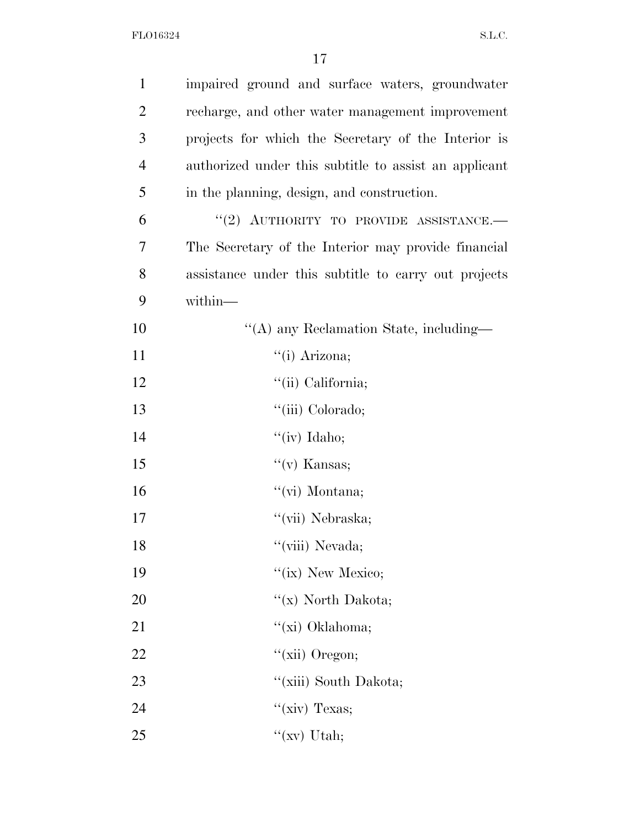| $\mathbf{1}$   | impaired ground and surface waters, groundwater       |
|----------------|-------------------------------------------------------|
| $\overline{2}$ | recharge, and other water management improvement      |
| 3              | projects for which the Secretary of the Interior is   |
| $\overline{4}$ | authorized under this subtitle to assist an applicant |
| 5              | in the planning, design, and construction.            |
| 6              | "(2) AUTHORITY TO PROVIDE ASSISTANCE.-                |
| 7              | The Secretary of the Interior may provide financial   |
| 8              | assistance under this subtitle to carry out projects  |
| 9              | within-                                               |
| 10             | "(A) any Reclamation State, including-                |
| 11             | "(i) Arizona;                                         |
| 12             | "(ii) California;                                     |
| 13             | "(iii) Colorado;                                      |
| 14             | " $(iv)$ Idaho;                                       |
| 15             | $\lq\lq$ (v) Kansas;                                  |
| 16             | $\lq\lq$ (vi) Montana;                                |
| 17             | "(vii) Nebraska;                                      |
| 18             | "(viii) Nevada;                                       |
| 19             | "(ix) New Mexico;                                     |
| 20             | "(x) North Dakota;                                    |
| 21             | "(xi) Oklahoma;                                       |
| 22             | "(xii) Oregon;                                        |
| 23             | "(xiii) South Dakota;                                 |
| 24             | " $(xiv)$ Texas;                                      |
| 25             | " $(xv)$ Utah;                                        |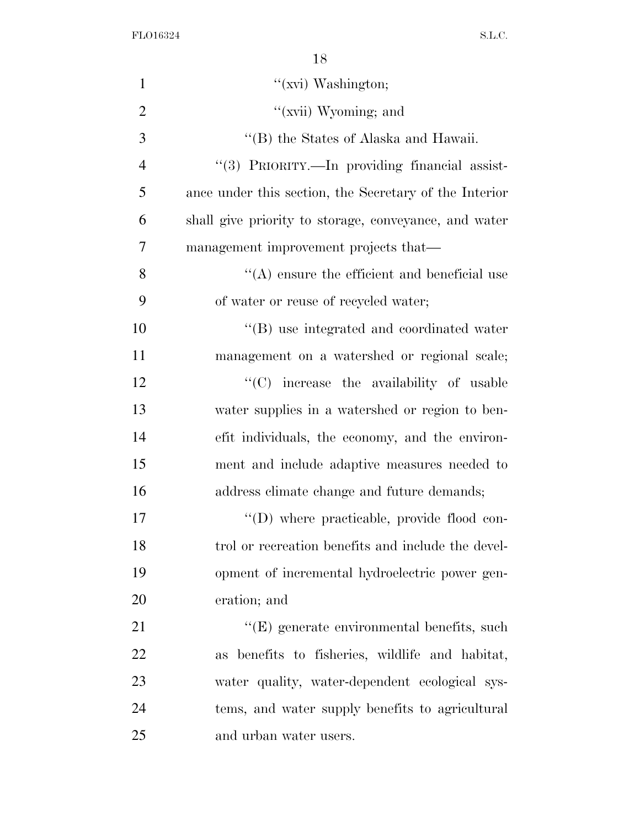| $\mathbf{1}$   | "(xvi) Washington;                                     |
|----------------|--------------------------------------------------------|
| $\overline{2}$ | "(xvii) Wyoming; and                                   |
| 3              | "(B) the States of Alaska and Hawaii.                  |
| $\overline{4}$ | "(3) PRIORITY.—In providing financial assist-          |
| 5              | ance under this section, the Secretary of the Interior |
| 6              | shall give priority to storage, conveyance, and water  |
| $\overline{7}$ | management improvement projects that—                  |
| 8              | $\lq\lq$ ensure the efficient and beneficial use       |
| 9              | of water or reuse of recycled water;                   |
| 10             | "(B) use integrated and coordinated water              |
| 11             | management on a watershed or regional scale;           |
| 12             | $\cdot$ (C) increase the availability of usable        |
| 13             | water supplies in a watershed or region to ben-        |
| 14             | efit individuals, the economy, and the environ-        |
| 15             | ment and include adaptive measures needed to           |
| 16             | address climate change and future demands;             |
| 17             | "(D) where practicable, provide flood con-             |
| 18             | trol or recreation benefits and include the devel-     |
| 19             | opment of incremental hydroelectric power gen-         |
| 20             | eration; and                                           |
| 21             | "(E) generate environmental benefits, such             |
| 22             | as benefits to fisheries, wildlife and habitat,        |
| 23             | water quality, water-dependent ecological sys-         |
| 24             | tems, and water supply benefits to agricultural        |
| 25             | and urban water users.                                 |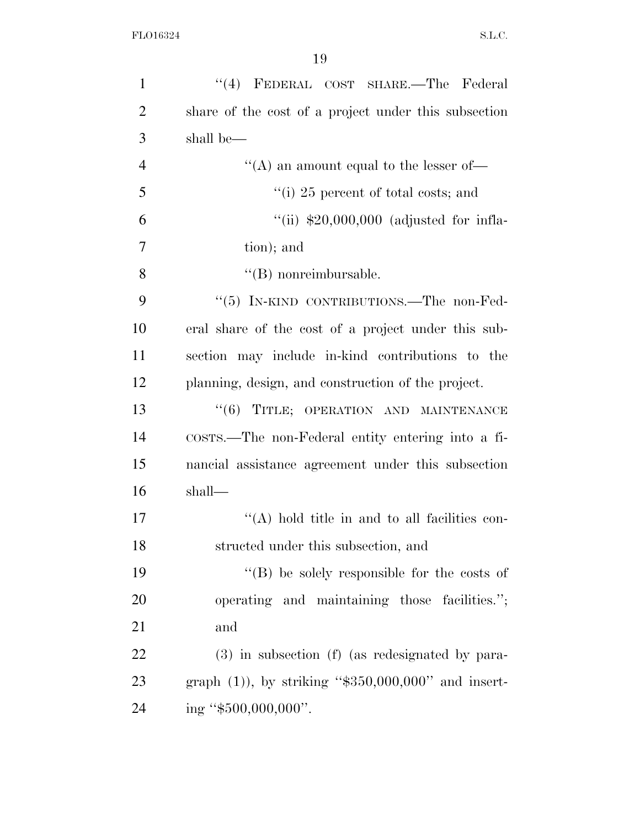| $\mathbf{1}$   | "(4) FEDERAL COST SHARE.—The Federal                   |
|----------------|--------------------------------------------------------|
| $\overline{2}$ | share of the cost of a project under this subsection   |
| 3              | shall be—                                              |
| $\overline{4}$ | "(A) an amount equal to the lesser of-                 |
| 5              | "(i) 25 percent of total costs; and                    |
| 6              | "(ii) $$20,000,000$ (adjusted for infla-               |
| $\overline{7}$ | tion); and                                             |
| 8              | $\lq\lq$ (B) nonreimbursable.                          |
| 9              | "(5) IN-KIND CONTRIBUTIONS.—The non-Fed-               |
| 10             | eral share of the cost of a project under this sub-    |
| 11             | section may include in-kind contributions to the       |
| 12             | planning, design, and construction of the project.     |
| 13             | "(6) TITLE; OPERATION AND MAINTENANCE                  |
| 14             | COSTS.—The non-Federal entity entering into a fi-      |
| 15             | nancial assistance agreement under this subsection     |
| 16             | shall—                                                 |
| 17             | $\lq\lq$ hold title in and to all facilities con-      |
| 18             | structed under this subsection, and                    |
| 19             | $\lq\lq$ be solely responsible for the costs of        |
| 20             | operating and maintaining those facilities.";          |
| 21             | and                                                    |
| 22             | (3) in subsection (f) (as redesignated by para-        |
| 23             | graph $(1)$ ), by striking "\$350,000,000" and insert- |
| 24             | ing " $$500,000,000$ ".                                |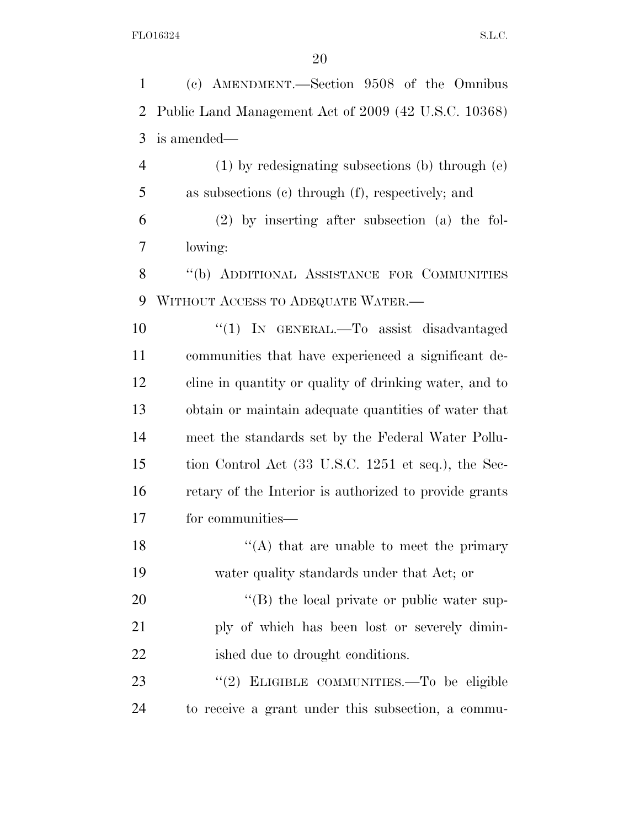(c) AMENDMENT.—Section 9508 of the Omnibus Public Land Management Act of 2009 (42 U.S.C. 10368) is amended— (1) by redesignating subsections (b) through (e) as subsections (c) through (f), respectively; and (2) by inserting after subsection (a) the fol- lowing: 8 "(b) ADDITIONAL ASSISTANCE FOR COMMUNITIES WITHOUT ACCESS TO ADEQUATE WATER.— ''(1) IN GENERAL.—To assist disadvantaged communities that have experienced a significant de- cline in quantity or quality of drinking water, and to obtain or maintain adequate quantities of water that meet the standards set by the Federal Water Pollu- tion Control Act (33 U.S.C. 1251 et seq.), the Sec- retary of the Interior is authorized to provide grants for communities—  $\langle (A)$  that are unable to meet the primary water quality standards under that Act; or  $\langle (B)$  the local private or public water sup- ply of which has been lost or severely dimin-22 ished due to drought conditions.

23 "(2) ELIGIBLE COMMUNITIES.—To be eligible to receive a grant under this subsection, a commu-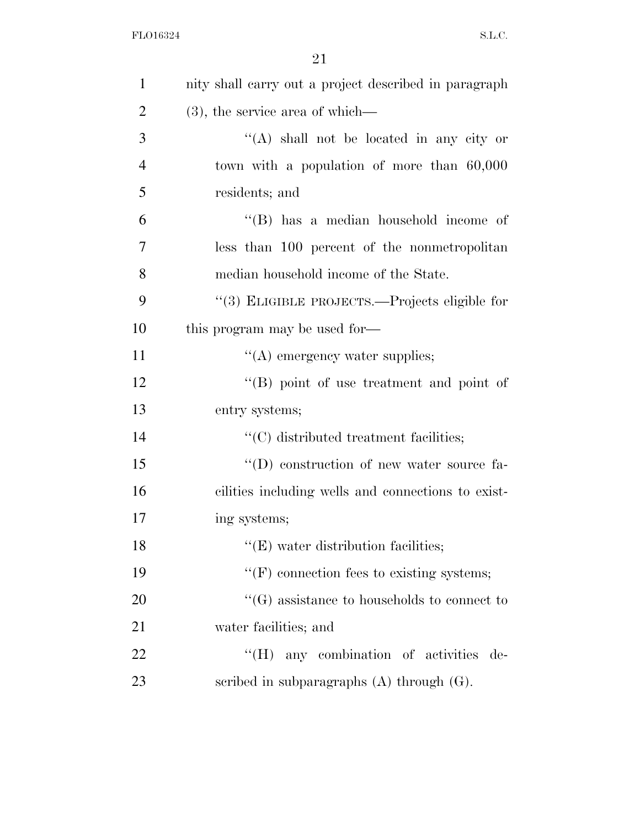| $\mathbf{1}$   | nity shall carry out a project described in paragraph |
|----------------|-------------------------------------------------------|
| $\overline{2}$ | $(3)$ , the service area of which—                    |
| 3              | "(A) shall not be located in any city or              |
| $\overline{4}$ | town with a population of more than 60,000            |
| 5              | residents; and                                        |
| 6              | $\lq\lq$ (B) has a median household income of         |
| 7              | less than 100 percent of the nonmetropolitan          |
| 8              | median household income of the State.                 |
| 9              | "(3) ELIGIBLE PROJECTS.—Projects eligible for         |
| 10             | this program may be used for-                         |
| 11             | $\lq\lq$ emergency water supplies;                    |
| 12             | "(B) point of use treatment and point of              |
| 13             | entry systems;                                        |
| 14             | $\lq\lq$ distributed treatment facilities;            |
| 15             | "(D) construction of new water source fa-             |
| 16             | cilities including wells and connections to exist-    |
| 17             | ing systems;                                          |
| 18             | $\lq\lq$ (E) water distribution facilities;           |
| 19             | $\lq\lq(F)$ connection fees to existing systems;      |
| 20             | $\lq\lq(G)$ assistance to households to connect to    |
| 21             | water facilities; and                                 |
| 22             | "(H) any combination of activities de-                |
| 23             | scribed in subparagraphs $(A)$ through $(G)$ .        |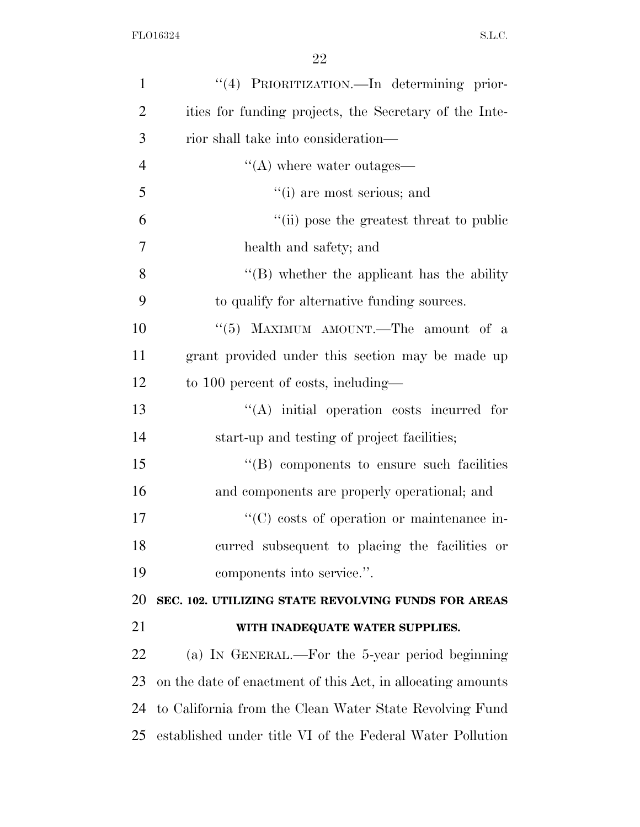| $\mathbf{1}$   | "(4) PRIORITIZATION.—In determining prior-                   |
|----------------|--------------------------------------------------------------|
| $\overline{2}$ | ities for funding projects, the Secretary of the Inte-       |
| 3              | rior shall take into consideration—                          |
| $\overline{4}$ | $\lq\lq$ where water outages—                                |
| 5              | "(i) are most serious; and                                   |
| 6              | "(ii) pose the greatest threat to public                     |
| $\overline{7}$ | health and safety; and                                       |
| 8              | $\lq\lq$ whether the applicant has the ability               |
| 9              | to qualify for alternative funding sources.                  |
| 10             | "(5) MAXIMUM AMOUNT.—The amount of a                         |
| 11             | grant provided under this section may be made up             |
| 12             | to 100 percent of costs, including—                          |
| 13             | $\lq\lq$ initial operation costs incurred for                |
| 14             | start-up and testing of project facilities;                  |
| 15             | $\lq\lq (B)$ components to ensure such facilities            |
| 16             | and components are properly operational; and                 |
| 17             | $\lq\lq$ costs of operation or maintenance in-               |
| 18             | curred subsequent to placing the facilities or               |
| 19             | components into service.".                                   |
| 20             | SEC. 102. UTILIZING STATE REVOLVING FUNDS FOR AREAS          |
| 21             | WITH INADEQUATE WATER SUPPLIES.                              |
| 22             | (a) IN GENERAL.—For the 5-year period beginning              |
| 23             | on the date of enactment of this Act, in allocating amounts  |
| 24             | to California from the Clean Water State Revolving Fund      |
|                | 25 established under title VI of the Federal Water Pollution |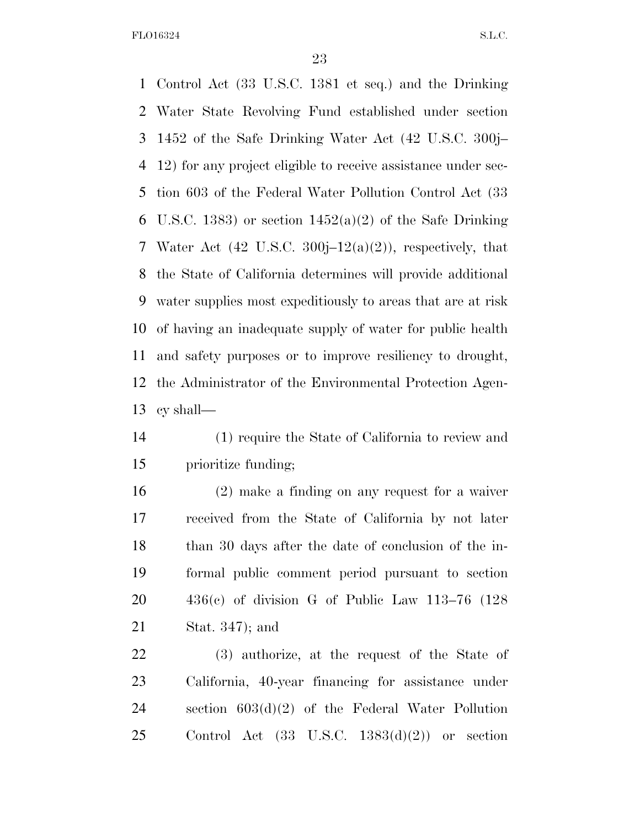Control Act (33 U.S.C. 1381 et seq.) and the Drinking Water State Revolving Fund established under section 1452 of the Safe Drinking Water Act (42 U.S.C. 300j– 12) for any project eligible to receive assistance under sec- tion 603 of the Federal Water Pollution Control Act (33 6 U.S.C. 1383) or section  $1452(a)(2)$  of the Safe Drinking 7 Water Act  $(42 \text{ U.S.C. } 300\text{i} - 12(a)(2))$ , respectively, that the State of California determines will provide additional water supplies most expeditiously to areas that are at risk of having an inadequate supply of water for public health and safety purposes or to improve resiliency to drought, the Administrator of the Environmental Protection Agen-cy shall—

 (1) require the State of California to review and prioritize funding;

 (2) make a finding on any request for a waiver received from the State of California by not later than 30 days after the date of conclusion of the in- formal public comment period pursuant to section 436(c) of division G of Public Law 113–76 (128 Stat. 347); and

 (3) authorize, at the request of the State of California, 40-year financing for assistance under section 603(d)(2) of the Federal Water Pollution 25 Control Act  $(33 \text{ U.S.C. } 1383(d)(2))$  or section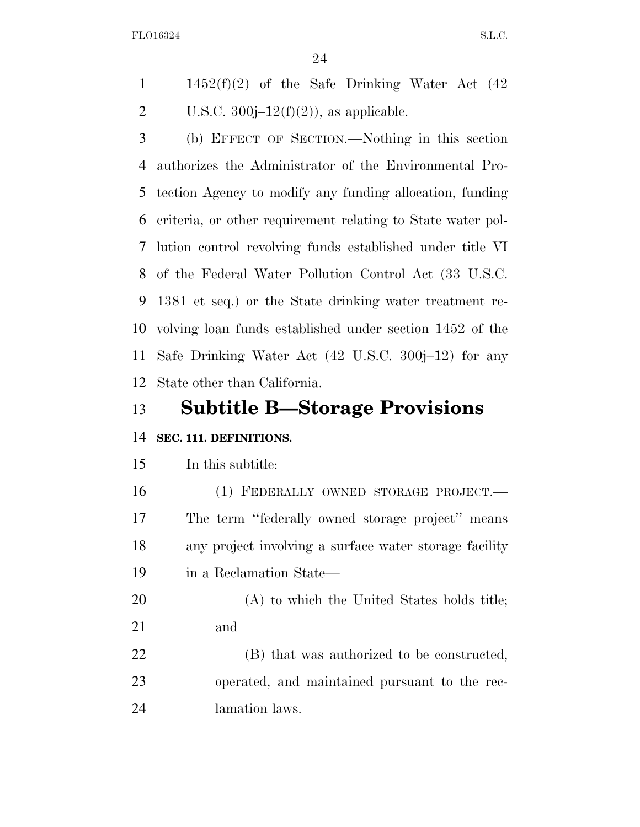1  $1452(f)(2)$  of the Safe Drinking Water Act  $(42)$ 2 U.S.C.  $300j-12(f)(2)$ , as applicable.

 (b) EFFECT OF SECTION.—Nothing in this section authorizes the Administrator of the Environmental Pro- tection Agency to modify any funding allocation, funding criteria, or other requirement relating to State water pol- lution control revolving funds established under title VI of the Federal Water Pollution Control Act (33 U.S.C. 1381 et seq.) or the State drinking water treatment re- volving loan funds established under section 1452 of the Safe Drinking Water Act (42 U.S.C. 300j–12) for any State other than California.

# **Subtitle B—Storage Provisions**

# **SEC. 111. DEFINITIONS.**

# In this subtitle:

 (1) FEDERALLY OWNED STORAGE PROJECT.— The term ''federally owned storage project'' means any project involving a surface water storage facility in a Reclamation State—

 (A) to which the United States holds title; and

 (B) that was authorized to be constructed, operated, and maintained pursuant to the rec-lamation laws.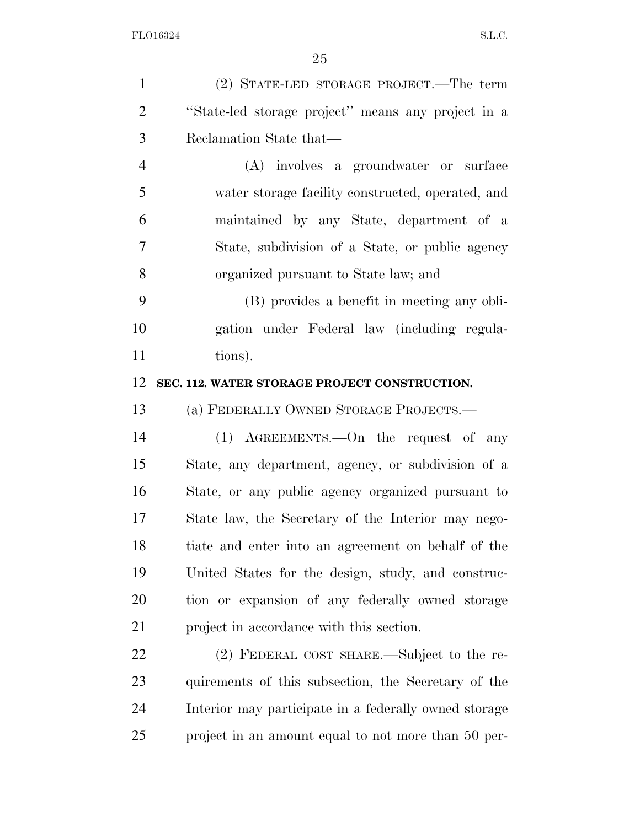| $\mathbf{1}$   | (2) STATE-LED STORAGE PROJECT.—The term               |
|----------------|-------------------------------------------------------|
| $\overline{2}$ | "State-led storage project" means any project in a    |
| 3              | Reclamation State that—                               |
| $\overline{4}$ | (A) involves a groundwater or surface                 |
| 5              | water storage facility constructed, operated, and     |
| 6              | maintained by any State, department of a              |
| 7              | State, subdivision of a State, or public agency       |
| 8              | organized pursuant to State law; and                  |
| 9              | (B) provides a benefit in meeting any obli-           |
| 10             | gation under Federal law (including regula-           |
| 11             | tions).                                               |
| 12             | SEC. 112. WATER STORAGE PROJECT CONSTRUCTION.         |
| 13             | (a) FEDERALLY OWNED STORAGE PROJECTS.-                |
| 14             | $(1)$ AGREEMENTS.—On the request of any               |
| 15             | State, any department, agency, or subdivision of a    |
| 16             | State, or any public agency organized pursuant to     |
| 17             | State law, the Secretary of the Interior may nego-    |
| 18             | tiate and enter into an agreement on behalf of the    |
| 19             | United States for the design, study, and construc-    |
| 20             | tion or expansion of any federally owned storage      |
| 21             | project in accordance with this section.              |
| 22             | (2) FEDERAL COST SHARE.—Subject to the re-            |
| 23             | quirements of this subsection, the Secretary of the   |
| 24             | Interior may participate in a federally owned storage |
| 25             | project in an amount equal to not more than 50 per-   |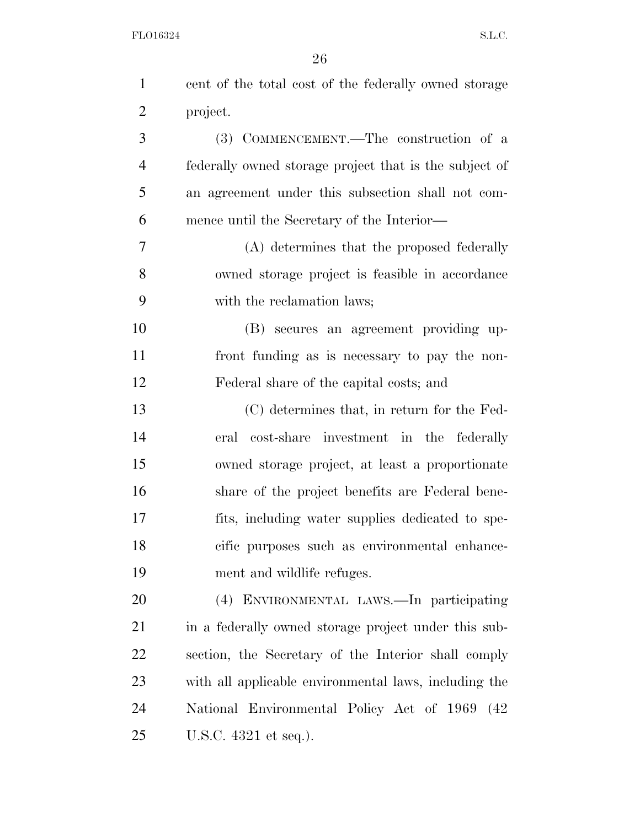| $\mathbf{1}$   | cent of the total cost of the federally owned storage  |
|----------------|--------------------------------------------------------|
| $\overline{2}$ | project.                                               |
| 3              | (3) COMMENCEMENT.—The construction of a                |
| $\overline{4}$ | federally owned storage project that is the subject of |
| 5              | an agreement under this subsection shall not com-      |
| 6              | mence until the Secretary of the Interior—             |
| 7              | (A) determines that the proposed federally             |
| 8              | owned storage project is feasible in accordance        |
| 9              | with the reclamation laws;                             |
| 10             | (B) secures an agreement providing up-                 |
| 11             | front funding as is necessary to pay the non-          |
| 12             | Federal share of the capital costs; and                |
| 13             | (C) determines that, in return for the Fed-            |
| 14             | eral cost-share investment in the federally            |
| 15             | owned storage project, at least a proportionate        |
| 16             | share of the project benefits are Federal bene-        |
| 17             | fits, including water supplies dedicated to spe-       |
| 18             | cific purposes such as environmental enhance-          |
| 19             | ment and wildlife refuges.                             |
| 20             | (4) ENVIRONMENTAL LAWS.—In participating               |
| 21             | in a federally owned storage project under this sub-   |
| 22             | section, the Secretary of the Interior shall comply    |
| 23             | with all applicable environmental laws, including the  |
| 24             | National Environmental Policy Act of 1969 (42)         |
| 25             | U.S.C. 4321 et seq.).                                  |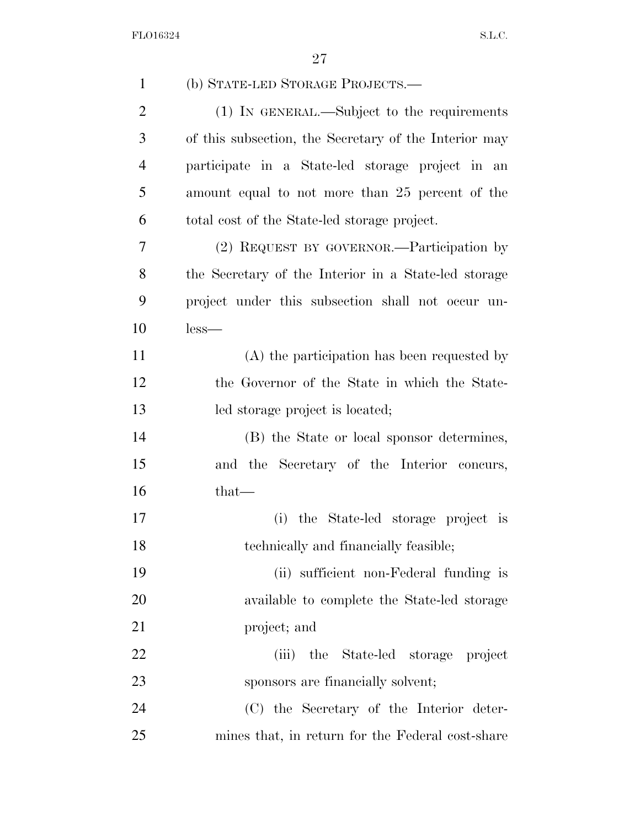| $\mathbf{1}$   | (b) STATE-LED STORAGE PROJECTS.-                      |
|----------------|-------------------------------------------------------|
| $\overline{2}$ | (1) IN GENERAL.—Subject to the requirements           |
| 3              | of this subsection, the Secretary of the Interior may |
| $\overline{4}$ | participate in a State-led storage project in an      |
| 5              | amount equal to not more than 25 percent of the       |
| 6              | total cost of the State-led storage project.          |
| 7              | (2) REQUEST BY GOVERNOR.—Participation by             |
| 8              | the Secretary of the Interior in a State-led storage  |
| 9              | project under this subsection shall not occur un-     |
| 10             | $less-$                                               |
| 11             | (A) the participation has been requested by           |
| 12             | the Governor of the State in which the State-         |
| 13             | led storage project is located;                       |
| 14             | (B) the State or local sponsor determines,            |
| 15             | and the Secretary of the Interior concurs,            |
| 16             | $that-$                                               |
| 17             | the State-led storage project is<br>(i)               |
| 18             | technically and financially feasible;                 |
| 19             | (ii) sufficient non-Federal funding is                |
| 20             | available to complete the State-led storage           |
| 21             | project; and                                          |
| 22             | the State-led storage project<br>(iii)                |
| 23             | sponsors are financially solvent;                     |
| 24             | (C) the Secretary of the Interior deter-              |
| 25             | mines that, in return for the Federal cost-share      |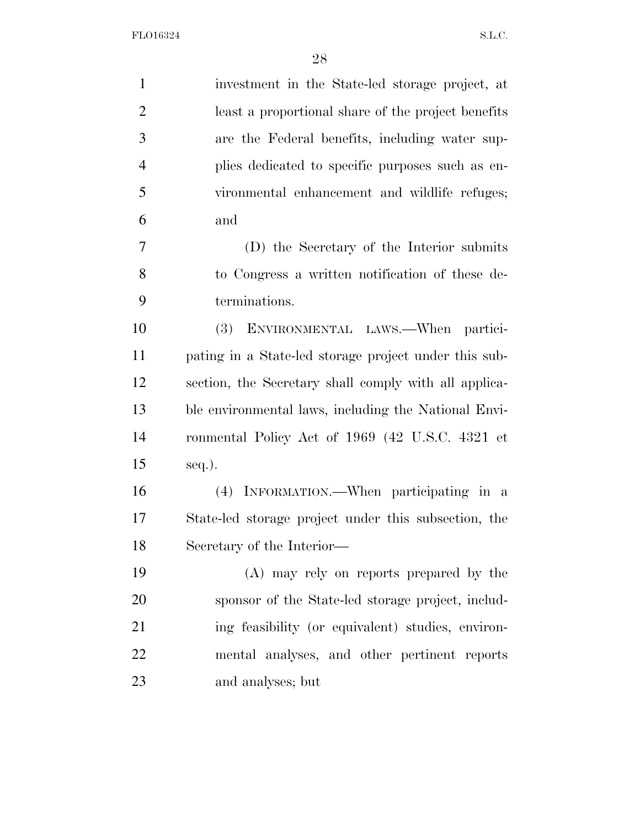| $\mathbf{1}$   | investment in the State-led storage project, at       |
|----------------|-------------------------------------------------------|
| $\overline{2}$ | least a proportional share of the project benefits    |
| 3              | are the Federal benefits, including water sup-        |
| $\overline{4}$ | plies dedicated to specific purposes such as en-      |
| 5              | vironmental enhancement and wildlife refuges;         |
| 6              | and                                                   |
| 7              | (D) the Secretary of the Interior submits             |
| 8              | to Congress a written notification of these de-       |
| 9              | terminations.                                         |
| 10             | (3)<br>ENVIRONMENTAL LAWS.—When partici-              |
| 11             | pating in a State-led storage project under this sub- |
| 12             | section, the Secretary shall comply with all applica- |
| 13             | ble environmental laws, including the National Envi-  |
| 14             | ronmental Policy Act of 1969 (42 U.S.C. 4321 et       |
| 15             | $seq.$ ).                                             |
| 16             | (4) INFORMATION.—When participating in a              |
| 17             | State-led storage project under this subsection, the  |
| 18             | Secretary of the Interior—                            |
| 19             | (A) may rely on reports prepared by the               |
| 20             | sponsor of the State-led storage project, includ-     |
| 21             | ing feasibility (or equivalent) studies, environ-     |
| 22             | mental analyses, and other pertinent reports          |
| 23             | and analyses; but                                     |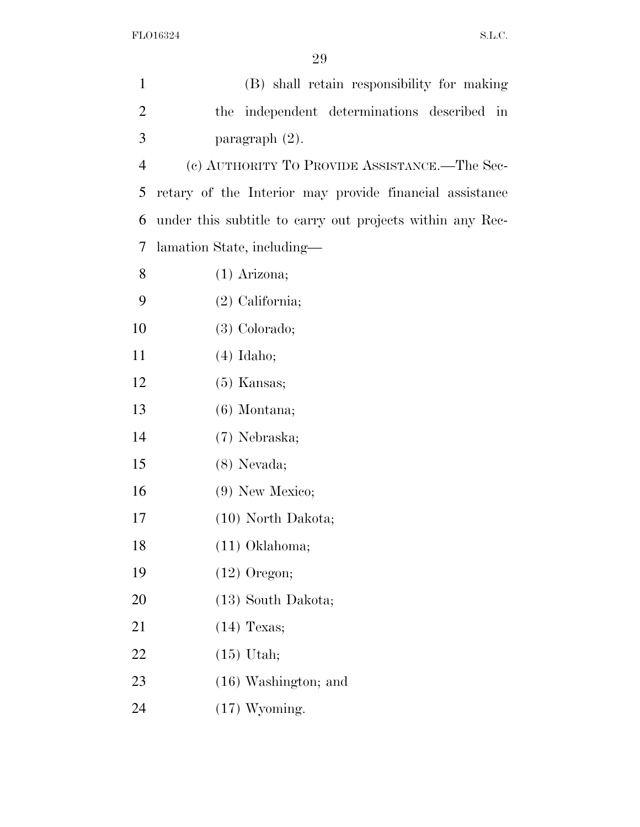| $\mathbf{1}$   | (B) shall retain responsibility for making                |
|----------------|-----------------------------------------------------------|
| $\overline{2}$ | the independent determinations described in               |
| 3              | paragraph $(2)$ .                                         |
| $\overline{4}$ | (c) AUTHORITY TO PROVIDE ASSISTANCE.—The Sec-             |
| 5              | retary of the Interior may provide financial assistance   |
| 6              | under this subtitle to carry out projects within any Rec- |
| 7              | lamation State, including—                                |
| 8              | $(1)$ Arizona;                                            |
| 9              | $(2)$ California;                                         |
| 10             | $(3)$ Colorado;                                           |
| 11             | $(4)$ Idaho;                                              |
| 12             | $(5)$ Kansas;                                             |
| 13             | $(6)$ Montana;                                            |
| 14             | (7) Nebraska;                                             |
| 15             | $(8)$ Nevada;                                             |
| 16             | $(9)$ New Mexico;                                         |
| 17             | $(10)$ North Dakota;                                      |
| 18             | $(11)$ Oklahoma;                                          |
| 19             | $(12)$ Oregon;                                            |
| 20             | $(13)$ South Dakota;                                      |
| 21             | $(14)$ Texas;                                             |
| 22             | $(15)$ Utah;                                              |
| 23             | $(16)$ Washington; and                                    |
| 24             | $(17)$ Wyoming.                                           |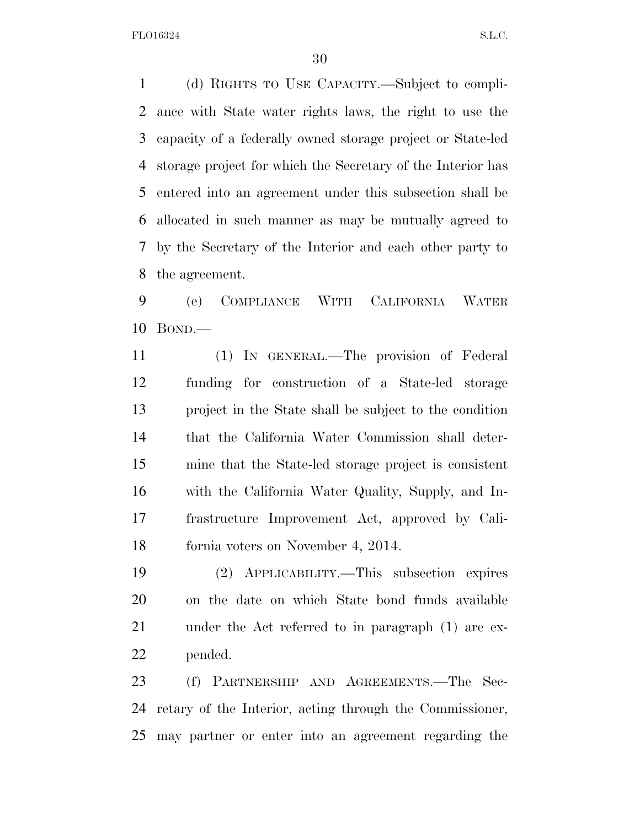(d) RIGHTS TO USE CAPACITY.—Subject to compli- ance with State water rights laws, the right to use the capacity of a federally owned storage project or State-led storage project for which the Secretary of the Interior has entered into an agreement under this subsection shall be allocated in such manner as may be mutually agreed to by the Secretary of the Interior and each other party to the agreement.

 (e) COMPLIANCE WITH CALIFORNIA WATER BOND.—

 (1) IN GENERAL.—The provision of Federal funding for construction of a State-led storage project in the State shall be subject to the condition that the California Water Commission shall deter- mine that the State-led storage project is consistent with the California Water Quality, Supply, and In- frastructure Improvement Act, approved by Cali-fornia voters on November 4, 2014.

 (2) APPLICABILITY.—This subsection expires on the date on which State bond funds available under the Act referred to in paragraph (1) are ex-pended.

 (f) PARTNERSHIP AND AGREEMENTS.—The Sec- retary of the Interior, acting through the Commissioner, may partner or enter into an agreement regarding the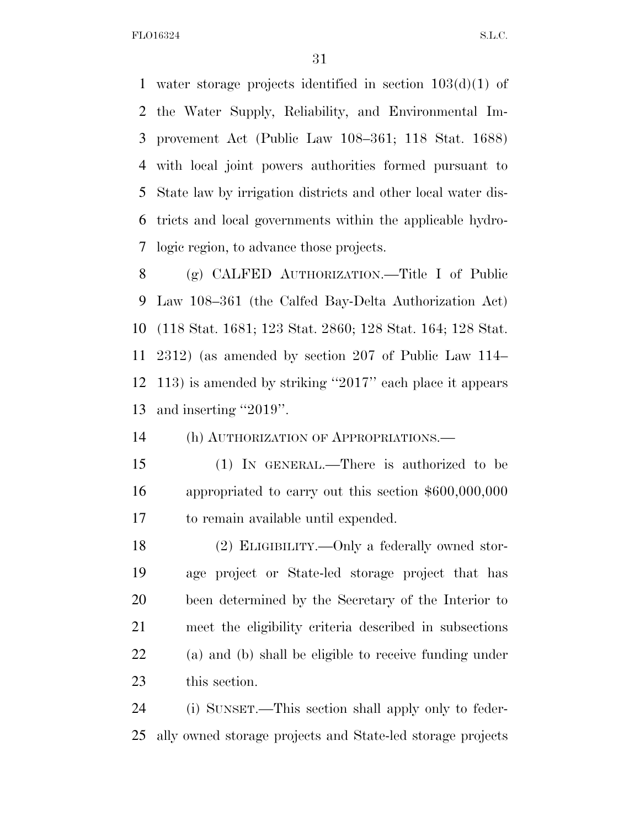water storage projects identified in section 103(d)(1) of the Water Supply, Reliability, and Environmental Im- provement Act (Public Law 108–361; 118 Stat. 1688) with local joint powers authorities formed pursuant to State law by irrigation districts and other local water dis- tricts and local governments within the applicable hydro-logic region, to advance those projects.

 (g) CALFED AUTHORIZATION.—Title I of Public Law 108–361 (the Calfed Bay-Delta Authorization Act) (118 Stat. 1681; 123 Stat. 2860; 128 Stat. 164; 128 Stat. 2312) (as amended by section 207 of Public Law 114– 113) is amended by striking ''2017'' each place it appears and inserting ''2019''.

(h) AUTHORIZATION OF APPROPRIATIONS.—

 (1) IN GENERAL.—There is authorized to be appropriated to carry out this section \$600,000,000 to remain available until expended.

 (2) ELIGIBILITY.—Only a federally owned stor- age project or State-led storage project that has been determined by the Secretary of the Interior to meet the eligibility criteria described in subsections (a) and (b) shall be eligible to receive funding under this section.

 (i) SUNSET.—This section shall apply only to feder-ally owned storage projects and State-led storage projects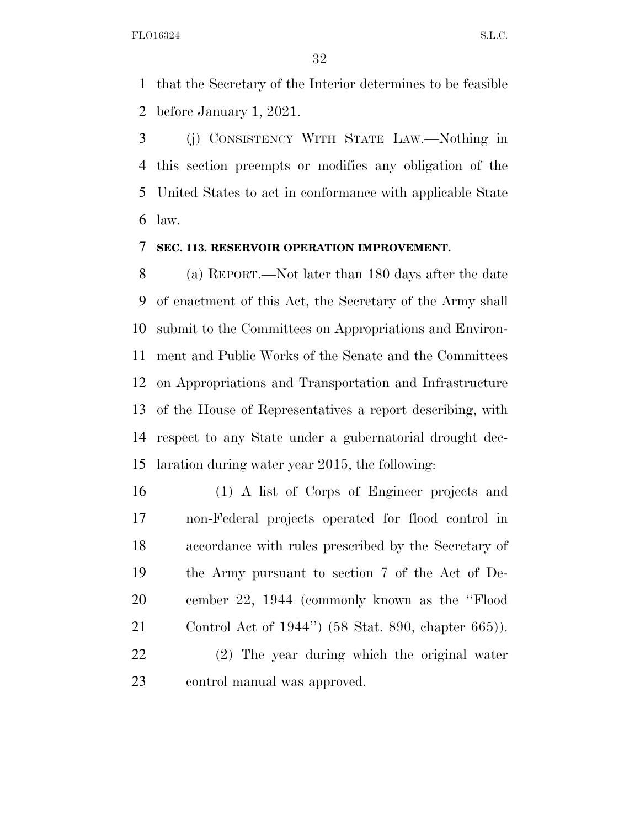that the Secretary of the Interior determines to be feasible before January 1, 2021.

 (j) CONSISTENCY WITH STATE LAW.—Nothing in this section preempts or modifies any obligation of the United States to act in conformance with applicable State law.

# **SEC. 113. RESERVOIR OPERATION IMPROVEMENT.**

 (a) REPORT.—Not later than 180 days after the date of enactment of this Act, the Secretary of the Army shall submit to the Committees on Appropriations and Environ- ment and Public Works of the Senate and the Committees on Appropriations and Transportation and Infrastructure of the House of Representatives a report describing, with respect to any State under a gubernatorial drought dec-laration during water year 2015, the following:

 (1) A list of Corps of Engineer projects and non-Federal projects operated for flood control in accordance with rules prescribed by the Secretary of the Army pursuant to section 7 of the Act of De- cember 22, 1944 (commonly known as the ''Flood Control Act of 1944'') (58 Stat. 890, chapter 665)).

 (2) The year during which the original water control manual was approved.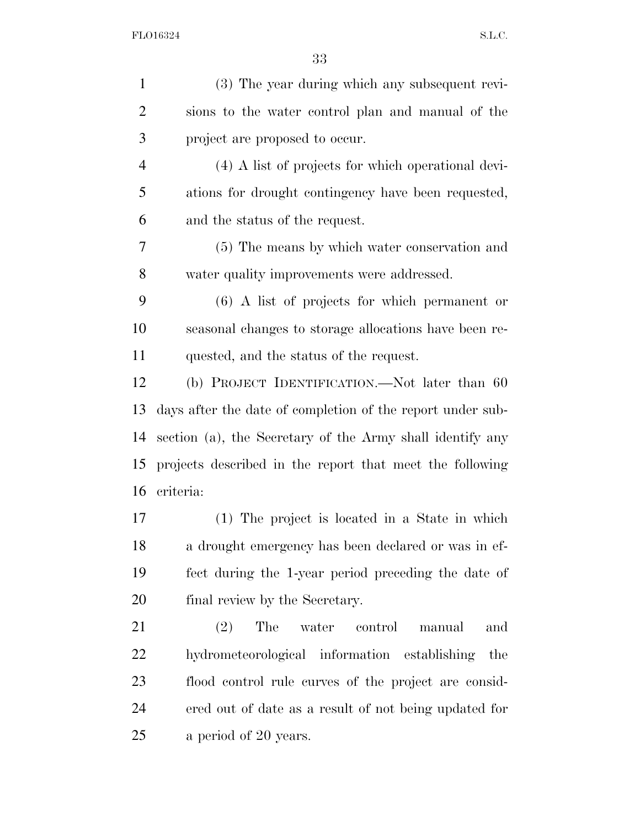| $\mathbf{1}$   | (3) The year during which any subsequent revi-             |
|----------------|------------------------------------------------------------|
| $\overline{2}$ | sions to the water control plan and manual of the          |
| $\mathfrak{Z}$ | project are proposed to occur.                             |
| $\overline{4}$ | (4) A list of projects for which operational devi-         |
| 5              | ations for drought contingency have been requested,        |
| 6              | and the status of the request.                             |
| 7              | (5) The means by which water conservation and              |
| 8              | water quality improvements were addressed.                 |
| 9              | $(6)$ A list of projects for which permanent or            |
| 10             | seasonal changes to storage allocations have been re-      |
| 11             | quested, and the status of the request.                    |
| 12             | (b) PROJECT IDENTIFICATION.—Not later than 60              |
| 13             | days after the date of completion of the report under sub- |
| 14             | section (a), the Secretary of the Army shall identify any  |
| 15             | projects described in the report that meet the following   |
| 16             | criteria:                                                  |
| 17             | (1) The project is located in a State in which             |
| 18             | a drought emergency has been declared or was in ef-        |
| 19             | fect during the 1-year period preceding the date of        |
| 20             | final review by the Secretary.                             |
| 21             | The<br>(2)<br>water control<br>and<br>manual               |
| 22             | hydrometeorological information establishing<br>the        |
| 23             | flood control rule curves of the project are consid-       |
| 24             | ered out of date as a result of not being updated for      |
| 25             | a period of 20 years.                                      |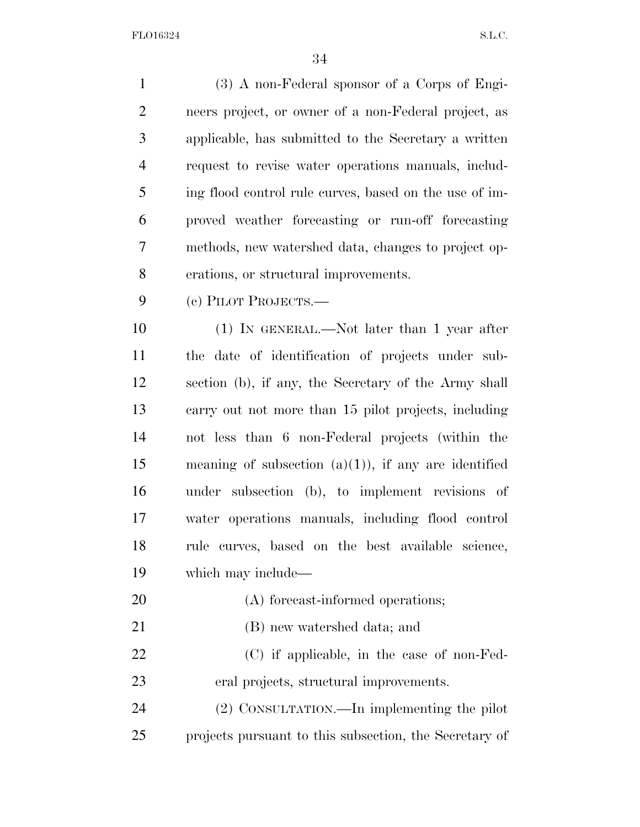(3) A non-Federal sponsor of a Corps of Engi- neers project, or owner of a non-Federal project, as applicable, has submitted to the Secretary a written request to revise water operations manuals, includ- ing flood control rule curves, based on the use of im- proved weather forecasting or run-off forecasting methods, new watershed data, changes to project op- erations, or structural improvements. (c) PILOT PROJECTS.— (1) IN GENERAL.—Not later than 1 year after the date of identification of projects under sub- section (b), if any, the Secretary of the Army shall carry out not more than 15 pilot projects, including not less than 6 non-Federal projects (within the meaning of subsection (a)(1)), if any are identified under subsection (b), to implement revisions of water operations manuals, including flood control rule curves, based on the best available science, which may include— 20 (A) forecast-informed operations; (B) new watershed data; and (C) if applicable, in the case of non-Fed- eral projects, structural improvements. (2) CONSULTATION.—In implementing the pilot projects pursuant to this subsection, the Secretary of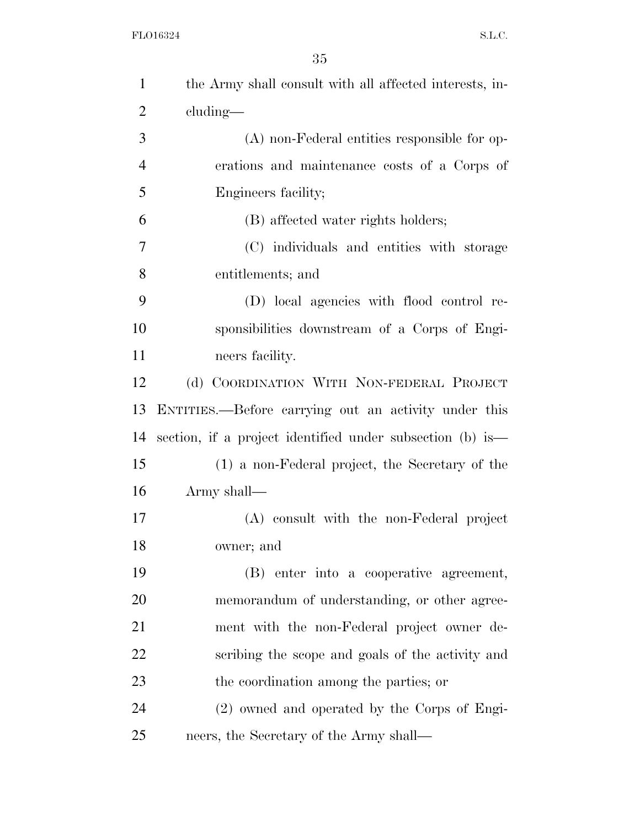| $\mathbf{1}$   | the Army shall consult with all affected interests, in-   |
|----------------|-----------------------------------------------------------|
| $\overline{2}$ | cluding—                                                  |
| 3              | $(A)$ non-Federal entities responsible for op-            |
| $\overline{4}$ | erations and maintenance costs of a Corps of              |
| 5              | Engineers facility;                                       |
| 6              | (B) affected water rights holders;                        |
| 7              | (C) individuals and entities with storage                 |
| 8              | entitlements; and                                         |
| 9              | (D) local agencies with flood control re-                 |
| 10             | sponsibilities downstream of a Corps of Engi-             |
| 11             | neers facility.                                           |
| 12             | (d) COORDINATION WITH NON-FEDERAL PROJECT                 |
| 13             | ENTITIES.—Before carrying out an activity under this      |
| 14             | section, if a project identified under subsection (b) is— |
| 15             | (1) a non-Federal project, the Secretary of the           |
| 16             | Army shall—                                               |
| 17             | (A) consult with the non-Federal project                  |
| 18             | owner; and                                                |
| 19             | (B) enter into a cooperative agreement,                   |
| 20             | memorandum of understanding, or other agree-              |
| 21             | ment with the non-Federal project owner de-               |
| 22             | scribing the scope and goals of the activity and          |
| 23             | the coordination among the parties; or                    |
| 24             | (2) owned and operated by the Corps of Engi-              |
| 25             | neers, the Secretary of the Army shall—                   |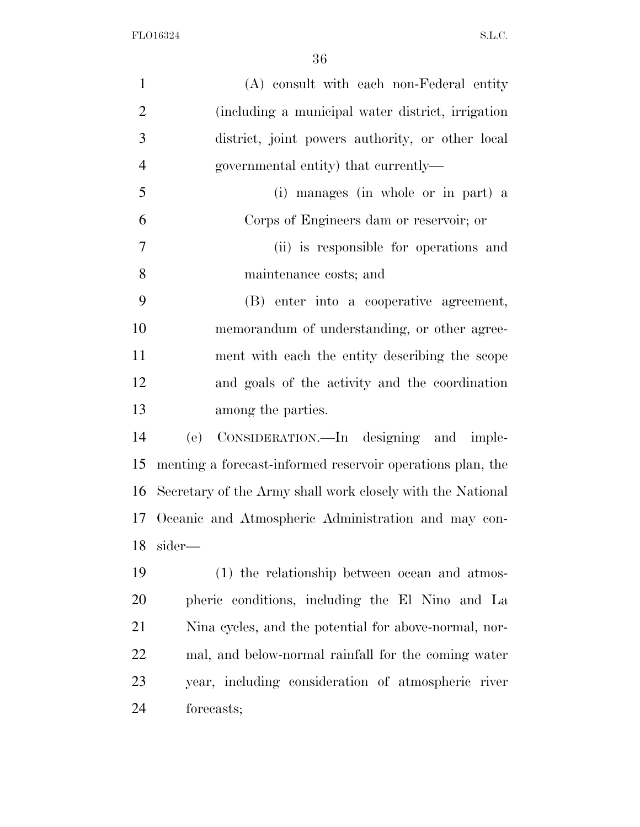| $\mathbf{1}$   | (A) consult with each non-Federal entity                   |
|----------------|------------------------------------------------------------|
| $\overline{2}$ | (including a municipal water district, irrigation          |
| 3              | district, joint powers authority, or other local           |
| $\overline{4}$ | governmental entity) that currently—                       |
| 5              | (i) manages (in whole or in part) a                        |
| 6              | Corps of Engineers dam or reservoir; or                    |
| $\tau$         | (ii) is responsible for operations and                     |
| 8              | maintenance costs; and                                     |
| 9              | (B) enter into a cooperative agreement,                    |
| 10             | memorandum of understanding, or other agree-               |
| 11             | ment with each the entity describing the scope             |
| 12             | and goals of the activity and the coordination             |
| 13             | among the parties.                                         |
| 14             | CONSIDERATION.—In designing and imple-<br>(e)              |
| 15             | menting a forecast-informed reservoir operations plan, the |
| 16             | Secretary of the Army shall work closely with the National |
|                | 17 Oceanic and Atmospheric Administration and may con-     |
| 18             | sider—                                                     |
| 19             | (1) the relationship between ocean and atmos-              |
| 20             | pheric conditions, including the El Nino and La            |
| 21             | Nina cycles, and the potential for above-normal, nor-      |
| 22             | mal, and below-normal rainfall for the coming water        |
| 23             | year, including consideration of atmospheric river         |
| 24             | forecasts;                                                 |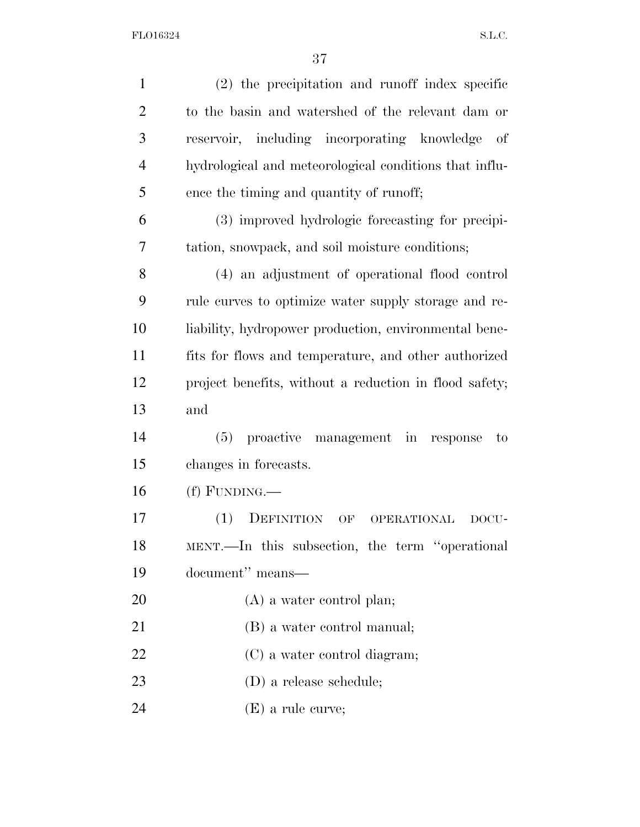| $\mathbf{1}$   | (2) the precipitation and runoff index specific        |
|----------------|--------------------------------------------------------|
| $\overline{2}$ | to the basin and watershed of the relevant dam or      |
|                |                                                        |
| 3              | reservoir, including incorporating knowledge<br>- of   |
| $\overline{4}$ | hydrological and meteorological conditions that influ- |
| 5              | ence the timing and quantity of runoff;                |
| 6              | (3) improved hydrologic forecasting for precipi-       |
| 7              | tation, snowpack, and soil moisture conditions;        |
| 8              | (4) an adjustment of operational flood control         |
| 9              | rule curves to optimize water supply storage and re-   |
| 10             | liability, hydropower production, environmental bene-  |
| 11             | fits for flows and temperature, and other authorized   |
| 12             | project benefits, without a reduction in flood safety; |
| 13             | and                                                    |
| 14             | (5) proactive management in response<br>to             |
| 15             | changes in forecasts.                                  |
| 16             | $(f)$ FUNDING.—                                        |
| 17             | (1)<br>DEFINITION<br>OPERATIONAL<br>OF<br>DOCU-        |
| 18             | MENT.—In this subsection, the term "operational        |
| 19             | document" means—                                       |
| 20             | $(A)$ a water control plan;                            |
| 21             | (B) a water control manual;                            |
|                |                                                        |
| 22             | (C) a water control diagram;                           |
| 23             | $(D)$ a release schedule;                              |
| 24             | $(E)$ a rule curve;                                    |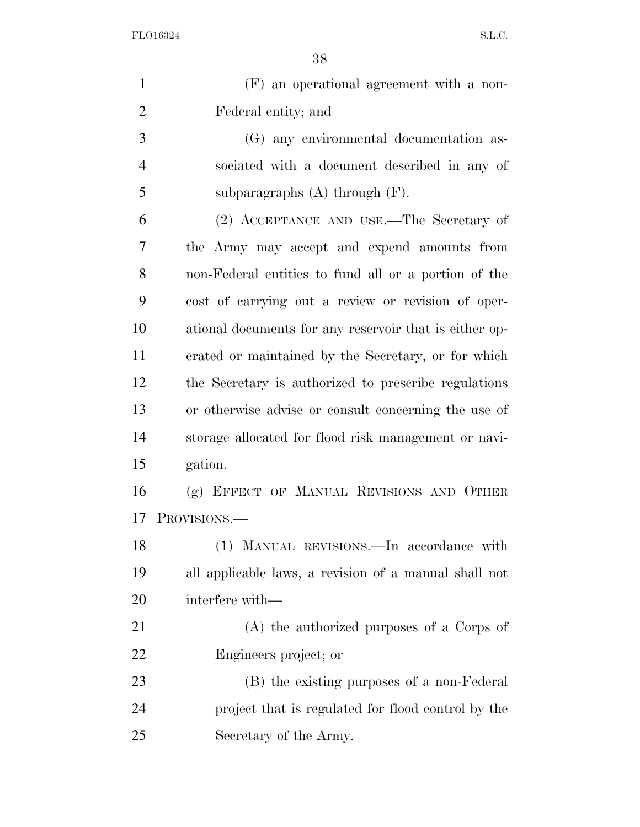| $\mathbf{1}$   | (F) an operational agreement with a non-               |
|----------------|--------------------------------------------------------|
| $\overline{2}$ | Federal entity; and                                    |
| 3              | (G) any environmental documentation as-                |
| $\overline{4}$ | sociated with a document described in any of           |
| 5              | subparagraphs $(A)$ through $(F)$ .                    |
| 6              | (2) ACCEPTANCE AND USE.—The Secretary of               |
| 7              | the Army may accept and expend amounts from            |
| 8              | non-Federal entities to fund all or a portion of the   |
| 9              | cost of carrying out a review or revision of oper-     |
| 10             | ational documents for any reservoir that is either op- |
| 11             | erated or maintained by the Secretary, or for which    |
| 12             | the Secretary is authorized to prescribe regulations   |
| 13             | or otherwise advise or consult concerning the use of   |
| 14             | storage allocated for flood risk management or navi-   |
| 15             | gation.                                                |
| 16             | (g) EFFECT OF MANUAL REVISIONS AND OTHER               |
| 17             | PROVISIONS.                                            |
| 18             | (1) MANUAL REVISIONS.—In accordance with               |
| 19             | all applicable laws, a revision of a manual shall not  |
| 20             | interfere with—                                        |
| 21             | (A) the authorized purposes of a Corps of              |
| 22             | Engineers project; or                                  |
| 23             | (B) the existing purposes of a non-Federal             |
| 24             | project that is regulated for flood control by the     |
| 25             | Secretary of the Army.                                 |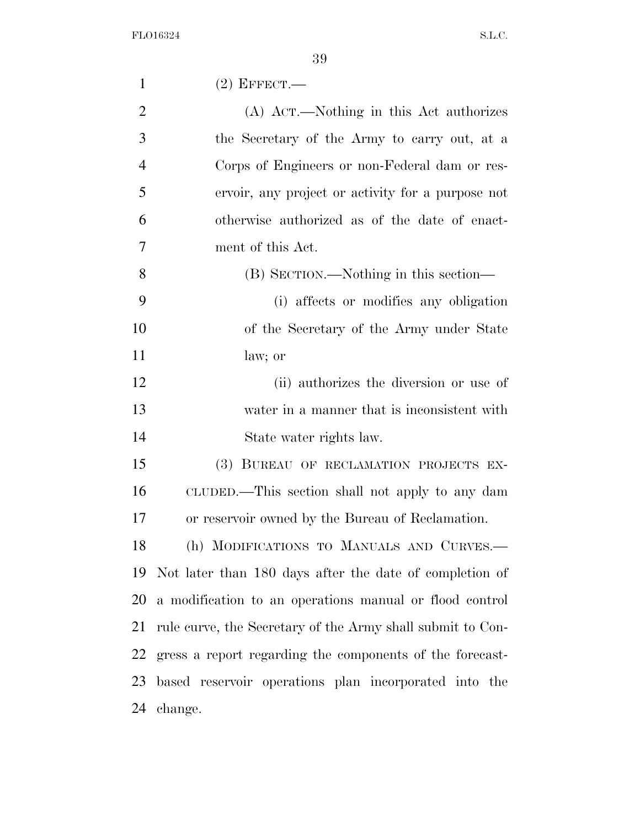| $\mathbf{1}$   | $(2)$ EFFECT.—                                             |
|----------------|------------------------------------------------------------|
| $\overline{2}$ | (A) Act.—Nothing in this Act authorizes                    |
| 3              | the Secretary of the Army to carry out, at a               |
| $\overline{4}$ | Corps of Engineers or non-Federal dam or res-              |
| 5              | ervoir, any project or activity for a purpose not          |
| 6              | otherwise authorized as of the date of enact-              |
| 7              | ment of this Act.                                          |
| 8              | (B) SECTION.—Nothing in this section—                      |
| 9              | (i) affects or modifies any obligation                     |
| 10             | of the Secretary of the Army under State                   |
| 11             | law; or                                                    |
| 12             | (ii) authorizes the diversion or use of                    |
| 13             | water in a manner that is inconsistent with                |
| 14             | State water rights law.                                    |
| 15             | (3) BUREAU OF RECLAMATION PROJECTS EX-                     |
| 16             | CLUDED.—This section shall not apply to any dam            |
| 17             | or reservoir owned by the Bureau of Reclamation.           |
| 18             | (h) MODIFICATIONS TO MANUALS AND CURVES.-                  |
| 19             | Not later than 180 days after the date of completion of    |
| 20             | a modification to an operations manual or flood control    |
| 21             | rule curve, the Secretary of the Army shall submit to Con- |
| 22             | gress a report regarding the components of the forecast-   |
| 23             | based reservoir operations plan incorporated into the      |
| 24             | change.                                                    |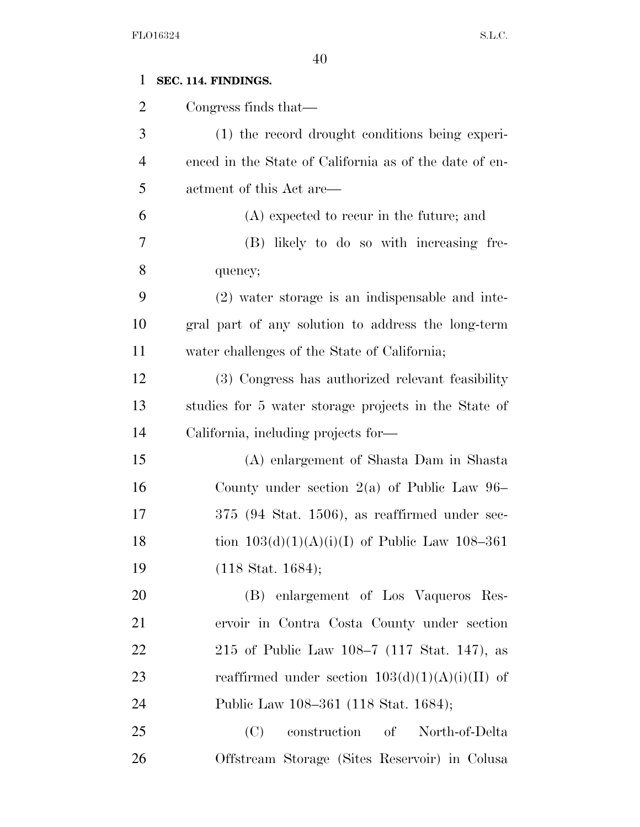| $\mathbf{1}$   | SEC. 114. FINDINGS.                                    |
|----------------|--------------------------------------------------------|
| $\overline{2}$ | Congress finds that—                                   |
| 3              | (1) the record drought conditions being experi-        |
| $\overline{4}$ | enced in the State of California as of the date of en- |
| 5              | actment of this Act are—                               |
| 6              | (A) expected to recur in the future; and               |
| 7              | (B) likely to do so with increasing fre-               |
| 8              | quency;                                                |
| 9              | (2) water storage is an indispensable and inte-        |
| 10             | gral part of any solution to address the long-term     |
| 11             | water challenges of the State of California;           |
| 12             | (3) Congress has authorized relevant feasibility       |
| 13             | studies for 5 water storage projects in the State of   |
| 14             | California, including projects for-                    |
| 15             | (A) enlargement of Shasta Dam in Shasta                |
| 16             | County under section $2(a)$ of Public Law 96–          |
| 17             | $375$ (94 Stat. 1506), as reaffirmed under sec-        |
| 18             | tion $103(d)(1)(A)(i)(I)$ of Public Law 108-361        |
| 19             | $(118 \text{ Stat. } 1684);$                           |
| 20             | (B) enlargement of Los Vaqueros Res-                   |
| 21             | ervoir in Contra Costa County under section            |
| 22             | 215 of Public Law 108–7 (117 Stat. 147), as            |
| 23             | reaffirmed under section $103(d)(1)(A)(i)(II)$ of      |
| 24             | Public Law 108–361 (118 Stat. 1684);                   |
| 25             | construction of<br>(C)<br>North-of-Delta               |
| 26             | Offstream Storage (Sites Reservoir) in Colusa          |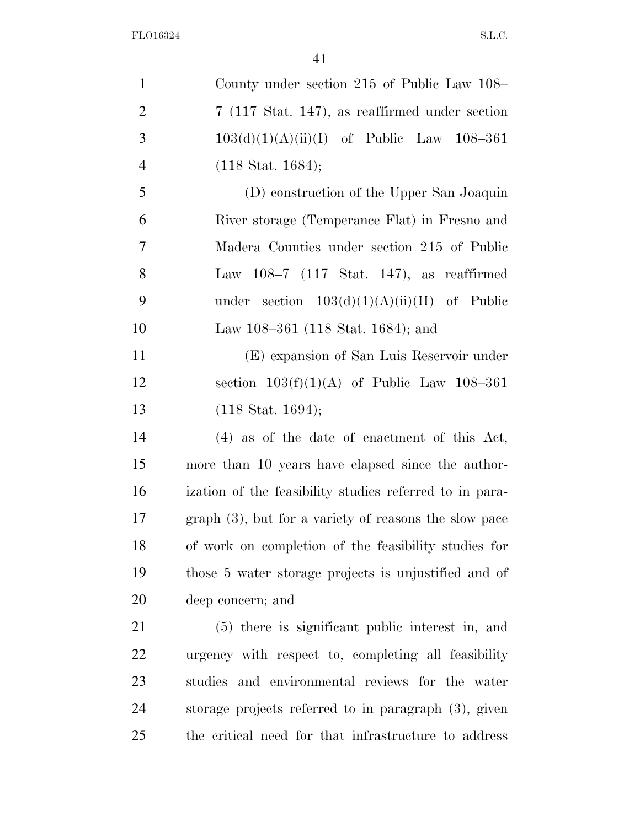| $\mathbf{1}$   | County under section 215 of Public Law 108–               |
|----------------|-----------------------------------------------------------|
| $\overline{2}$ | $7(117 \text{ Stat. } 147)$ , as reaffirmed under section |
| 3              | $103(d)(1)(A)(ii)(I)$ of Public Law 108-361               |
| 4              | $(118 \text{ Stat. } 1684);$                              |
| 5              | (D) construction of the Upper San Joaquin                 |
| 6              | River storage (Temperance Flat) in Fresno and             |
| 7              | Madera Counties under section 215 of Public               |
| 8              | Law $108-7$ (117 Stat. 147), as reaffirmed                |
| 9              | under section $103(d)(1)(A)(ii)(II)$ of Public            |
| 10             | Law 108-361 (118 Stat. 1684); and                         |
| 11             | (E) expansion of San Luis Reservoir under                 |
| 12             | section $103(f)(1)(A)$ of Public Law $108-361$            |
| 13             | $(118 \text{ Stat. } 1694);$                              |
| 14             | $(4)$ as of the date of enactment of this Act,            |
| 15             | more than 10 years have elapsed since the author-         |
| 16             | ization of the feasibility studies referred to in para-   |
| 17             | $graph(3)$ , but for a variety of reasons the slow pace   |
| 18             | of work on completion of the feasibility studies for      |
| 19             | those 5 water storage projects is unjustified and of      |
| 20             | deep concern; and                                         |
| 21             | (5) there is significant public interest in, and          |
| 22             | urgency with respect to, completing all feasibility       |
| 23             | studies and environmental reviews for the water           |
| 24             | storage projects referred to in paragraph $(3)$ , given   |
| 25             | the critical need for that infrastructure to address      |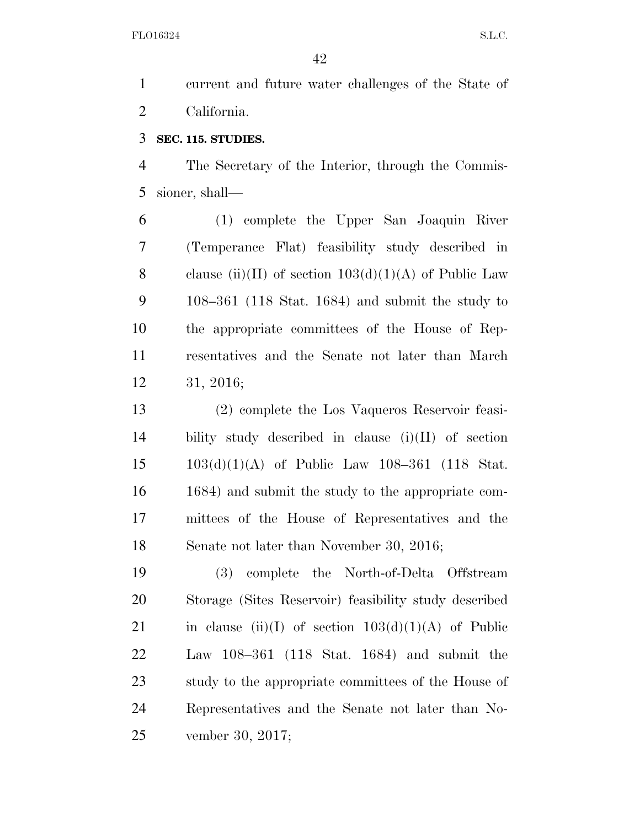current and future water challenges of the State of California.

## **SEC. 115. STUDIES.**

 The Secretary of the Interior, through the Commis-sioner, shall—

 (1) complete the Upper San Joaquin River (Temperance Flat) feasibility study described in 8 clause (ii)(II) of section  $103(d)(1)(A)$  of Public Law 108–361 (118 Stat. 1684) and submit the study to the appropriate committees of the House of Rep- resentatives and the Senate not later than March 31, 2016;

 (2) complete the Los Vaqueros Reservoir feasi- bility study described in clause (i)(II) of section 103(d)(1)(A) of Public Law 108–361 (118 Stat. 1684) and submit the study to the appropriate com- mittees of the House of Representatives and the Senate not later than November 30, 2016;

 (3) complete the North-of-Delta Offstream Storage (Sites Reservoir) feasibility study described 21 in clause (ii)(I) of section  $103(d)(1)(A)$  of Public Law 108–361 (118 Stat. 1684) and submit the study to the appropriate committees of the House of Representatives and the Senate not later than No-vember 30, 2017;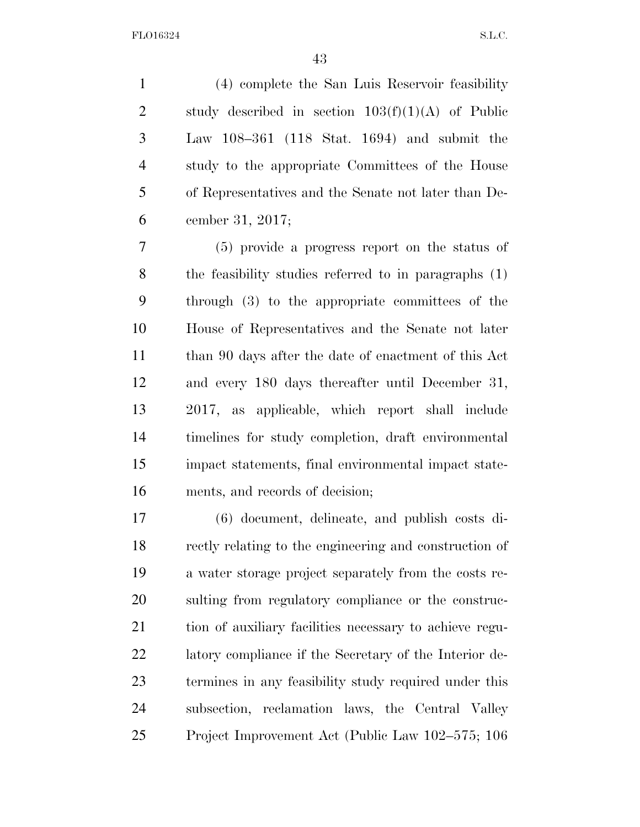(4) complete the San Luis Reservoir feasibility 2 study described in section  $103(f)(1)(A)$  of Public Law 108–361 (118 Stat. 1694) and submit the study to the appropriate Committees of the House of Representatives and the Senate not later than De-cember 31, 2017;

 (5) provide a progress report on the status of the feasibility studies referred to in paragraphs (1) through (3) to the appropriate committees of the House of Representatives and the Senate not later 11 than 90 days after the date of enactment of this Act and every 180 days thereafter until December 31, 2017, as applicable, which report shall include timelines for study completion, draft environmental impact statements, final environmental impact state-ments, and records of decision;

 (6) document, delineate, and publish costs di- rectly relating to the engineering and construction of a water storage project separately from the costs re- sulting from regulatory compliance or the construc- tion of auxiliary facilities necessary to achieve regu- latory compliance if the Secretary of the Interior de- termines in any feasibility study required under this subsection, reclamation laws, the Central Valley Project Improvement Act (Public Law 102–575; 106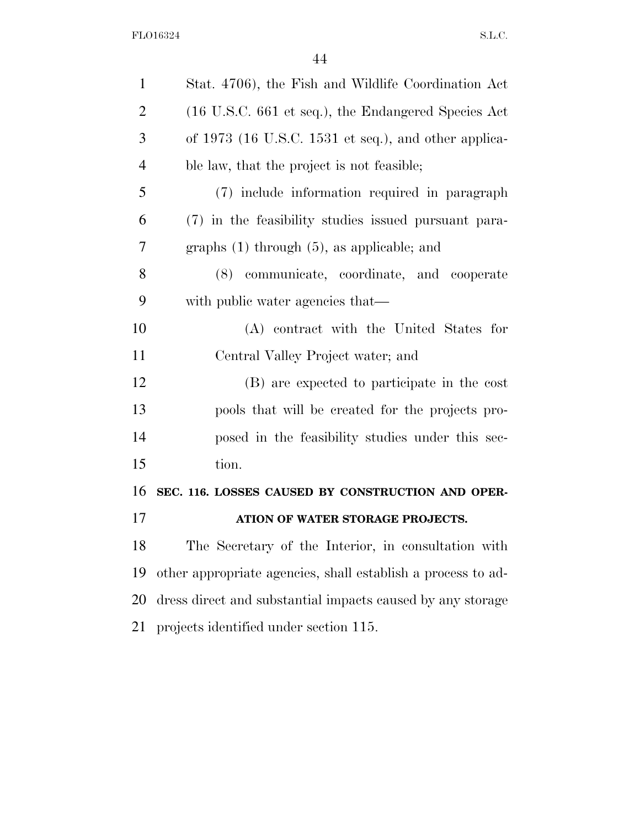| $\mathbf{1}$   | Stat. 4706), the Fish and Wildlife Coordination Act          |
|----------------|--------------------------------------------------------------|
| $\overline{2}$ | (16 U.S.C. 661 et seq.), the Endangered Species Act          |
| 3              | of $1973$ (16 U.S.C. 1531 et seq.), and other applica-       |
| $\overline{4}$ | ble law, that the project is not feasible;                   |
| 5              | (7) include information required in paragraph                |
| 6              | (7) in the feasibility studies issued pursuant para-         |
| 7              | graphs $(1)$ through $(5)$ , as applicable; and              |
| 8              | (8) communicate, coordinate, and cooperate                   |
| 9              | with public water agencies that—                             |
| 10             | (A) contract with the United States for                      |
| 11             | Central Valley Project water; and                            |
| 12             | (B) are expected to participate in the cost                  |
| 13             | pools that will be created for the projects pro-             |
| 14             | posed in the feasibility studies under this sec-             |
| 15             | tion.                                                        |
| 16             | SEC. 116. LOSSES CAUSED BY CONSTRUCTION AND OPER-            |
| 17             | ATION OF WATER STORAGE PROJECTS.                             |
| 18             | The Secretary of the Interior, in consultation with          |
| 19             | other appropriate agencies, shall establish a process to ad- |
| 20             | dress direct and substantial impacts caused by any storage   |
| 21             | projects identified under section 115.                       |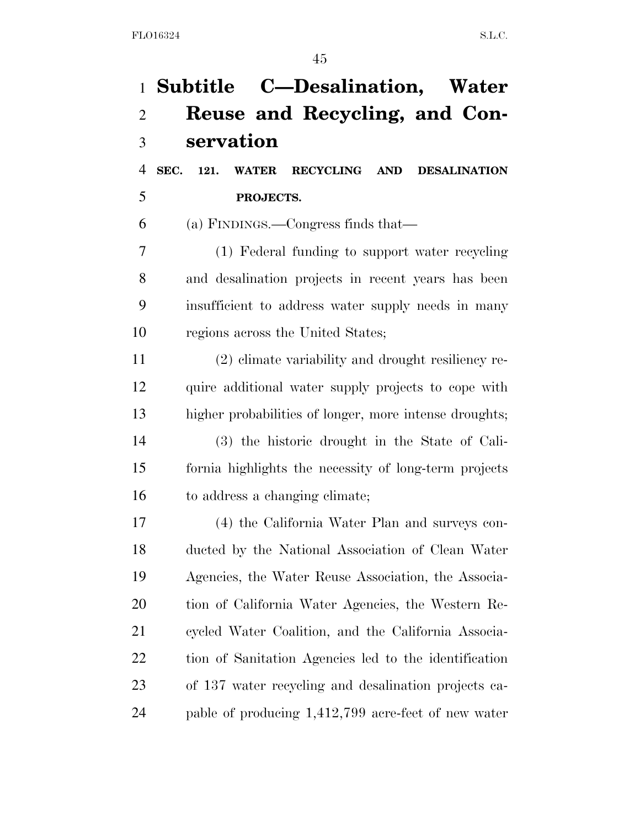|                | 1 Subtitle C—Desalination, Water                        |
|----------------|---------------------------------------------------------|
| $\overline{2}$ | Reuse and Recycling, and Con-                           |
| 3              | servation                                               |
| $\overline{4}$ | SEC. 121. WATER<br>RECYCLING AND<br><b>DESALINATION</b> |
| 5              | PROJECTS.                                               |
| 6              | (a) FINDINGS.—Congress finds that—                      |
| 7              | (1) Federal funding to support water recycling          |
| 8              | and desalination projects in recent years has been      |
| 9              | insufficient to address water supply needs in many      |
| 10             | regions across the United States;                       |
| 11             | (2) elimate variability and drought resiliency re-      |
| 12             | quire additional water supply projects to cope with     |
| 13             | higher probabilities of longer, more intense droughts;  |
| 14             | (3) the historic drought in the State of Cali-          |
| 15             | formia highlights the necessity of long-term projects   |
| 16             | to address a changing climate;                          |
| 17             | (4) the California Water Plan and surveys con-          |
| 18             | ducted by the National Association of Clean Water       |
| 19             | Agencies, the Water Reuse Association, the Associa-     |
| 20             | tion of California Water Agencies, the Western Re-      |
| 21             | cycled Water Coalition, and the California Associa-     |
| 22             | tion of Sanitation Agencies led to the identification   |
| 23             | of 137 water recycling and desalination projects ca-    |
| 24             | pable of producing 1,412,799 acre-feet of new water     |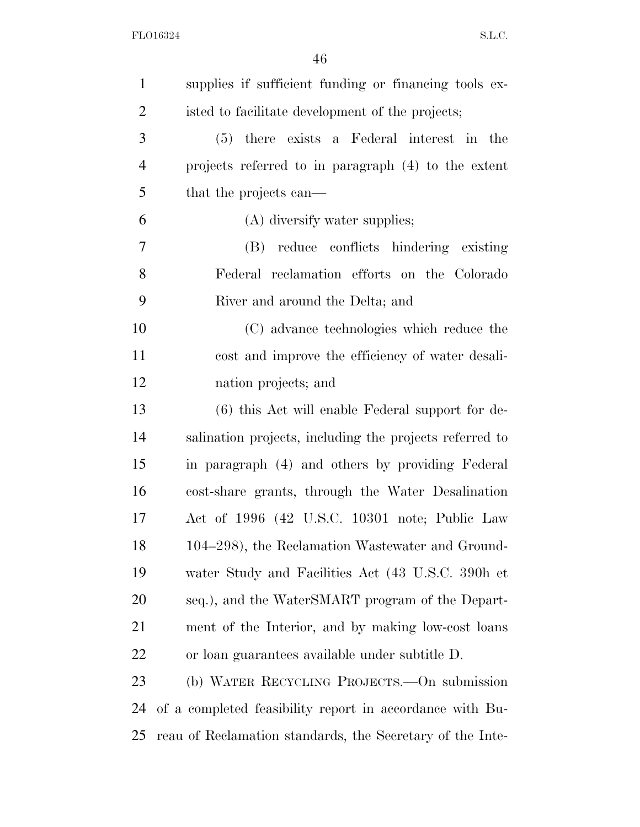| $\mathbf{1}$   | supplies if sufficient funding or financing tools ex-     |
|----------------|-----------------------------------------------------------|
| $\overline{2}$ | isted to facilitate development of the projects;          |
| 3              | (5) there exists a Federal interest in the                |
| $\overline{4}$ | projects referred to in paragraph (4) to the extent       |
| 5              | that the projects can—                                    |
| 6              | (A) diversify water supplies;                             |
| 7              | reduce conflicts hindering existing<br>(B)                |
| 8              | Federal reclamation efforts on the Colorado               |
| 9              | River and around the Delta; and                           |
| 10             | (C) advance technologies which reduce the                 |
| 11             | cost and improve the efficiency of water desali-          |
| 12             | nation projects; and                                      |
| 13             | $(6)$ this Act will enable Federal support for de-        |
| 14             | salination projects, including the projects referred to   |
| 15             | in paragraph (4) and others by providing Federal          |
| 16             | cost-share grants, through the Water Desalination         |
| 17             | Act of 1996 (42 U.S.C. 10301 note; Public Law             |
| 18             | 104–298), the Reclamation Wastewater and Ground-          |
| 19             | water Study and Facilities Act (43 U.S.C. 390h et         |
| 20             | seq.), and the WaterSMART program of the Depart-          |
| 21             | ment of the Interior, and by making low-cost loans        |
| 22             | or loan guarantees available under subtitle D.            |
| 23             | (b) WATER RECYCLING PROJECTS.—On submission               |
| 24             | of a completed feasibility report in accordance with Bu-  |
| 25             | reau of Reclamation standards, the Secretary of the Inte- |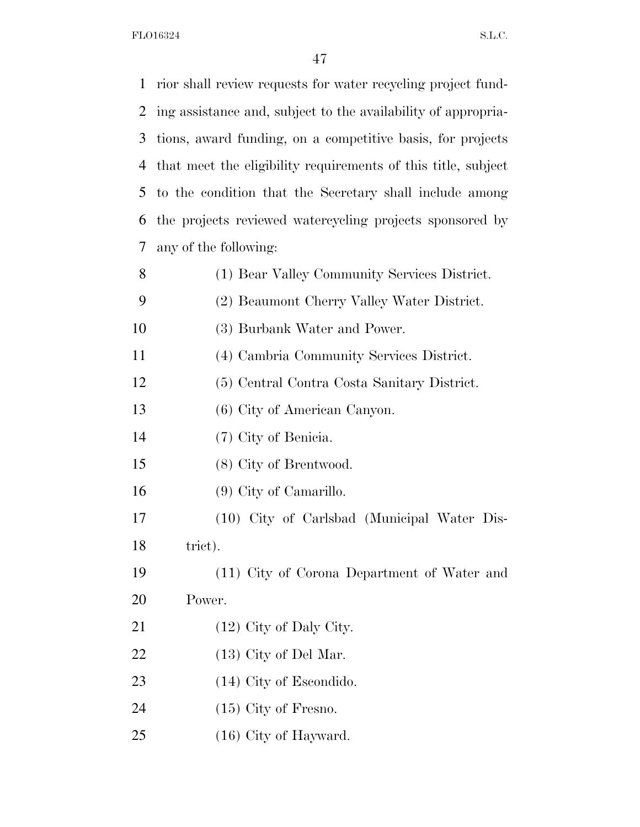| 1  | rior shall review requests for water recycling project fund-  |
|----|---------------------------------------------------------------|
| 2  | ing assistance and, subject to the availability of appropria- |
| 3  | tions, award funding, on a competitive basis, for projects    |
| 4  | that meet the eligibility requirements of this title, subject |
| 5  | to the condition that the Secretary shall include among       |
| 6  | the projects reviewed watercycling projects sponsored by      |
| 7  | any of the following:                                         |
| 8  | (1) Bear Valley Community Services District.                  |
| 9  | (2) Beaumont Cherry Valley Water District.                    |
| 10 | (3) Burbank Water and Power.                                  |
| 11 | (4) Cambria Community Services District.                      |
| 12 | (5) Central Contra Costa Sanitary District.                   |
| 13 | (6) City of American Canyon.                                  |
| 14 | (7) City of Benicia.                                          |
| 15 | (8) City of Brentwood.                                        |
| 16 | $(9)$ City of Camarillo.                                      |
| 17 | (10) City of Carlsbad (Municipal Water Dis-                   |
| 18 | trict).                                                       |
| 19 | (11) City of Corona Department of Water and                   |
| 20 | Power.                                                        |
| 21 | $(12)$ City of Daly City.                                     |
| 22 | $(13)$ City of Del Mar.                                       |
| 23 | $(14)$ City of Escondido.                                     |
| 24 | $(15)$ City of Fresno.                                        |
| 25 | $(16)$ City of Hayward.                                       |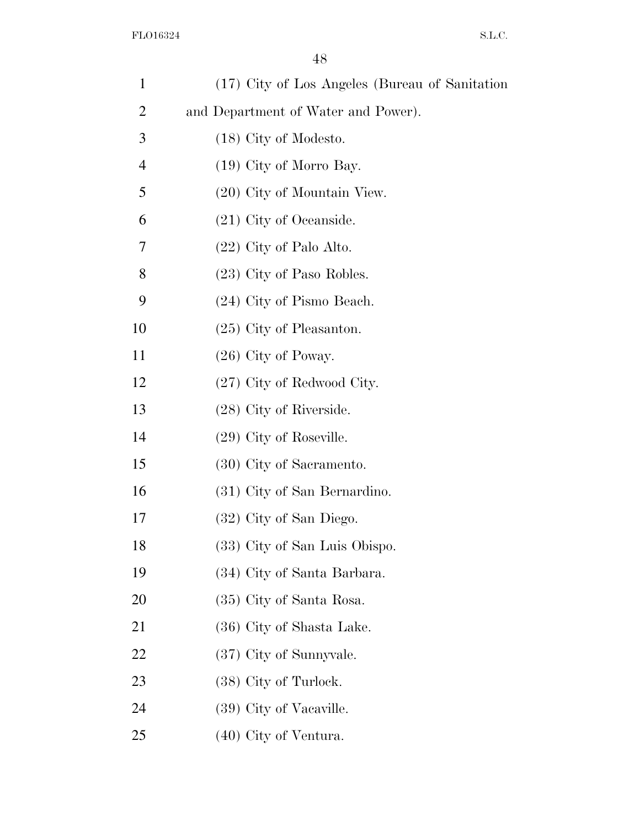| $\mathbf{1}$   | (17) City of Los Angeles (Bureau of Sanitation |
|----------------|------------------------------------------------|
| $\overline{2}$ | and Department of Water and Power).            |
| 3              | $(18)$ City of Modesto.                        |
| $\overline{4}$ | $(19)$ City of Morro Bay.                      |
| 5              | (20) City of Mountain View.                    |
| 6              | $(21)$ City of Oceanside.                      |
| 7              | $(22)$ City of Palo Alto.                      |
| 8              | (23) City of Paso Robles.                      |
| 9              | (24) City of Pismo Beach.                      |
| 10             | $(25)$ City of Pleasanton.                     |
| 11             | $(26)$ City of Poway.                          |
| 12             | $(27)$ City of Redwood City.                   |
| 13             | $(28)$ City of Riverside.                      |
| 14             | $(29)$ City of Roseville.                      |
| 15             | (30) City of Sacramento.                       |
| 16             | (31) City of San Bernardino.                   |
| 17             | (32) City of San Diego.                        |
| 18             | (33) City of San Luis Obispo.                  |
| 19             | (34) City of Santa Barbara.                    |
| 20             | (35) City of Santa Rosa.                       |
| 21             | (36) City of Shasta Lake.                      |
| 22             | (37) City of Sunnyvale.                        |
| 23             | $(38)$ City of Turlock.                        |
| 24             | (39) City of Vacaville.                        |
| 25             | $(40)$ City of Ventura.                        |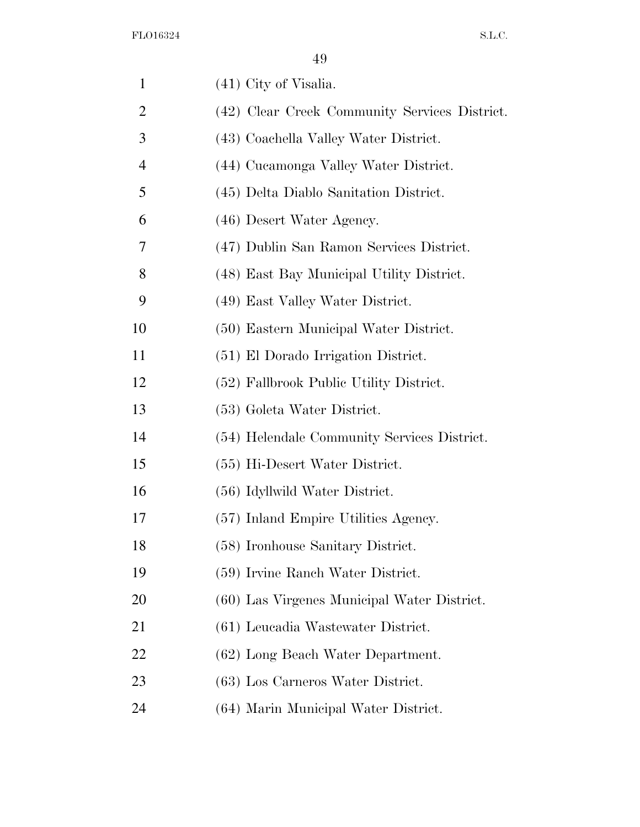| $\mathbf{1}$   | $(41)$ City of Visalia.                       |
|----------------|-----------------------------------------------|
| $\overline{2}$ | (42) Clear Creek Community Services District. |
| 3              | (43) Coachella Valley Water District.         |
| $\overline{4}$ | (44) Cucamonga Valley Water District.         |
| 5              | (45) Delta Diablo Sanitation District.        |
| 6              | (46) Desert Water Agency.                     |
| 7              | (47) Dublin San Ramon Services District.      |
| 8              | (48) East Bay Municipal Utility District.     |
| 9              | (49) East Valley Water District.              |
| 10             | (50) Eastern Municipal Water District.        |
| 11             | (51) El Dorado Irrigation District.           |
| 12             | (52) Fallbrook Public Utility District.       |
| 13             | (53) Goleta Water District.                   |
| 14             | (54) Helendale Community Services District.   |
| 15             | (55) Hi-Desert Water District.                |
| 16             | (56) Idyllwild Water District.                |
| 17             | (57) Inland Empire Utilities Agency.          |
| 18             | (58) Ironhouse Sanitary District.             |
| 19             | (59) Irvine Ranch Water District.             |
| 20             | (60) Las Virgenes Municipal Water District.   |
| 21             | (61) Leucadia Wastewater District.            |
| 22             | (62) Long Beach Water Department.             |
| 23             | (63) Los Carneros Water District.             |
| 24             | (64) Marin Municipal Water District.          |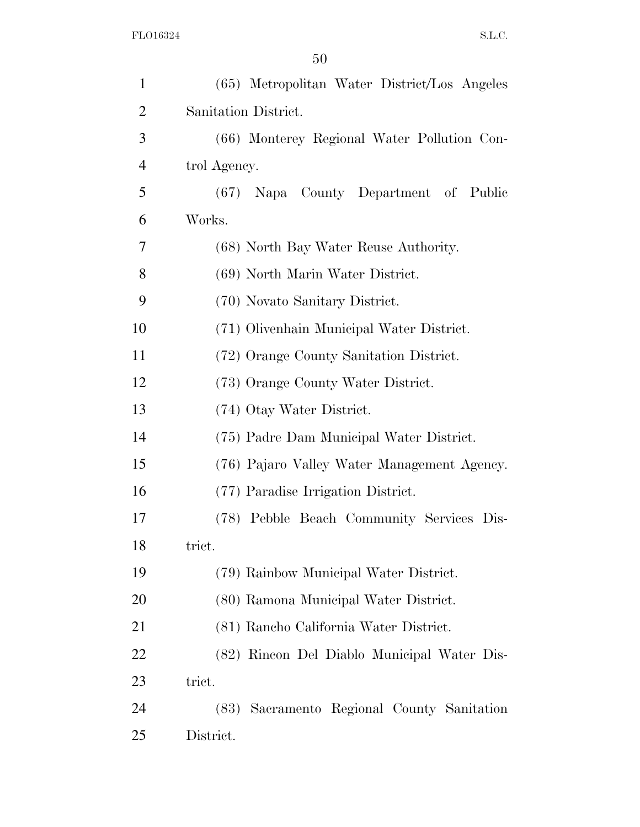| $\mathbf{1}$   | (65) Metropolitan Water District/Los Angeles  |
|----------------|-----------------------------------------------|
| $\overline{2}$ | Sanitation District.                          |
| 3              | (66) Monterey Regional Water Pollution Con-   |
| $\overline{4}$ | trol Agency.                                  |
| 5              | (67) Napa County Department of Public         |
| 6              | Works.                                        |
| 7              | (68) North Bay Water Reuse Authority.         |
| 8              | (69) North Marin Water District.              |
| 9              | (70) Novato Sanitary District.                |
| 10             | (71) Olivenhain Municipal Water District.     |
| 11             | (72) Orange County Sanitation District.       |
| 12             | (73) Orange County Water District.            |
| 13             | (74) Otay Water District.                     |
| 14             | (75) Padre Dam Municipal Water District.      |
| 15             | (76) Pajaro Valley Water Management Agency.   |
| 16             | (77) Paradise Irrigation District.            |
| 17             | (78) Pebble Beach Community Services Dis-     |
| 18             | trict.                                        |
| 19             | (79) Rainbow Municipal Water District.        |
| 20             | (80) Ramona Municipal Water District.         |
| 21             | (81) Rancho California Water District.        |
| 22             | (82) Rincon Del Diablo Municipal Water Dis-   |
| 23             | trict.                                        |
| 24             | Sacramento Regional County Sanitation<br>(83) |
| 25             | District.                                     |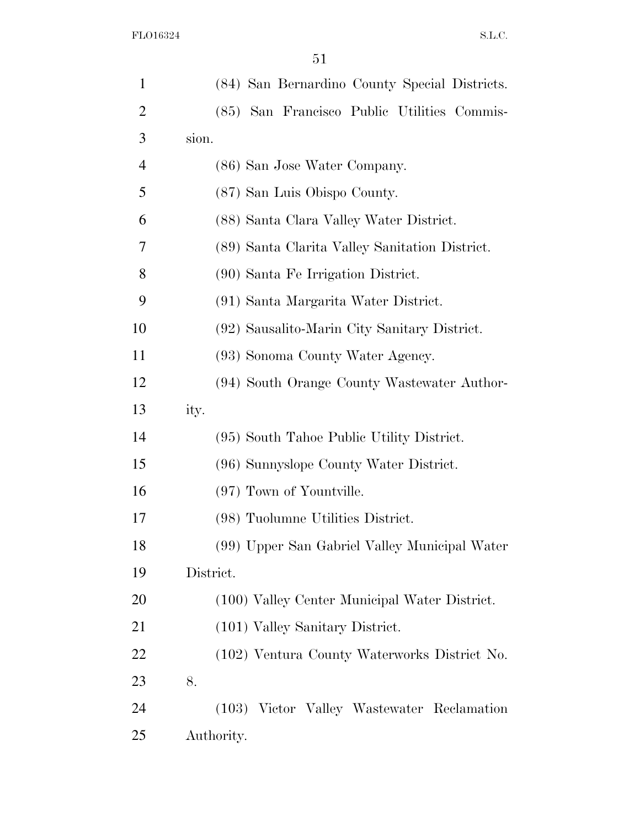| $\mathbf{1}$ | (84) San Bernardino County Special Districts.  |
|--------------|------------------------------------------------|
| 2            | (85) San Francisco Public Utilities Commis-    |
| 3            | sion.                                          |
| 4            | (86) San Jose Water Company.                   |
| 5            | (87) San Luis Obispo County.                   |
| 6            | (88) Santa Clara Valley Water District.        |
| 7            | (89) Santa Clarita Valley Sanitation District. |
| 8            | (90) Santa Fe Irrigation District.             |
| 9            | (91) Santa Margarita Water District.           |
| 10           | (92) Sausalito-Marin City Sanitary District.   |
| 11           | (93) Sonoma County Water Agency.               |
| 12           | (94) South Orange County Wastewater Author-    |
| 13           | ity.                                           |
| 14           | (95) South Tahoe Public Utility District.      |
| 15           | (96) Sunnyslope County Water District.         |
| 16           | (97) Town of Yountville.                       |
| 17           | (98) Tuolumne Utilities District.              |
| 18           | (99) Upper San Gabriel Valley Municipal Water  |
| 19           | District.                                      |
| 20           | (100) Valley Center Municipal Water District.  |
| 21           | (101) Valley Sanitary District.                |
| 22           | (102) Ventura County Waterworks District No.   |
| 23           | 8.                                             |
| 24           | (103) Victor Valley Wastewater Reclamation     |
| 25           | Authority.                                     |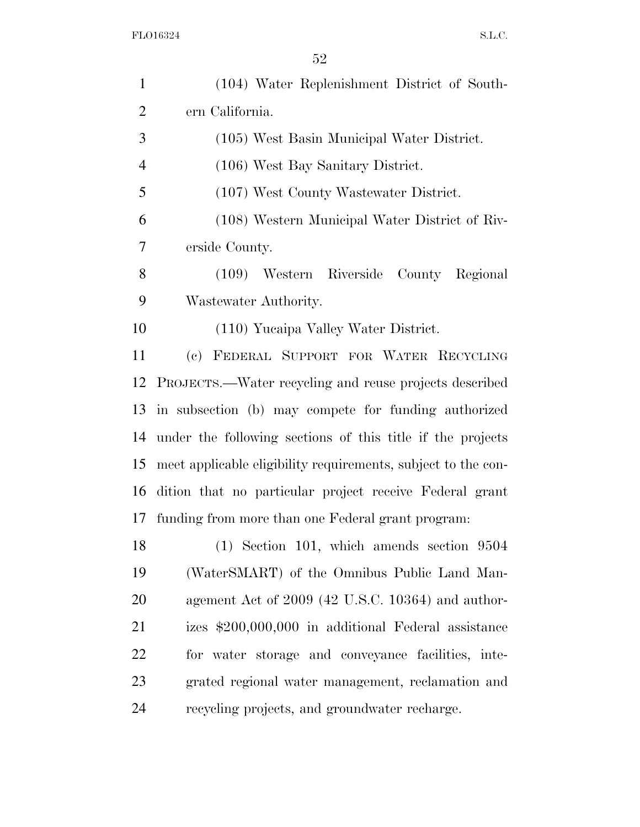| $\mathbf{1}$   | (104) Water Replenishment District of South-                  |
|----------------|---------------------------------------------------------------|
| $\overline{2}$ | ern California.                                               |
| 3              | (105) West Basin Municipal Water District.                    |
| $\overline{4}$ | (106) West Bay Sanitary District.                             |
| 5              | (107) West County Wastewater District.                        |
| 6              | (108) Western Municipal Water District of Riv-                |
| 7              | erside County.                                                |
| 8              | (109) Western Riverside County Regional                       |
| 9              | Wastewater Authority.                                         |
| 10             | (110) Yucaipa Valley Water District.                          |
| 11             | (c) FEDERAL SUPPORT FOR WATER RECYCLING                       |
| 12             | PROJECTS.—Water recycling and reuse projects described        |
| 13             | in subsection (b) may compete for funding authorized          |
| 14             | under the following sections of this title if the projects    |
| 15             | meet applicable eligibility requirements, subject to the con- |
| 16             | dition that no particular project receive Federal grant       |
| 17             | funding from more than one Federal grant program:             |
| 18             | $(1)$ Section 101, which amends section 9504                  |
| 19             | (WaterSMART) of the Omnibus Public Land Man-                  |
| 20             | agement Act of 2009 (42 U.S.C. 10364) and author-             |
| 21             | izes \$200,000,000 in additional Federal assistance           |
| 22             | for water storage and conveyance facilities, inte-            |
| 23             | grated regional water management, reclamation and             |
| 24             | recycling projects, and groundwater recharge.                 |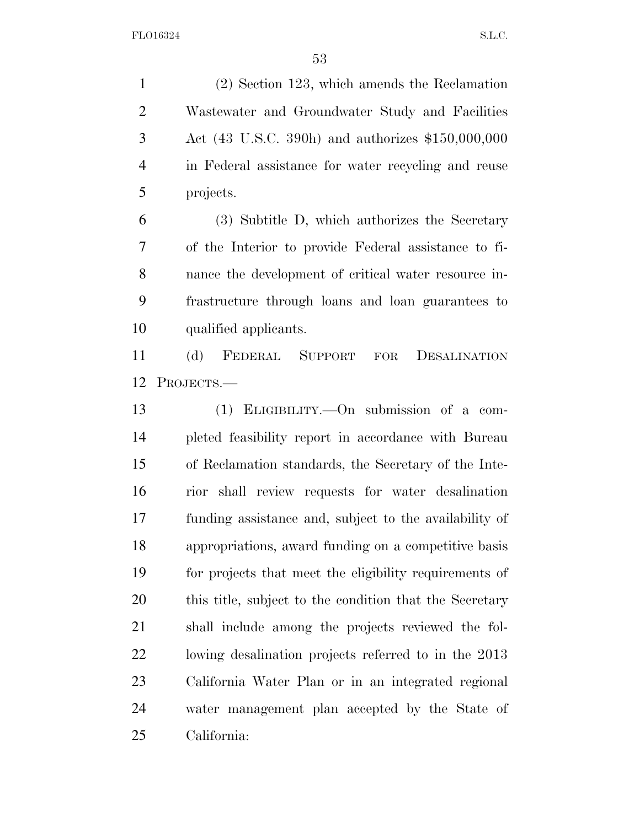(2) Section 123, which amends the Reclamation Wastewater and Groundwater Study and Facilities Act (43 U.S.C. 390h) and authorizes \$150,000,000 in Federal assistance for water recycling and reuse projects.

 (3) Subtitle D, which authorizes the Secretary of the Interior to provide Federal assistance to fi- nance the development of critical water resource in- frastructure through loans and loan guarantees to qualified applicants.

 (d) FEDERAL SUPPORT FOR DESALINATION PROJECTS.—

 (1) ELIGIBILITY.—On submission of a com- pleted feasibility report in accordance with Bureau of Reclamation standards, the Secretary of the Inte- rior shall review requests for water desalination funding assistance and, subject to the availability of appropriations, award funding on a competitive basis for projects that meet the eligibility requirements of this title, subject to the condition that the Secretary shall include among the projects reviewed the fol- lowing desalination projects referred to in the 2013 California Water Plan or in an integrated regional water management plan accepted by the State of California: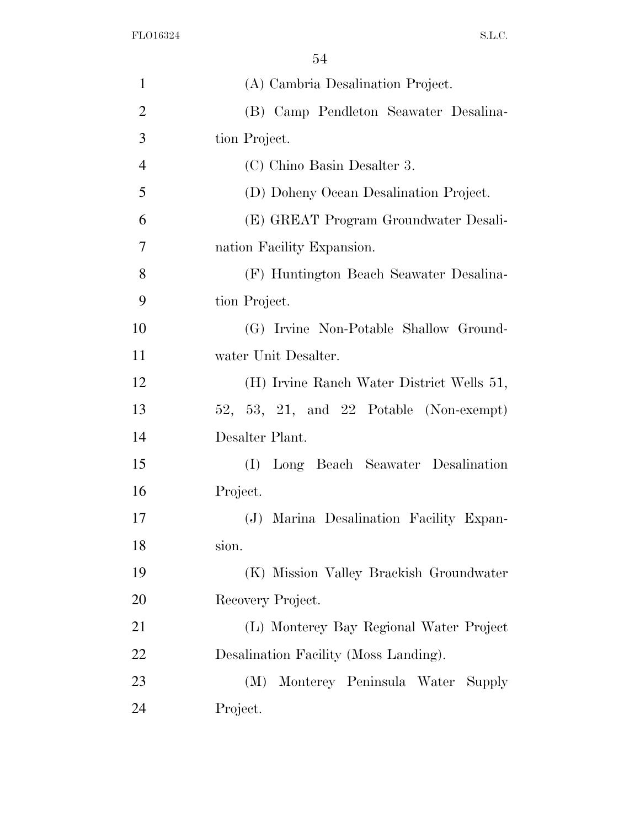| $\mathbf{1}$   | (A) Cambria Desalination Project.         |
|----------------|-------------------------------------------|
| $\overline{2}$ | (B) Camp Pendleton Seawater Desalina-     |
| 3              | tion Project.                             |
| $\overline{4}$ | (C) Chino Basin Desalter 3.               |
| 5              | (D) Doheny Ocean Desalination Project.    |
| 6              | (E) GREAT Program Groundwater Desali-     |
| 7              | nation Facility Expansion.                |
| 8              | (F) Huntington Beach Seawater Desalina-   |
| 9              | tion Project.                             |
| 10             | (G) Irvine Non-Potable Shallow Ground-    |
| 11             | water Unit Desalter.                      |
| 12             | (H) Irvine Ranch Water District Wells 51, |
| 13             | 52, 53, 21, and 22 Potable (Non-exempt)   |
| 14             | Desalter Plant.                           |
| 15             | Long Beach Seawater Desalination<br>(I)   |
| 16             | Project.                                  |
| 17             | (J) Marina Desalination Facility Expan-   |
| 18             | sion.                                     |
| 19             | (K) Mission Valley Brackish Groundwater   |
| 20             | Recovery Project.                         |
| 21             | (L) Monterey Bay Regional Water Project   |
| 22             | Desalination Facility (Moss Landing).     |
| 23             | Monterey Peninsula Water Supply<br>(M)    |
| 24             | Project.                                  |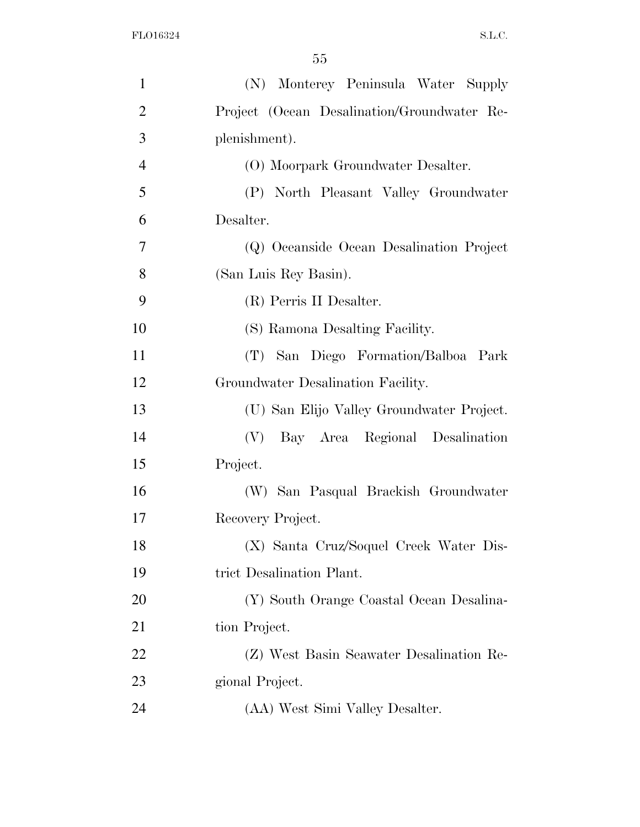| $\mathbf{1}$   | (N) Monterey Peninsula Water Supply         |
|----------------|---------------------------------------------|
| $\overline{2}$ | Project (Ocean Desalination/Groundwater Re- |
| 3              | plenishment).                               |
| $\overline{4}$ | (O) Moorpark Groundwater Desalter.          |
| 5              | (P) North Pleasant Valley Groundwater       |
| 6              | Desalter.                                   |
| 7              | (Q) Oceanside Ocean Desalination Project    |
| 8              | (San Luis Rey Basin).                       |
| 9              | (R) Perris II Desalter.                     |
| 10             | (S) Ramona Desalting Facility.              |
| 11             | (T) San Diego Formation/Balboa Park         |
| 12             | Groundwater Desalination Facility.          |
| 13             | (U) San Elijo Valley Groundwater Project.   |
| 14             | (V)<br>Bay Area Regional Desalination       |
| 15             | Project.                                    |
| 16             | (W) San Pasqual Brackish Groundwater        |
| 17             | Recovery Project.                           |
| 18             | (X) Santa Cruz/Soquel Creek Water Dis-      |
| 19             | trict Desalination Plant.                   |
| 20             | (Y) South Orange Coastal Ocean Desalina-    |
| 21             | tion Project.                               |
| 22             | (Z) West Basin Seawater Desalination Re-    |
| 23             | gional Project.                             |
| 24             | (AA) West Simi Valley Desalter.             |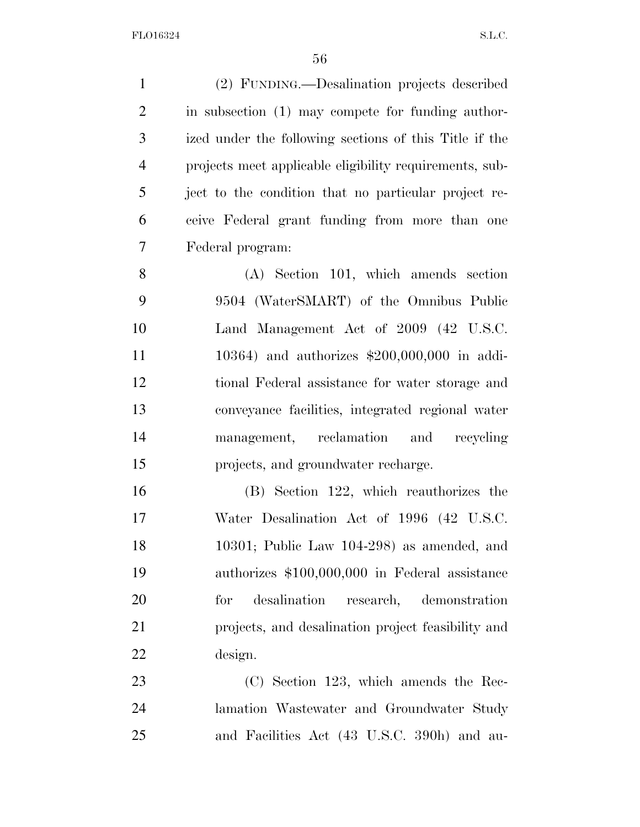(2) FUNDING.—Desalination projects described in subsection (1) may compete for funding author- ized under the following sections of this Title if the projects meet applicable eligibility requirements, sub- ject to the condition that no particular project re- ceive Federal grant funding from more than one Federal program:

 (A) Section 101, which amends section 9504 (WaterSMART) of the Omnibus Public Land Management Act of 2009 (42 U.S.C. 10364) and authorizes \$200,000,000 in addi- tional Federal assistance for water storage and conveyance facilities, integrated regional water management, reclamation and recycling projects, and groundwater recharge.

 (B) Section 122, which reauthorizes the Water Desalination Act of 1996 (42 U.S.C. 10301; Public Law 104-298) as amended, and authorizes \$100,000,000 in Federal assistance for desalination research, demonstration projects, and desalination project feasibility and design.

 (C) Section 123, which amends the Rec- lamation Wastewater and Groundwater Study and Facilities Act (43 U.S.C. 390h) and au-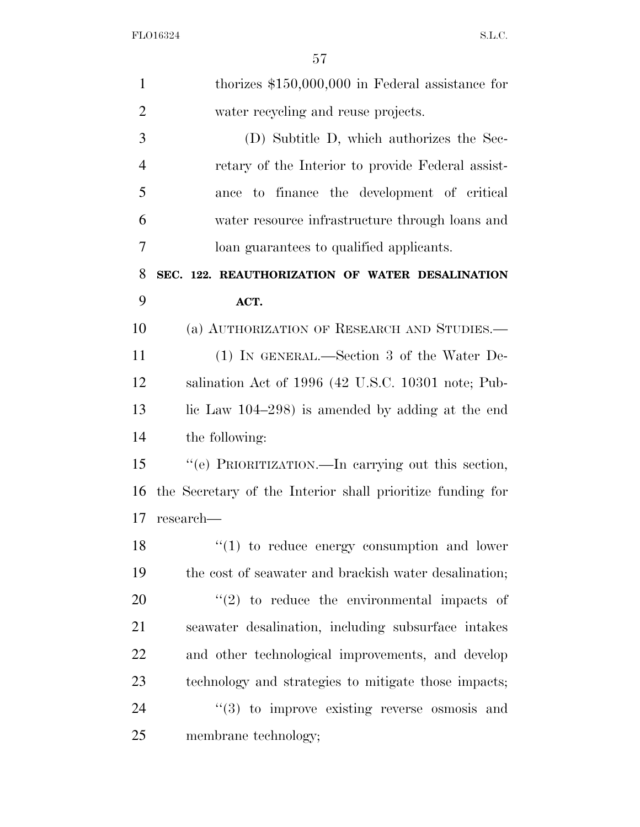| $\mathbf{1}$   | thorizes $$150,000,000$ in Federal assistance for          |
|----------------|------------------------------------------------------------|
| $\overline{2}$ | water recycling and reuse projects.                        |
| 3              | (D) Subtitle D, which authorizes the Sec-                  |
| $\overline{4}$ | retary of the Interior to provide Federal assist-          |
| 5              | ance to finance the development of critical                |
| 6              | water resource infrastructure through loans and            |
| 7              | loan guarantees to qualified applicants.                   |
| 8              | SEC. 122. REAUTHORIZATION OF WATER DESALINATION            |
| 9              | ACT.                                                       |
| 10             | (a) AUTHORIZATION OF RESEARCH AND STUDIES.—                |
| 11             | (1) IN GENERAL.—Section 3 of the Water De-                 |
| 12             | salination Act of 1996 (42 U.S.C. 10301 note; Pub-         |
| 13             | lic Law $104-298$ ) is amended by adding at the end        |
| 14             | the following:                                             |
| 15             | "(e) PRIORITIZATION.—In carrying out this section,         |
| 16             | the Secretary of the Interior shall prioritize funding for |
| 17             | research—                                                  |
| 18             | $\lq(1)$ to reduce energy consumption and lower            |
| 19             | the cost of seawater and brackish water desalination;      |
| 20             | $\lq(2)$ to reduce the environmental impacts of            |
| 21             | seawater desalination, including subsurface intakes        |
| 22             | and other technological improvements, and develop          |
| 23             | technology and strategies to mitigate those impacts;       |
| 24             | $\cdot\cdot(3)$ to improve existing reverse osmosis and    |
| 25             | membrane technology;                                       |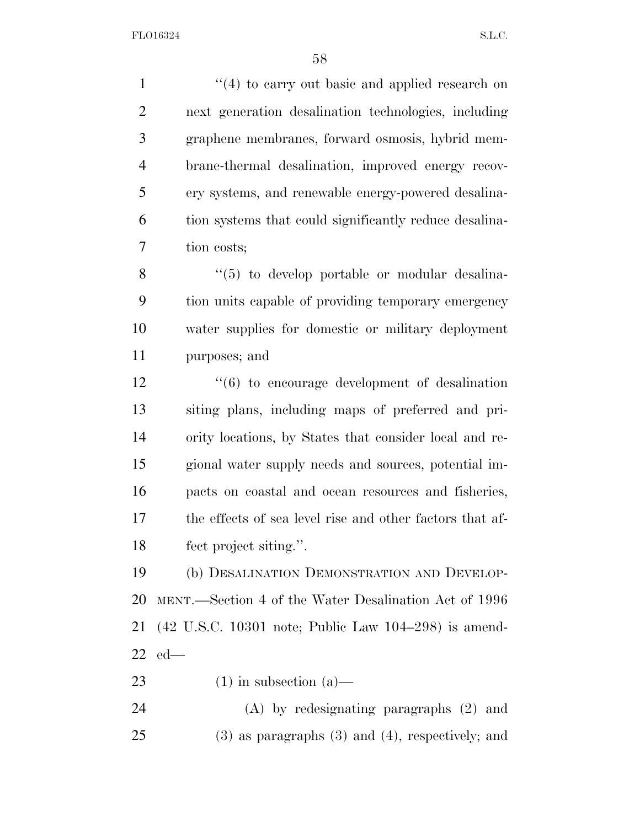1 ''(4) to carry out basic and applied research on next generation desalination technologies, including graphene membranes, forward osmosis, hybrid mem- brane-thermal desalination, improved energy recov- ery systems, and renewable energy-powered desalina- tion systems that could significantly reduce desalina-tion costs;

8 "(5) to develop portable or modular desalina- tion units capable of providing temporary emergency water supplies for domestic or military deployment purposes; and

 ''(6) to encourage development of desalination siting plans, including maps of preferred and pri- ority locations, by States that consider local and re- gional water supply needs and sources, potential im- pacts on coastal and ocean resources and fisheries, the effects of sea level rise and other factors that af-fect project siting.''.

 (b) DESALINATION DEMONSTRATION AND DEVELOP- MENT.—Section 4 of the Water Desalination Act of 1996 (42 U.S.C. 10301 note; Public Law 104–298) is amend-ed—

23 (1) in subsection  $(a)$ —

 (A) by redesignating paragraphs (2) and (3) as paragraphs (3) and (4), respectively; and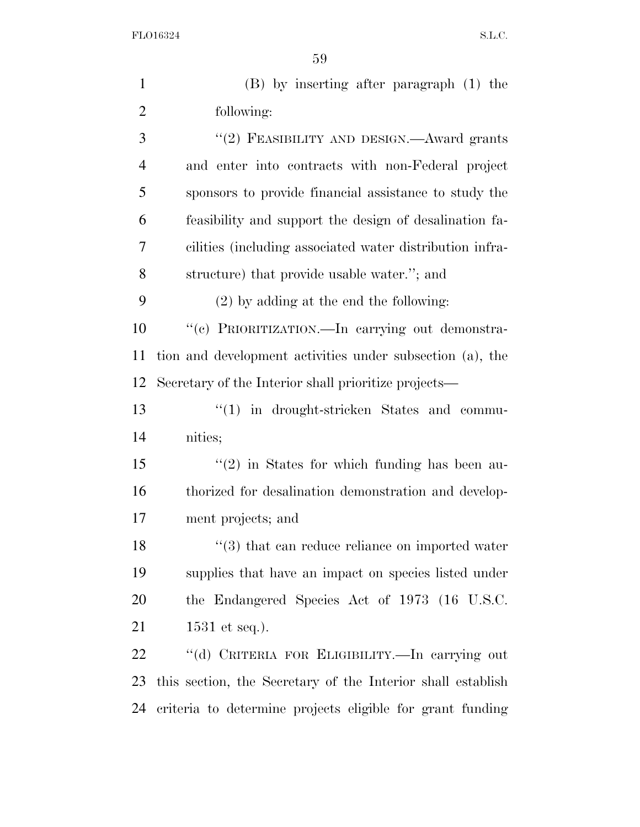| $\mathbf{1}$   | $(B)$ by inserting after paragraph $(1)$ the                |
|----------------|-------------------------------------------------------------|
| $\overline{2}$ | following:                                                  |
| 3              | "(2) FEASIBILITY AND DESIGN.—Award grants                   |
| $\overline{4}$ | and enter into contracts with non-Federal project           |
| 5              | sponsors to provide financial assistance to study the       |
| 6              | feasibility and support the design of desalination fa-      |
| 7              | cilities (including associated water distribution infra-    |
| 8              | structure) that provide usable water."; and                 |
| 9              | $(2)$ by adding at the end the following:                   |
| 10             | "(c) PRIORITIZATION. - In carrying out demonstra-           |
| 11             | tion and development activities under subsection (a), the   |
| 12             | Secretary of the Interior shall prioritize projects—        |
| 13             | $"(1)$ in drought-stricken States and commu-                |
| 14             | nities;                                                     |
| 15             | $\lq(2)$ in States for which funding has been au-           |
| 16             | thorized for desalination demonstration and develop-        |
| 17             | ment projects; and                                          |
| 18             | $\lq(3)$ that can reduce reliance on imported water         |
| 19             | supplies that have an impact on species listed under        |
| <b>20</b>      | the Endangered Species Act of 1973 (16 U.S.C.               |
| 21             | 1531 et seq.).                                              |
| 22             | "(d) CRITERIA FOR ELIGIBILITY.-In carrying out              |
| 23             | this section, the Secretary of the Interior shall establish |
| 24             | criteria to determine projects eligible for grant funding   |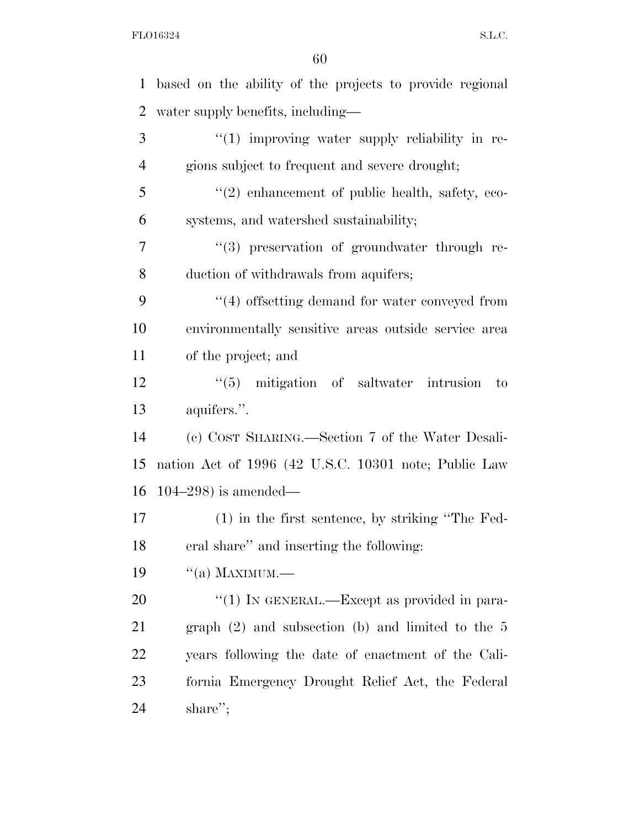| $\mathbf{1}$   | based on the ability of the projects to provide regional |
|----------------|----------------------------------------------------------|
| $\overline{2}$ | water supply benefits, including—                        |
| 3              | $\lq(1)$ improving water supply reliability in re-       |
| 4              | gions subject to frequent and severe drought;            |
| 5              | $\lq(2)$ enhancement of public health, safety, eco-      |
| 6              | systems, and watershed sustainability;                   |
| 7              | "(3) preservation of groundwater through re-             |
| 8              | duction of withdrawals from aquifers;                    |
| 9              | $\cdot$ (4) offsetting demand for water conveyed from    |
| 10             | environmentally sensitive areas outside service area     |
| 11             | of the project; and                                      |
| 12             | $\lq(5)$ mitigation of saltwater intrusion<br>to         |
| 13             | aquifers.".                                              |
| 14             | (c) COST SHARING.—Section 7 of the Water Desali-         |
| 15             | nation Act of 1996 (42 U.S.C. 10301 note; Public Law     |
| 16             | $104-298$ ) is amended—                                  |
| 17             | $(1)$ in the first sentence, by striking "The Fed-       |
| 18             | eral share" and inserting the following:                 |
| 19             | $``(a)$ MAXIMUM.—                                        |
| 20             | "(1) IN GENERAL.—Except as provided in para-             |
| 21             | graph $(2)$ and subsection $(b)$ and limited to the 5    |
| 22             | years following the date of enactment of the Cali-       |
| 23             | fornia Emergency Drought Relief Act, the Federal         |
| 24             | share";                                                  |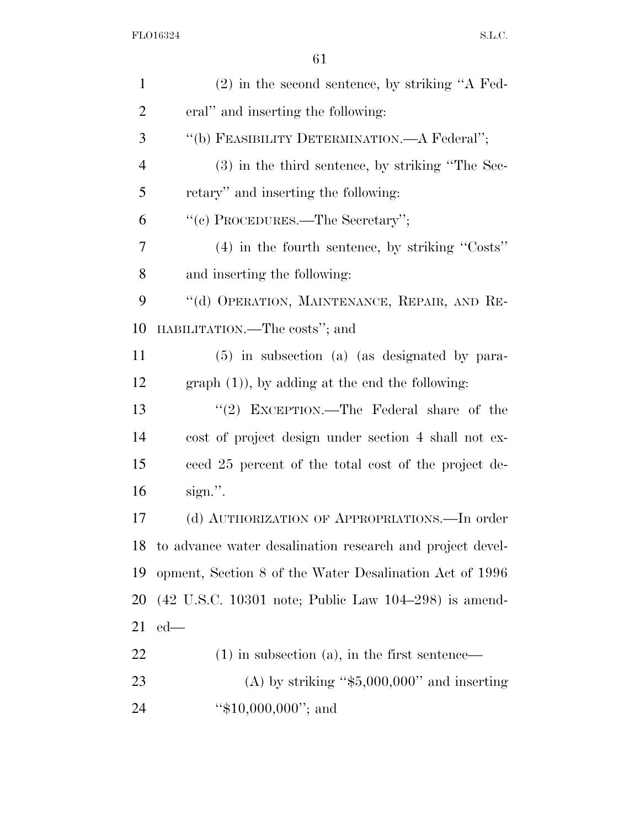| $\mathbf{1}$   | $(2)$ in the second sentence, by striking "A Fed-                                          |
|----------------|--------------------------------------------------------------------------------------------|
| $\overline{2}$ | eral" and inserting the following:                                                         |
| 3              | "(b) FEASIBILITY DETERMINATION.—A Federal";                                                |
| $\overline{4}$ | (3) in the third sentence, by striking "The Sec-                                           |
| 5              | retary" and inserting the following:                                                       |
| 6              | "(c) PROCEDURES.—The Secretary";                                                           |
| 7              | $(4)$ in the fourth sentence, by striking "Costs"                                          |
| 8              | and inserting the following:                                                               |
| 9              | "(d) OPERATION, MAINTENANCE, REPAIR, AND RE-                                               |
| 10             | HABILITATION.—The costs"; and                                                              |
| 11             | (5) in subsection (a) (as designated by para-                                              |
| 12             | $graph (1)$ , by adding at the end the following:                                          |
| 13             | "(2) EXCEPTION.—The Federal share of the                                                   |
| 14             | cost of project design under section 4 shall not ex-                                       |
| 15             | ceed 25 percent of the total cost of the project de-                                       |
| 16             | $sign."$ .                                                                                 |
| 17             | (d) AUTHORIZATION OF APPROPRIATIONS.—In order                                              |
| 18             | to advance water desalination research and project devel-                                  |
| 19             | opment, Section 8 of the Water Desalination Act of 1996                                    |
| 20             | $(42 \text{ U.S.C. } 10301 \text{ note}; \text{ Public Law } 104-298) \text{ is amended.}$ |
| 21             | $ed$ —                                                                                     |
| 22             | $(1)$ in subsection $(a)$ , in the first sentence—                                         |
| 23             | (A) by striking " $$5,000,000$ " and inserting                                             |
| 24             | " $$10,000,000$ "; and                                                                     |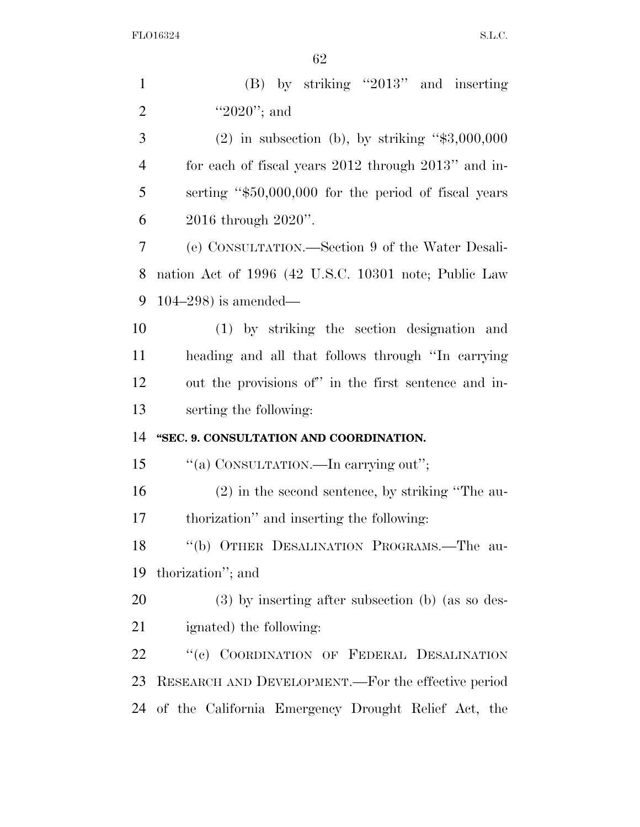| $\mathbf{1}$   | $(B)$ by striking "2013" and inserting               |
|----------------|------------------------------------------------------|
| $\overline{2}$ | "2020"; and                                          |
| 3              | $(2)$ in subsection (b), by striking "\$3,000,000    |
| $\overline{4}$ | for each of fiscal years 2012 through 2013" and in-  |
| 5              | serting "\$50,000,000 for the period of fiscal years |
| 6              | 2016 through 2020".                                  |
| $\overline{7}$ | (e) CONSULTATION.—Section 9 of the Water Desali-     |
| 8              | nation Act of 1996 (42 U.S.C. 10301 note; Public Law |
| 9              | $104-298$ ) is amended—                              |
| 10             | (1) by striking the section designation and          |
| 11             | heading and all that follows through "In carrying    |
| 12             | out the provisions of" in the first sentence and in- |
| 13             | serting the following:                               |
| 14             | "SEC. 9. CONSULTATION AND COORDINATION.              |
| 15             | "(a) CONSULTATION.—In carrying out";                 |
| 16             | $(2)$ in the second sentence, by striking "The au-   |
| 17             | thorization" and inserting the following:            |
| 18             | "(b) OTHER DESALINATION PROGRAMS.—The au-            |
| 19             | thorization"; and                                    |
| 20             | $(3)$ by inserting after subsection (b) (as so des-  |
| 21             | ignated) the following:                              |
| 22             | "(c) COORDINATION OF FEDERAL DESALINATION            |
| 23             | RESEARCH AND DEVELOPMENT.—For the effective period   |
| 24             | of the California Emergency Drought Relief Act, the  |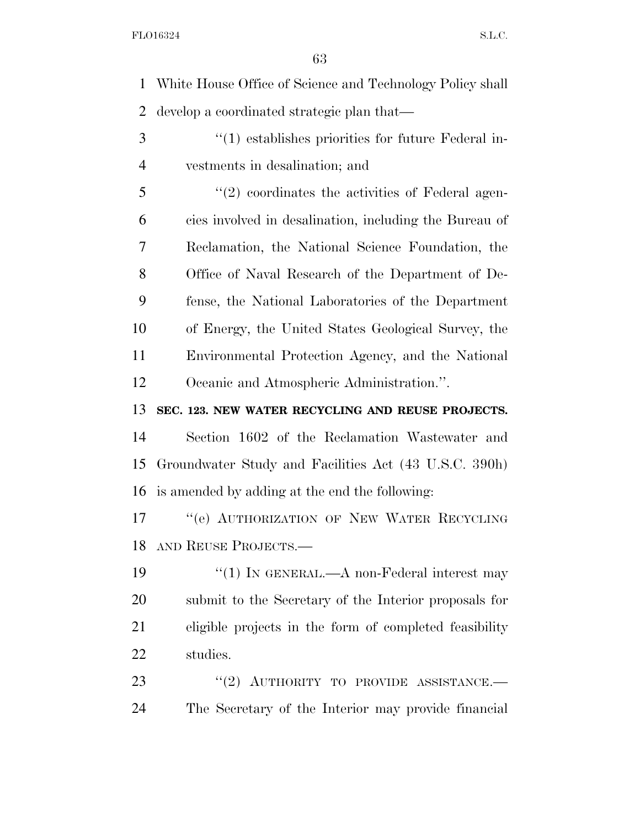White House Office of Science and Technology Policy shall develop a coordinated strategic plan that—

3 (1) establishes priorities for future Federal in-vestments in desalination; and

5 "(2) coordinates the activities of Federal agen- cies involved in desalination, including the Bureau of Reclamation, the National Science Foundation, the Office of Naval Research of the Department of De- fense, the National Laboratories of the Department of Energy, the United States Geological Survey, the Environmental Protection Agency, and the National Oceanic and Atmospheric Administration.''.

**SEC. 123. NEW WATER RECYCLING AND REUSE PROJECTS.** 

 Section 1602 of the Reclamation Wastewater and Groundwater Study and Facilities Act (43 U.S.C. 390h) is amended by adding at the end the following:

17 "
"
(e) AUTHORIZATION OF NEW WATER RECYCLING AND REUSE PROJECTS.—

19 <sup>''</sup>(1) IN GENERAL.—A non-Federal interest may submit to the Secretary of the Interior proposals for eligible projects in the form of completed feasibility studies.

23 "(2) AUTHORITY TO PROVIDE ASSISTANCE.— The Secretary of the Interior may provide financial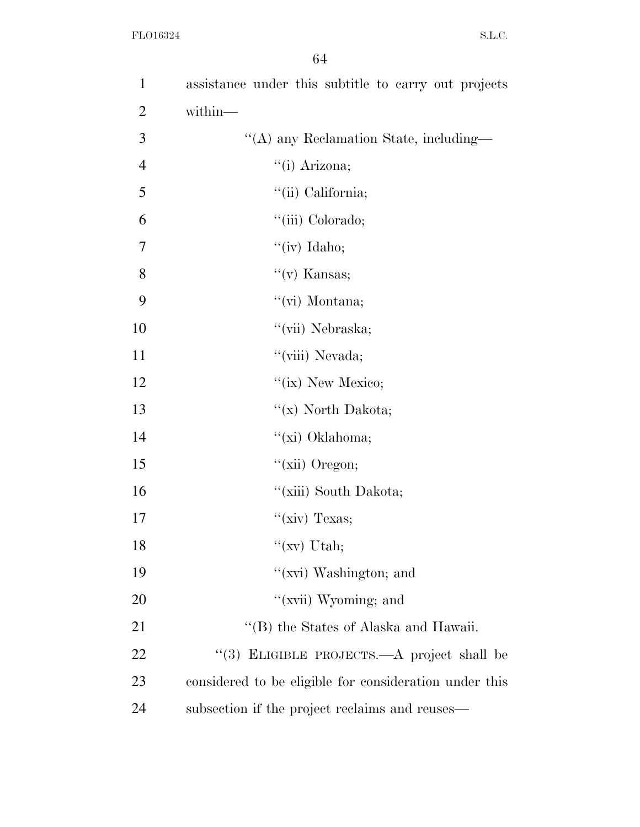| 1              | assistance under this subtitle to carry out projects   |
|----------------|--------------------------------------------------------|
| $\overline{2}$ | within-                                                |
| 3              | "(A) any Reclamation State, including—                 |
| $\overline{4}$ | "(i) Arizona;                                          |
| 5              | "(ii) California;                                      |
| 6              | "(iii) Colorado;                                       |
| 7              | "(iv) Idaho;                                           |
| 8              | $f'(v)$ Kansas;                                        |
| 9              | "(vi) Montana;                                         |
| 10             | "(vii) Nebraska;                                       |
| 11             | "(viii) Nevada;                                        |
| 12             | " $(ix)$ New Mexico;                                   |
| 13             | "(x) North Dakota;                                     |
| 14             | "(xi) Oklahoma;                                        |
| 15             | " $(xii)$ Oregon;                                      |
| 16             | "(xiii) South Dakota;                                  |
| 17             | " $(xiv)$ Texas;                                       |
| 18             | " $(xv)$ Utah;                                         |
| 19             | " $(xvi)$ Washington; and                              |
| 20             | "(xvii) Wyoming; and                                   |
| 21             | "(B) the States of Alaska and Hawaii.                  |
| 22             | "(3) ELIGIBLE PROJECTS.—A project shall be             |
| 23             | considered to be eligible for consideration under this |
| 24             | subsection if the project reclaims and reuses—         |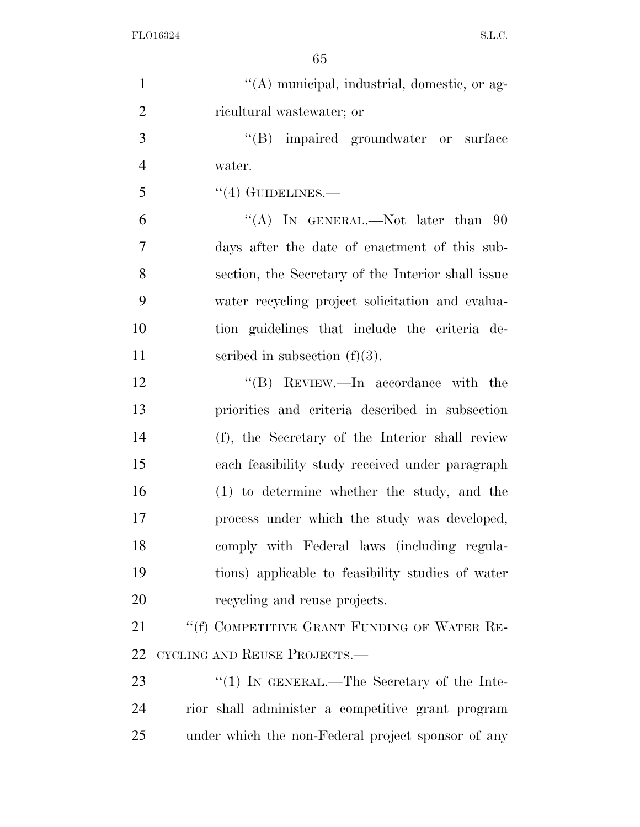| $\mathbf{1}$   | "(A) municipal, industrial, domestic, or ag-       |
|----------------|----------------------------------------------------|
| $\overline{2}$ | ricultural wastewater; or                          |
| 3              | "(B) impaired groundwater or surface               |
| $\overline{4}$ | water.                                             |
| 5              | $\cdot$ (4) GUIDELINES.—                           |
| 6              | "(A) IN GENERAL.—Not later than $90$               |
| 7              | days after the date of enactment of this sub-      |
| 8              | section, the Secretary of the Interior shall issue |
| 9              | water recycling project solicitation and evalua-   |
| 10             | tion guidelines that include the criteria de-      |
| 11             | scribed in subsection $(f)(3)$ .                   |
| 12             | "(B) REVIEW.—In accordance with the                |
| 13             | priorities and criteria described in subsection    |
| 14             | (f), the Secretary of the Interior shall review    |
| 15             | each feasibility study received under paragraph    |
| 16             | $(1)$ to determine whether the study, and the      |
| 17             | process under which the study was developed,       |
| 18             | comply with Federal laws (including regula-        |
| 19             | tions) applicable to feasibility studies of water  |
| 20             | recycling and reuse projects.                      |
| 21             | "(f) COMPETITIVE GRANT FUNDING OF WATER RE-        |
| 22             | CYCLING AND REUSE PROJECTS.-                       |
| 23             | "(1) IN GENERAL.—The Secretary of the Inte-        |
| 24             | rior shall administer a competitive grant program  |
| 25             | under which the non-Federal project sponsor of any |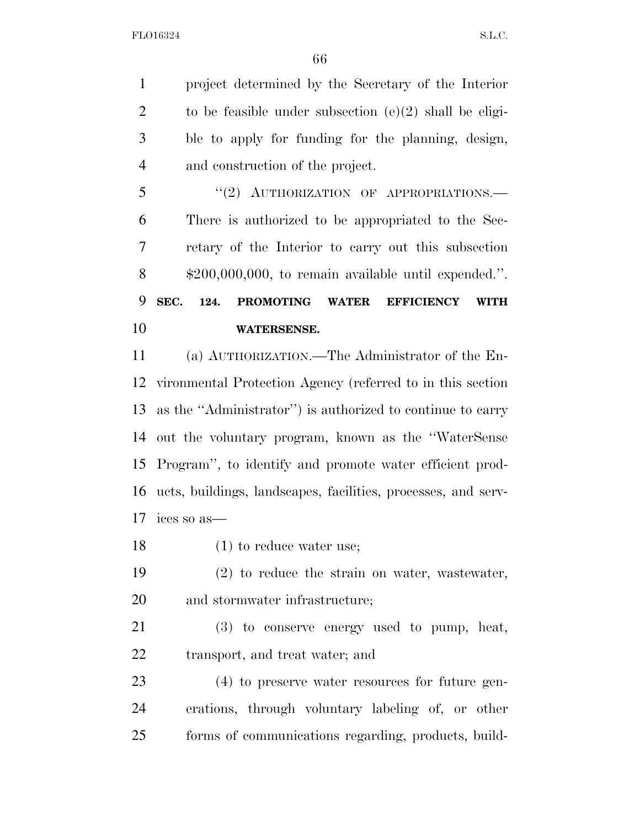project determined by the Secretary of the Interior 2 to be feasible under subsection  $(e)(2)$  shall be eligi- ble to apply for funding for the planning, design, and construction of the project.

5 "(2) AUTHORIZATION OF APPROPRIATIONS.— There is authorized to be appropriated to the Sec- retary of the Interior to carry out this subsection \$200,000,000, to remain available until expended.''. **SEC. 124. PROMOTING WATER EFFICIENCY WITH WATERSENSE.** 

 (a) AUTHORIZATION.—The Administrator of the En- vironmental Protection Agency (referred to in this section as the ''Administrator'') is authorized to continue to carry out the voluntary program, known as the ''WaterSense Program'', to identify and promote water efficient prod- ucts, buildings, landscapes, facilities, processes, and serv-ices so as—

- 18 (1) to reduce water use;
- (2) to reduce the strain on water, wastewater, and stormwater infrastructure;

 (3) to conserve energy used to pump, heat, transport, and treat water; and

 (4) to preserve water resources for future gen- erations, through voluntary labeling of, or other forms of communications regarding, products, build-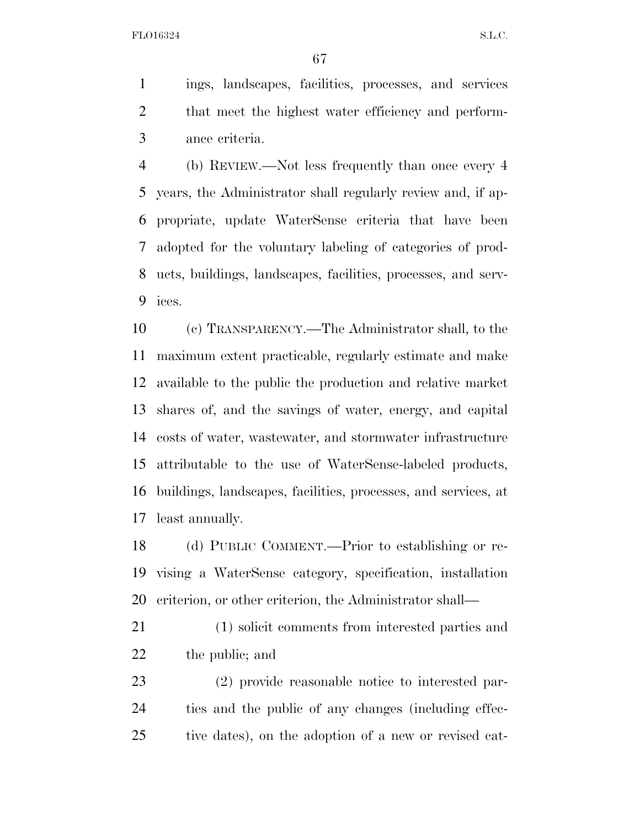ings, landscapes, facilities, processes, and services that meet the highest water efficiency and perform-ance criteria.

 (b) REVIEW.—Not less frequently than once every 4 years, the Administrator shall regularly review and, if ap- propriate, update WaterSense criteria that have been adopted for the voluntary labeling of categories of prod- ucts, buildings, landscapes, facilities, processes, and serv-ices.

 (c) TRANSPARENCY.—The Administrator shall, to the maximum extent practicable, regularly estimate and make available to the public the production and relative market shares of, and the savings of water, energy, and capital costs of water, wastewater, and stormwater infrastructure attributable to the use of WaterSense-labeled products, buildings, landscapes, facilities, processes, and services, at least annually.

 (d) PUBLIC COMMENT.—Prior to establishing or re- vising a WaterSense category, specification, installation criterion, or other criterion, the Administrator shall—

- (1) solicit comments from interested parties and the public; and
- (2) provide reasonable notice to interested par- ties and the public of any changes (including effec-tive dates), on the adoption of a new or revised cat-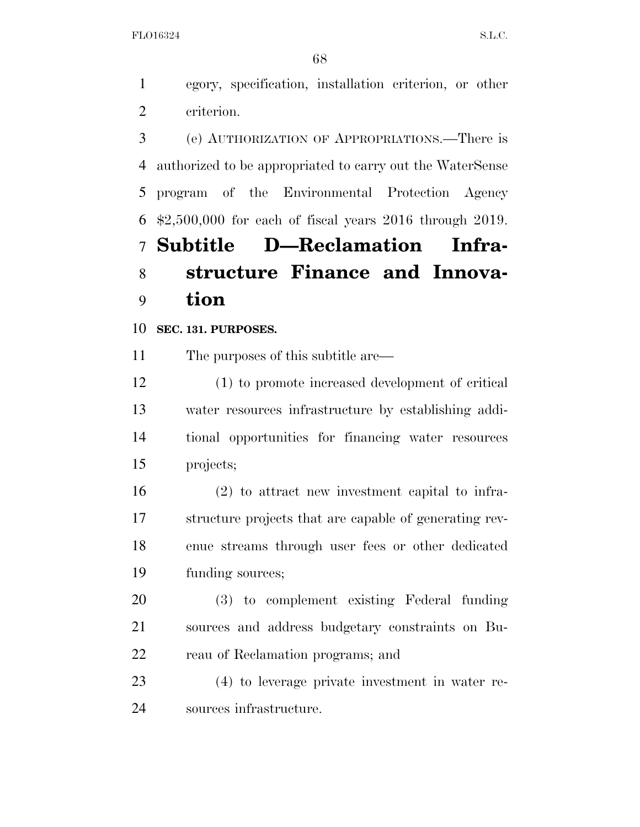egory, specification, installation criterion, or other criterion.

 (e) AUTHORIZATION OF APPROPRIATIONS.—There is authorized to be appropriated to carry out the WaterSense program of the Environmental Protection Agency \$2,500,000 for each of fiscal years 2016 through 2019. **Subtitle D—Reclamation Infra- structure Finance and Innova-tion** 

## **SEC. 131. PURPOSES.**

The purposes of this subtitle are—

 (1) to promote increased development of critical water resources infrastructure by establishing addi- tional opportunities for financing water resources projects;

 (2) to attract new investment capital to infra- structure projects that are capable of generating rev- enue streams through user fees or other dedicated funding sources;

 (3) to complement existing Federal funding sources and address budgetary constraints on Bu-reau of Reclamation programs; and

 (4) to leverage private investment in water re-sources infrastructure.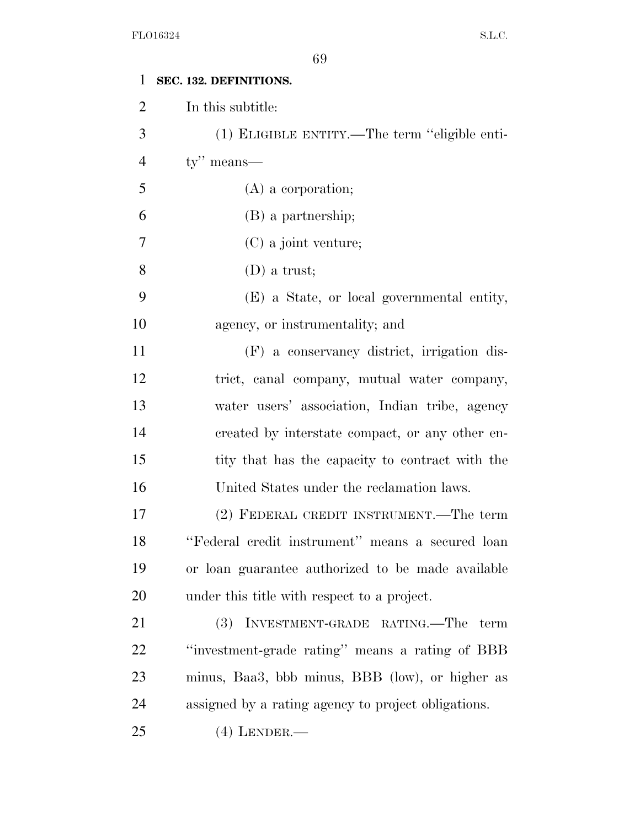| 1              | SEC. 132. DEFINITIONS.                              |
|----------------|-----------------------------------------------------|
| $\overline{2}$ | In this subtitle:                                   |
| 3              | (1) ELIGIBLE ENTITY.—The term "eligible enti-       |
| $\overline{4}$ | $ty''$ means—                                       |
| 5              | $(A)$ a corporation;                                |
| 6              | (B) a partnership;                                  |
| 7              | (C) a joint venture;                                |
| 8              | $(D)$ a trust;                                      |
| 9              | (E) a State, or local governmental entity,          |
| 10             | agency, or instrumentality; and                     |
| 11             | (F) a conservancy district, irrigation dis-         |
| 12             | trict, canal company, mutual water company,         |
| 13             | water users' association, Indian tribe, agency      |
| 14             | created by interstate compact, or any other en-     |
| 15             | tity that has the capacity to contract with the     |
| 16             | United States under the reclamation laws.           |
| 17             | (2) FEDERAL CREDIT INSTRUMENT.—The term             |
| 18             | "Federal credit instrument" means a secured loan    |
| 19             | or loan guarantee authorized to be made available   |
| 20             | under this title with respect to a project.         |
| 21             | INVESTMENT-GRADE RATING.—The<br>(3)<br>term         |
| 22             | "investment-grade rating" means a rating of BBB     |
| 23             | minus, Baa3, bbb minus, BBB (low), or higher as     |
| 24             | assigned by a rating agency to project obligations. |
| 25             | $(4)$ LENDER.—                                      |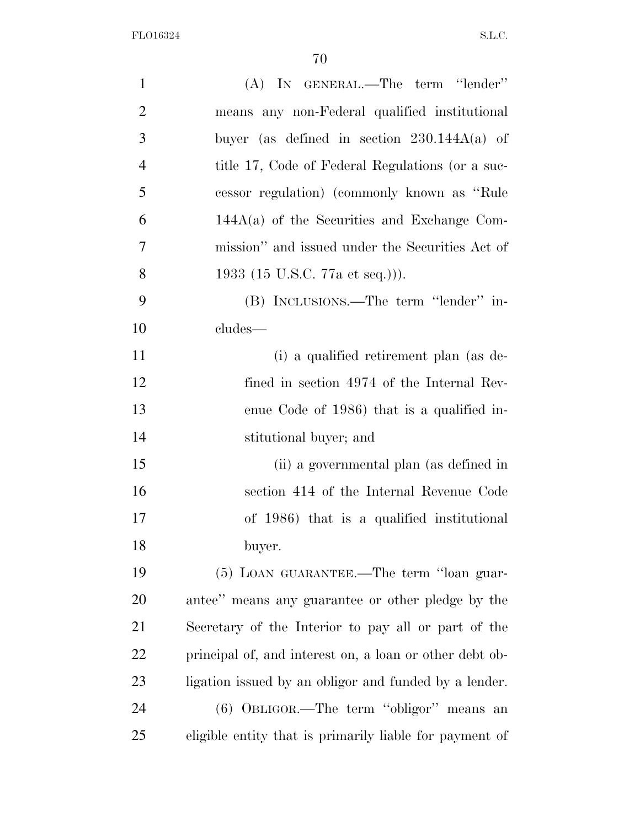| $\mathbf{1}$   | (A) IN GENERAL.—The term "lender"                       |
|----------------|---------------------------------------------------------|
| $\overline{2}$ | means any non-Federal qualified institutional           |
| 3              | buyer (as defined in section $230.144A(a)$ of           |
| $\overline{4}$ | title 17, Code of Federal Regulations (or a suc-        |
| 5              | cessor regulation) (commonly known as "Rule"            |
| 6              | $144A(a)$ of the Securities and Exchange Com-           |
| 7              | mission" and issued under the Securities Act of         |
| 8              | 1933 (15 U.S.C. 77a et seq.))).                         |
| 9              | (B) INCLUSIONS.—The term "lender" in-                   |
| 10             | cludes—                                                 |
| 11             | (i) a qualified retirement plan (as de-                 |
| 12             | fined in section 4974 of the Internal Rev-              |
| 13             | enue Code of 1986) that is a qualified in-              |
| 14             | stitutional buyer; and                                  |
| 15             | (ii) a governmental plan (as defined in                 |
| 16             | section 414 of the Internal Revenue Code                |
| 17             | of 1986) that is a qualified institutional              |
| 18             | buyer.                                                  |
| 19             | (5) LOAN GUARANTEE.—The term "loan guar-                |
| 20             | antee" means any guarantee or other pledge by the       |
| 21             | Secretary of the Interior to pay all or part of the     |
| 22             | principal of, and interest on, a loan or other debt ob- |
| 23             | ligation issued by an obligor and funded by a lender.   |
| 24             | (6) OBLIGOR.—The term "obligor" means an                |
| 25             | eligible entity that is primarily liable for payment of |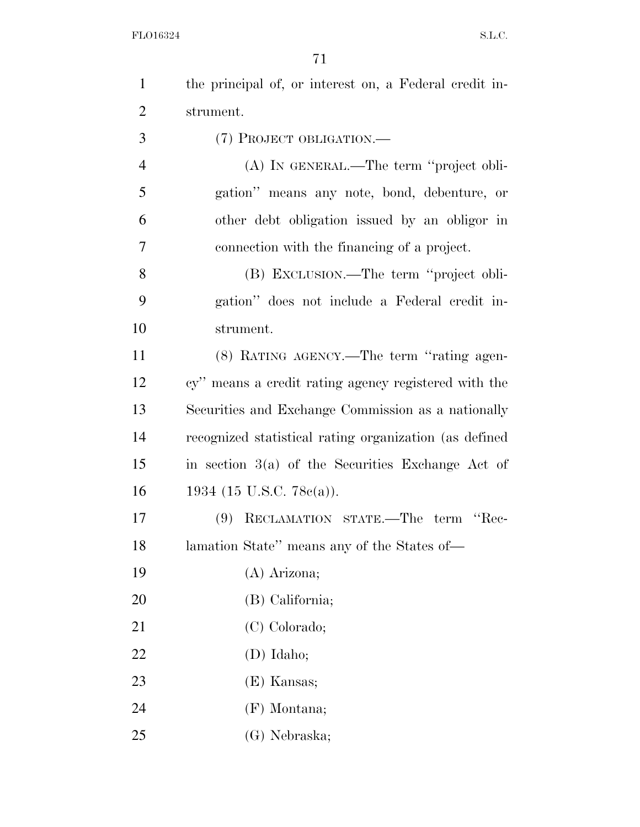| $\mathbf{1}$   | the principal of, or interest on, a Federal credit in- |
|----------------|--------------------------------------------------------|
| $\overline{2}$ | strument.                                              |
| 3              | (7) PROJECT OBLIGATION.—                               |
| $\overline{4}$ | (A) IN GENERAL.—The term "project obli-                |
| 5              | gation" means any note, bond, debenture, or            |
| 6              | other debt obligation issued by an obligor in          |
| 7              | connection with the financing of a project.            |
| 8              | (B) EXCLUSION.—The term "project obli-                 |
| 9              | gation" does not include a Federal credit in-          |
| 10             | strument.                                              |
| 11             | (8) RATING AGENCY.—The term "rating agen-              |
| 12             | cy" means a credit rating agency registered with the   |
| 13             | Securities and Exchange Commission as a nationally     |
| 14             | recognized statistical rating organization (as defined |
| 15             | in section $3(a)$ of the Securities Exchange Act of    |
| 16             | 1934 (15 U.S.C. 78 $e(a)$ ).                           |
| 17             | RECLAMATION STATE.—The term "Rec-<br>(9)               |
| 18             | lamation State" means any of the States of-            |
| 19             | (A) Arizona;                                           |
| 20             | (B) California;                                        |
| 21             | (C) Colorado;                                          |
| 22             | $(D)$ Idaho;                                           |
| 23             | (E) Kansas;                                            |
| 24             | $(F)$ Montana;                                         |
| 25             | (G) Nebraska;                                          |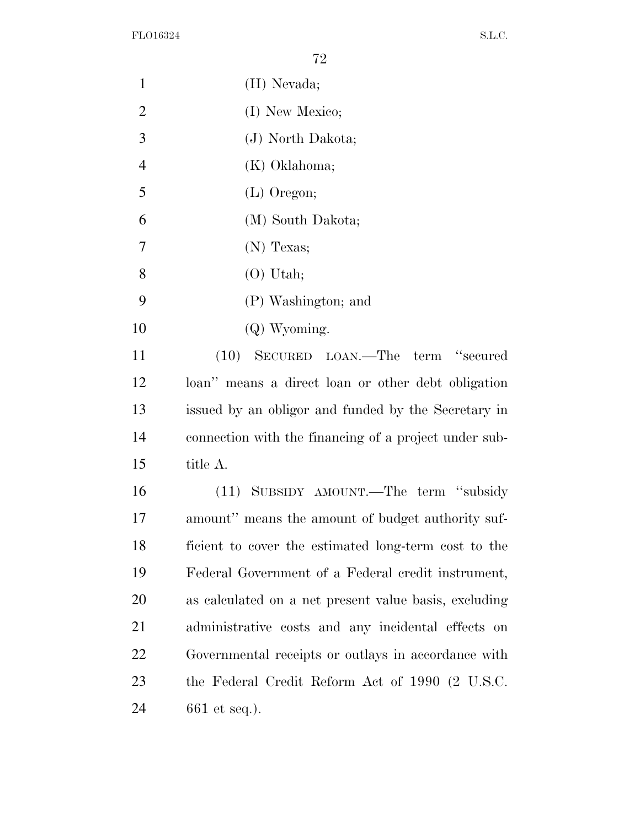| $\mathbf{1}$   | (H) Nevada;                                           |
|----------------|-------------------------------------------------------|
| $\overline{2}$ | (I) New Mexico;                                       |
| 3              | (J) North Dakota;                                     |
| $\overline{4}$ | (K) Oklahoma;                                         |
| 5              | $(L)$ Oregon;                                         |
| 6              | (M) South Dakota;                                     |
| $\tau$         | $(N)$ Texas;                                          |
| 8              | $(O)$ Utah;                                           |
| 9              | (P) Washington; and                                   |
| 10             | $(Q)$ Wyoming.                                        |
| 11             | (10) SECURED LOAN.—The term "secured                  |
| 12             | loan" means a direct loan or other debt obligation    |
| 13             | issued by an obligor and funded by the Secretary in   |
| 14             | connection with the financing of a project under sub- |
| 15             | title A.                                              |
| 16             | (11) SUBSIDY AMOUNT.—The term "subsidy                |
| 17             | amount" means the amount of budget authority suf-     |
| 18             | ficient to cover the estimated long-term cost to the  |
| 19             | Federal Government of a Federal credit instrument,    |
| 20             | as calculated on a net present value basis, excluding |
| 21             | administrative costs and any incidental effects on    |
| 22             | Governmental receipts or outlays in accordance with   |
| 23             | the Federal Credit Reform Act of 1990 (2 U.S.C.       |
| 24             | 661 et seq.).                                         |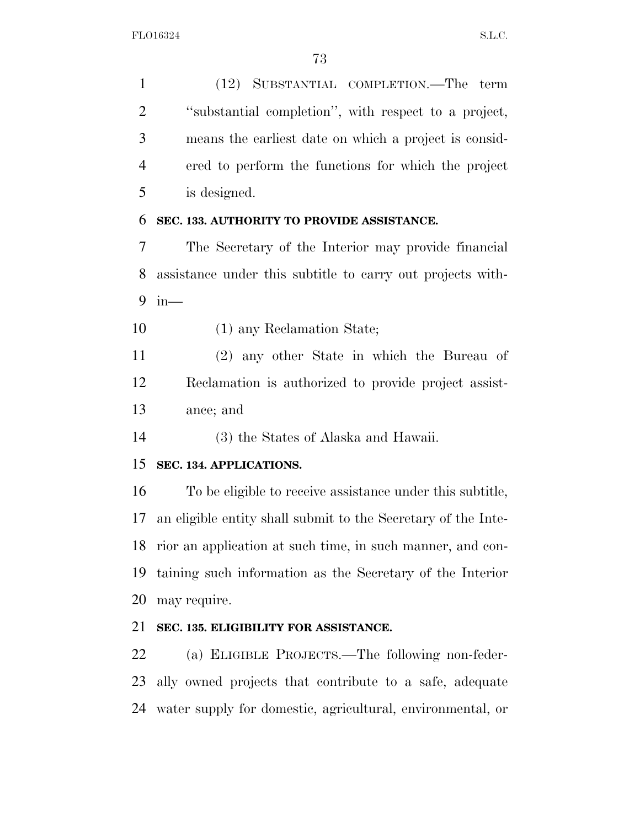(12) SUBSTANTIAL COMPLETION.—The term ''substantial completion'', with respect to a project, means the earliest date on which a project is consid- ered to perform the functions for which the project is designed.

#### **SEC. 133. AUTHORITY TO PROVIDE ASSISTANCE.**

 The Secretary of the Interior may provide financial assistance under this subtitle to carry out projects with-in—

(1) any Reclamation State;

 (2) any other State in which the Bureau of Reclamation is authorized to provide project assist-ance; and

(3) the States of Alaska and Hawaii.

#### **SEC. 134. APPLICATIONS.**

 To be eligible to receive assistance under this subtitle, an eligible entity shall submit to the Secretary of the Inte- rior an application at such time, in such manner, and con- taining such information as the Secretary of the Interior may require.

### **SEC. 135. ELIGIBILITY FOR ASSISTANCE.**

 (a) ELIGIBLE PROJECTS.—The following non-feder- ally owned projects that contribute to a safe, adequate water supply for domestic, agricultural, environmental, or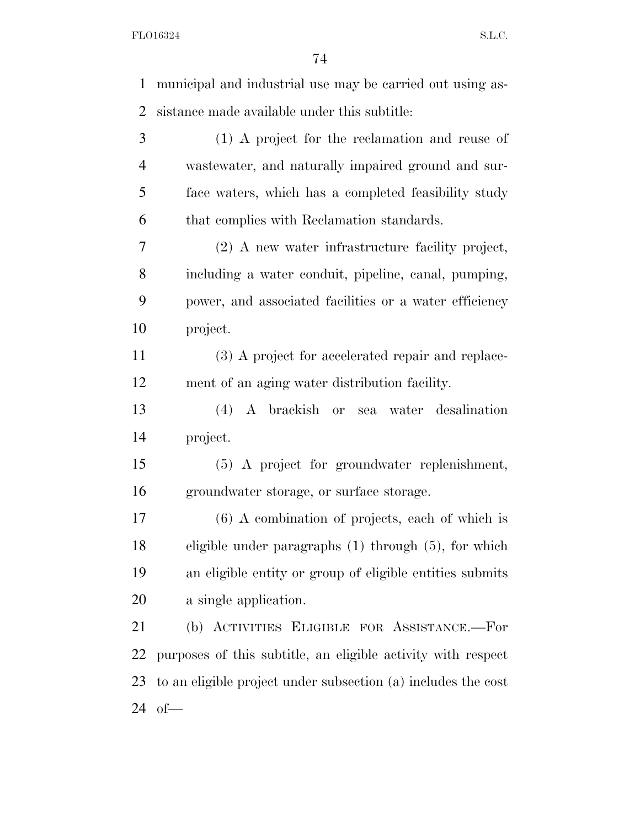municipal and industrial use may be carried out using as- sistance made available under this subtitle: (1) A project for the reclamation and reuse of wastewater, and naturally impaired ground and sur- face waters, which has a completed feasibility study that complies with Reclamation standards. (2) A new water infrastructure facility project, including a water conduit, pipeline, canal, pumping, power, and associated facilities or a water efficiency project. (3) A project for accelerated repair and replace- ment of an aging water distribution facility. (4) A brackish or sea water desalination project. (5) A project for groundwater replenishment, groundwater storage, or surface storage. (6) A combination of projects, each of which is eligible under paragraphs (1) through (5), for which an eligible entity or group of eligible entities submits a single application. (b) ACTIVITIES ELIGIBLE FOR ASSISTANCE.—For purposes of this subtitle, an eligible activity with respect to an eligible project under subsection (a) includes the cost of—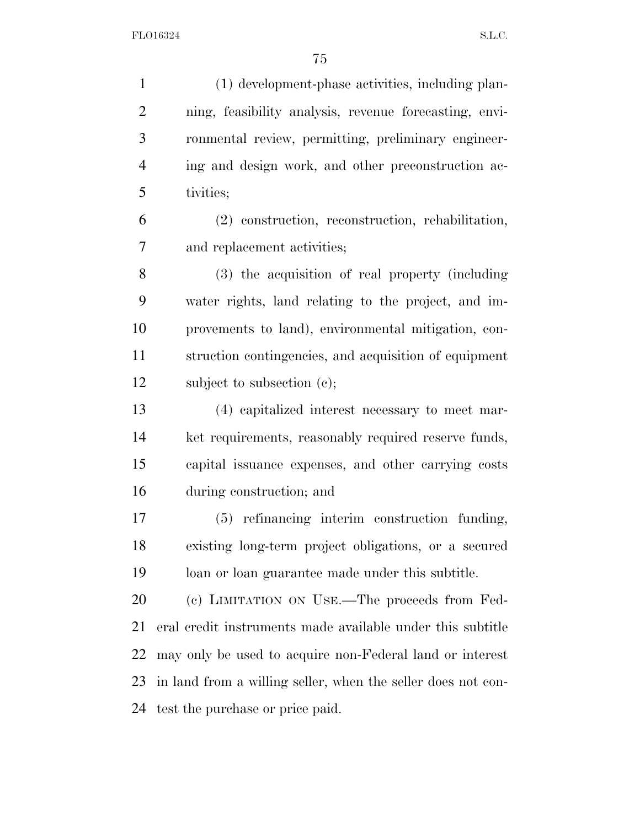(1) development-phase activities, including plan- ning, feasibility analysis, revenue forecasting, envi- ronmental review, permitting, preliminary engineer- ing and design work, and other preconstruction ac- tivities; (2) construction, reconstruction, rehabilitation, and replacement activities; (3) the acquisition of real property (including water rights, land relating to the project, and im- provements to land), environmental mitigation, con- struction contingencies, and acquisition of equipment 12 subject to subsection (c); (4) capitalized interest necessary to meet mar- ket requirements, reasonably required reserve funds, capital issuance expenses, and other carrying costs during construction; and (5) refinancing interim construction funding, existing long-term project obligations, or a secured loan or loan guarantee made under this subtitle. (c) LIMITATION ON USE.—The proceeds from Fed- eral credit instruments made available under this subtitle may only be used to acquire non-Federal land or interest in land from a willing seller, when the seller does not con-

test the purchase or price paid.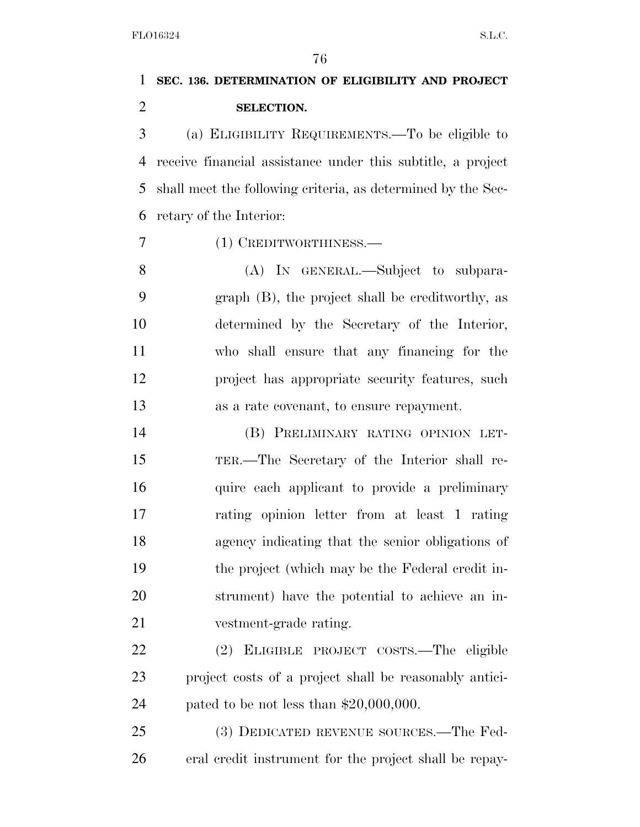# **SEC. 136. DETERMINATION OF ELIGIBILITY AND PROJECT SELECTION.**

 (a) ELIGIBILITY REQUIREMENTS.—To be eligible to receive financial assistance under this subtitle, a project shall meet the following criteria, as determined by the Sec-retary of the Interior:

(1) CREDITWORTHINESS.—

8 (A) IN GENERAL.—Subject to subpara- graph (B), the project shall be creditworthy, as determined by the Secretary of the Interior, who shall ensure that any financing for the project has appropriate security features, such as a rate covenant, to ensure repayment.

 (B) PRELIMINARY RATING OPINION LET- TER.—The Secretary of the Interior shall re-16 quire each applicant to provide a preliminary rating opinion letter from at least 1 rating agency indicating that the senior obligations of the project (which may be the Federal credit in- strument) have the potential to achieve an in-vestment-grade rating.

 (2) ELIGIBLE PROJECT COSTS.—The eligible project costs of a project shall be reasonably antici-pated to be not less than \$20,000,000.

 (3) DEDICATED REVENUE SOURCES.—The Fed-eral credit instrument for the project shall be repay-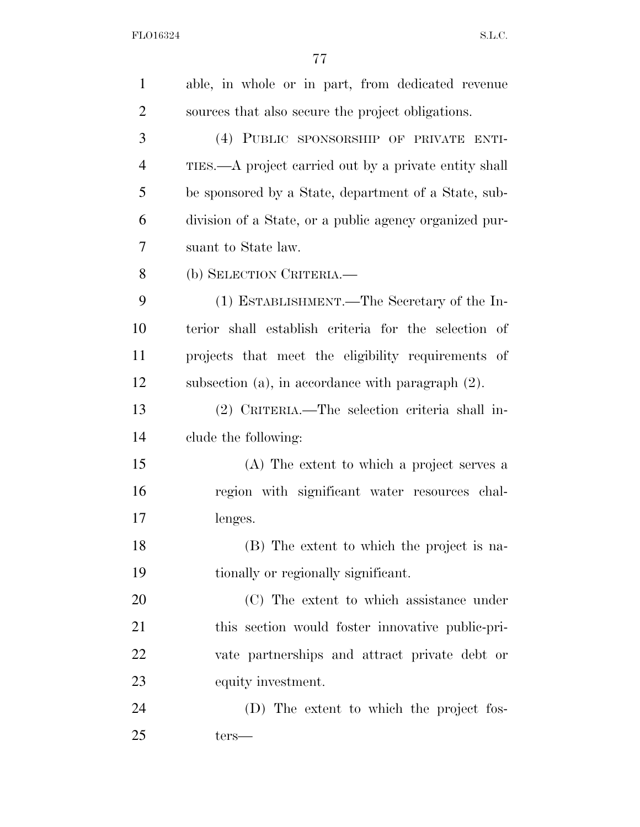| $\mathbf{1}$   | able, in whole or in part, from dedicated revenue      |
|----------------|--------------------------------------------------------|
| $\overline{2}$ | sources that also secure the project obligations.      |
| 3              | (4) PUBLIC SPONSORSHIP OF PRIVATE ENTI-                |
| $\overline{4}$ | TIES.—A project carried out by a private entity shall  |
| 5              | be sponsored by a State, department of a State, sub-   |
| 6              | division of a State, or a public agency organized pur- |
| 7              | suant to State law.                                    |
| 8              | (b) SELECTION CRITERIA.—                               |
| 9              | (1) ESTABLISHMENT.—The Secretary of the In-            |
| 10             | terior shall establish criteria for the selection of   |
| 11             | projects that meet the eligibility requirements of     |
| 12             | subsection (a), in accordance with paragraph $(2)$ .   |
| 13             | (2) CRITERIA.—The selection criteria shall in-         |
| 14             | clude the following:                                   |
| 15             | (A) The extent to which a project serves a             |
| 16             | region with significant water resources chal-          |
| 17             | lenges.                                                |
| 18             | (B) The extent to which the project is na-             |
| 19             | tionally or regionally significant.                    |
| 20             | (C) The extent to which assistance under               |
| 21             | this section would foster innovative public-pri-       |
| 22             | vate partnerships and attract private debt or          |
| 23             | equity investment.                                     |
| 24             | (D) The extent to which the project fos-               |
| 25             | $ters-$                                                |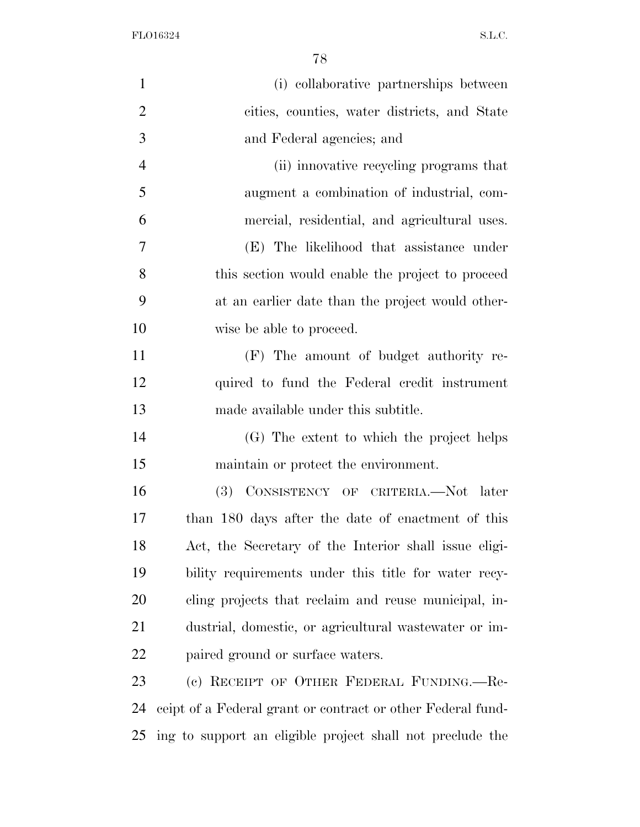| $\mathbf{1}$   | (i) collaborative partnerships between                      |
|----------------|-------------------------------------------------------------|
| $\overline{2}$ | cities, counties, water districts, and State                |
| 3              | and Federal agencies; and                                   |
| $\overline{4}$ | (ii) innovative recycling programs that                     |
| 5              | augment a combination of industrial, com-                   |
| 6              | mercial, residential, and agricultural uses.                |
| $\tau$         | (E) The likelihood that assistance under                    |
| 8              | this section would enable the project to proceed            |
| 9              | at an earlier date than the project would other-            |
| 10             | wise be able to proceed.                                    |
| 11             | (F) The amount of budget authority re-                      |
| 12             | quired to fund the Federal credit instrument                |
| 13             | made available under this subtitle.                         |
| 14             | (G) The extent to which the project helps                   |
| 15             | maintain or protect the environment.                        |
| 16             | (3) CONSISTENCY OF CRITERIA.-Not later                      |
| 17             | than 180 days after the date of enactment of this           |
| 18             | Act, the Secretary of the Interior shall issue eligi-       |
| 19             | bility requirements under this title for water recy-        |
| 20             | cling projects that reclaim and reuse municipal, in-        |
| 21             | dustrial, domestic, or agricultural wastewater or im-       |
| 22             | paired ground or surface waters.                            |
| 23             | (c) RECEIPT OF OTHER FEDERAL FUNDING.—Re-                   |
| 24             | ceipt of a Federal grant or contract or other Federal fund- |
| 25             | ing to support an eligible project shall not preclude the   |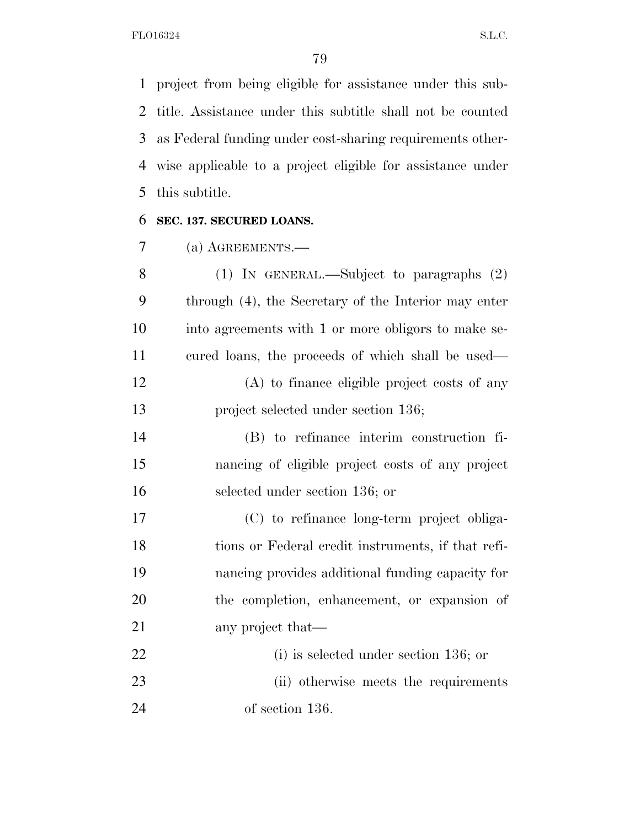project from being eligible for assistance under this sub- title. Assistance under this subtitle shall not be counted as Federal funding under cost-sharing requirements other- wise applicable to a project eligible for assistance under this subtitle.

# **SEC. 137. SECURED LOANS.**

(a) AGREEMENTS.—

| 8  | $(1)$ IN GENERAL.—Subject to paragraphs $(2)$        |
|----|------------------------------------------------------|
| 9  | through (4), the Secretary of the Interior may enter |
| 10 | into agreements with 1 or more obligors to make se-  |
| 11 | cured loans, the proceeds of which shall be used—    |
| 12 | (A) to finance eligible project costs of any         |
| 13 | project selected under section 136;                  |
| 14 | (B) to refinance interim construction fi-            |
| 15 | nancing of eligible project costs of any project     |
| 16 | selected under section 136; or                       |
| 17 | (C) to refinance long-term project obliga-           |
| 18 | tions or Federal credit instruments, if that refi-   |
| 19 | nancing provides additional funding capacity for     |
| 20 | the completion, enhancement, or expansion of         |
| 21 | any project that—                                    |
| 22 | $(i)$ is selected under section 136; or              |
| 23 | (ii) otherwise meets the requirements                |
| 24 | of section 136.                                      |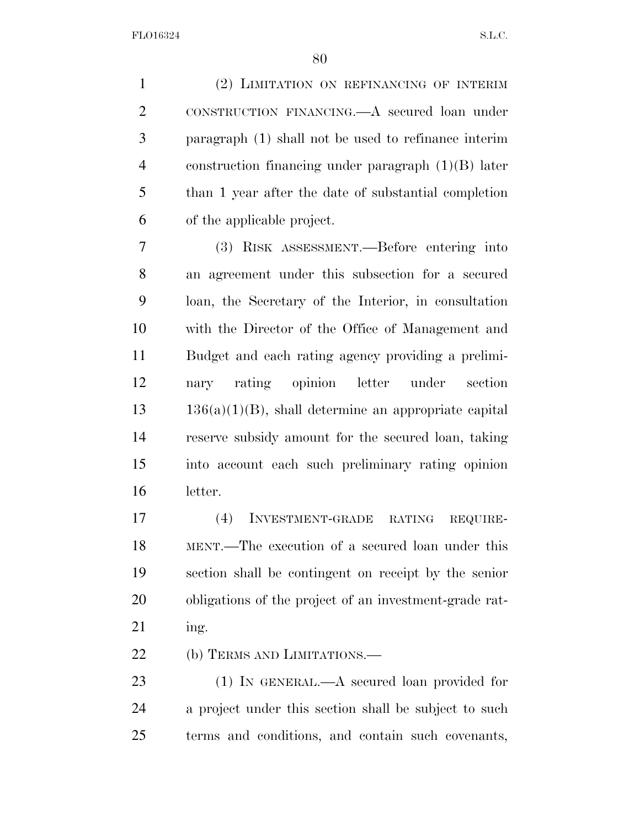(2) LIMITATION ON REFINANCING OF INTERIM CONSTRUCTION FINANCING.—A secured loan under paragraph (1) shall not be used to refinance interim construction financing under paragraph (1)(B) later than 1 year after the date of substantial completion of the applicable project.

 (3) RISK ASSESSMENT.—Before entering into an agreement under this subsection for a secured loan, the Secretary of the Interior, in consultation with the Director of the Office of Management and Budget and each rating agency providing a prelimi- nary rating opinion letter under section  $13 \qquad 136(a)(1)(B)$ , shall determine an appropriate capital reserve subsidy amount for the secured loan, taking into account each such preliminary rating opinion letter.

 (4) INVESTMENT-GRADE RATING REQUIRE- MENT.—The execution of a secured loan under this section shall be contingent on receipt by the senior obligations of the project of an investment-grade rat-ing.

22 (b) TERMS AND LIMITATIONS.—

23 (1) IN GENERAL.—A secured loan provided for a project under this section shall be subject to such terms and conditions, and contain such covenants,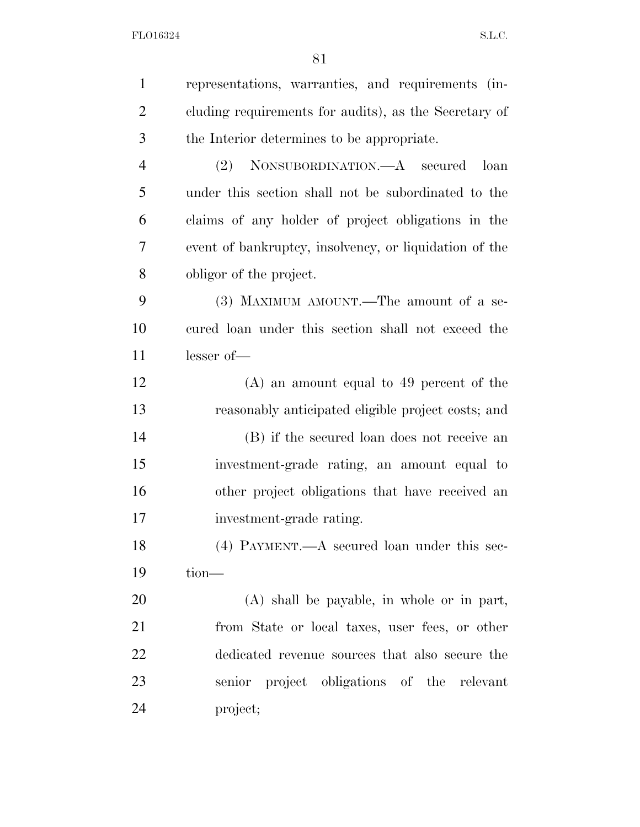| $\mathbf{1}$   | representations, warranties, and requirements (in-     |
|----------------|--------------------------------------------------------|
| $\overline{2}$ | cluding requirements for audits), as the Secretary of  |
| 3              | the Interior determines to be appropriate.             |
| $\overline{4}$ | (2) NONSUBORDINATION.—A secured<br>loan                |
| 5              | under this section shall not be subordinated to the    |
| 6              | claims of any holder of project obligations in the     |
| 7              | event of bankruptcy, insolvency, or liquidation of the |
| 8              | obligor of the project.                                |
| 9              | (3) MAXIMUM AMOUNT.—The amount of a se-                |
| 10             | cured loan under this section shall not exceed the     |
| 11             | lesser of-                                             |
| 12             | $(A)$ an amount equal to 49 percent of the             |
| 13             | reasonably anticipated eligible project costs; and     |
| 14             | (B) if the secured loan does not receive an            |
| 15             | investment-grade rating, an amount equal to            |
| 16             | other project obligations that have received an        |
| 17             | investment-grade rating.                               |
| 18             | $(4)$ PAYMENT.—A secured loan under this sec-          |
| 19             | $tion$ —                                               |
| 20             | (A) shall be payable, in whole or in part,             |
| 21             | from State or local taxes, user fees, or other         |
| 22             | dedicated revenue sources that also secure the         |
| 23             | senior project obligations of the relevant             |
| 24             | project;                                               |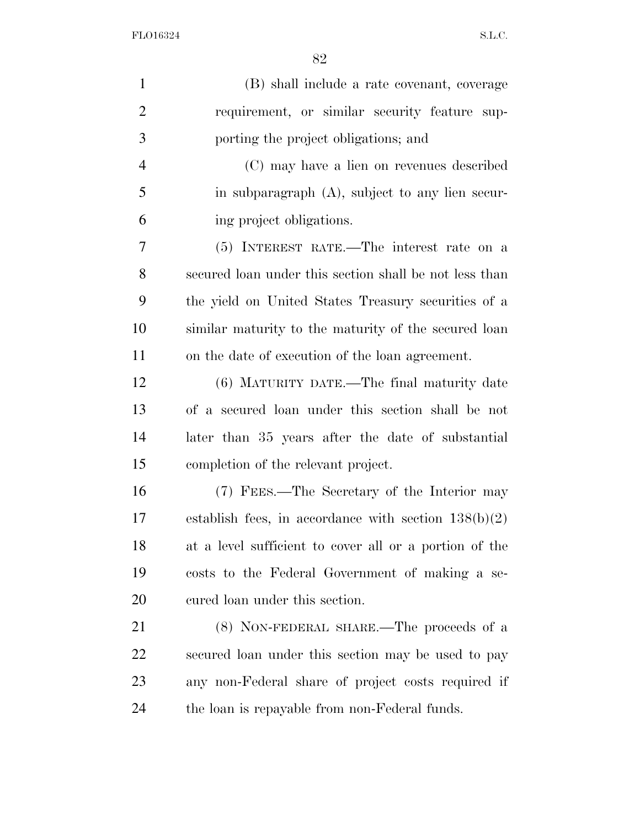| $\mathbf{1}$   | (B) shall include a rate covenant, coverage            |
|----------------|--------------------------------------------------------|
| $\overline{2}$ | requirement, or similar security feature sup-          |
| 3              | porting the project obligations; and                   |
| $\overline{4}$ | (C) may have a lien on revenues described              |
| 5              | in subparagraph $(A)$ , subject to any lien secur-     |
| 6              | ing project obligations.                               |
| 7              | (5) INTEREST RATE.—The interest rate on a              |
| 8              | secured loan under this section shall be not less than |
| 9              | the yield on United States Treasury securities of a    |
| 10             | similar maturity to the maturity of the secured loan   |
| 11             | on the date of execution of the loan agreement.        |
| 12             | (6) MATURITY DATE.—The final maturity date             |
| 13             | of a secured loan under this section shall be not      |
| 14             | later than 35 years after the date of substantial      |
| 15             | completion of the relevant project.                    |
| 16             | (7) FEES.—The Secretary of the Interior may            |
| 17             | establish fees, in accordance with section $138(b)(2)$ |
| 18             | at a level sufficient to cover all or a portion of the |
| 19             | costs to the Federal Government of making a se-        |
| 20             | cured loan under this section.                         |
| 21             | (8) NON-FEDERAL SHARE.—The proceeds of a               |
| 22             | secured loan under this section may be used to pay     |
| 23             | any non-Federal share of project costs required if     |
| 24             | the loan is repayable from non-Federal funds.          |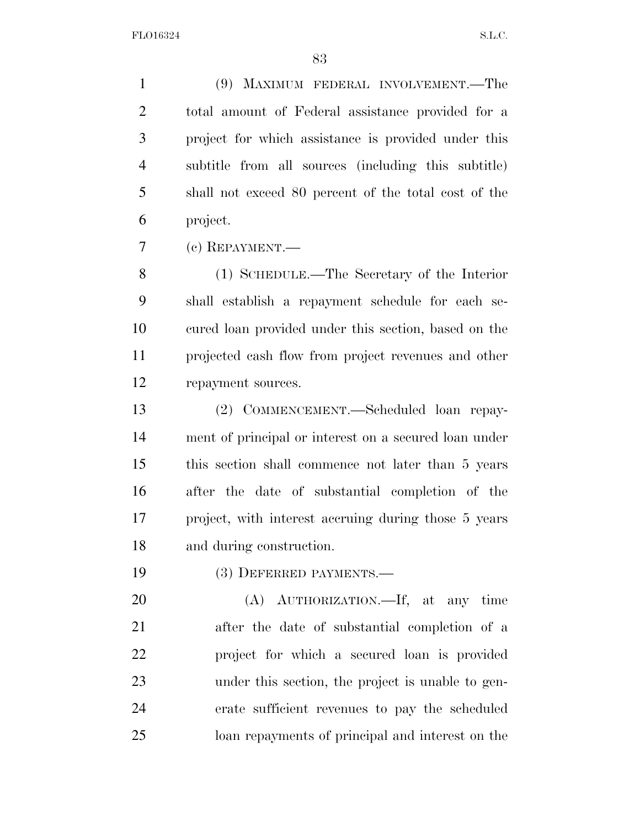(9) MAXIMUM FEDERAL INVOLVEMENT.—The total amount of Federal assistance provided for a project for which assistance is provided under this subtitle from all sources (including this subtitle) shall not exceed 80 percent of the total cost of the project.

(c) REPAYMENT.—

 (1) SCHEDULE.—The Secretary of the Interior shall establish a repayment schedule for each se- cured loan provided under this section, based on the projected cash flow from project revenues and other repayment sources.

 (2) COMMENCEMENT.—Scheduled loan repay- ment of principal or interest on a secured loan under this section shall commence not later than 5 years after the date of substantial completion of the project, with interest accruing during those 5 years and during construction.

(3) DEFERRED PAYMENTS.—

 (A) AUTHORIZATION.—If, at any time after the date of substantial completion of a project for which a secured loan is provided under this section, the project is unable to gen- erate sufficient revenues to pay the scheduled loan repayments of principal and interest on the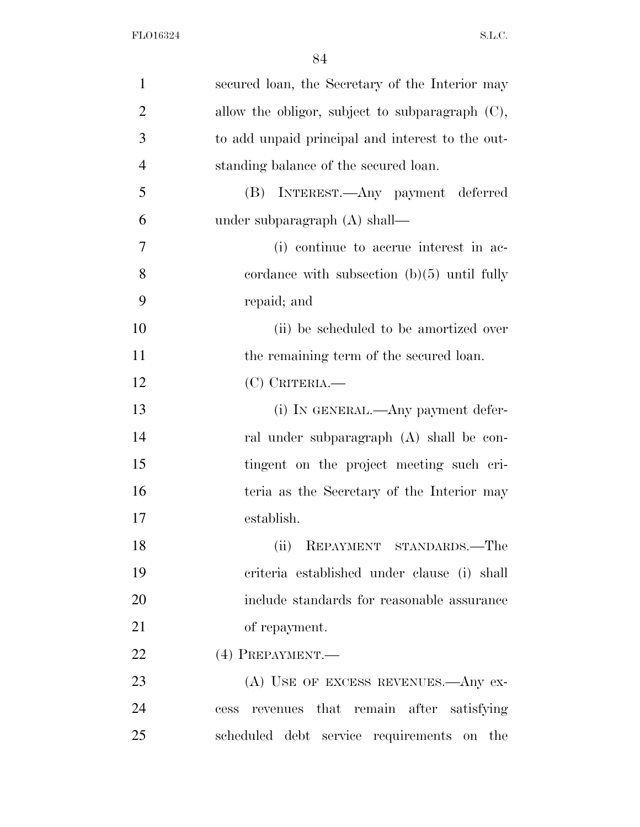| $\mathbf{1}$   | secured loan, the Secretary of the Interior may    |
|----------------|----------------------------------------------------|
| $\overline{2}$ | allow the obligor, subject to subparagraph $(C)$ , |
| 3              | to add unpaid principal and interest to the out-   |
| $\overline{4}$ | standing balance of the secured loan.              |
| 5              | (B) INTEREST.—Any payment deferred                 |
| 6              | under subparagraph $(A)$ shall—                    |
| 7              | (i) continue to accrue interest in ac-             |
| 8              | cordance with subsection $(b)(5)$ until fully      |
| 9              | repaid; and                                        |
| 10             | (ii) be scheduled to be amortized over             |
| 11             | the remaining term of the secured loan.            |
| 12             | $(C)$ CRITERIA.                                    |
| 13             | (i) IN GENERAL.—Any payment defer-                 |
| 14             | ral under subparagraph (A) shall be con-           |
| 15             | tingent on the project meeting such cri-           |
| 16             | teria as the Secretary of the Interior may         |
| 17             | establish.                                         |
| 18             | REPAYMENT STANDARDS.—The<br>(ii)                   |
| 19             | criteria established under clause (i) shall        |
| 20             | include standards for reasonable assurance         |
| 21             | of repayment.                                      |
| 22             | $(4)$ PREPAYMENT.—                                 |
| 23             | $(A)$ USE OF EXCESS REVENUES.—Any ex-              |
| 24             | cess revenues that remain after satisfying         |
| 25             | scheduled debt service requirements on the         |
|                |                                                    |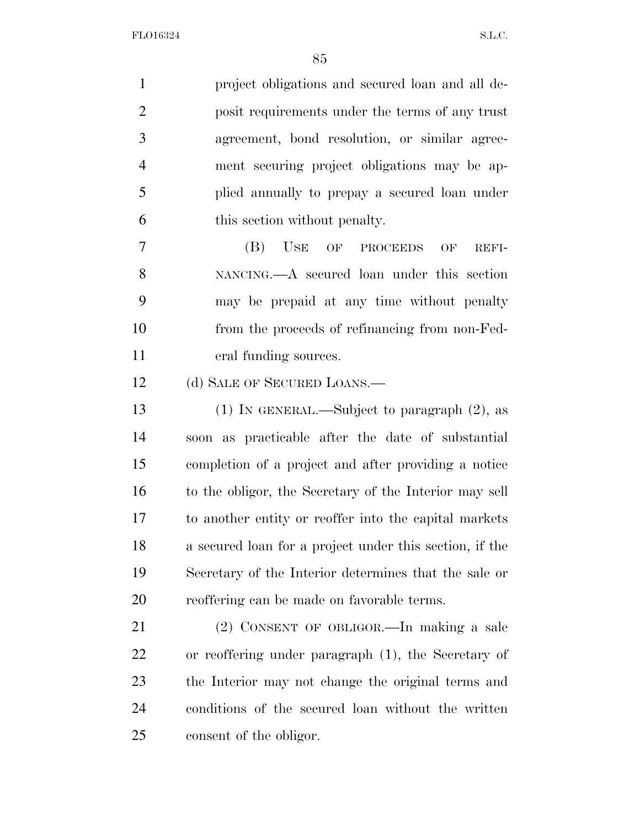project obligations and secured loan and all de- posit requirements under the terms of any trust agreement, bond resolution, or similar agree- ment securing project obligations may be ap- plied annually to prepay a secured loan under this section without penalty.

 (B) USE OF PROCEEDS OF REFI- NANCING.—A secured loan under this section may be prepaid at any time without penalty from the proceeds of refinancing from non-Fed-eral funding sources.

12 (d) SALE OF SECURED LOANS.—

 (1) IN GENERAL.—Subject to paragraph (2), as soon as practicable after the date of substantial completion of a project and after providing a notice to the obligor, the Secretary of the Interior may sell to another entity or reoffer into the capital markets a secured loan for a project under this section, if the Secretary of the Interior determines that the sale or reoffering can be made on favorable terms.

 (2) CONSENT OF OBLIGOR.—In making a sale or reoffering under paragraph (1), the Secretary of the Interior may not change the original terms and conditions of the secured loan without the written consent of the obligor.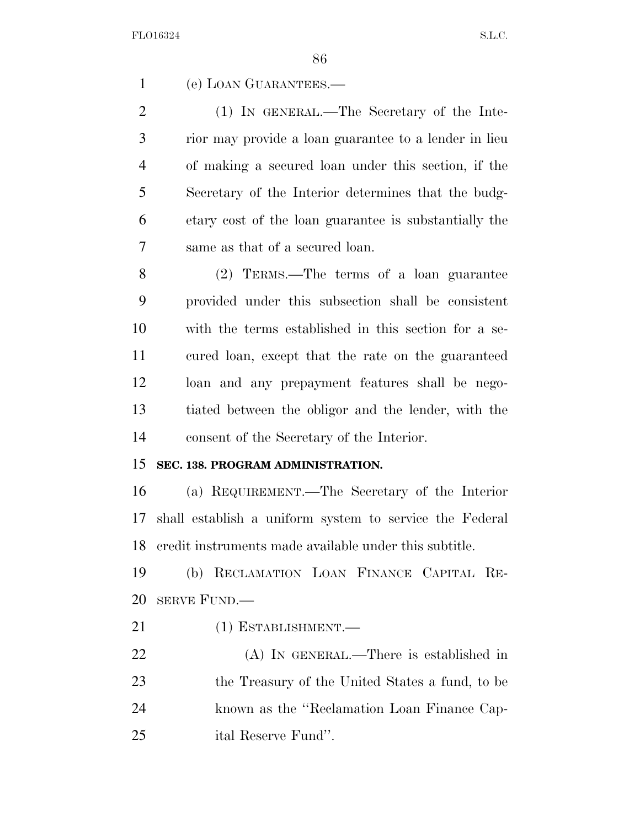(e) LOAN GUARANTEES.—

2 (1) IN GENERAL.—The Secretary of the Inte- rior may provide a loan guarantee to a lender in lieu of making a secured loan under this section, if the Secretary of the Interior determines that the budg- etary cost of the loan guarantee is substantially the same as that of a secured loan.

 (2) TERMS.—The terms of a loan guarantee provided under this subsection shall be consistent with the terms established in this section for a se- cured loan, except that the rate on the guaranteed loan and any prepayment features shall be nego- tiated between the obligor and the lender, with the consent of the Secretary of the Interior.

## **SEC. 138. PROGRAM ADMINISTRATION.**

 (a) REQUIREMENT.—The Secretary of the Interior shall establish a uniform system to service the Federal credit instruments made available under this subtitle.

 (b) RECLAMATION LOAN FINANCE CAPITAL RE-SERVE FUND.—

- 21 (1) ESTABLISHMENT.
- (A) IN GENERAL.—There is established in the Treasury of the United States a fund, to be known as the ''Reclamation Loan Finance Cap-ital Reserve Fund''.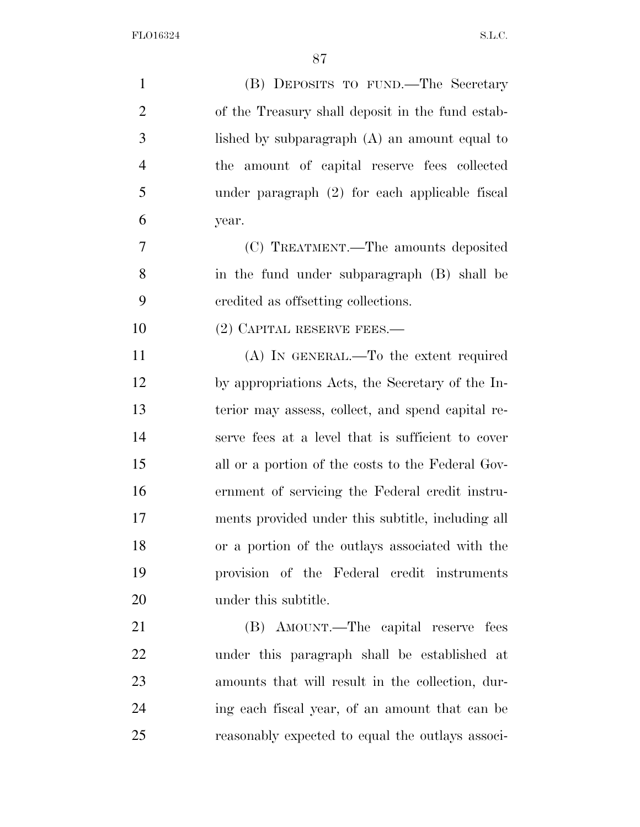| $\mathbf{1}$   | (B) DEPOSITS TO FUND.—The Secretary               |
|----------------|---------------------------------------------------|
| $\overline{2}$ | of the Treasury shall deposit in the fund estab-  |
| 3              | lished by subparagraph $(A)$ an amount equal to   |
| $\overline{4}$ | the amount of capital reserve fees collected      |
| 5              | under paragraph (2) for each applicable fiscal    |
| 6              | year.                                             |
| 7              | (C) TREATMENT.—The amounts deposited              |
| 8              | in the fund under subparagraph (B) shall be       |
| 9              | eredited as offsetting collections.               |
| 10             | $(2)$ CAPITAL RESERVE FEES.—                      |
| 11             | $(A)$ In GENERAL.—To the extent required          |
| 12             | by appropriations Acts, the Secretary of the In-  |
| 13             | terior may assess, collect, and spend capital re- |
| 14             | serve fees at a level that is sufficient to cover |
| 15             | all or a portion of the costs to the Federal Gov- |
| 16             | ernment of servicing the Federal credit instru-   |
| 17             | ments provided under this subtitle, including all |
| 18             | or a portion of the outlays associated with the   |
| 19             | provision of the Federal credit instruments       |
| 20             | under this subtitle.                              |
| 21             | (B) AMOUNT.—The capital reserve fees              |
| 22             | under this paragraph shall be established at      |
| 23             | amounts that will result in the collection, dur-  |
| 24             | ing each fiscal year, of an amount that can be    |
| 25             | reasonably expected to equal the outlays associ-  |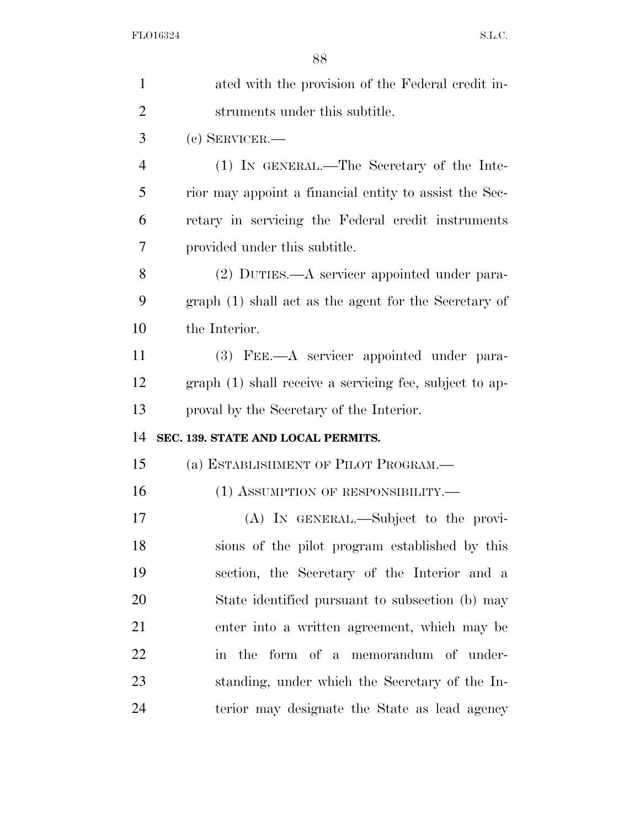| $\mathbf{1}$ | ated with the provision of the Federal credit in-       |
|--------------|---------------------------------------------------------|
| 2            | struments under this subtitle.                          |
| 3            | $(e)$ SERVICER.—                                        |
| 4            | (1) IN GENERAL.—The Secretary of the Inte-              |
| 5            | rior may appoint a financial entity to assist the Sec-  |
| 6            | retary in servicing the Federal credit instruments      |
| 7            | provided under this subtitle.                           |
| 8            | (2) DUTIES.—A servicer appointed under para-            |
| 9            | graph (1) shall act as the agent for the Secretary of   |
| 10           | the Interior.                                           |
| 11           | (3) FEE.—A servicer appointed under para-               |
| 12           | graph (1) shall receive a servicing fee, subject to ap- |
|              |                                                         |
| 13           | proval by the Secretary of the Interior.                |
| 14           | SEC. 139. STATE AND LOCAL PERMITS.                      |
| 15           | (a) ESTABLISHMENT OF PILOT PROGRAM.—                    |
| 16           | (1) ASSUMPTION OF RESPONSIBILITY.                       |
| 17           | (A) IN GENERAL.—Subject to the provi-                   |
| 18           | sions of the pilot program established by this          |
| 19           | section, the Secretary of the Interior and a            |
| 20           | State identified pursuant to subsection (b) may         |
| 21           | enter into a written agreement, which may be            |
| 22           | in the form of a memorandum of under-                   |
| 23           | standing, under which the Secretary of the In-          |
| 24           | terior may designate the State as lead agency           |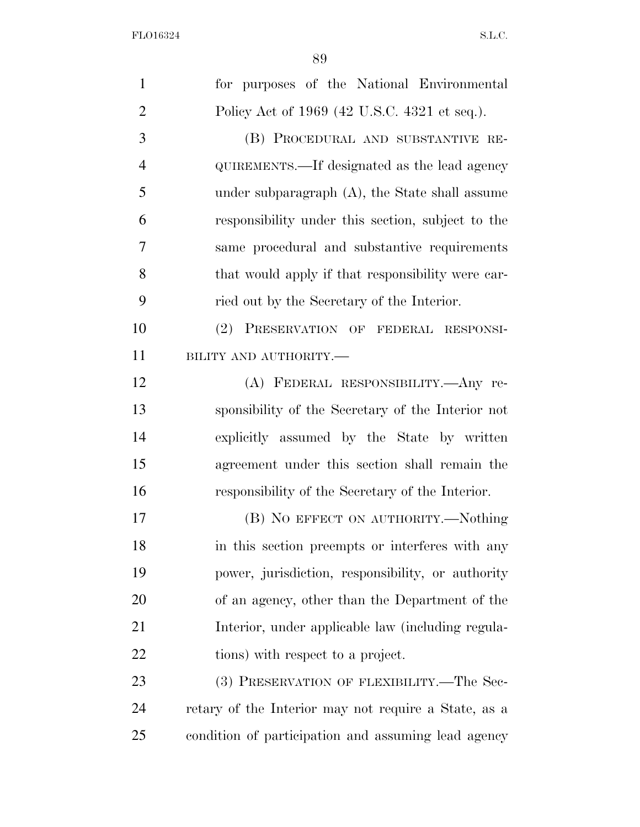| $\mathbf{1}$   | for purposes of the National Environmental           |
|----------------|------------------------------------------------------|
| $\overline{2}$ | Policy Act of 1969 (42 U.S.C. 4321 et seq.).         |
| 3              | (B) PROCEDURAL AND SUBSTANTIVE RE-                   |
| $\overline{4}$ | QUIREMENTS.—If designated as the lead agency         |
| 5              | under subparagraph $(A)$ , the State shall assume    |
| 6              | responsibility under this section, subject to the    |
| 7              | same procedural and substantive requirements         |
| 8              | that would apply if that responsibility were car-    |
| 9              | ried out by the Secretary of the Interior.           |
| 10             | (2) PRESERVATION OF FEDERAL RESPONSI-                |
| 11             | BILITY AND AUTHORITY.-                               |
| 12             | (A) FEDERAL RESPONSIBILITY.—Any re-                  |
| 13             | sponsibility of the Secretary of the Interior not    |
| 14             | explicitly assumed by the State by written           |
| 15             | agreement under this section shall remain the        |
| 16             | responsibility of the Secretary of the Interior.     |
| 17             | (B) NO EFFECT ON AUTHORITY.—Nothing                  |
| 18             | in this section preempts or interferes with any      |
| 19             | power, jurisdiction, responsibility, or authority    |
| 20             | of an agency, other than the Department of the       |
| 21             | Interior, under applicable law (including regula-    |
| 22             | tions) with respect to a project.                    |
| 23             | (3) PRESERVATION OF FLEXIBILITY.—The Sec-            |
| 24             | retary of the Interior may not require a State, as a |
| 25             | condition of participation and assuming lead agency  |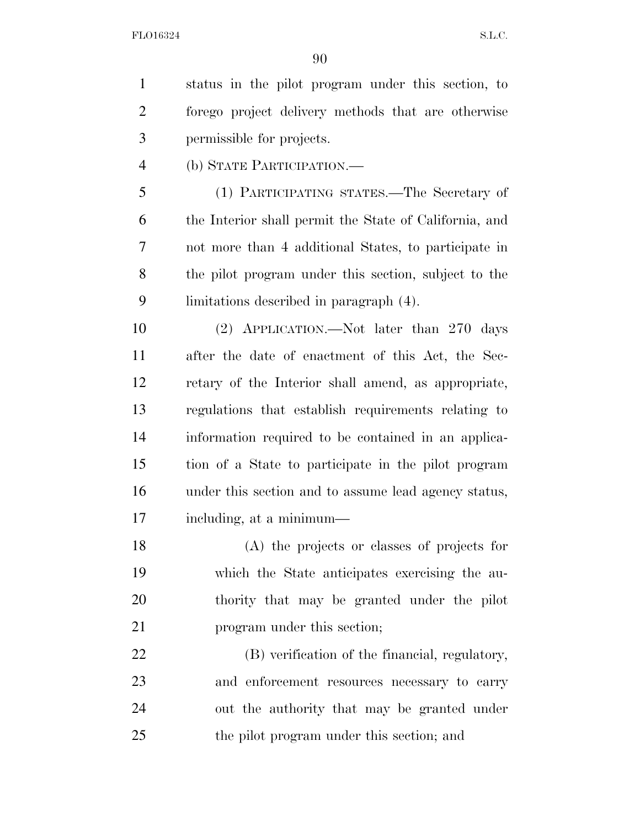status in the pilot program under this section, to forego project delivery methods that are otherwise permissible for projects. (b) STATE PARTICIPATION.— (1) PARTICIPATING STATES.—The Secretary of the Interior shall permit the State of California, and not more than 4 additional States, to participate in

 the pilot program under this section, subject to the limitations described in paragraph (4).

 (2) APPLICATION.—Not later than 270 days after the date of enactment of this Act, the Sec- retary of the Interior shall amend, as appropriate, regulations that establish requirements relating to information required to be contained in an applica- tion of a State to participate in the pilot program under this section and to assume lead agency status, including, at a minimum—

 (A) the projects or classes of projects for which the State anticipates exercising the au- thority that may be granted under the pilot **program** under this section;

 (B) verification of the financial, regulatory, and enforcement resources necessary to carry out the authority that may be granted under the pilot program under this section; and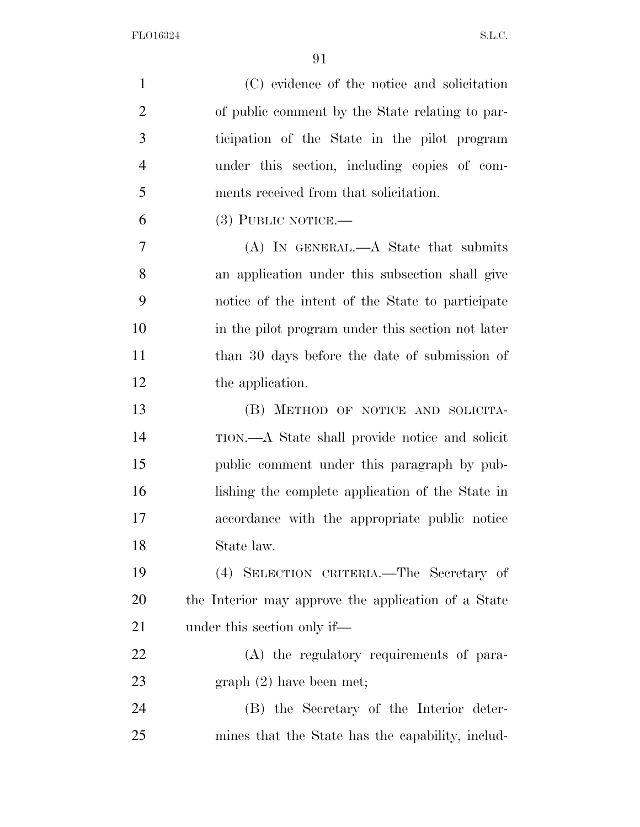| $\mathbf{1}$   | (C) evidence of the notice and solicitation         |
|----------------|-----------------------------------------------------|
| $\overline{2}$ | of public comment by the State relating to par-     |
| 3              | ticipation of the State in the pilot program        |
| $\overline{4}$ | under this section, including copies of com-        |
| 5              | ments received from that solicitation.              |
| 6              | $(3)$ PUBLIC NOTICE.—                               |
| 7              | $(A)$ In GENERAL.— $A$ State that submits           |
| 8              | an application under this subsection shall give     |
| 9              | notice of the intent of the State to participate    |
| 10             | in the pilot program under this section not later   |
| 11             | than 30 days before the date of submission of       |
| 12             | the application.                                    |
| 13             | (B) METHOD OF NOTICE AND SOLICITA-                  |
| 14             | TION.—A State shall provide notice and solicit      |
| 15             | public comment under this paragraph by pub-         |
| 16             | lishing the complete application of the State in    |
| 17             | accordance with the appropriate public notice       |
| 18             | State law.                                          |
| 19             | (4) SELECTION CRITERIA.—The Secretary of            |
| 20             | the Interior may approve the application of a State |
| 21             | under this section only if—                         |
| 22             | (A) the regulatory requirements of para-            |
| 23             | graph (2) have been met;                            |
| 24             | (B) the Secretary of the Interior deter-            |
| 25             | mines that the State has the capability, includ-    |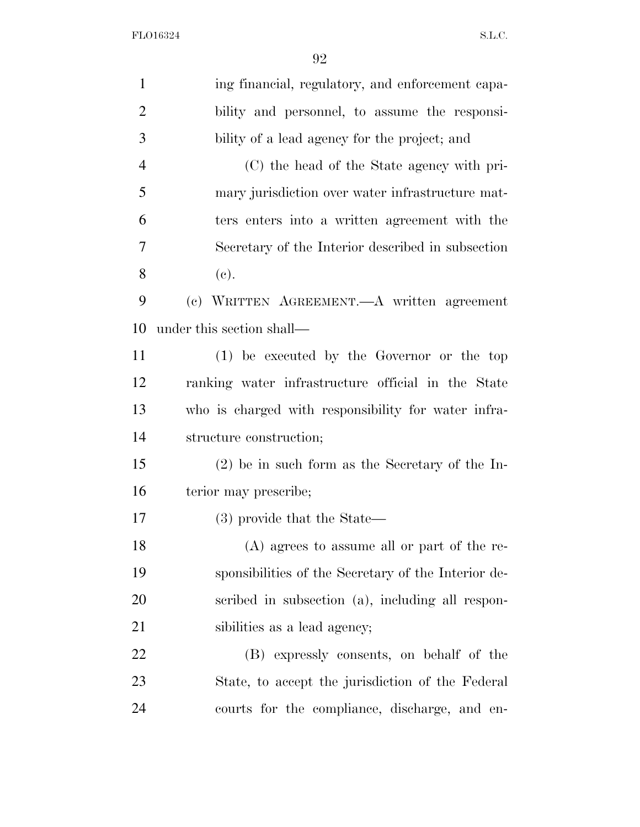| $\mathbf{1}$   | ing financial, regulatory, and enforcement capa-    |
|----------------|-----------------------------------------------------|
| $\overline{2}$ | bility and personnel, to assume the responsi-       |
| 3              | bility of a lead agency for the project; and        |
| $\overline{4}$ | (C) the head of the State agency with pri-          |
| 5              | mary jurisdiction over water infrastructure mat-    |
| 6              | ters enters into a written agreement with the       |
| 7              | Secretary of the Interior described in subsection   |
| 8              | (e).                                                |
| 9              | (c) WRITTEN AGREEMENT. A written agreement          |
| 10             | under this section shall—                           |
| 11             | $(1)$ be executed by the Governor or the top        |
| 12             | ranking water infrastructure official in the State  |
| 13             | who is charged with responsibility for water infra- |
| 14             | structure construction;                             |
| 15             | $(2)$ be in such form as the Secretary of the In-   |
| 16             | terior may prescribe;                               |
| 17             | (3) provide that the State—                         |
| 18             | $(A)$ agrees to assume all or part of the re-       |
| 19             | sponsibilities of the Secretary of the Interior de- |
| 20             | scribed in subsection (a), including all respon-    |
| 21             | sibilities as a lead agency;                        |
| 22             | (B) expressly consents, on behalf of the            |
| 23             | State, to accept the jurisdiction of the Federal    |
| 24             | courts for the compliance, discharge, and en-       |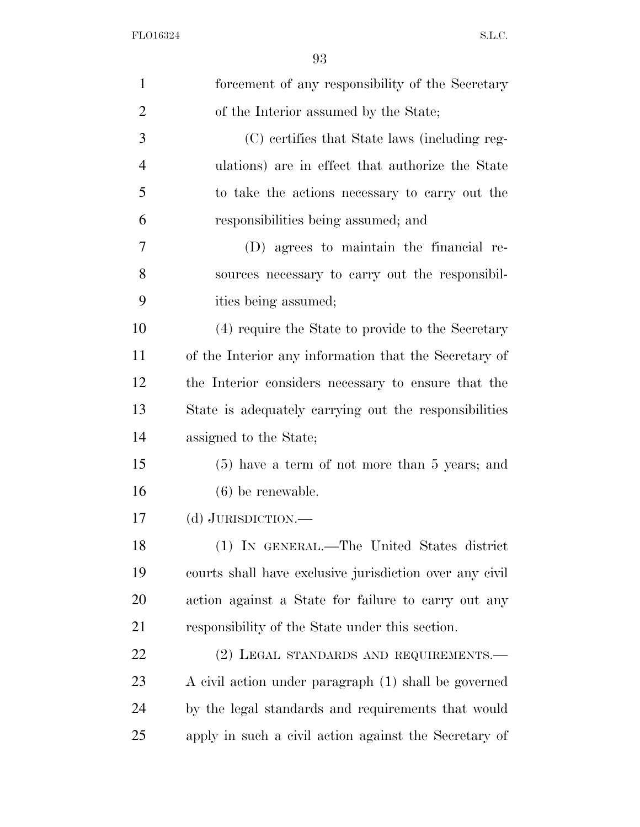| $\mathbf{1}$   | forcement of any responsibility of the Secretary        |
|----------------|---------------------------------------------------------|
| $\overline{2}$ | of the Interior assumed by the State;                   |
| 3              | (C) certifies that State laws (including reg-           |
| $\overline{4}$ | ulations) are in effect that authorize the State        |
| 5              | to take the actions necessary to carry out the          |
| 6              | responsibilities being assumed; and                     |
| 7              | (D) agrees to maintain the financial re-                |
| 8              | sources necessary to carry out the responsibil-         |
| 9              | ities being assumed;                                    |
| 10             | (4) require the State to provide to the Secretary       |
| 11             | of the Interior any information that the Secretary of   |
| 12             | the Interior considers necessary to ensure that the     |
| 13             | State is adequately carrying out the responsibilities   |
| 14             | assigned to the State;                                  |
| 15             | $(5)$ have a term of not more than 5 years; and         |
| 16             | $(6)$ be renewable.                                     |
| 17             | (d) JURISDICTION.—                                      |
| 18             | (1) IN GENERAL.—The United States district              |
| 19             | courts shall have exclusive jurisdiction over any civil |
| 20             | action against a State for failure to carry out any     |
| 21             | responsibility of the State under this section.         |
| 22             | (2) LEGAL STANDARDS AND REQUIREMENTS.—                  |
| 23             | A civil action under paragraph (1) shall be governed    |
| 24             | by the legal standards and requirements that would      |
| 25             | apply in such a civil action against the Secretary of   |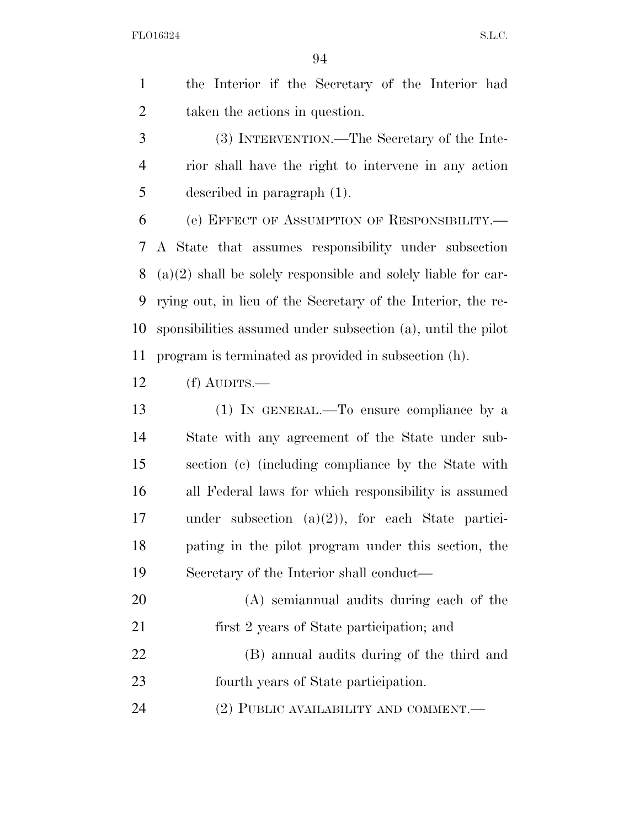the Interior if the Secretary of the Interior had taken the actions in question.

 (3) INTERVENTION.—The Secretary of the Inte- rior shall have the right to intervene in any action described in paragraph (1).

 (e) EFFECT OF ASSUMPTION OF RESPONSIBILITY.— A State that assumes responsibility under subsection (a)(2) shall be solely responsible and solely liable for car- rying out, in lieu of the Secretary of the Interior, the re- sponsibilities assumed under subsection (a), until the pilot program is terminated as provided in subsection (h).

(f) AUDITS.—

 (1) IN GENERAL.—To ensure compliance by a State with any agreement of the State under sub- section (c) (including compliance by the State with all Federal laws for which responsibility is assumed under subsection (a)(2)), for each State partici- pating in the pilot program under this section, the Secretary of the Interior shall conduct—

- (A) semiannual audits during each of the first 2 years of State participation; and
- (B) annual audits during of the third and fourth years of State participation.

24 (2) PUBLIC AVAILABILITY AND COMMENT.—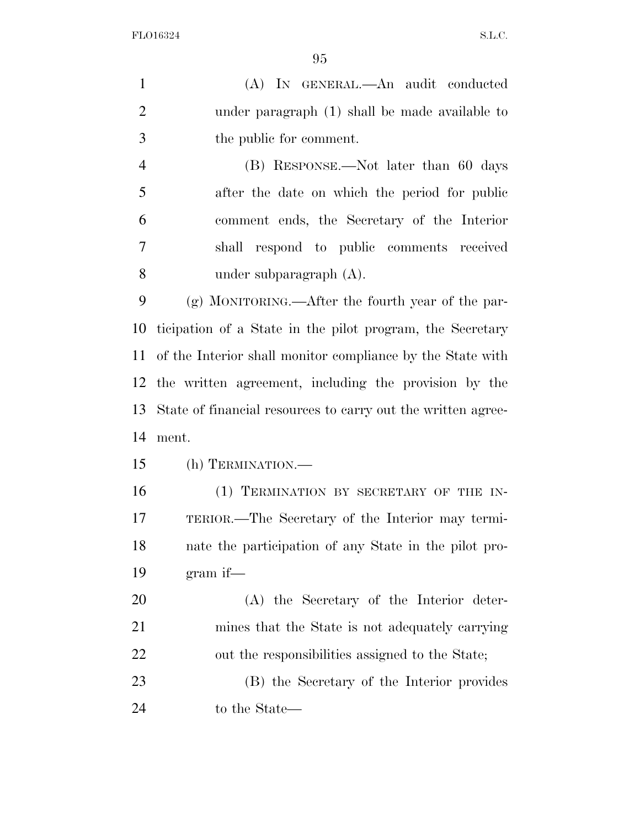(A) IN GENERAL.—An audit conducted under paragraph (1) shall be made available to the public for comment. (B) RESPONSE.—Not later than 60 days after the date on which the period for public comment ends, the Secretary of the Interior shall respond to public comments received under subparagraph (A). (g) MONITORING.—After the fourth year of the par- ticipation of a State in the pilot program, the Secretary of the Interior shall monitor compliance by the State with the written agreement, including the provision by the State of financial resources to carry out the written agree- ment. (h) TERMINATION.— 16 (1) TERMINATION BY SECRETARY OF THE IN- TERIOR.—The Secretary of the Interior may termi- nate the participation of any State in the pilot pro- gram if— (A) the Secretary of the Interior deter- mines that the State is not adequately carrying out the responsibilities assigned to the State;

 (B) the Secretary of the Interior provides to the State—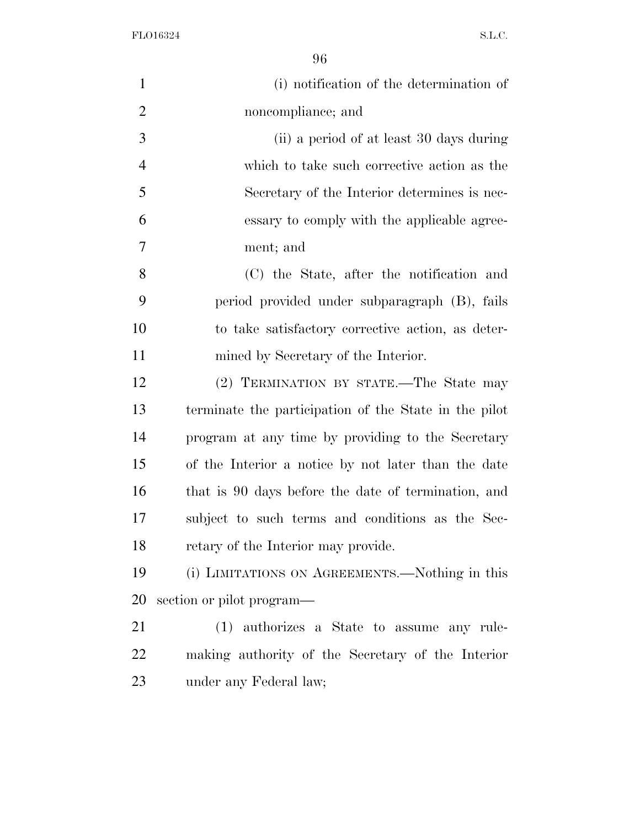| $\mathbf{1}$   | (i) notification of the determination of              |
|----------------|-------------------------------------------------------|
| $\overline{2}$ | noncompliance; and                                    |
| 3              | (ii) a period of at least 30 days during              |
| $\overline{4}$ | which to take such corrective action as the           |
| 5              | Secretary of the Interior determines is nec-          |
| 6              | essary to comply with the applicable agree-           |
| 7              | ment; and                                             |
| 8              | (C) the State, after the notification and             |
| 9              | period provided under subparagraph (B), fails         |
| 10             | to take satisfactory corrective action, as deter-     |
| 11             | mined by Secretary of the Interior.                   |
| 12             | (2) TERMINATION BY STATE.—The State may               |
| 13             | terminate the participation of the State in the pilot |
| 14             | program at any time by providing to the Secretary     |
| 15             | of the Interior a notice by not later than the date   |
| 16             | that is 90 days before the date of termination, and   |
| 17             | subject to such terms and conditions as the Sec-      |
| 18             | retary of the Interior may provide.                   |
| 19             | (i) LIMITATIONS ON AGREEMENTS.—Nothing in this        |
| 20             | section or pilot program—                             |
| 21             | (1) authorizes a State to assume any rule-            |
| 22             | making authority of the Secretary of the Interior     |
| 23             | under any Federal law;                                |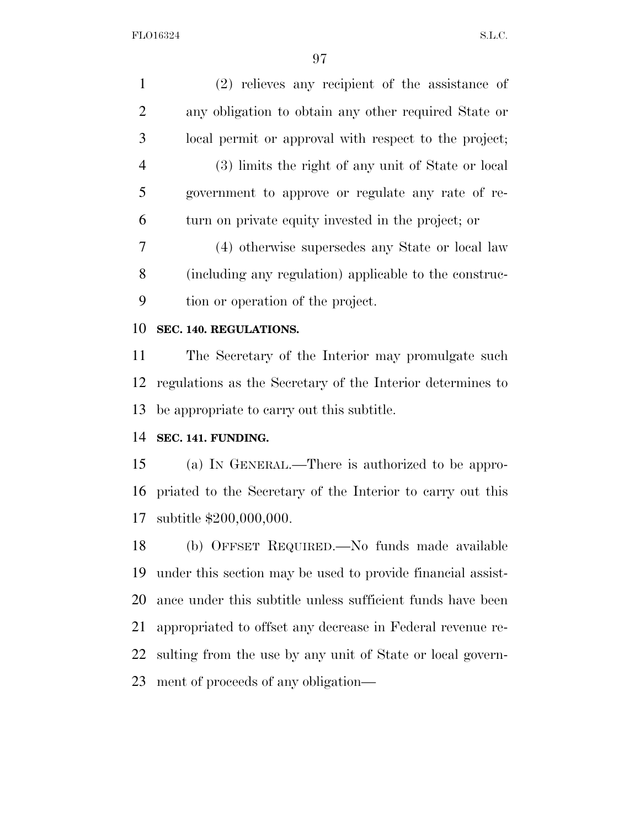| $\mathbf{1}$   | $(2)$ relieves any recipient of the assistance of           |
|----------------|-------------------------------------------------------------|
| $\overline{2}$ | any obligation to obtain any other required State or        |
| 3              | local permit or approval with respect to the project;       |
| $\overline{4}$ | (3) limits the right of any unit of State or local          |
| 5              | government to approve or regulate any rate of re-           |
| 6              | turn on private equity invested in the project; or          |
| 7              | (4) otherwise supersedes any State or local law             |
| 8              | (including any regulation) applicable to the construc-      |
| 9              | tion or operation of the project.                           |
| 10             | SEC. 140. REGULATIONS.                                      |
| 11             | The Secretary of the Interior may promulgate such           |
| 12             | regulations as the Secretary of the Interior determines to  |
| 13             | be appropriate to carry out this subtitle.                  |
| 14             | SEC. 141. FUNDING.                                          |
| 15             | (a) IN GENERAL.—There is authorized to be appro-            |
| 16             | priated to the Secretary of the Interior to carry out this  |
| 17             | subtitle \$200,000,000.                                     |
| 18             | (b) OFFSET REQUIRED.—No funds made available                |
| 19             | under this section may be used to provide financial assist- |
| 20             | ance under this subtitle unless sufficient funds have been  |
| 21             | appropriated to offset any decrease in Federal revenue re-  |
| 22             | sulting from the use by any unit of State or local govern-  |
| 23             | ment of proceeds of any obligation—                         |
|                |                                                             |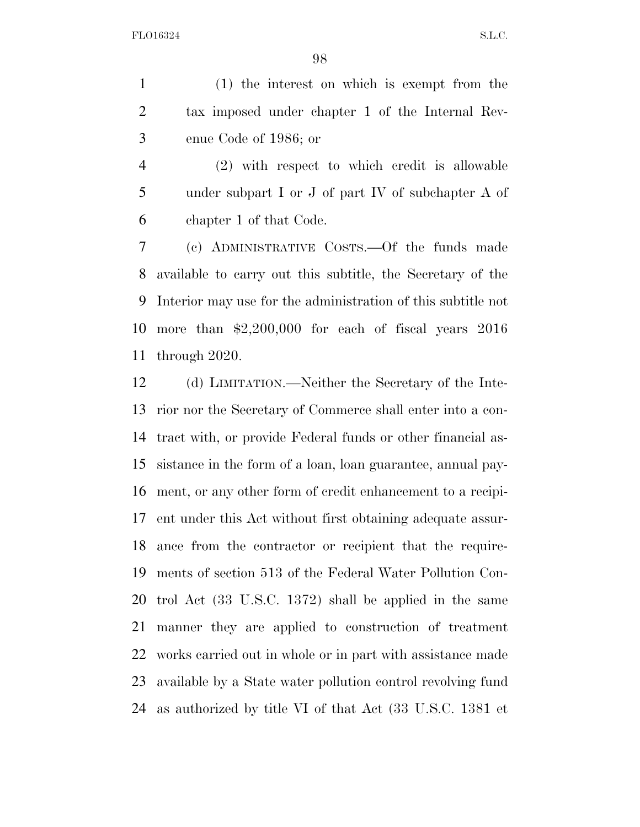(1) the interest on which is exempt from the tax imposed under chapter 1 of the Internal Rev-enue Code of 1986; or

 (2) with respect to which credit is allowable under subpart I or J of part IV of subchapter A of chapter 1 of that Code.

 (c) ADMINISTRATIVE COSTS.—Of the funds made available to carry out this subtitle, the Secretary of the Interior may use for the administration of this subtitle not more than \$2,200,000 for each of fiscal years 2016 through 2020.

 (d) LIMITATION.—Neither the Secretary of the Inte- rior nor the Secretary of Commerce shall enter into a con- tract with, or provide Federal funds or other financial as- sistance in the form of a loan, loan guarantee, annual pay- ment, or any other form of credit enhancement to a recipi- ent under this Act without first obtaining adequate assur- ance from the contractor or recipient that the require- ments of section 513 of the Federal Water Pollution Con- trol Act (33 U.S.C. 1372) shall be applied in the same manner they are applied to construction of treatment works carried out in whole or in part with assistance made available by a State water pollution control revolving fund as authorized by title VI of that Act (33 U.S.C. 1381 et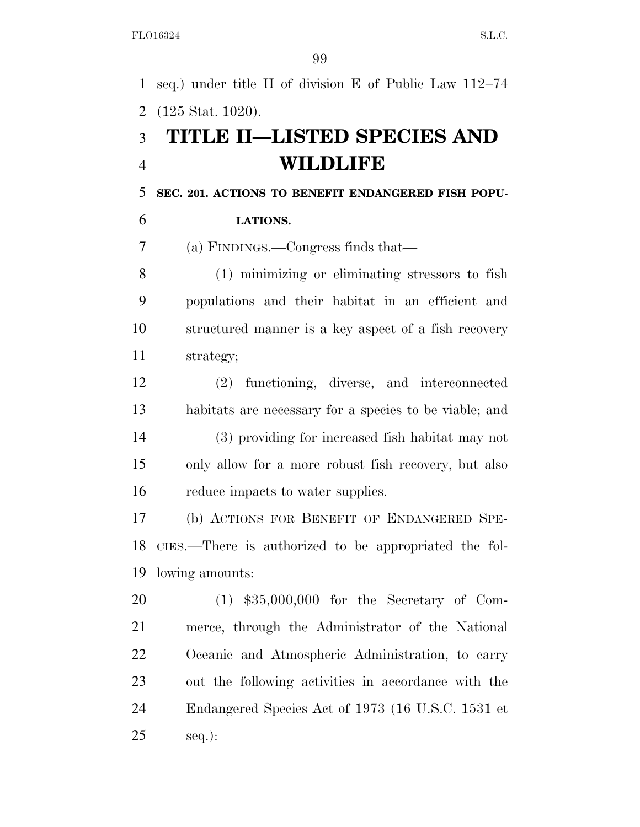seq.) under title II of division E of Public Law 112–74 (125 Stat. 1020).

# **TITLE II—LISTED SPECIES AND WILDLIFE**

**SEC. 201. ACTIONS TO BENEFIT ENDANGERED FISH POPU-**

# **LATIONS.**

(a) FINDINGS.—Congress finds that—

 (1) minimizing or eliminating stressors to fish populations and their habitat in an efficient and structured manner is a key aspect of a fish recovery strategy;

 (2) functioning, diverse, and interconnected habitats are necessary for a species to be viable; and (3) providing for increased fish habitat may not only allow for a more robust fish recovery, but also reduce impacts to water supplies.

 (b) ACTIONS FOR BENEFIT OF ENDANGERED SPE- CIES.—There is authorized to be appropriated the fol-lowing amounts:

 (1) \$35,000,000 for the Secretary of Com- merce, through the Administrator of the National Oceanic and Atmospheric Administration, to carry out the following activities in accordance with the Endangered Species Act of 1973 (16 U.S.C. 1531 et seq.):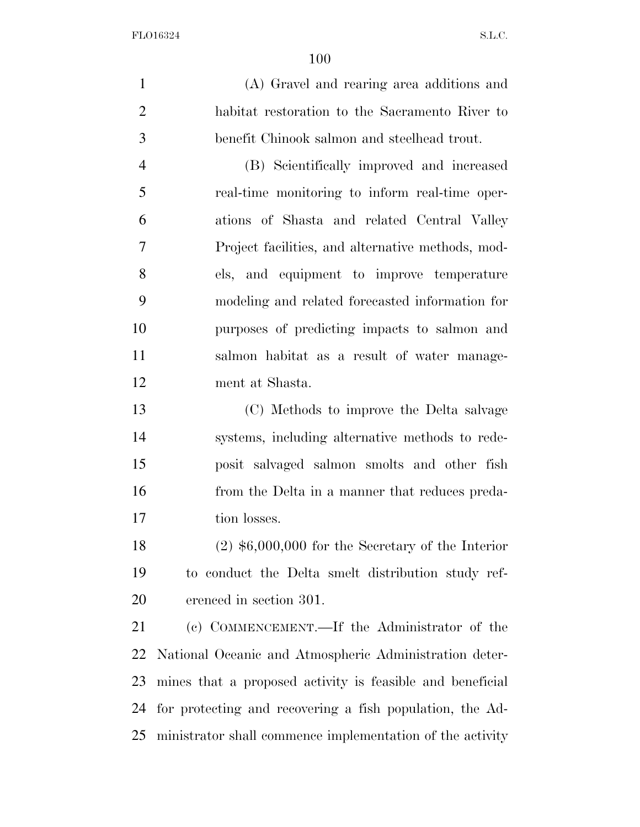(A) Gravel and rearing area additions and habitat restoration to the Sacramento River to benefit Chinook salmon and steelhead trout.

 (B) Scientifically improved and increased real-time monitoring to inform real-time oper- ations of Shasta and related Central Valley Project facilities, and alternative methods, mod- els, and equipment to improve temperature modeling and related forecasted information for purposes of predicting impacts to salmon and salmon habitat as a result of water manage-ment at Shasta.

 (C) Methods to improve the Delta salvage systems, including alternative methods to rede- posit salvaged salmon smolts and other fish from the Delta in a manner that reduces preda-tion losses.

 (2) \$6,000,000 for the Secretary of the Interior to conduct the Delta smelt distribution study ref-erenced in section 301.

 (c) COMMENCEMENT.—If the Administrator of the National Oceanic and Atmospheric Administration deter- mines that a proposed activity is feasible and beneficial for protecting and recovering a fish population, the Ad-ministrator shall commence implementation of the activity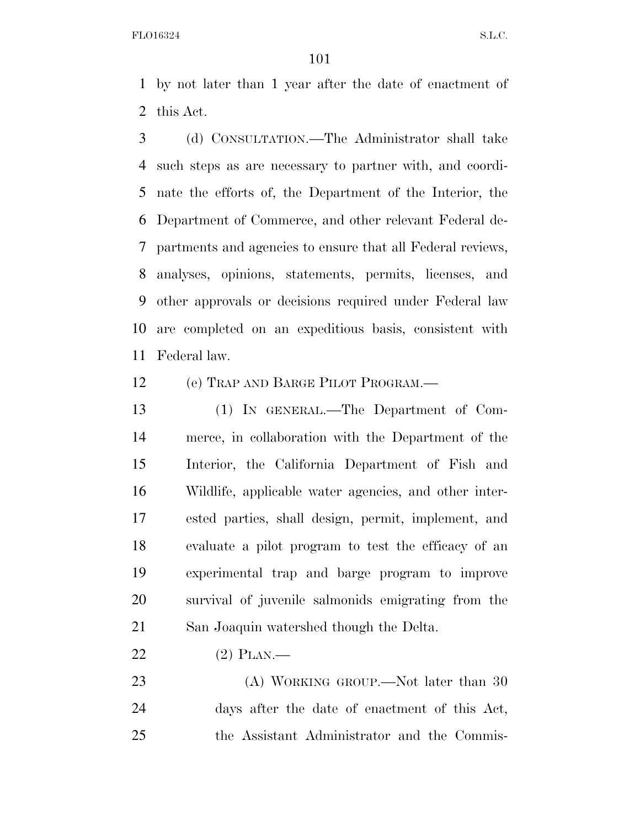by not later than 1 year after the date of enactment of this Act.

 (d) CONSULTATION.—The Administrator shall take such steps as are necessary to partner with, and coordi- nate the efforts of, the Department of the Interior, the Department of Commerce, and other relevant Federal de- partments and agencies to ensure that all Federal reviews, analyses, opinions, statements, permits, licenses, and other approvals or decisions required under Federal law are completed on an expeditious basis, consistent with Federal law.

(e) TRAP AND BARGE PILOT PROGRAM.—

 (1) IN GENERAL.—The Department of Com- merce, in collaboration with the Department of the Interior, the California Department of Fish and Wildlife, applicable water agencies, and other inter- ested parties, shall design, permit, implement, and evaluate a pilot program to test the efficacy of an experimental trap and barge program to improve survival of juvenile salmonids emigrating from the San Joaquin watershed though the Delta.

(2) PLAN.—

23 (A) WORKING GROUP.—Not later than 30 days after the date of enactment of this Act, the Assistant Administrator and the Commis-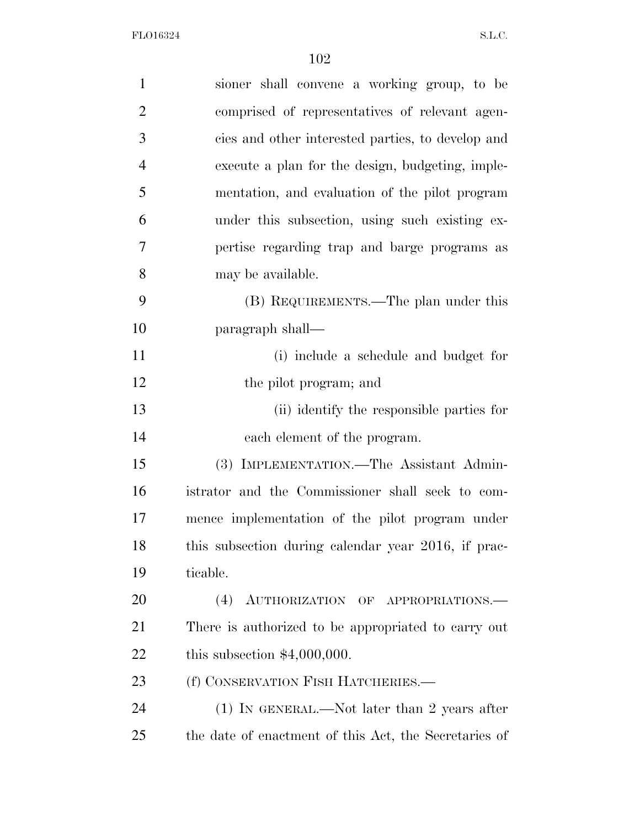| $\mathbf{1}$   | sioner shall convene a working group, to be           |
|----------------|-------------------------------------------------------|
| $\overline{2}$ | comprised of representatives of relevant agen-        |
| 3              | cies and other interested parties, to develop and     |
| $\overline{4}$ | execute a plan for the design, budgeting, imple-      |
| 5              | mentation, and evaluation of the pilot program        |
| 6              | under this subsection, using such existing ex-        |
| 7              | pertise regarding trap and barge programs as          |
| 8              | may be available.                                     |
| 9              | (B) REQUIREMENTS.—The plan under this                 |
| 10             | paragraph shall—                                      |
| 11             | (i) include a schedule and budget for                 |
| 12             | the pilot program; and                                |
| 13             | (ii) identify the responsible parties for             |
| 14             | each element of the program.                          |
| 15             | (3) IMPLEMENTATION.—The Assistant Admin-              |
| 16             | istrator and the Commissioner shall seek to com-      |
| 17             | mence implementation of the pilot program under       |
| 18             | this subsection during calendar year 2016, if prac-   |
| 19             | ticable.                                              |
| 20             | (4)<br>AUTHORIZATION OF APPROPRIATIONS.               |
| 21             | There is authorized to be appropriated to carry out   |
| 22             | this subsection $$4,000,000$ .                        |
| 23             | (f) CONSERVATION FISH HATCHERIES.—                    |
| 24             | $(1)$ IN GENERAL.—Not later than 2 years after        |
| 25             | the date of enactment of this Act, the Secretaries of |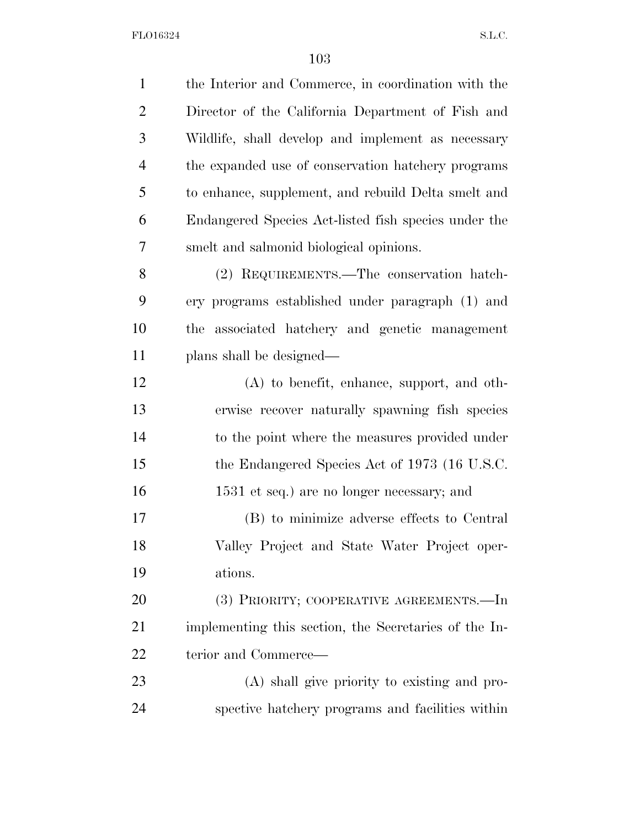| $\mathbf{1}$   | the Interior and Commerce, in coordination with the   |
|----------------|-------------------------------------------------------|
| $\overline{2}$ | Director of the California Department of Fish and     |
| 3              | Wildlife, shall develop and implement as necessary    |
| $\overline{4}$ | the expanded use of conservation hatchery programs    |
| 5              | to enhance, supplement, and rebuild Delta smelt and   |
| 6              | Endangered Species Act-listed fish species under the  |
| 7              | smelt and salmonid biological opinions.               |
| 8              | (2) REQUIREMENTS.—The conservation hatch-             |
| 9              | ery programs established under paragraph (1) and      |
| 10             | associated hatchery and genetic management<br>the     |
| 11             | plans shall be designed—                              |
| 12             | $(A)$ to benefit, enhance, support, and oth-          |
| 13             | erwise recover naturally spawning fish species        |
| 14             | to the point where the measures provided under        |
| 15             | the Endangered Species Act of 1973 (16 U.S.C.         |
| 16             | 1531 et seq.) are no longer necessary; and            |
| 17             | (B) to minimize adverse effects to Central            |
| 18             | Valley Project and State Water Project oper-          |
| 19             | ations.                                               |
| 20             | (3) PRIORITY; COOPERATIVE AGREEMENTS.—In              |
| 21             | implementing this section, the Secretaries of the In- |
| 22             | terior and Commerce—                                  |
| 23             | (A) shall give priority to existing and pro-          |
| 24             | spective hatchery programs and facilities within      |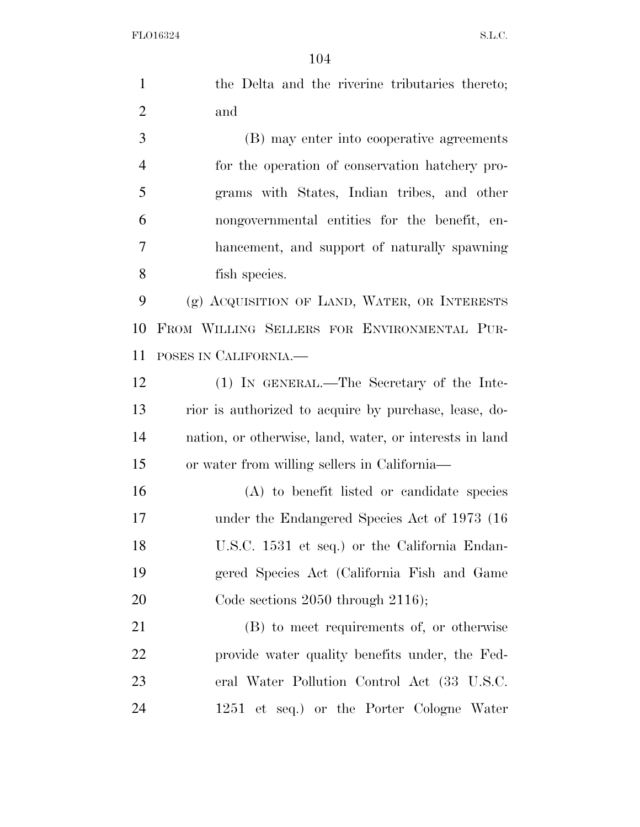the Delta and the riverine tributaries thereto; and (B) may enter into cooperative agreements for the operation of conservation hatchery pro- grams with States, Indian tribes, and other nongovernmental entities for the benefit, en- hancement, and support of naturally spawning fish species. (g) ACQUISITION OF LAND, WATER, OR INTERESTS FROM WILLING SELLERS FOR ENVIRONMENTAL PUR- POSES IN CALIFORNIA.— (1) IN GENERAL.—The Secretary of the Inte- rior is authorized to acquire by purchase, lease, do- nation, or otherwise, land, water, or interests in land or water from willing sellers in California— (A) to benefit listed or candidate species under the Endangered Species Act of 1973 (16 U.S.C. 1531 et seq.) or the California Endan-gered Species Act (California Fish and Game

20 Code sections 2050 through 2116);

 (B) to meet requirements of, or otherwise provide water quality benefits under, the Fed- eral Water Pollution Control Act (33 U.S.C. 1251 et seq.) or the Porter Cologne Water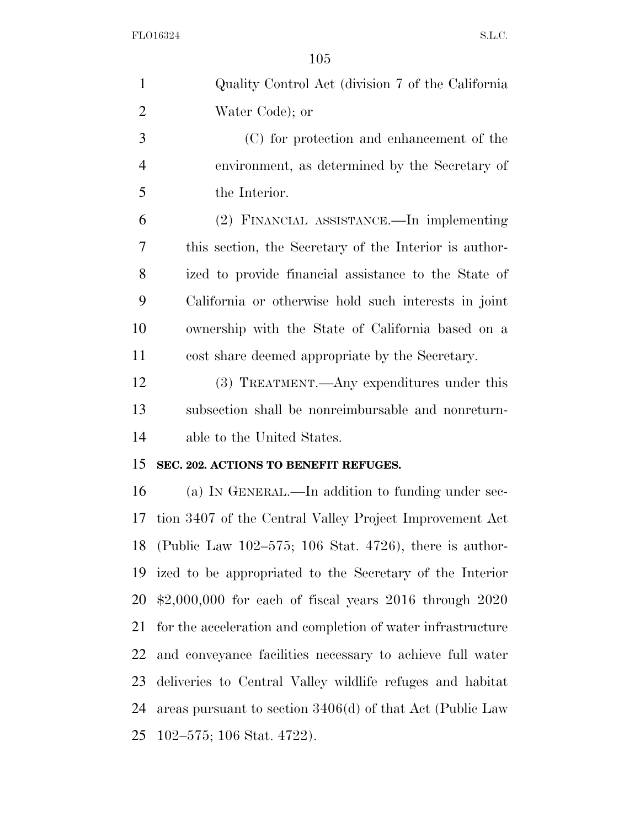| $\mathbf{1}$   | Quality Control Act (division 7 of the California           |
|----------------|-------------------------------------------------------------|
| $\overline{2}$ | Water Code); or                                             |
| 3              | (C) for protection and enhancement of the                   |
| $\overline{4}$ | environment, as determined by the Secretary of              |
| 5              | the Interior.                                               |
| 6              | (2) FINANCIAL ASSISTANCE.—In implementing                   |
| 7              | this section, the Secretary of the Interior is author-      |
| 8              | ized to provide financial assistance to the State of        |
| 9              | California or otherwise hold such interests in joint        |
| 10             | ownership with the State of California based on a           |
| 11             | cost share deemed appropriate by the Secretary.             |
| 12             | (3) TREATMENT.—Any expenditures under this                  |
| 13             | subsection shall be nonreimbursable and nonreturn-          |
| 14             | able to the United States.                                  |
| 15             | SEC. 202. ACTIONS TO BENEFIT REFUGES.                       |
| 16             | (a) IN GENERAL.—In addition to funding under sec-           |
| 17             | tion 3407 of the Central Valley Project Improvement Act     |
| 18             | (Public Law $102-575$ ; 106 Stat. 4726), there is author-   |
| 19             | ized to be appropriated to the Secretary of the Interior    |
| 20             | $$2,000,000$ for each of fiscal years $2016$ through $2020$ |
| 21             | for the acceleration and completion of water infrastructure |
| 22             | and conveyance facilities necessary to achieve full water   |
| 23             | deliveries to Central Valley wildlife refuges and habitat   |
| 24             | areas pursuant to section $3406(d)$ of that Act (Public Law |
| 25             | 102–575; 106 Stat. 4722).                                   |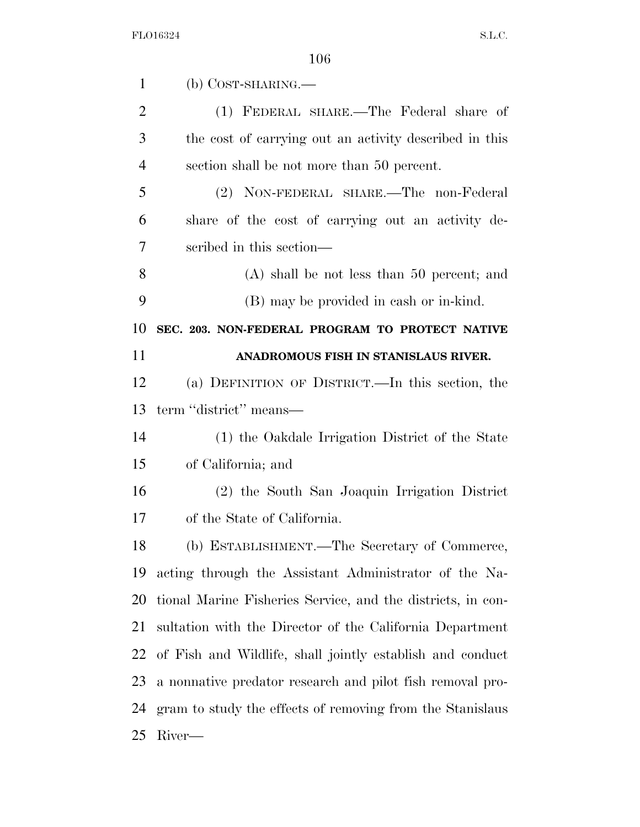| $\mathbf{1}$   | $(b)$ COST-SHARING.—                                        |
|----------------|-------------------------------------------------------------|
| $\overline{2}$ | (1) FEDERAL SHARE.—The Federal share of                     |
| 3              | the cost of carrying out an activity described in this      |
| $\overline{4}$ | section shall be not more than 50 percent.                  |
| 5              | (2) NON-FEDERAL SHARE.—The non-Federal                      |
| 6              | share of the cost of carrying out an activity de-           |
| 7              | scribed in this section—                                    |
| 8              | $(A)$ shall be not less than 50 percent; and                |
| 9              | (B) may be provided in eash or in-kind.                     |
| 10             | SEC. 203. NON-FEDERAL PROGRAM TO PROTECT NATIVE             |
| 11             | ANADROMOUS FISH IN STANISLAUS RIVER.                        |
| 12             | (a) DEFINITION OF DISTRICT.—In this section, the            |
| 13             | term "district" means—                                      |
| 14             | (1) the Oakdale Irrigation District of the State            |
| 15             | of California; and                                          |
| 16             | (2) the South San Joaquin Irrigation District               |
| 17             | of the State of California.                                 |
| 18             | (b) ESTABLISHMENT.—The Secretary of Commerce,               |
| 19             | acting through the Assistant Administrator of the Na-       |
| 20             | tional Marine Fisheries Service, and the districts, in con- |
| 21             | sultation with the Director of the California Department    |
| 22             | of Fish and Wildlife, shall jointly establish and conduct   |
| 23             | a nonnative predator research and pilot fish removal pro-   |
| 24             | gram to study the effects of removing from the Stanislaus   |
| 25             | River—                                                      |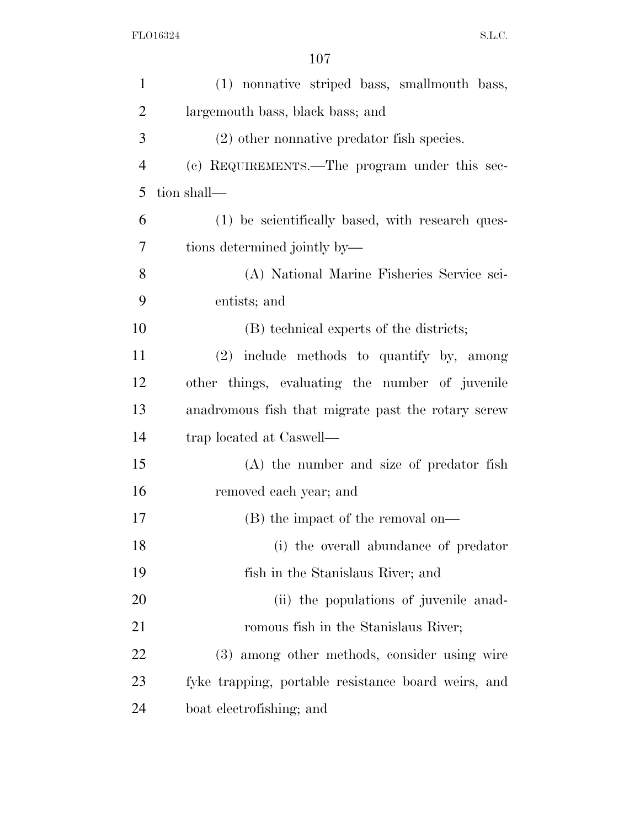| $\mathbf{1}$   | (1) nonnative striped bass, smallmouth bass,        |
|----------------|-----------------------------------------------------|
| $\overline{c}$ | largemouth bass, black bass; and                    |
| 3              | $(2)$ other nonnative predator fish species.        |
| $\overline{4}$ | (c) REQUIREMENTS.—The program under this sec-       |
| 5              | tion shall—                                         |
| 6              | (1) be scientifically based, with research ques-    |
| 7              | tions determined jointly by—                        |
| 8              | (A) National Marine Fisheries Service sci-          |
| 9              | entists; and                                        |
| 10             | (B) technical experts of the districts;             |
| 11             | $(2)$ include methods to quantify by, among         |
| 12             | other things, evaluating the number of juvenile     |
| 13             | anadromous fish that migrate past the rotary screw  |
| 14             | trap located at Caswell—                            |
| 15             | (A) the number and size of predator fish            |
| 16             | removed each year; and                              |
| 17             | (B) the impact of the removal on—                   |
| 18             | (i) the overall abundance of predator               |
| 19             | fish in the Stanislaus River; and                   |
| 20             | (ii) the populations of juvenile anad-              |
| 21             | romous fish in the Stanislaus River;                |
| 22             | (3) among other methods, consider using wire        |
| 23             | fyke trapping, portable resistance board weirs, and |
| 24             | boat electrofishing; and                            |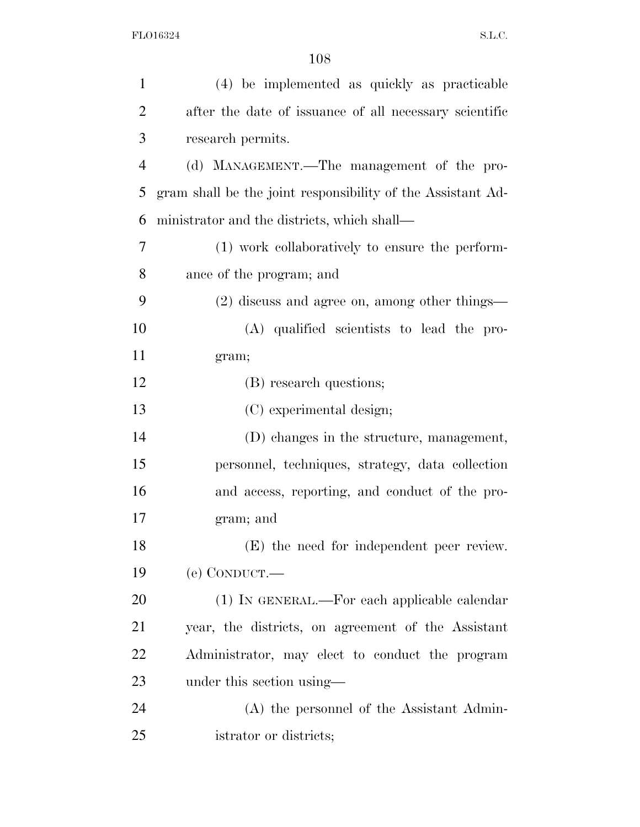| $\mathbf{1}$   | (4) be implemented as quickly as practicable                |
|----------------|-------------------------------------------------------------|
| $\overline{2}$ | after the date of issuance of all necessary scientific      |
| 3              | research permits.                                           |
| $\overline{4}$ | (d) MANAGEMENT.—The management of the pro-                  |
| 5              | gram shall be the joint responsibility of the Assistant Ad- |
| 6              | ministrator and the districts, which shall—                 |
| 7              | (1) work collaboratively to ensure the perform-             |
| 8              | ance of the program; and                                    |
| 9              | (2) discuss and agree on, among other things—               |
| 10             | (A) qualified scientists to lead the pro-                   |
| 11             | gram;                                                       |
| 12             | (B) research questions;                                     |
| 13             | (C) experimental design;                                    |
| 14             | (D) changes in the structure, management,                   |
| 15             | personnel, techniques, strategy, data collection            |
| 16             | and access, reporting, and conduct of the pro-              |
| 17             | gram; and                                                   |
| 18             | (E) the need for independent peer review.                   |
| 19             | $(e)$ CONDUCT.—                                             |
| 20             | (1) IN GENERAL.—For each applicable calendar                |
| 21             | year, the districts, on agreement of the Assistant          |
| 22             | Administrator, may elect to conduct the program             |
| 23             | under this section using—                                   |
| 24             | (A) the personnel of the Assistant Admin-                   |
| 25             | istrator or districts;                                      |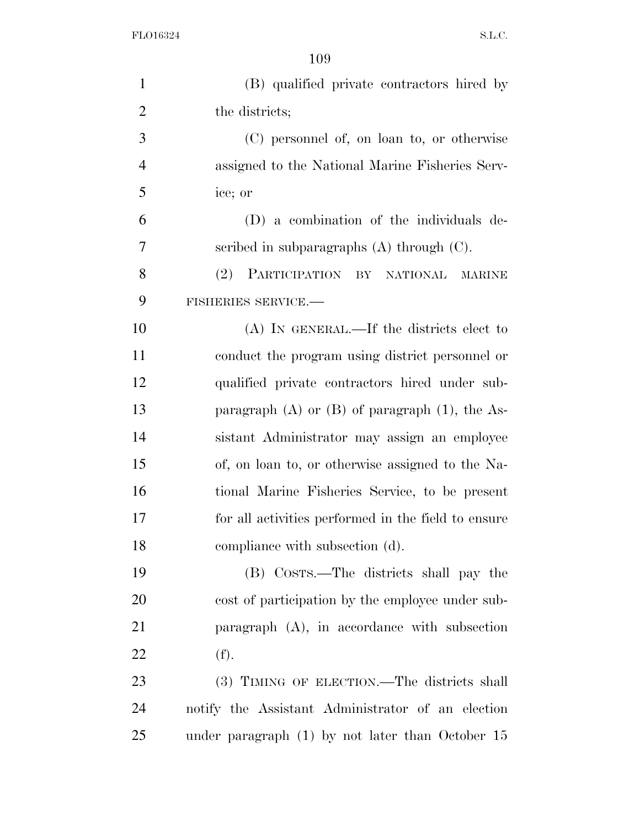| $\mathbf{1}$   | (B) qualified private contractors hired by            |
|----------------|-------------------------------------------------------|
| $\overline{2}$ | the districts;                                        |
| 3              | (C) personnel of, on loan to, or otherwise            |
| $\overline{4}$ | assigned to the National Marine Fisheries Serv-       |
| 5              | ice; or                                               |
| 6              | (D) a combination of the individuals de-              |
| 7              | scribed in subparagraphs $(A)$ through $(C)$ .        |
| 8              | (2)<br>PARTICIPATION BY NATIONAL<br><b>MARINE</b>     |
| 9              | FISHERIES SERVICE.-                                   |
| 10             | $(A)$ In GENERAL.—If the districts elect to           |
| 11             | conduct the program using district personnel or       |
| 12             | qualified private contractors hired under sub-        |
| 13             | paragraph $(A)$ or $(B)$ of paragraph $(1)$ , the As- |
| 14             | sistant Administrator may assign an employee          |
| 15             | of, on loan to, or otherwise assigned to the Na-      |
| 16             | tional Marine Fisheries Service, to be present        |
| 17             | for all activities performed in the field to ensure   |
| 18             | compliance with subsection (d).                       |
| 19             | (B) COSTS.—The districts shall pay the                |
| 20             | cost of participation by the employee under sub-      |
| 21             | paragraph $(A)$ , in accordance with subsection       |
| 22             | (f).                                                  |
| 23             | (3) TIMING OF ELECTION.—The districts shall           |
| 24             | notify the Assistant Administrator of an election     |
| 25             | under paragraph $(1)$ by not later than October 15    |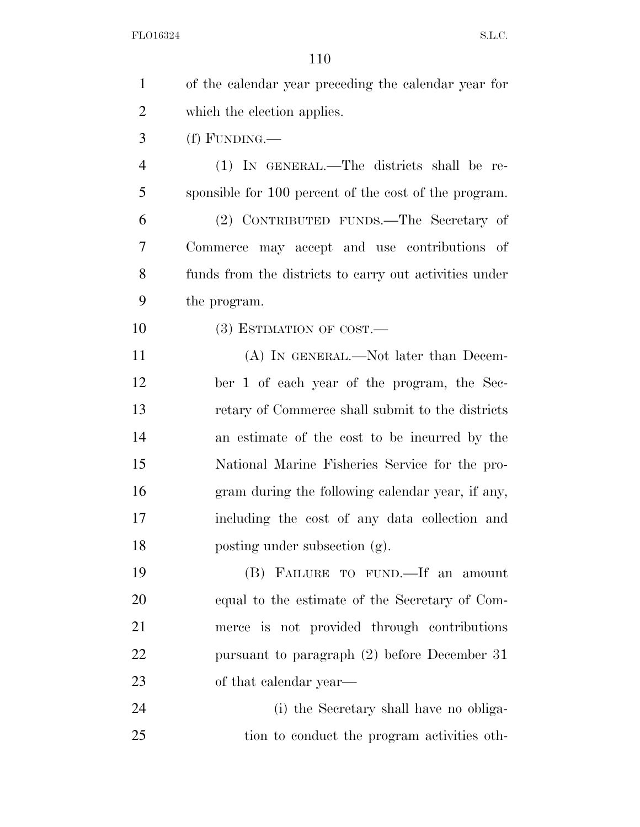| $\mathbf{1}$   | of the calendar year preceding the calendar year for   |
|----------------|--------------------------------------------------------|
| $\overline{2}$ | which the election applies.                            |
| 3              | $(f)$ FUNDING.—                                        |
| $\overline{4}$ | (1) IN GENERAL.—The districts shall be re-             |
| 5              | sponsible for 100 percent of the cost of the program.  |
| 6              | (2) CONTRIBUTED FUNDS.—The Secretary of                |
| 7              | Commerce may accept and use contributions of           |
| 8              | funds from the districts to carry out activities under |
| 9              | the program.                                           |
| 10             | $(3)$ ESTIMATION OF COST.—                             |
| 11             | (A) IN GENERAL.—Not later than Decem-                  |
| 12             | ber 1 of each year of the program, the Sec-            |
| 13             | retary of Commerce shall submit to the districts       |
| 14             | an estimate of the cost to be incurred by the          |
| 15             | National Marine Fisheries Service for the pro-         |
| 16             | gram during the following calendar year, if any,       |
| 17             | including the cost of any data collection and          |
| 18             | posting under subsection (g).                          |
| 19             | (B) FAILURE TO FUND. If an amount                      |
| 20             | equal to the estimate of the Secretary of Com-         |
| 21             | merce is not provided through contributions            |
| 22             | pursuant to paragraph (2) before December 31           |
| 23             | of that calendar year—                                 |
| 24             | (i) the Secretary shall have no obliga-                |
| 25             | tion to conduct the program activities oth-            |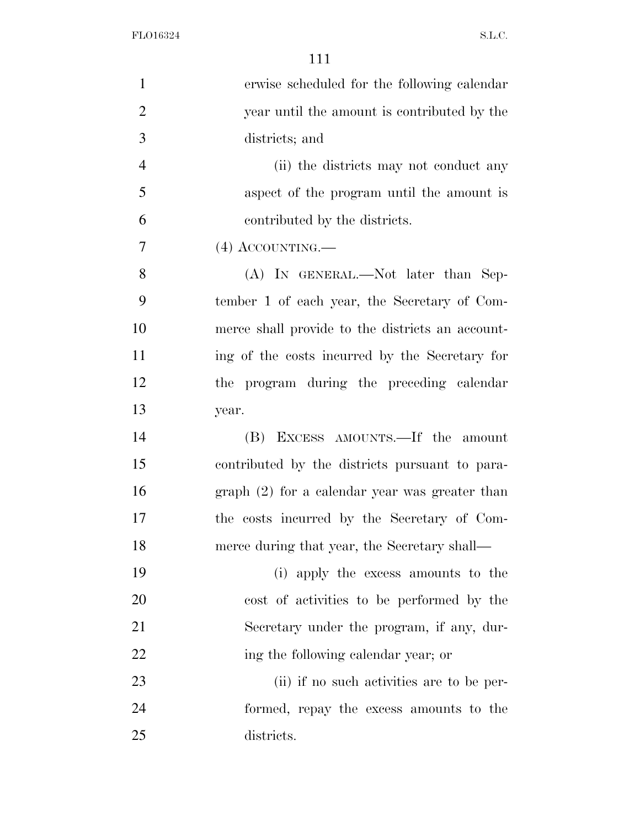| $\mathbf{1}$   | erwise scheduled for the following calendar      |
|----------------|--------------------------------------------------|
| $\overline{2}$ | year until the amount is contributed by the      |
| 3              | districts; and                                   |
| $\overline{4}$ | (ii) the districts may not conduct any           |
| 5              | aspect of the program until the amount is        |
| 6              | contributed by the districts.                    |
| 7              | $(4)$ ACCOUNTING.—                               |
| 8              | (A) IN GENERAL.—Not later than Sep-              |
| 9              | tember 1 of each year, the Secretary of Com-     |
| 10             | merce shall provide to the districts an account- |
| 11             | ing of the costs incurred by the Secretary for   |
| 12             | the program during the preceding calendar        |
| 13             | year.                                            |
| 14             | (B) EXCESS AMOUNTS.—If the amount                |
| 15             | contributed by the districts pursuant to para-   |
| 16             | $graph (2)$ for a calendar year was greater than |
| 17             | the costs incurred by the Secretary of Com-      |
| 18             | merce during that year, the Secretary shall—     |
| 19             | (i) apply the excess amounts to the              |
| 20             | cost of activities to be performed by the        |
| 21             | Secretary under the program, if any, dur-        |
| 22             | ing the following calendar year; or              |
| 23             | (ii) if no such activities are to be per-        |
| 24             | formed, repay the excess amounts to the          |
| 25             | districts.                                       |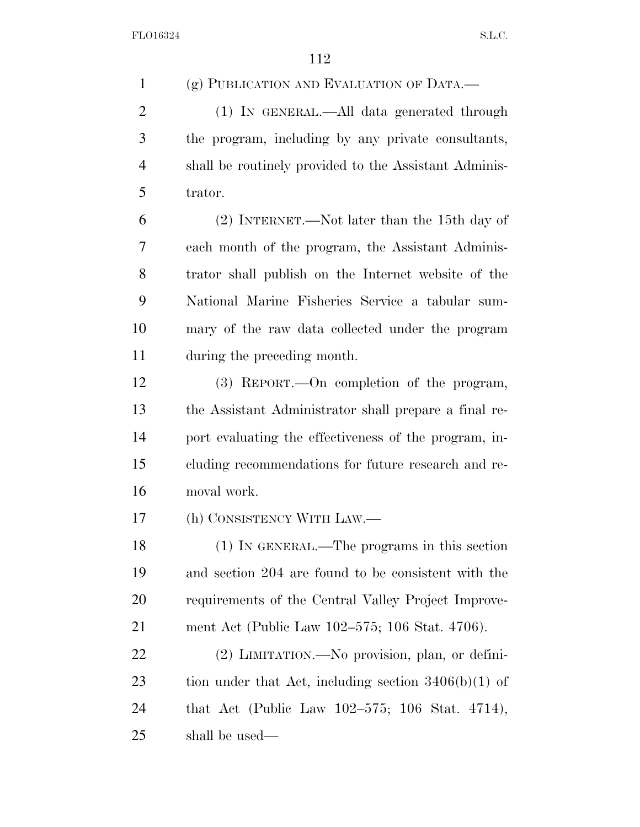(g) PUBLICATION AND EVALUATION OF DATA.— (1) IN GENERAL.—All data generated through the program, including by any private consultants, shall be routinely provided to the Assistant Adminis- trator. (2) INTERNET.—Not later than the 15th day of each month of the program, the Assistant Adminis- trator shall publish on the Internet website of the National Marine Fisheries Service a tabular sum- mary of the raw data collected under the program during the preceding month. (3) REPORT.—On completion of the program, the Assistant Administrator shall prepare a final re- port evaluating the effectiveness of the program, in- cluding recommendations for future research and re- moval work. (h) CONSISTENCY WITH LAW.— (1) IN GENERAL.—The programs in this section and section 204 are found to be consistent with the requirements of the Central Valley Project Improve- ment Act (Public Law 102–575; 106 Stat. 4706). (2) LIMITATION.—No provision, plan, or defini-23 tion under that Act, including section  $3406(b)(1)$  of that Act (Public Law 102–575; 106 Stat. 4714), shall be used—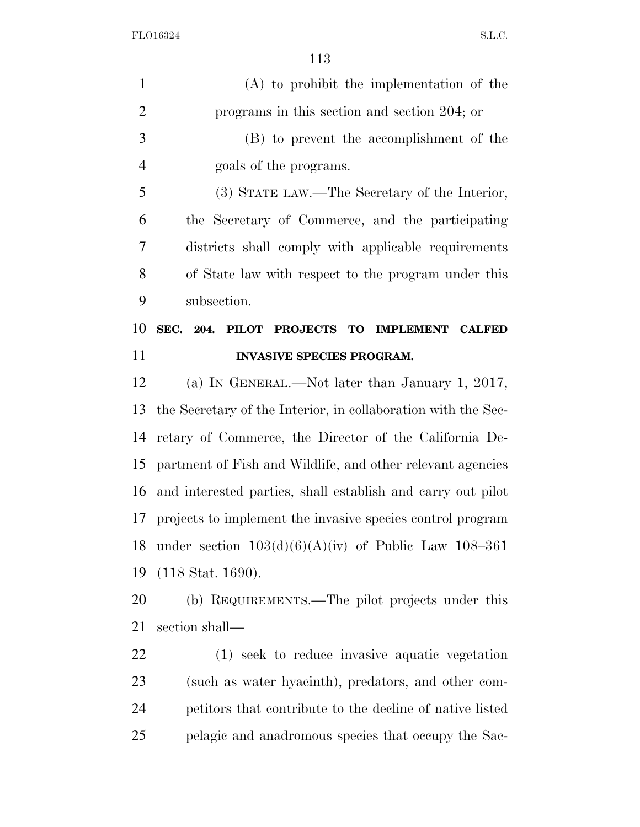| $\mathbf{1}$   | $(A)$ to prohibit the implementation of the                   |
|----------------|---------------------------------------------------------------|
| $\overline{2}$ | programs in this section and section 204; or                  |
| 3              | (B) to prevent the accomplishment of the                      |
| $\overline{4}$ | goals of the programs.                                        |
| 5              | (3) STATE LAW.—The Secretary of the Interior,                 |
| 6              | the Secretary of Commerce, and the participating              |
| $\overline{7}$ | districts shall comply with applicable requirements           |
| 8              | of State law with respect to the program under this           |
| 9              | subsection.                                                   |
| 10             | SEC. 204. PILOT PROJECTS TO IMPLEMENT CALFED                  |
| 11             | <b>INVASIVE SPECIES PROGRAM.</b>                              |
| 12             | (a) IN GENERAL.—Not later than January 1, 2017,               |
| 13             | the Secretary of the Interior, in collaboration with the Sec- |
| 14             | retary of Commerce, the Director of the California De-        |
| 15             | partment of Fish and Wildlife, and other relevant agencies    |
| 16             | and interested parties, shall establish and carry out pilot   |
| 17             | projects to implement the invasive species control program    |
| 18             | under section $103(d)(6)(A)(iv)$ of Public Law 108-361        |
| 19             | $(118 \text{ Stat. } 1690).$                                  |
| 20             | (b) REQUIREMENTS.—The pilot projects under this               |
| 21             | section shall—                                                |
| 22             | (1) seek to reduce invasive aquatic vegetation                |
| 23             | (such as water hyacinth), predators, and other com-           |
| 24             | petitors that contribute to the decline of native listed      |
| 25             | pelagic and anadromous species that occupy the Sac-           |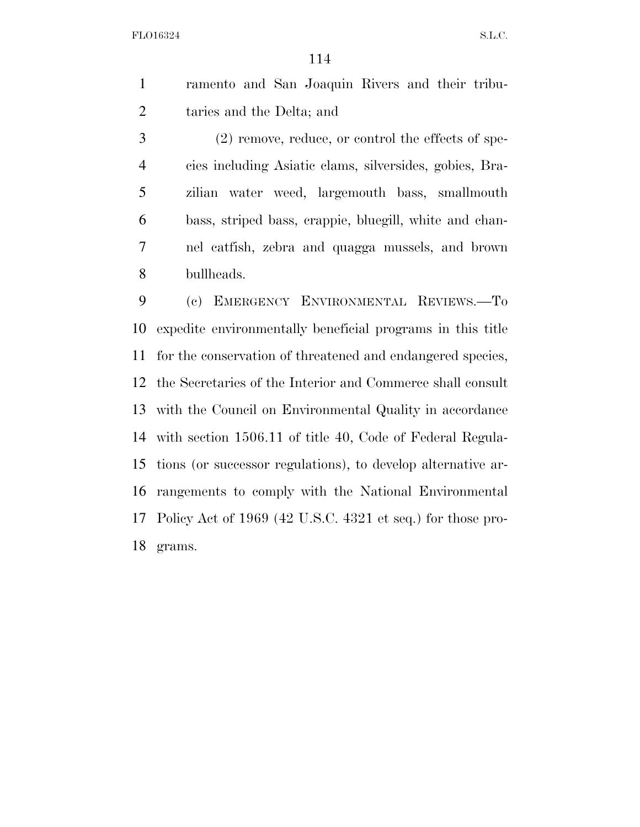ramento and San Joaquin Rivers and their tribu-taries and the Delta; and

 (2) remove, reduce, or control the effects of spe- cies including Asiatic clams, silversides, gobies, Bra- zilian water weed, largemouth bass, smallmouth bass, striped bass, crappie, bluegill, white and chan- nel catfish, zebra and quagga mussels, and brown bullheads.

 (c) EMERGENCY ENVIRONMENTAL REVIEWS.—To expedite environmentally beneficial programs in this title for the conservation of threatened and endangered species, the Secretaries of the Interior and Commerce shall consult with the Council on Environmental Quality in accordance with section 1506.11 of title 40, Code of Federal Regula- tions (or successor regulations), to develop alternative ar- rangements to comply with the National Environmental Policy Act of 1969 (42 U.S.C. 4321 et seq.) for those pro-grams.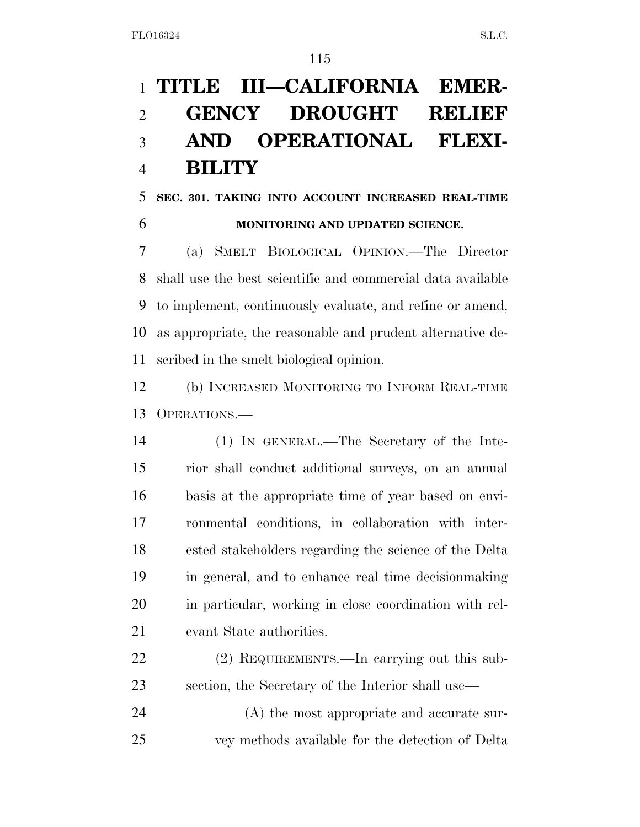# **TITLE III—CALIFORNIA EMER- GENCY DROUGHT RELIEF AND OPERATIONAL FLEXI-BILITY**

## **SEC. 301. TAKING INTO ACCOUNT INCREASED REAL-TIME MONITORING AND UPDATED SCIENCE.**

 (a) SMELT BIOLOGICAL OPINION.—The Director shall use the best scientific and commercial data available to implement, continuously evaluate, and refine or amend, as appropriate, the reasonable and prudent alternative de-scribed in the smelt biological opinion.

 (b) INCREASED MONITORING TO INFORM REAL-TIME OPERATIONS.—

 (1) IN GENERAL.—The Secretary of the Inte- rior shall conduct additional surveys, on an annual basis at the appropriate time of year based on envi- ronmental conditions, in collaboration with inter- ested stakeholders regarding the science of the Delta in general, and to enhance real time decisionmaking in particular, working in close coordination with rel-evant State authorities.

 (2) REQUIREMENTS.—In carrying out this sub-section, the Secretary of the Interior shall use—

 (A) the most appropriate and accurate sur-vey methods available for the detection of Delta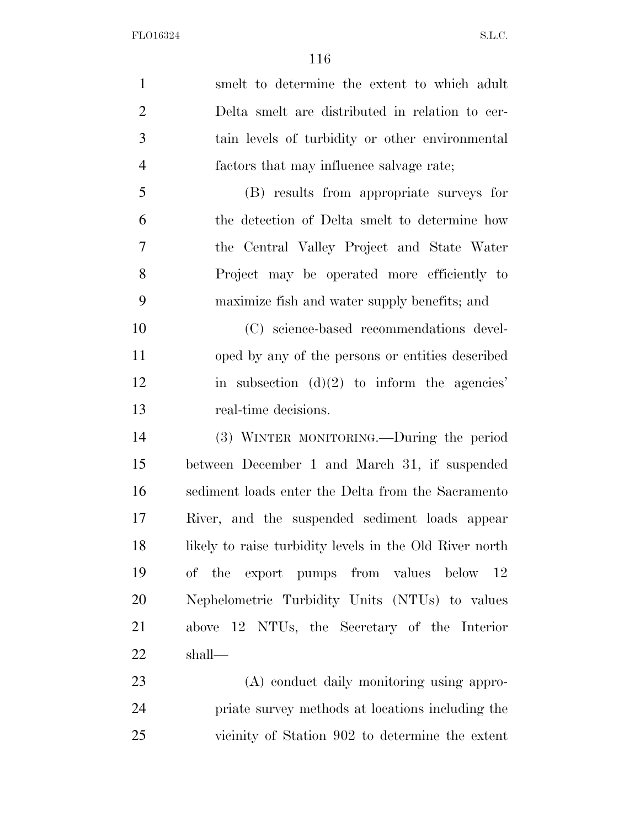smelt to determine the extent to which adult Delta smelt are distributed in relation to cer- tain levels of turbidity or other environmental factors that may influence salvage rate; (B) results from appropriate surveys for the detection of Delta smelt to determine how the Central Valley Project and State Water Project may be operated more efficiently to maximize fish and water supply benefits; and (C) science-based recommendations devel- oped by any of the persons or entities described 12 in subsection  $(d)(2)$  to inform the agencies' real-time decisions. (3) WINTER MONITORING.—During the period between December 1 and March 31, if suspended sediment loads enter the Delta from the Sacramento River, and the suspended sediment loads appear likely to raise turbidity levels in the Old River north of the export pumps from values below 12 Nephelometric Turbidity Units (NTUs) to values above 12 NTUs, the Secretary of the Interior shall— (A) conduct daily monitoring using appro-

 priate survey methods at locations including the vicinity of Station 902 to determine the extent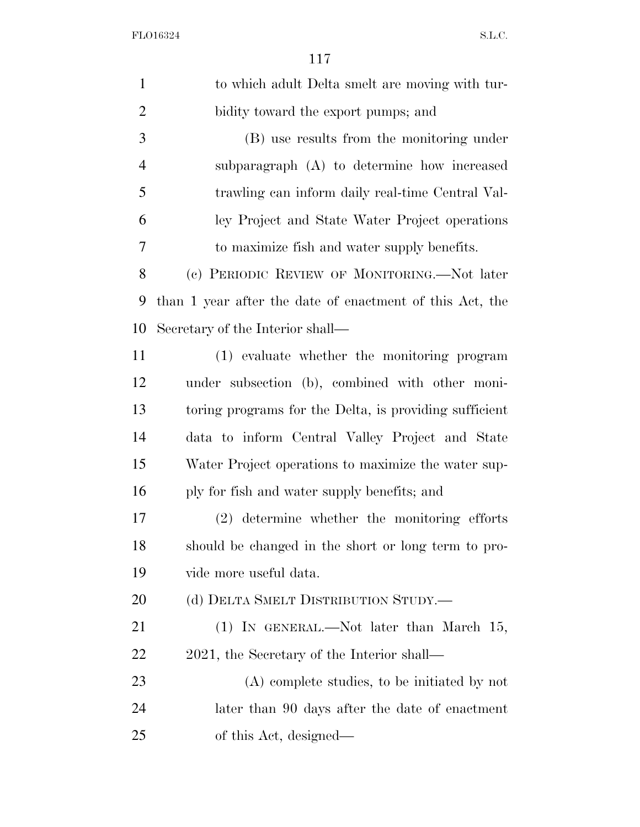| $\mathbf{1}$   | to which adult Delta smelt are moving with tur-          |
|----------------|----------------------------------------------------------|
| $\overline{2}$ | bidity toward the export pumps; and                      |
| 3              | (B) use results from the monitoring under                |
| $\overline{4}$ | subparagraph (A) to determine how increased              |
| 5              | trawling can inform daily real-time Central Val-         |
| 6              | ley Project and State Water Project operations           |
| 7              | to maximize fish and water supply benefits.              |
| 8              | (c) PERIODIC REVIEW OF MONITORING.—Not later             |
| 9              | than 1 year after the date of enactment of this Act, the |
| 10             | Secretary of the Interior shall—                         |
| 11             | (1) evaluate whether the monitoring program              |
| 12             | under subsection (b), combined with other moni-          |
| 13             | toring programs for the Delta, is providing sufficient   |
| 14             | data to inform Central Valley Project and State          |
| 15             | Water Project operations to maximize the water sup-      |
| 16             | ply for fish and water supply benefits; and              |
| 17             | (2) determine whether the monitoring efforts             |
| 18             | should be changed in the short or long term to pro-      |
| 19             | vide more useful data.                                   |
| 20             | (d) DELTA SMELT DISTRIBUTION STUDY.                      |
| 21             | $(1)$ IN GENERAL.—Not later than March 15,               |
| 22             | 2021, the Secretary of the Interior shall—               |
| 23             | (A) complete studies, to be initiated by not             |
| 24             | later than 90 days after the date of enactment           |
| 25             | of this Act, designed—                                   |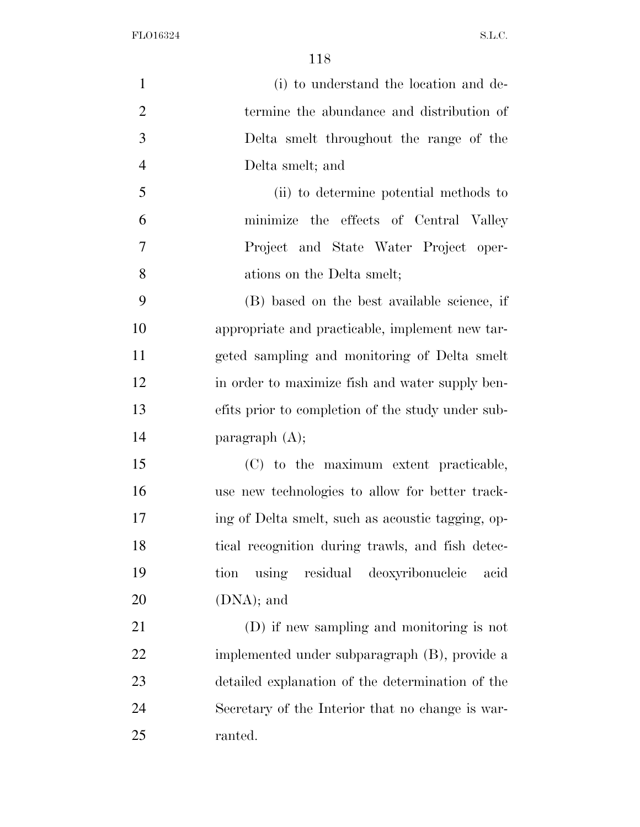| $\mathbf{1}$   | (i) to understand the location and de-            |
|----------------|---------------------------------------------------|
| $\overline{2}$ | termine the abundance and distribution of         |
| 3              | Delta smelt throughout the range of the           |
| $\overline{4}$ | Delta smelt; and                                  |
| 5              | (ii) to determine potential methods to            |
| 6              | minimize the effects of Central Valley            |
| $\overline{7}$ | Project and State Water Project oper-             |
| 8              | ations on the Delta smelt;                        |
| 9              | (B) based on the best available science, if       |
| 10             | appropriate and practicable, implement new tar-   |
| 11             | geted sampling and monitoring of Delta smelt      |
| 12             | in order to maximize fish and water supply ben-   |
| 13             | efits prior to completion of the study under sub- |
| 14             | paragraph $(A)$ ;                                 |
| 15             | (C) to the maximum extent practicable,            |
| 16             | use new technologies to allow for better track-   |
| 17             | ing of Delta smelt, such as acoustic tagging, op- |
| 18             | tical recognition during trawls, and fish detec-  |
| 19             | using residual deoxyribonucleic<br>tion<br>acid   |
| 20             | $(DNA)$ ; and                                     |
| 21             | (D) if new sampling and monitoring is not         |
| 22             | implemented under subparagraph (B), provide a     |
| 23             | detailed explanation of the determination of the  |
| 24             | Secretary of the Interior that no change is war-  |
| 25             | ranted.                                           |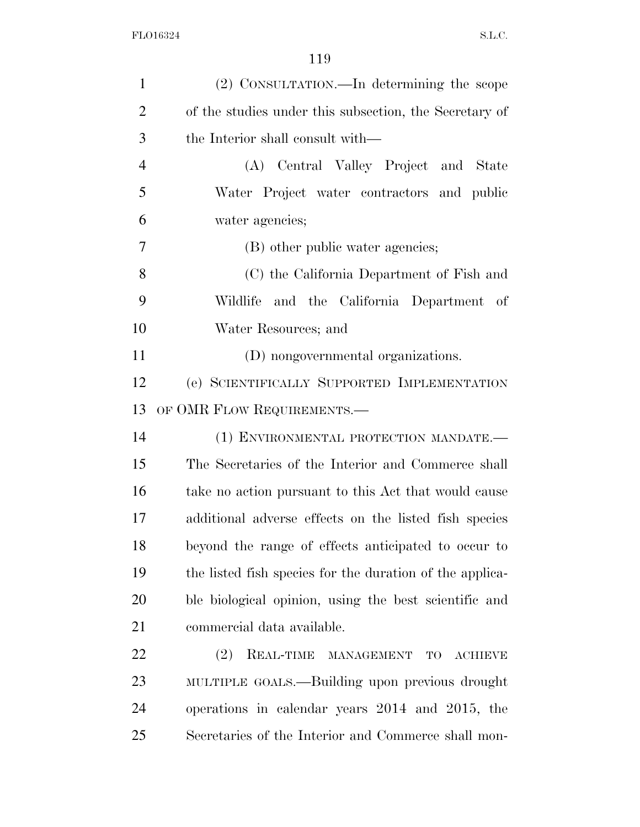| $\mathbf{1}$   | (2) CONSULTATION.—In determining the scope               |
|----------------|----------------------------------------------------------|
| $\overline{2}$ | of the studies under this subsection, the Secretary of   |
| 3              | the Interior shall consult with—                         |
| $\overline{4}$ | (A) Central Valley Project and State                     |
| 5              | Water Project water contractors and public               |
| 6              | water agencies;                                          |
| 7              | (B) other public water agencies;                         |
| 8              | (C) the California Department of Fish and                |
| 9              | Wildlife and the California Department of                |
| 10             | Water Resources; and                                     |
| 11             | (D) nongovernmental organizations.                       |
| 12             | (e) SCIENTIFICALLY SUPPORTED IMPLEMENTATION              |
| 13             | OF OMR FLOW REQUIREMENTS.—                               |
| 14             | (1) ENVIRONMENTAL PROTECTION MANDATE.-                   |
| 15             | The Secretaries of the Interior and Commerce shall       |
| 16             | take no action pursuant to this Act that would cause     |
| 17             | additional adverse effects on the listed fish species    |
| 18             | beyond the range of effects anticipated to occur to      |
| 19             | the listed fish species for the duration of the applica- |
| 20             | ble biological opinion, using the best scientific and    |
| 21             | commercial data available.                               |
| 22             | (2)<br>REAL-TIME MANAGEMENT<br>TO<br><b>ACHIEVE</b>      |
| 23             | MULTIPLE GOALS.—Building upon previous drought           |
| 24             | operations in calendar years 2014 and 2015, the          |
| 25             | Secretaries of the Interior and Commerce shall mon-      |
|                |                                                          |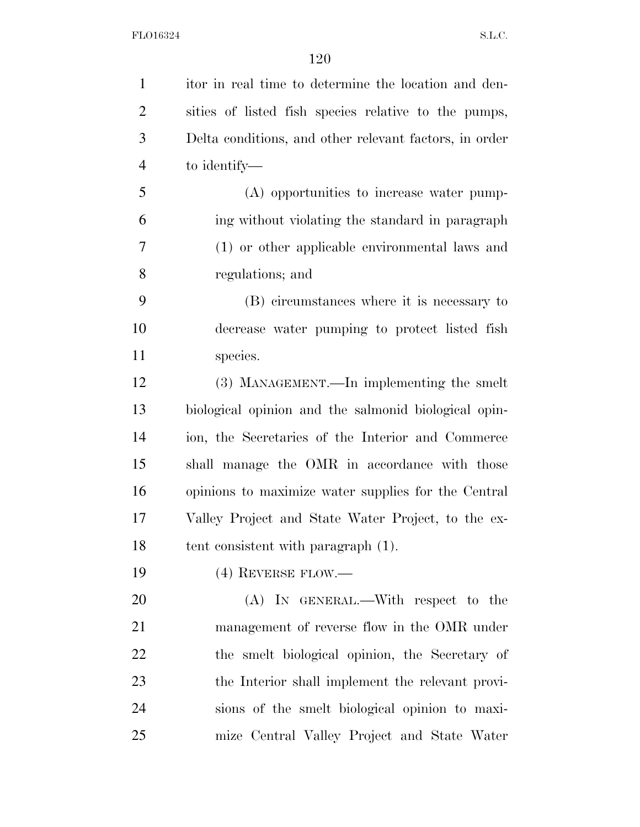itor in real time to determine the location and den- sities of listed fish species relative to the pumps, Delta conditions, and other relevant factors, in order to identify— (A) opportunities to increase water pump- ing without violating the standard in paragraph (1) or other applicable environmental laws and regulations; and (B) circumstances where it is necessary to decrease water pumping to protect listed fish 11 species. (3) MANAGEMENT.—In implementing the smelt biological opinion and the salmonid biological opin- ion, the Secretaries of the Interior and Commerce shall manage the OMR in accordance with those opinions to maximize water supplies for the Central Valley Project and State Water Project, to the ex- tent consistent with paragraph (1). (4) REVERSE FLOW.— 20 (A) IN GENERAL.—With respect to the management of reverse flow in the OMR under the smelt biological opinion, the Secretary of the Interior shall implement the relevant provi- sions of the smelt biological opinion to maxi-mize Central Valley Project and State Water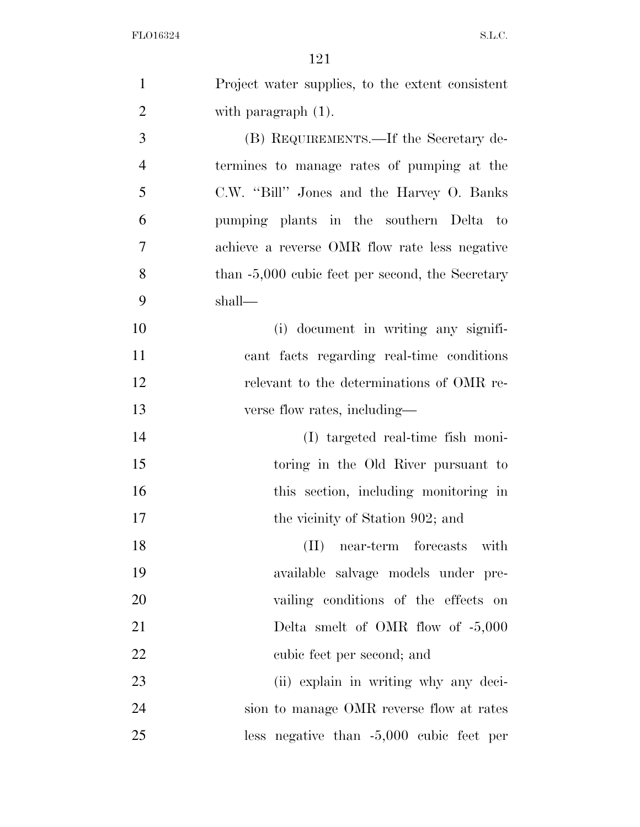| $\mathbf{1}$   | Project water supplies, to the extent consistent   |
|----------------|----------------------------------------------------|
| $\overline{2}$ | with paragraph $(1)$ .                             |
| 3              | (B) REQUIREMENTS.—If the Secretary de-             |
| $\overline{4}$ | termines to manage rates of pumping at the         |
| 5              | C.W. "Bill" Jones and the Harvey O. Banks          |
| 6              | pumping plants in the southern Delta to            |
| 7              | achieve a reverse OMR flow rate less negative      |
| 8              | than $-5,000$ cubic feet per second, the Secretary |
| 9              | shall—                                             |
| 10             | (i) document in writing any signifi-               |
| 11             | cant facts regarding real-time conditions          |
| 12             | relevant to the determinations of OMR re-          |
| 13             | verse flow rates, including—                       |
| 14             | (I) targeted real-time fish moni-                  |
| 15             | toring in the Old River pursuant to                |
| 16             | this section, including monitoring in              |
| 17             | the vicinity of Station 902; and                   |
| 18             | (II) near-term forecasts with                      |
| 19             | available salvage models under pre-                |
| 20             | vailing conditions of the effects on               |
| 21             | Delta smelt of OMR flow of $-5,000$                |
| 22             | cubic feet per second; and                         |
| 23             | (ii) explain in writing why any deci-              |
| 24             | sion to manage OMR reverse flow at rates           |
| $25\,$         | less negative than $-5,000$ cubic feet per         |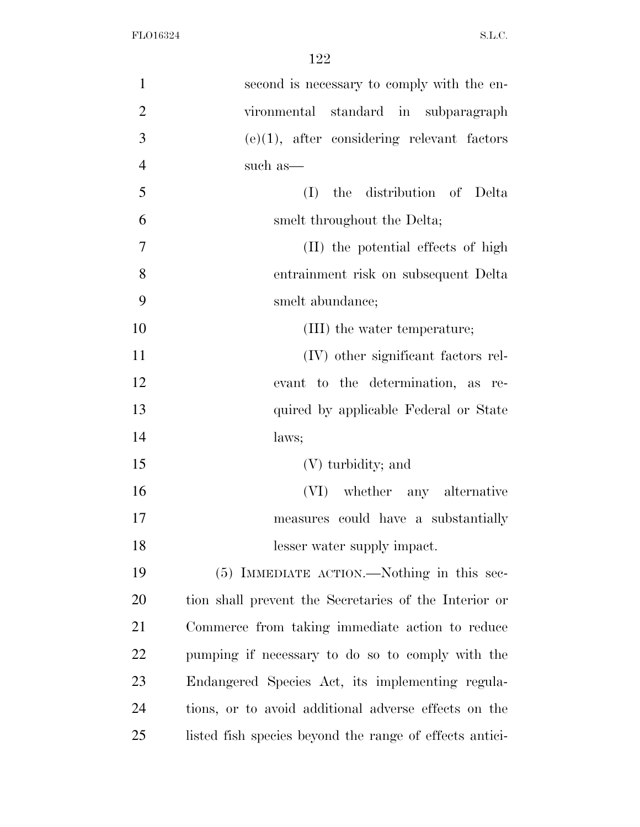| $\mathbf{1}$   | second is necessary to comply with the en-              |
|----------------|---------------------------------------------------------|
| $\overline{2}$ | vironmental standard in subparagraph                    |
| 3              | $(e)(1)$ , after considering relevant factors           |
| $\overline{4}$ | such as—                                                |
| 5              | the distribution of Delta<br>(I)                        |
| 6              | smelt throughout the Delta;                             |
| 7              | (II) the potential effects of high                      |
| 8              | entrainment risk on subsequent Delta                    |
| 9              | smelt abundance;                                        |
| 10             | (III) the water temperature;                            |
| 11             | (IV) other significant factors rel-                     |
| 12             | evant to the determination, as re-                      |
| 13             | quired by applicable Federal or State                   |
| 14             | laws;                                                   |
| 15             | (V) turbidity; and                                      |
| 16             | (VI) whether any alternative                            |
| 17             | measures could have a substantially                     |
| 18             | lesser water supply impact.                             |
| 19             | (5) IMMEDIATE ACTION.—Nothing in this sec-              |
| 20             | tion shall prevent the Secretaries of the Interior or   |
| 21             | Commerce from taking immediate action to reduce         |
| 22             | pumping if necessary to do so to comply with the        |
| 23             | Endangered Species Act, its implementing regula-        |
| 24             | tions, or to avoid additional adverse effects on the    |
| 25             | listed fish species beyond the range of effects antici- |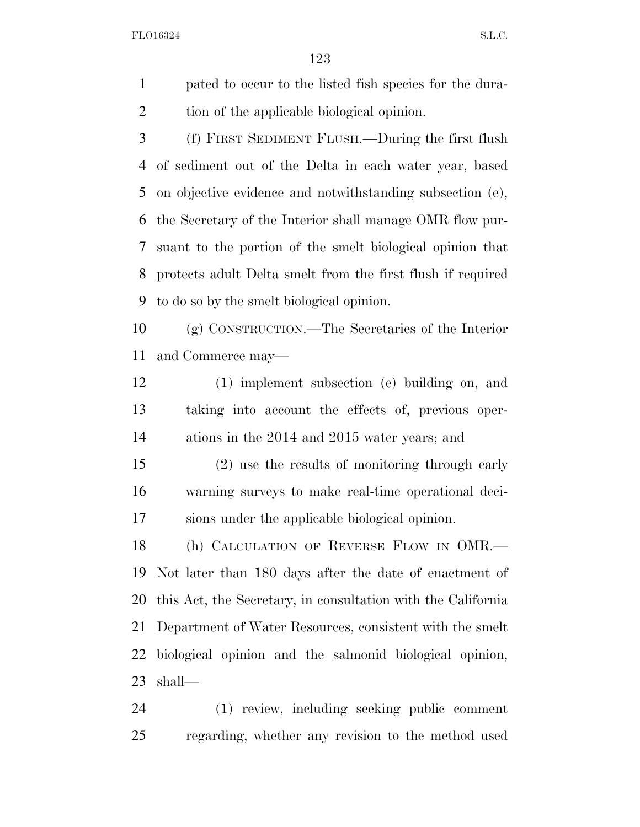pated to occur to the listed fish species for the dura-tion of the applicable biological opinion.

 (f) FIRST SEDIMENT FLUSH.—During the first flush of sediment out of the Delta in each water year, based on objective evidence and notwithstanding subsection (e), the Secretary of the Interior shall manage OMR flow pur- suant to the portion of the smelt biological opinion that protects adult Delta smelt from the first flush if required to do so by the smelt biological opinion.

 (g) CONSTRUCTION.—The Secretaries of the Interior and Commerce may—

 (1) implement subsection (e) building on, and taking into account the effects of, previous oper-ations in the 2014 and 2015 water years; and

 (2) use the results of monitoring through early warning surveys to make real-time operational deci-sions under the applicable biological opinion.

18 (h) CALCULATION OF REVERSE FLOW IN OMR.— Not later than 180 days after the date of enactment of this Act, the Secretary, in consultation with the California Department of Water Resources, consistent with the smelt biological opinion and the salmonid biological opinion, shall—

 (1) review, including seeking public comment regarding, whether any revision to the method used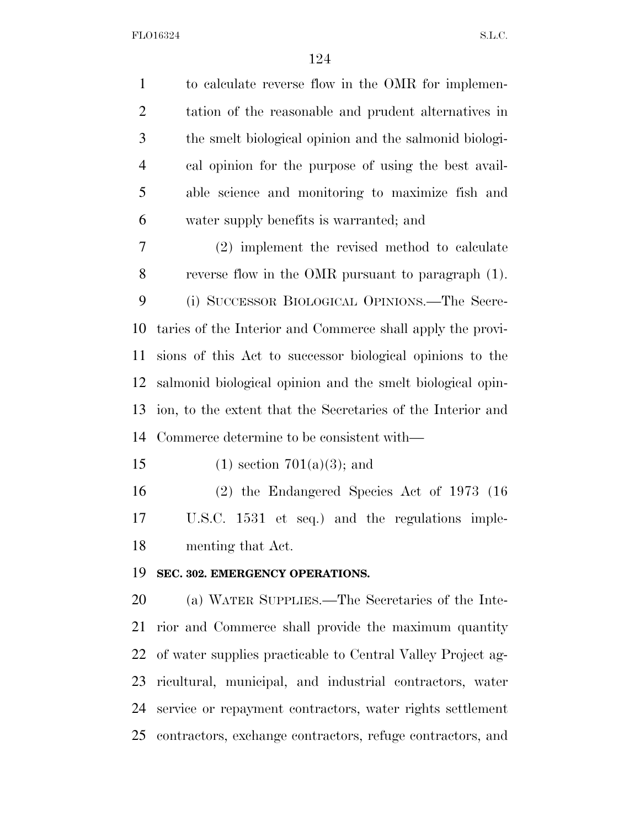| $\mathbf{1}$   | to calculate reverse flow in the OMR for implemen-          |
|----------------|-------------------------------------------------------------|
| $\overline{2}$ | tation of the reasonable and prudent alternatives in        |
| 3              | the smelt biological opinion and the salmonid biologi-      |
| 4              | cal opinion for the purpose of using the best avail-        |
| 5              | able science and monitoring to maximize fish and            |
| 6              | water supply benefits is warranted; and                     |
| 7              | (2) implement the revised method to calculate               |
| 8              | reverse flow in the OMR pursuant to paragraph (1).          |
| 9              | (i) SUCCESSOR BIOLOGICAL OPINIONS.—The Secre-               |
| 10             | taries of the Interior and Commerce shall apply the provi-  |
| 11             | sions of this Act to successor biological opinions to the   |
| 12             | salmonid biological opinion and the smelt biological opin-  |
| 13             | ion, to the extent that the Secretaries of the Interior and |
| 14             | Commerce determine to be consistent with—                   |
| 15             | $(1)$ section $701(a)(3)$ ; and                             |
| 16             | $(2)$ the Endangered Species Act of 1973 (16)               |
| 17             | U.S.C. 1531 et seq.) and the regulations imple-             |
| 18             | menting that Act.                                           |
| 19             | SEC. 302. EMERGENCY OPERATIONS.                             |
| 20             | (a) WATER SUPPLIES.—The Secretaries of the Inte-            |
| 21             | rior and Commerce shall provide the maximum quantity        |
| 22             | of water supplies practicable to Central Valley Project ag- |
| 23             | ricultural, municipal, and industrial contractors, water    |
| 24             | service or repayment contractors, water rights settlement   |
| 25             | contractors, exchange contractors, refuge contractors, and  |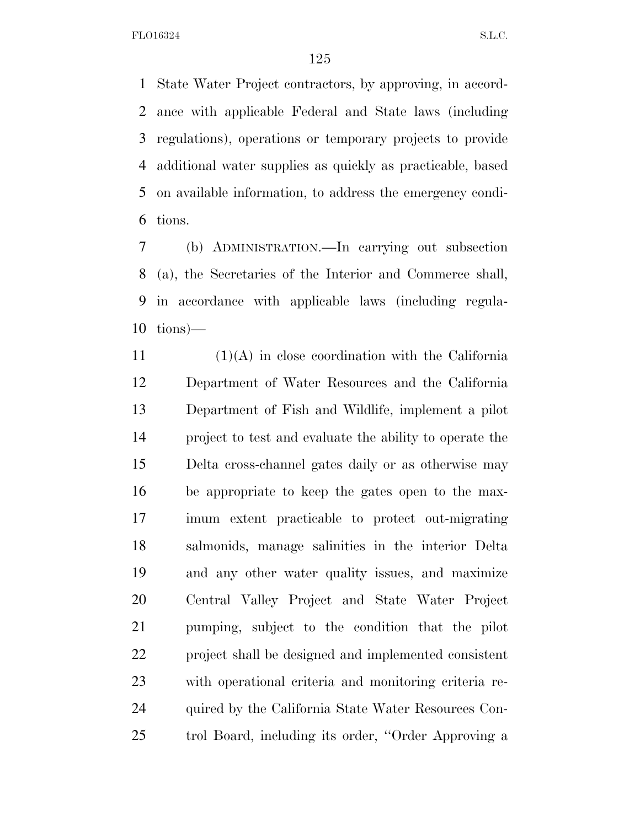State Water Project contractors, by approving, in accord- ance with applicable Federal and State laws (including regulations), operations or temporary projects to provide additional water supplies as quickly as practicable, based on available information, to address the emergency condi-tions.

 (b) ADMINISTRATION.—In carrying out subsection (a), the Secretaries of the Interior and Commerce shall, in accordance with applicable laws (including regula-tions)—

 (1)(A) in close coordination with the California Department of Water Resources and the California Department of Fish and Wildlife, implement a pilot project to test and evaluate the ability to operate the Delta cross-channel gates daily or as otherwise may be appropriate to keep the gates open to the max- imum extent practicable to protect out-migrating salmonids, manage salinities in the interior Delta and any other water quality issues, and maximize Central Valley Project and State Water Project pumping, subject to the condition that the pilot project shall be designed and implemented consistent with operational criteria and monitoring criteria re- quired by the California State Water Resources Con-trol Board, including its order, ''Order Approving a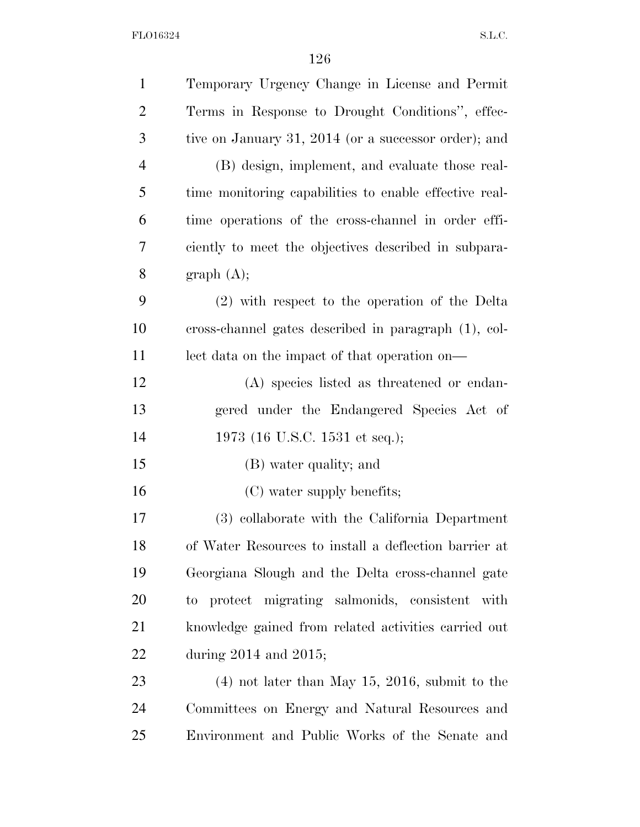| $\mathbf{1}$   | Temporary Urgency Change in License and Permit         |
|----------------|--------------------------------------------------------|
| $\overline{2}$ | Terms in Response to Drought Conditions", effec-       |
| 3              | tive on January 31, 2014 (or a successor order); and   |
| 4              | (B) design, implement, and evaluate those real-        |
| 5              | time monitoring capabilities to enable effective real- |
| 6              | time operations of the cross-channel in order effi-    |
| 7              | ciently to meet the objectives described in subpara-   |
| 8              | graph (A);                                             |
| 9              | (2) with respect to the operation of the Delta         |
| 10             | cross-channel gates described in paragraph (1), col-   |
| 11             | lect data on the impact of that operation on—          |
| 12             | (A) species listed as threatened or endan-             |
| 13             | gered under the Endangered Species Act of              |
| 14             | 1973 (16 U.S.C. 1531 et seq.);                         |
| 15             | (B) water quality; and                                 |
| 16             | (C) water supply benefits;                             |
| 17             | (3) collaborate with the California Department         |
| 18             | of Water Resources to install a deflection barrier at  |
| 19             | Georgiana Slough and the Delta cross-channel gate      |
| 20             | to protect migrating salmonids, consistent with        |
| <u>21</u>      | knowledge gained from related activities carried out   |
| 22             | during $2014$ and $2015$ ;                             |
| 23             | $(4)$ not later than May 15, 2016, submit to the       |
| 24             | Committees on Energy and Natural Resources and         |
| 25             | Environment and Public Works of the Senate and         |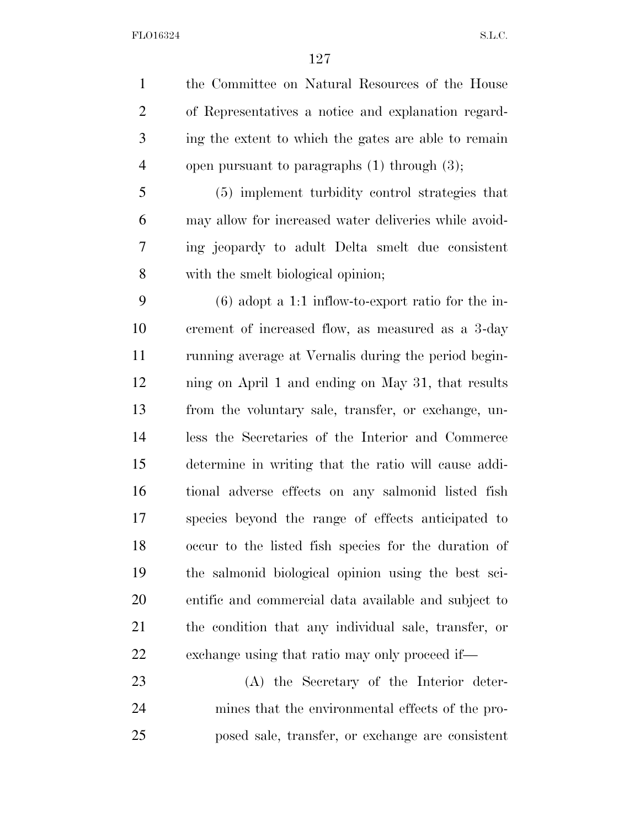the Committee on Natural Resources of the House of Representatives a notice and explanation regard- ing the extent to which the gates are able to remain open pursuant to paragraphs (1) through (3);

 (5) implement turbidity control strategies that may allow for increased water deliveries while avoid- ing jeopardy to adult Delta smelt due consistent with the smelt biological opinion;

 (6) adopt a 1:1 inflow-to-export ratio for the in- crement of increased flow, as measured as a 3-day running average at Vernalis during the period begin- ning on April 1 and ending on May 31, that results from the voluntary sale, transfer, or exchange, un- less the Secretaries of the Interior and Commerce determine in writing that the ratio will cause addi- tional adverse effects on any salmonid listed fish species beyond the range of effects anticipated to occur to the listed fish species for the duration of the salmonid biological opinion using the best sci- entific and commercial data available and subject to the condition that any individual sale, transfer, or exchange using that ratio may only proceed if—

 (A) the Secretary of the Interior deter- mines that the environmental effects of the pro-posed sale, transfer, or exchange are consistent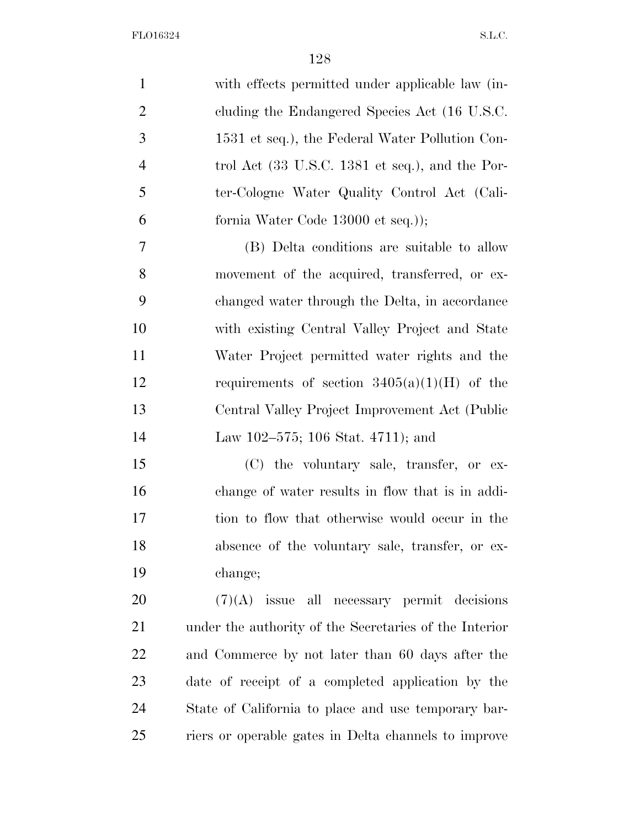| $\mathbf{1}$   | with effects permitted under applicable law (in-                   |
|----------------|--------------------------------------------------------------------|
| $\overline{2}$ | cluding the Endangered Species Act (16 U.S.C.                      |
| 3              | 1531 et seq.), the Federal Water Pollution Con-                    |
| $\overline{4}$ | trol Act $(33 \text{ U.S.C. } 1381 \text{ et seq.}),$ and the Por- |
| 5              | ter-Cologne Water Quality Control Act (Cali-                       |
| 6              | fornia Water Code 13000 et seq.));                                 |
| 7              | (B) Delta conditions are suitable to allow                         |
| 8              | movement of the acquired, transferred, or ex-                      |
| 9              | changed water through the Delta, in accordance                     |
| 10             | with existing Central Valley Project and State                     |
| 11             | Water Project permitted water rights and the                       |
| 12             | requirements of section $3405(a)(1)(H)$ of the                     |
| 13             | Central Valley Project Improvement Act (Public                     |
| 14             | Law 102–575; 106 Stat. 4711); and                                  |
| 15             | (C) the voluntary sale, transfer, or ex-                           |
| 16             | change of water results in flow that is in addi-                   |
| 17             | tion to flow that otherwise would occur in the                     |
| 18             | absence of the voluntary sale, transfer, or ex-                    |
| 19             | change;                                                            |
| 20             | $(7)(A)$ issue all necessary permit decisions                      |
| 21             | under the authority of the Secretaries of the Interior             |
| 22             | and Commerce by not later than 60 days after the                   |
| 23             | date of receipt of a completed application by the                  |
| 24             | State of California to place and use temporary bar-                |
| 25             | riers or operable gates in Delta channels to improve               |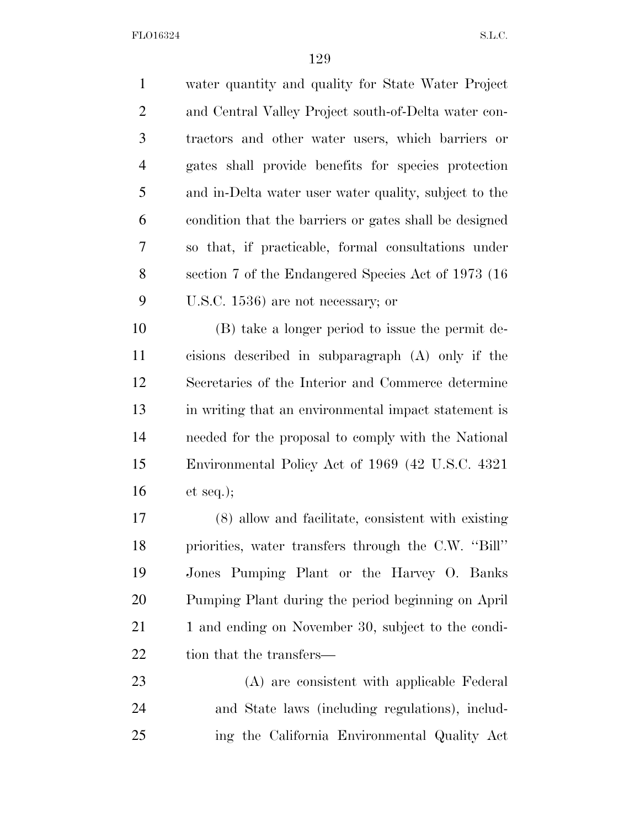water quantity and quality for State Water Project and Central Valley Project south-of-Delta water con- tractors and other water users, which barriers or gates shall provide benefits for species protection and in-Delta water user water quality, subject to the condition that the barriers or gates shall be designed so that, if practicable, formal consultations under section 7 of the Endangered Species Act of 1973 (16 U.S.C. 1536) are not necessary; or (B) take a longer period to issue the permit de- cisions described in subparagraph (A) only if the Secretaries of the Interior and Commerce determine in writing that an environmental impact statement is needed for the proposal to comply with the National Environmental Policy Act of 1969 (42 U.S.C. 4321 et seq.); (8) allow and facilitate, consistent with existing priorities, water transfers through the C.W. ''Bill'' Jones Pumping Plant or the Harvey O. Banks Pumping Plant during the period beginning on April

21 1 and ending on November 30, subject to the condi-22 tion that the transfers—

 (A) are consistent with applicable Federal and State laws (including regulations), includ-ing the California Environmental Quality Act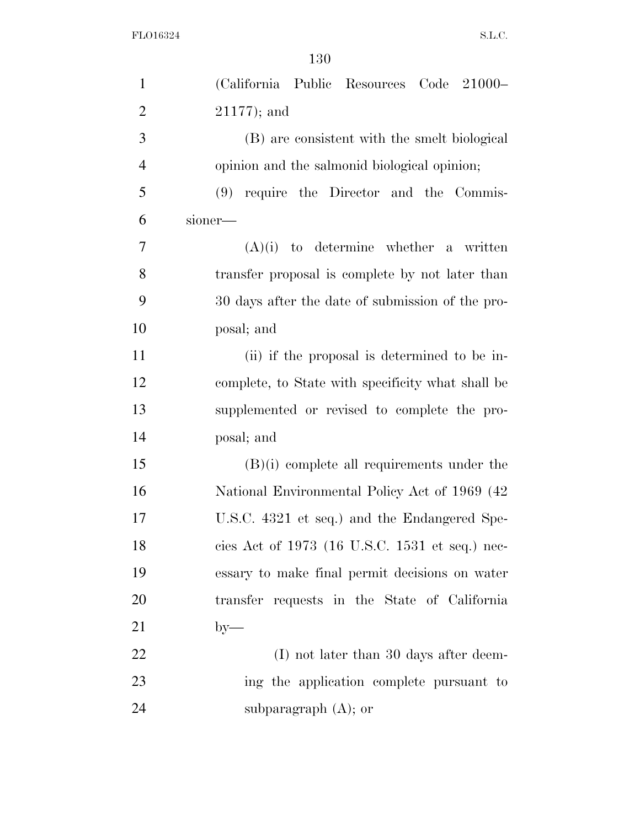| $\mathbf{1}$   | (California Public Resources Code 21000-          |
|----------------|---------------------------------------------------|
| $\overline{2}$ | $21177$ ; and                                     |
| 3              | (B) are consistent with the smelt biological      |
| $\overline{4}$ | opinion and the salmonid biological opinion;      |
| 5              | $(9)$ require the Director and the Commis-        |
| 6              | sioner—                                           |
| 7              | $(A)(i)$ to determine whether a written           |
| 8              | transfer proposal is complete by not later than   |
| 9              | 30 days after the date of submission of the pro-  |
| 10             | posal; and                                        |
| 11             | (ii) if the proposal is determined to be in-      |
| 12             | complete, to State with specificity what shall be |
| 13             | supplemented or revised to complete the pro-      |
| 14             | posal; and                                        |
| 15             | $(B)(i)$ complete all requirements under the      |
| 16             | National Environmental Policy Act of 1969 (42)    |
| 17             | U.S.C. 4321 et seq.) and the Endangered Spe-      |
| 18             | cies Act of 1973 (16 U.S.C. 1531 et seq.) nec-    |
| 19             | essary to make final permit decisions on water    |
| 20             | transfer requests in the State of California      |
| 21             | $by-$                                             |
| 22             | $(I)$ not later than 30 days after deem-          |
| 23             | ing the application complete pursuant to          |
| 24             | subparagraph $(A)$ ; or                           |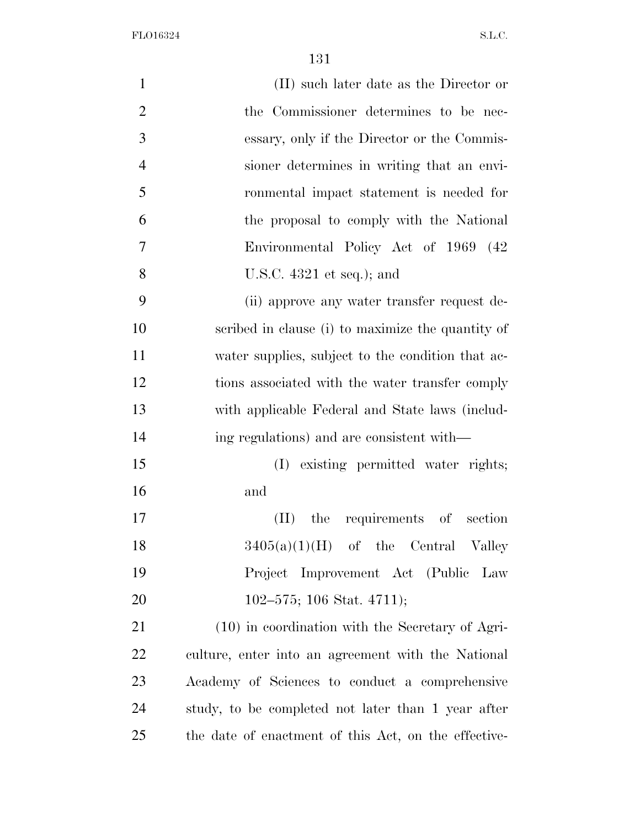| $\mathbf{1}$   | (II) such later date as the Director or              |
|----------------|------------------------------------------------------|
| $\overline{2}$ | the Commissioner determines to be nec-               |
| 3              | essary, only if the Director or the Commis-          |
| $\overline{4}$ | sioner determines in writing that an envi-           |
| 5              | ronmental impact statement is needed for             |
| 6              | the proposal to comply with the National             |
| 7              | Environmental Policy Act of 1969 (42)                |
| 8              | U.S.C. $4321$ et seq.); and                          |
| 9              | (ii) approve any water transfer request de-          |
| 10             | scribed in clause (i) to maximize the quantity of    |
| 11             | water supplies, subject to the condition that ac-    |
| 12             | tions associated with the water transfer comply      |
| 13             | with applicable Federal and State laws (includ-      |
| 14             | ing regulations) and are consistent with—            |
| 15             | (I) existing permitted water rights;                 |
| 16             | and                                                  |
| 17             | the requirements of section<br>(II)                  |
| 18             | $3405(a)(1)(H)$ of the Central Valley                |
| 19             | Project Improvement Act (Public Law                  |
| 20             | $102-575$ ; 106 Stat. 4711);                         |
| 21             | $(10)$ in coordination with the Secretary of Agri-   |
| 22             | culture, enter into an agreement with the National   |
| 23             | Academy of Sciences to conduct a comprehensive       |
| 24             | study, to be completed not later than 1 year after   |
| 25             | the date of enactment of this Act, on the effective- |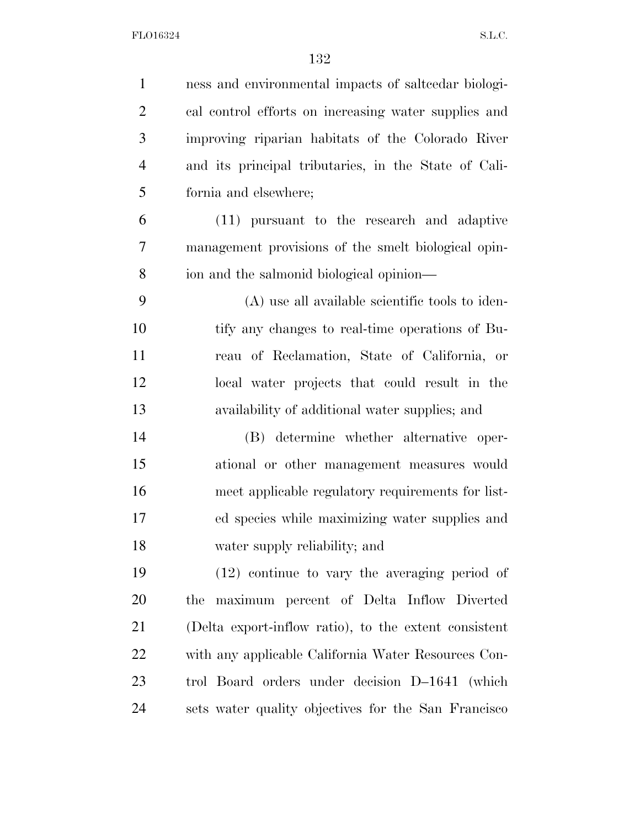| $\mathbf{1}$   | ness and environmental impacts of salteedar biologi-  |
|----------------|-------------------------------------------------------|
| $\overline{2}$ | cal control efforts on increasing water supplies and  |
| 3              | improving riparian habitats of the Colorado River     |
| $\overline{4}$ | and its principal tributaries, in the State of Cali-  |
| 5              | fornia and elsewhere;                                 |
| 6              | (11) pursuant to the research and adaptive            |
| 7              | management provisions of the smelt biological opin-   |
| 8              | ion and the salmonid biological opinion—              |
| 9              | (A) use all available scientific tools to iden-       |
| 10             | tify any changes to real-time operations of Bu-       |
| 11             | reau of Reclamation, State of California, or          |
| 12             | local water projects that could result in the         |
| 13             | availability of additional water supplies; and        |
| 14             | (B) determine whether alternative oper-               |
| 15             | ational or other management measures would            |
| 16             | meet applicable regulatory requirements for list-     |
| 17             | ed species while maximizing water supplies and        |
| 18             | water supply reliability; and                         |
| 19             | $(12)$ continue to vary the averaging period of       |
| 20             | maximum percent of Delta Inflow Diverted<br>the       |
| 21             | (Delta export-inflow ratio), to the extent consistent |
| 22             | with any applicable California Water Resources Con-   |
| 23             | trol Board orders under decision D-1641 (which        |
| 24             | sets water quality objectives for the San Francisco   |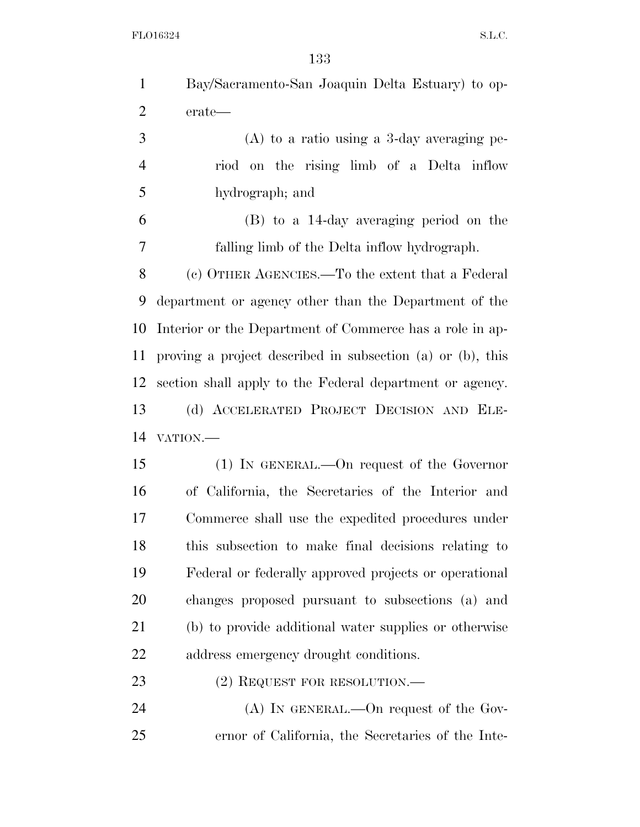| $\mathbf{1}$   | Bay/Sacramento-San Joaquin Delta Estuary) to op-           |
|----------------|------------------------------------------------------------|
| $\overline{2}$ | erate—                                                     |
| 3              | $(A)$ to a ratio using a 3-day averaging pe-               |
| $\overline{4}$ | riod on the rising limb of a Delta inflow                  |
| 5              | hydrograph; and                                            |
| 6              | (B) to a 14-day averaging period on the                    |
| 7              | falling limb of the Delta inflow hydrograph.               |
| 8              | (c) OTHER AGENCIES.—To the extent that a Federal           |
| 9              | department or agency other than the Department of the      |
| 10             | Interior or the Department of Commerce has a role in ap-   |
| 11             | proving a project described in subsection (a) or (b), this |
| 12             | section shall apply to the Federal department or agency.   |
| 13             | (d) ACCELERATED PROJECT DECISION AND ELE-                  |
| 14             | VATION.-                                                   |
| 15             | $(1)$ IN GENERAL.—On request of the Governor               |
| 16             | of California, the Secretaries of the Interior and         |
| 17             | Commerce shall use the expedited procedures under          |
| 18             | this subsection to make final decisions relating to        |
| 19             | Federal or federally approved projects or operational      |
| 20             | changes proposed pursuant to subsections (a) and           |
| 21             | (b) to provide additional water supplies or otherwise      |
| 22             | address emergency drought conditions.                      |
| 23             | $(2)$ REQUEST FOR RESOLUTION.—                             |
| 24             | $(A)$ In GENERAL.—On request of the Gov-                   |
| 25             | ernor of California, the Secretaries of the Inte-          |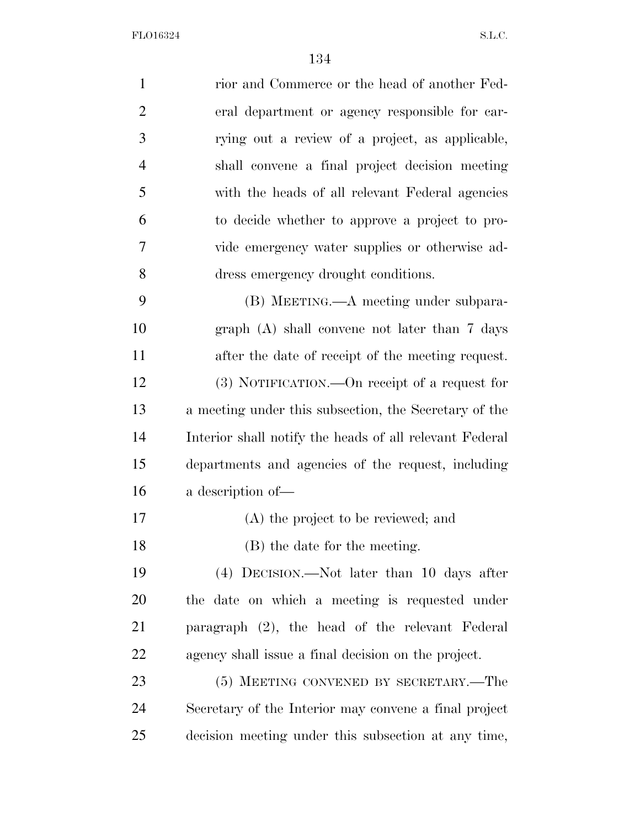| $\mathbf{1}$   | rior and Commerce or the head of another Fed-           |
|----------------|---------------------------------------------------------|
| $\overline{2}$ | eral department or agency responsible for car-          |
| 3              | rying out a review of a project, as applicable,         |
| $\overline{4}$ | shall convene a final project decision meeting          |
| 5              | with the heads of all relevant Federal agencies         |
| 6              | to decide whether to approve a project to pro-          |
| 7              | vide emergency water supplies or otherwise ad-          |
| 8              | dress emergency drought conditions.                     |
| 9              | (B) MEETING.—A meeting under subpara-                   |
| 10             | $graph(A)$ shall convene not later than 7 days          |
| 11             | after the date of receipt of the meeting request.       |
| 12             | (3) NOTIFICATION.—On receipt of a request for           |
| 13             | a meeting under this subsection, the Secretary of the   |
| 14             | Interior shall notify the heads of all relevant Federal |
| 15             | departments and agencies of the request, including      |
| 16             | a description of-                                       |
| 17             | (A) the project to be reviewed; and                     |
| 18             | (B) the date for the meeting.                           |
| 19             | (4) DECISION.—Not later than 10 days after              |
| 20             | the date on which a meeting is requested under          |
| 21             | paragraph (2), the head of the relevant Federal         |
| 22             | agency shall issue a final decision on the project.     |
| 23             | (5) MEETING CONVENED BY SECRETARY.—The                  |
| 24             | Secretary of the Interior may convene a final project   |
| 25             | decision meeting under this subsection at any time,     |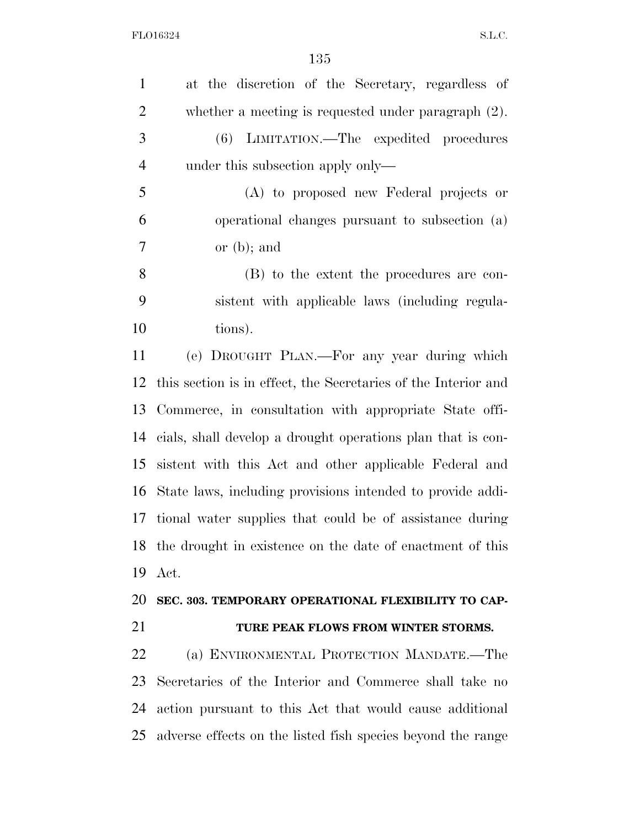| $\mathbf{1}$   | at the discretion of the Secretary, regardless of              |
|----------------|----------------------------------------------------------------|
| $\overline{2}$ | whether a meeting is requested under paragraph $(2)$ .         |
| 3              | (6) LIMITATION.—The expedited procedures                       |
| $\overline{4}$ | under this subsection apply only—                              |
| 5              | (A) to proposed new Federal projects or                        |
| 6              | operational changes pursuant to subsection (a)                 |
| 7              | or $(b)$ ; and                                                 |
| 8              | (B) to the extent the procedures are con-                      |
| 9              | sistent with applicable laws (including regula-                |
| 10             | tions).                                                        |
| 11             | (e) DROUGHT PLAN.—For any year during which                    |
| 12             | this section is in effect, the Secretaries of the Interior and |
| 13             | Commerce, in consultation with appropriate State offi-         |
| 14             | cials, shall develop a drought operations plan that is con-    |
| 15             | sistent with this Act and other applicable Federal and         |
| 16             | State laws, including provisions intended to provide addi-     |
| 17             | tional water supplies that could be of assistance during       |
|                |                                                                |
|                | 18 the drought in existence on the date of enactment of this   |
| 19             | Act.                                                           |
|                | SEC. 303. TEMPORARY OPERATIONAL FLEXIBILITY TO CAP-            |
| 20<br>21       | TURE PEAK FLOWS FROM WINTER STORMS.                            |
| 22             | (a) ENVIRONMENTAL PROTECTION MANDATE.—The                      |
| 23             | Secretaries of the Interior and Commerce shall take no         |
| 24             | action pursuant to this Act that would cause additional        |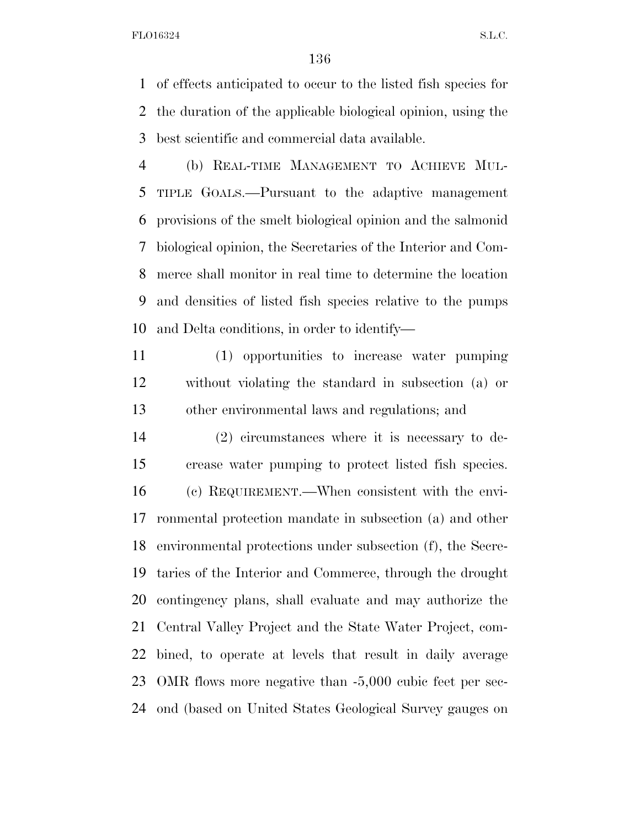of effects anticipated to occur to the listed fish species for the duration of the applicable biological opinion, using the best scientific and commercial data available.

 (b) REAL-TIME MANAGEMENT TO ACHIEVE MUL- TIPLE GOALS.—Pursuant to the adaptive management provisions of the smelt biological opinion and the salmonid biological opinion, the Secretaries of the Interior and Com- merce shall monitor in real time to determine the location and densities of listed fish species relative to the pumps and Delta conditions, in order to identify—

 (1) opportunities to increase water pumping without violating the standard in subsection (a) or other environmental laws and regulations; and

 (2) circumstances where it is necessary to de- crease water pumping to protect listed fish species. (c) REQUIREMENT.—When consistent with the envi- ronmental protection mandate in subsection (a) and other environmental protections under subsection (f), the Secre- taries of the Interior and Commerce, through the drought contingency plans, shall evaluate and may authorize the Central Valley Project and the State Water Project, com- bined, to operate at levels that result in daily average OMR flows more negative than -5,000 cubic feet per sec-ond (based on United States Geological Survey gauges on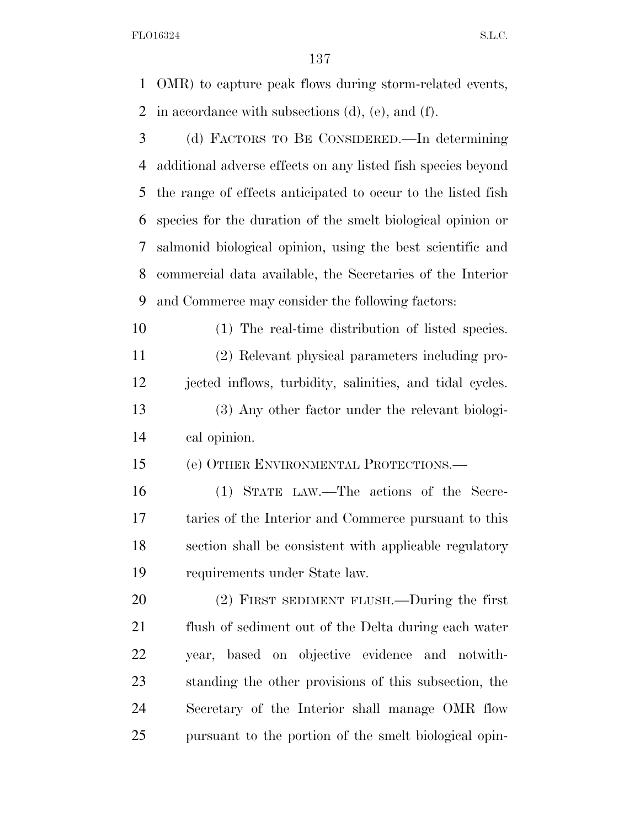OMR) to capture peak flows during storm-related events, in accordance with subsections (d), (e), and (f).

 (d) FACTORS TO BE CONSIDERED.—In determining additional adverse effects on any listed fish species beyond the range of effects anticipated to occur to the listed fish species for the duration of the smelt biological opinion or salmonid biological opinion, using the best scientific and commercial data available, the Secretaries of the Interior and Commerce may consider the following factors:

 (1) The real-time distribution of listed species. (2) Relevant physical parameters including pro- jected inflows, turbidity, salinities, and tidal cycles. (3) Any other factor under the relevant biologi-cal opinion.

(e) OTHER ENVIRONMENTAL PROTECTIONS.—

 (1) STATE LAW.—The actions of the Secre- taries of the Interior and Commerce pursuant to this section shall be consistent with applicable regulatory requirements under State law.

 (2) FIRST SEDIMENT FLUSH.—During the first flush of sediment out of the Delta during each water year, based on objective evidence and notwith- standing the other provisions of this subsection, the Secretary of the Interior shall manage OMR flow pursuant to the portion of the smelt biological opin-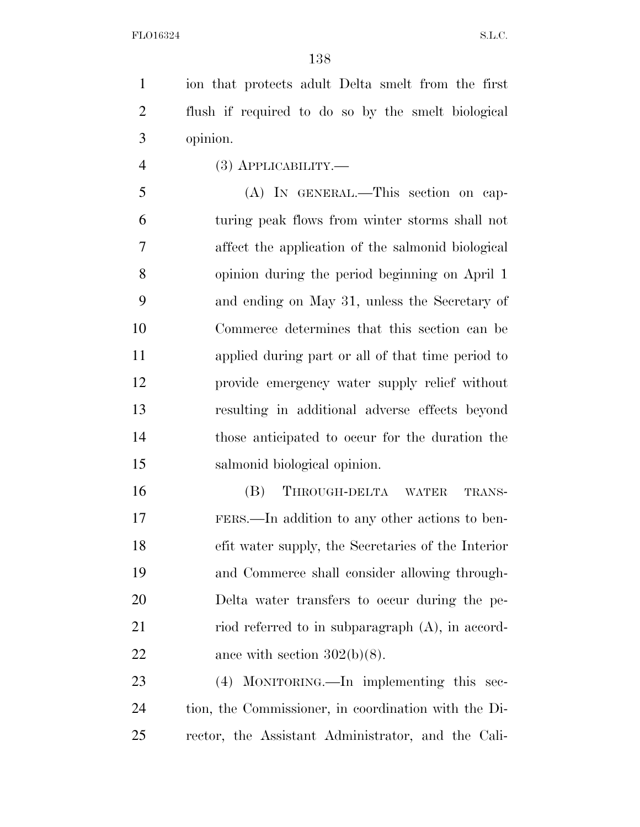ion that protects adult Delta smelt from the first flush if required to do so by the smelt biological opinion.

(3) APPLICABILITY.—

 (A) IN GENERAL.—This section on cap- turing peak flows from winter storms shall not affect the application of the salmonid biological opinion during the period beginning on April 1 and ending on May 31, unless the Secretary of Commerce determines that this section can be applied during part or all of that time period to provide emergency water supply relief without resulting in additional adverse effects beyond those anticipated to occur for the duration the salmonid biological opinion.

 (B) THROUGH-DELTA WATER TRANS- FERS.—In addition to any other actions to ben- efit water supply, the Secretaries of the Interior and Commerce shall consider allowing through- Delta water transfers to occur during the pe-21 riod referred to in subparagraph (A), in accord-22 ance with section  $302(b)(8)$ .

 (4) MONITORING.—In implementing this sec- tion, the Commissioner, in coordination with the Di-rector, the Assistant Administrator, and the Cali-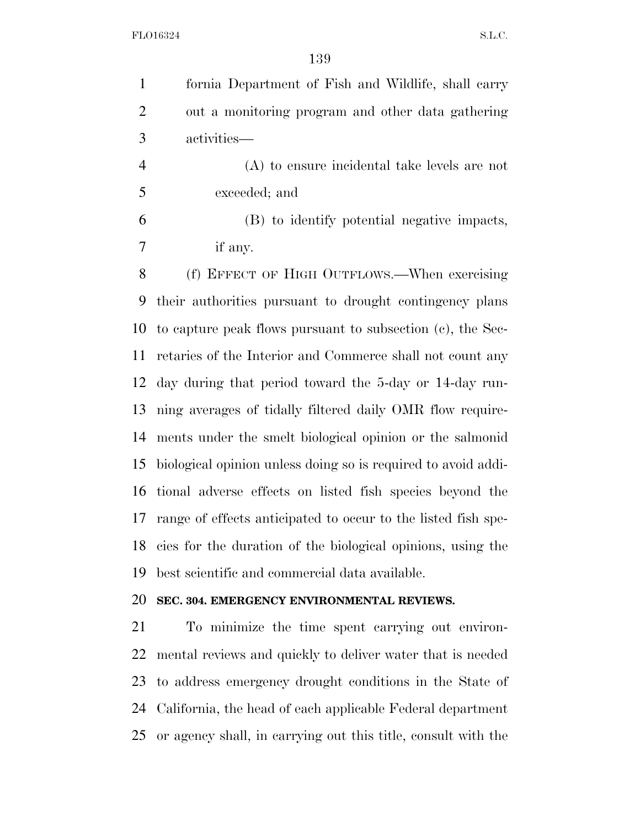fornia Department of Fish and Wildlife, shall carry out a monitoring program and other data gathering activities—

 (A) to ensure incidental take levels are not exceeded; and

 (B) to identify potential negative impacts, if any.

 (f) EFFECT OF HIGH OUTFLOWS.—When exercising their authorities pursuant to drought contingency plans to capture peak flows pursuant to subsection (c), the Sec- retaries of the Interior and Commerce shall not count any day during that period toward the 5-day or 14-day run- ning averages of tidally filtered daily OMR flow require- ments under the smelt biological opinion or the salmonid biological opinion unless doing so is required to avoid addi- tional adverse effects on listed fish species beyond the range of effects anticipated to occur to the listed fish spe- cies for the duration of the biological opinions, using the best scientific and commercial data available.

#### **SEC. 304. EMERGENCY ENVIRONMENTAL REVIEWS.**

 To minimize the time spent carrying out environ- mental reviews and quickly to deliver water that is needed to address emergency drought conditions in the State of California, the head of each applicable Federal department or agency shall, in carrying out this title, consult with the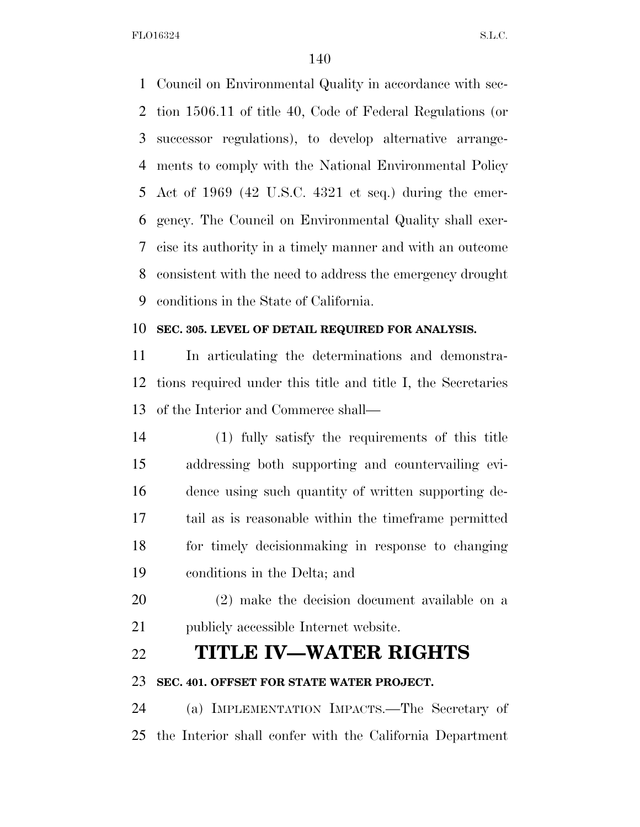Council on Environmental Quality in accordance with sec- tion 1506.11 of title 40, Code of Federal Regulations (or successor regulations), to develop alternative arrange- ments to comply with the National Environmental Policy Act of 1969 (42 U.S.C. 4321 et seq.) during the emer- gency. The Council on Environmental Quality shall exer- cise its authority in a timely manner and with an outcome consistent with the need to address the emergency drought conditions in the State of California.

#### **SEC. 305. LEVEL OF DETAIL REQUIRED FOR ANALYSIS.**

 In articulating the determinations and demonstra- tions required under this title and title I, the Secretaries of the Interior and Commerce shall—

- (1) fully satisfy the requirements of this title addressing both supporting and countervailing evi- dence using such quantity of written supporting de- tail as is reasonable within the timeframe permitted for timely decisionmaking in response to changing conditions in the Delta; and
- (2) make the decision document available on a publicly accessible Internet website.

### **TITLE IV—WATER RIGHTS**

#### **SEC. 401. OFFSET FOR STATE WATER PROJECT.**

 (a) IMPLEMENTATION IMPACTS.—The Secretary of the Interior shall confer with the California Department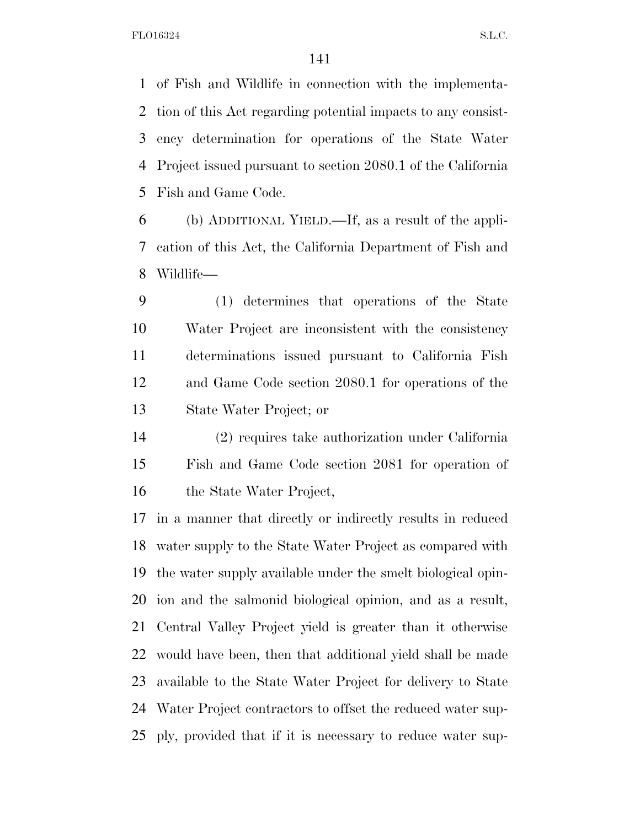of Fish and Wildlife in connection with the implementa- tion of this Act regarding potential impacts to any consist- ency determination for operations of the State Water Project issued pursuant to section 2080.1 of the California Fish and Game Code.

 (b) ADDITIONAL YIELD.—If, as a result of the appli- cation of this Act, the California Department of Fish and Wildlife—

 (1) determines that operations of the State Water Project are inconsistent with the consistency determinations issued pursuant to California Fish and Game Code section 2080.1 for operations of the State Water Project; or

 (2) requires take authorization under California Fish and Game Code section 2081 for operation of the State Water Project,

 in a manner that directly or indirectly results in reduced water supply to the State Water Project as compared with the water supply available under the smelt biological opin- ion and the salmonid biological opinion, and as a result, Central Valley Project yield is greater than it otherwise would have been, then that additional yield shall be made available to the State Water Project for delivery to State Water Project contractors to offset the reduced water sup-ply, provided that if it is necessary to reduce water sup-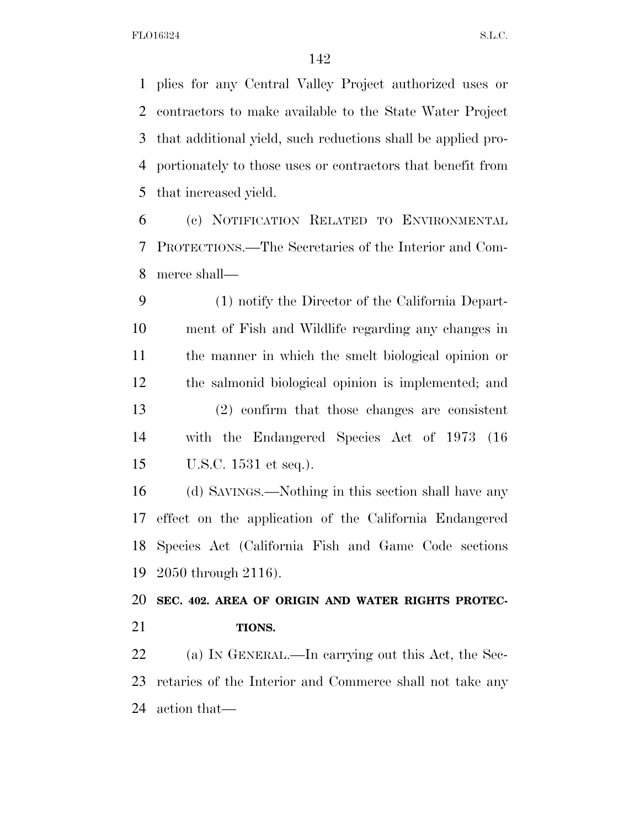plies for any Central Valley Project authorized uses or contractors to make available to the State Water Project that additional yield, such reductions shall be applied pro- portionately to those uses or contractors that benefit from that increased yield.

 (c) NOTIFICATION RELATED TO ENVIRONMENTAL PROTECTIONS.—The Secretaries of the Interior and Com-merce shall—

 (1) notify the Director of the California Depart- ment of Fish and Wildlife regarding any changes in the manner in which the smelt biological opinion or the salmonid biological opinion is implemented; and (2) confirm that those changes are consistent with the Endangered Species Act of 1973 (16 U.S.C. 1531 et seq.).

 (d) SAVINGS.—Nothing in this section shall have any effect on the application of the California Endangered Species Act (California Fish and Game Code sections 2050 through 2116).

 **SEC. 402. AREA OF ORIGIN AND WATER RIGHTS PROTEC-TIONS.** 

 (a) IN GENERAL.—In carrying out this Act, the Sec- retaries of the Interior and Commerce shall not take any action that—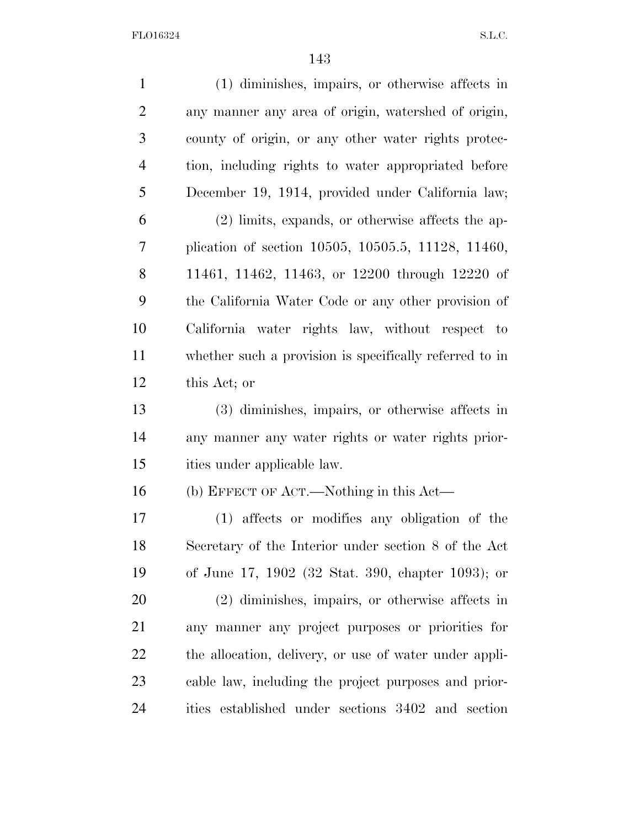| (1) diminishes, impairs, or otherwise affects in        |
|---------------------------------------------------------|
| any manner any area of origin, watershed of origin,     |
| county of origin, or any other water rights protec-     |
| tion, including rights to water appropriated before     |
| December 19, 1914, provided under California law;       |
| $(2)$ limits, expands, or otherwise affects the ap-     |
| plication of section 10505, 10505.5, 11128, 11460,      |
| 11461, 11462, 11463, or 12200 through 12220 of          |
| the California Water Code or any other provision of     |
| California water rights law, without respect to         |
| whether such a provision is specifically referred to in |
| this Act; or                                            |
| (3) diminishes, impairs, or otherwise affects in        |
| any manner any water rights or water rights prior-      |
| ities under applicable law.                             |
| (b) EFFECT OF ACT.—Nothing in this Act—                 |
| (1) affects or modifies any obligation of the           |
| Secretary of the Interior under section 8 of the Act    |
| of June 17, 1902 (32 Stat. 390, chapter 1093); or       |
| $(2)$ diminishes, impairs, or otherwise affects in      |
| any manner any project purposes or priorities for       |
| the allocation, delivery, or use of water under appli-  |
| cable law, including the project purposes and prior-    |
| ities established under sections 3402 and section       |
|                                                         |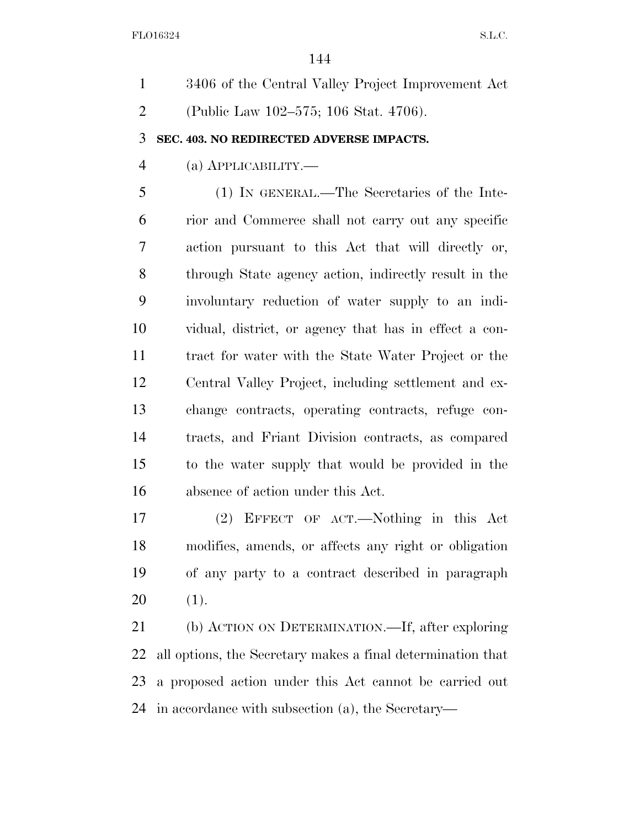3406 of the Central Valley Project Improvement Act (Public Law 102–575; 106 Stat. 4706). **SEC. 403. NO REDIRECTED ADVERSE IMPACTS.**  (a) APPLICABILITY.— (1) IN GENERAL.—The Secretaries of the Inte- rior and Commerce shall not carry out any specific action pursuant to this Act that will directly or, through State agency action, indirectly result in the involuntary reduction of water supply to an indi- vidual, district, or agency that has in effect a con- tract for water with the State Water Project or the Central Valley Project, including settlement and ex- change contracts, operating contracts, refuge con- tracts, and Friant Division contracts, as compared to the water supply that would be provided in the absence of action under this Act.

 (2) EFFECT OF ACT.—Nothing in this Act modifies, amends, or affects any right or obligation of any party to a contract described in paragraph (1).

 (b) ACTION ON DETERMINATION.—If, after exploring all options, the Secretary makes a final determination that a proposed action under this Act cannot be carried out in accordance with subsection (a), the Secretary—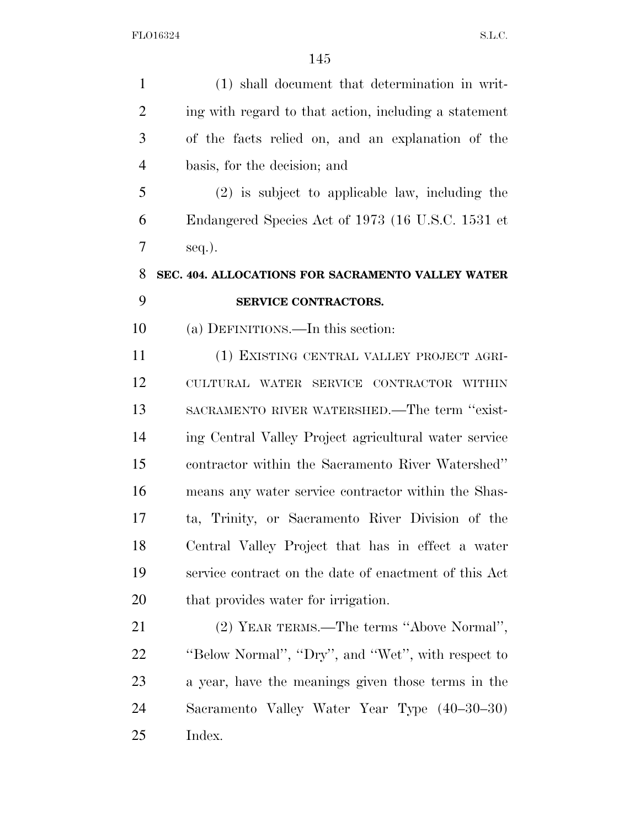| $\mathbf{1}$   | (1) shall document that determination in writ-        |
|----------------|-------------------------------------------------------|
| $\overline{2}$ | ing with regard to that action, including a statement |
| 3              | of the facts relied on, and an explanation of the     |
| $\overline{4}$ | basis, for the decision; and                          |
| 5              | $(2)$ is subject to applicable law, including the     |
| 6              | Endangered Species Act of 1973 (16 U.S.C. 1531 et     |
| 7              | $seq.$ ).                                             |
| 8              | SEC. 404. ALLOCATIONS FOR SACRAMENTO VALLEY WATER     |
| 9              | SERVICE CONTRACTORS.                                  |
| 10             | (a) DEFINITIONS.—In this section:                     |
| 11             | (1) EXISTING CENTRAL VALLEY PROJECT AGRI-             |
| 12             | CULTURAL WATER SERVICE CONTRACTOR WITHIN              |
| 13             | SACRAMENTO RIVER WATERSHED.—The term "exist-          |
| 14             | ing Central Valley Project agricultural water service |
| 15             | contractor within the Sacramento River Watershed"     |
| 16             | means any water service contractor within the Shas-   |
| 17             | ta, Trinity, or Sacramento River Division of the      |
| 18             | Central Valley Project that has in effect a water     |
| 19             | service contract on the date of enactment of this Act |
| 20             | that provides water for irrigation.                   |
| 21             | (2) YEAR TERMS.—The terms "Above Normal",             |
| 22             | "Below Normal", "Dry", and "Wet", with respect to     |
| 23             | a year, have the meanings given those terms in the    |
| 24             | Sacramento Valley Water Year Type (40–30–30)          |
| 25             | Index.                                                |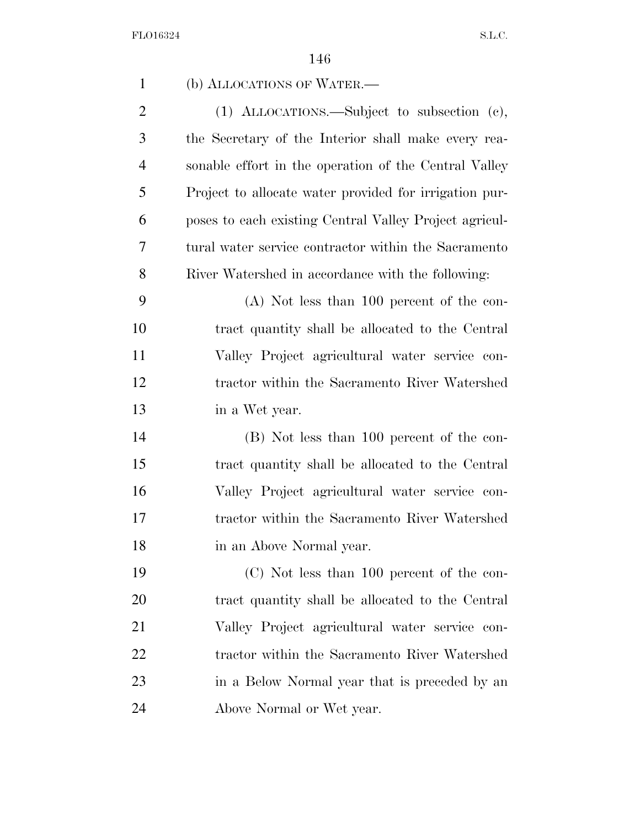| $\mathbf{1}$   | (b) ALLOCATIONS OF WATER.—                             |
|----------------|--------------------------------------------------------|
| $\overline{2}$ | (1) ALLOCATIONS.—Subject to subsection (c),            |
| 3              | the Secretary of the Interior shall make every rea-    |
| $\overline{4}$ | sonable effort in the operation of the Central Valley  |
| 5              | Project to allocate water provided for irrigation pur- |
| 6              | poses to each existing Central Valley Project agricul- |
| 7              | tural water service contractor within the Sacramento   |
| 8              | River Watershed in accordance with the following:      |
| 9              | $(A)$ Not less than 100 percent of the con-            |
| 10             | tract quantity shall be allocated to the Central       |
| 11             | Valley Project agricultural water service con-         |
| 12             | tractor within the Sacramento River Watershed          |
| 13             | in a Wet year.                                         |
| 14             | (B) Not less than 100 percent of the con-              |
| 15             | tract quantity shall be allocated to the Central       |
| 16             | Valley Project agricultural water service con-         |
| 17             | tractor within the Sacramento River Watershed          |
| 18             | in an Above Normal year.                               |
| 19             | $(C)$ Not less than 100 percent of the con-            |
| 20             | tract quantity shall be allocated to the Central       |
| 21             | Valley Project agricultural water service con-         |
| 22             | tractor within the Sacramento River Watershed          |
| 23             | in a Below Normal year that is preceded by an          |
| 24             | Above Normal or Wet year.                              |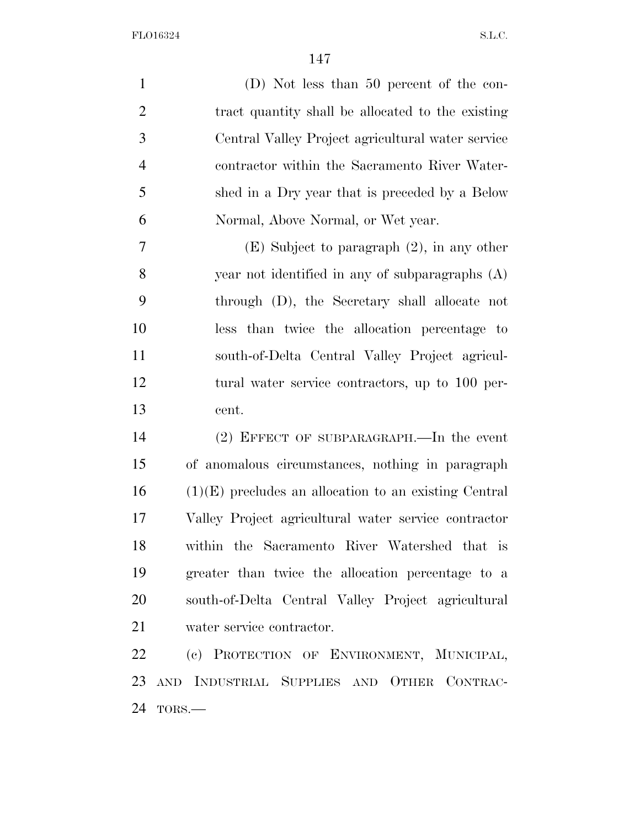(D) Not less than 50 percent of the con- tract quantity shall be allocated to the existing Central Valley Project agricultural water service contractor within the Sacramento River Water- shed in a Dry year that is preceded by a Below Normal, Above Normal, or Wet year. (E) Subject to paragraph (2), in any other

 year not identified in any of subparagraphs (A) through (D), the Secretary shall allocate not less than twice the allocation percentage to south-of-Delta Central Valley Project agricul- tural water service contractors, up to 100 per-cent.

 (2) EFFECT OF SUBPARAGRAPH.—In the event of anomalous circumstances, nothing in paragraph (1)(E) precludes an allocation to an existing Central Valley Project agricultural water service contractor within the Sacramento River Watershed that is greater than twice the allocation percentage to a south-of-Delta Central Valley Project agricultural water service contractor.

 (c) PROTECTION OF ENVIRONMENT, MUNICIPAL, AND INDUSTRIAL SUPPLIES AND OTHER CONTRAC-TORS.—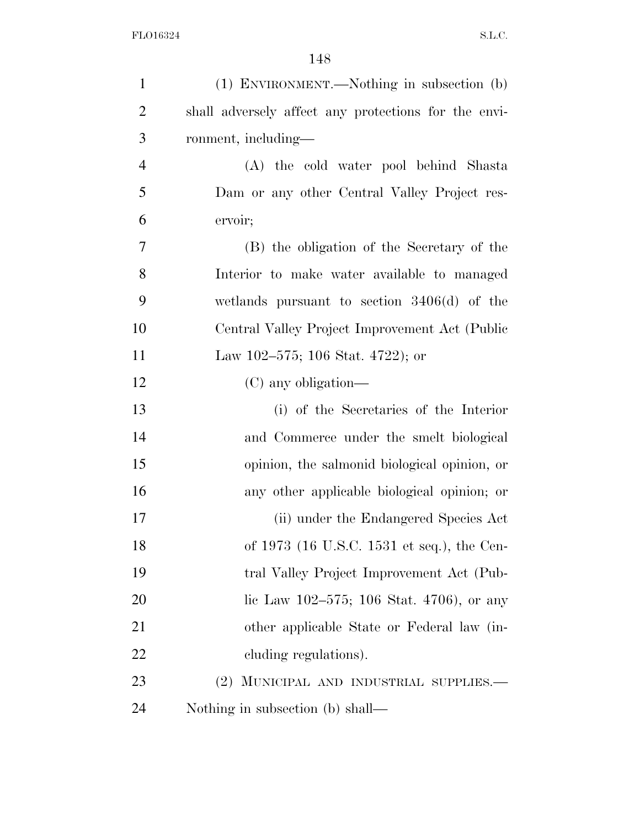| $\mathbf{1}$   | (1) ENVIRONMENT.—Nothing in subsection (b)           |
|----------------|------------------------------------------------------|
| $\overline{2}$ | shall adversely affect any protections for the envi- |
| 3              | ronment, including—                                  |
| $\overline{4}$ | (A) the cold water pool behind Shasta                |
| 5              | Dam or any other Central Valley Project res-         |
| 6              | ervoir;                                              |
| 7              | (B) the obligation of the Secretary of the           |
| 8              | Interior to make water available to managed          |
| 9              | wetlands pursuant to section $3406(d)$ of the        |
| 10             | Central Valley Project Improvement Act (Public       |
| 11             | Law 102–575; 106 Stat. 4722); or                     |
| 12             | $(C)$ any obligation—                                |
| 13             | (i) of the Secretaries of the Interior               |
| 14             | and Commerce under the smelt biological              |
| 15             | opinion, the salmonid biological opinion, or         |
| 16             | any other applicable biological opinion; or          |
| 17             | (ii) under the Endangered Species Act                |
| 18             | of 1973 (16 U.S.C. 1531 et seq.), the Cen-           |
| 19             | tral Valley Project Improvement Act (Pub-            |
| 20             | lic Law $102-575$ ; 106 Stat. 4706), or any          |
| 21             | other applicable State or Federal law (in-           |
| 22             | cluding regulations).                                |
| 23             | (2) MUNICIPAL AND INDUSTRIAL SUPPLIES.—              |
| 24             | Nothing in subsection (b) shall—                     |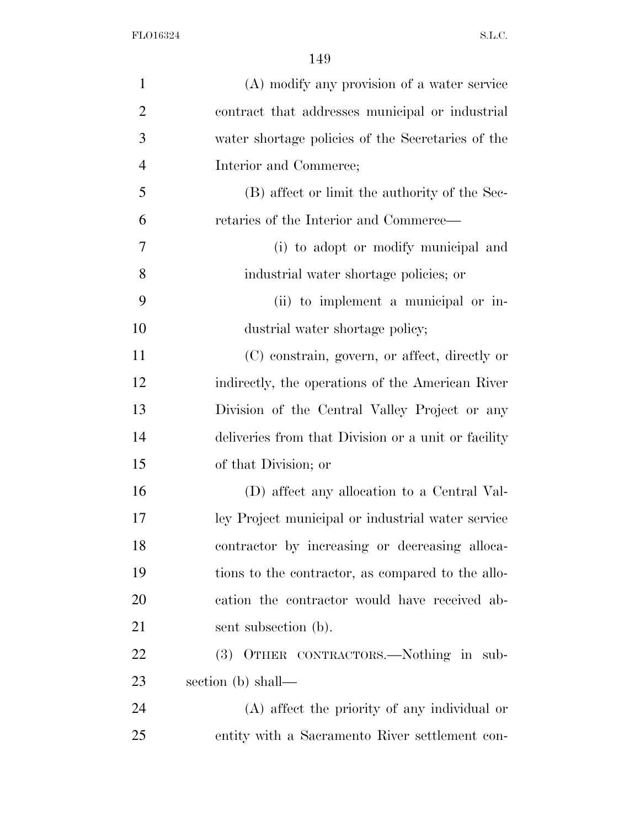| $\mathbf{1}$   | (A) modify any provision of a water service         |
|----------------|-----------------------------------------------------|
| $\overline{2}$ | contract that addresses municipal or industrial     |
| 3              | water shortage policies of the Secretaries of the   |
| $\overline{4}$ | Interior and Commerce;                              |
| 5              | (B) affect or limit the authority of the Sec-       |
| 6              | retaries of the Interior and Commerce—              |
| 7              | (i) to adopt or modify municipal and                |
| 8              | industrial water shortage policies; or              |
| 9              | (ii) to implement a municipal or in-                |
| 10             | dustrial water shortage policy;                     |
| 11             | (C) constrain, govern, or affect, directly or       |
| 12             | indirectly, the operations of the American River    |
| 13             | Division of the Central Valley Project or any       |
| 14             | deliveries from that Division or a unit or facility |
| 15             | of that Division; or                                |
| 16             | (D) affect any allocation to a Central Val-         |
| 17             | ley Project municipal or industrial water service   |
| 18             | contractor by increasing or decreasing alloca-      |
| 19             | tions to the contractor, as compared to the allo-   |
| 20             | cation the contractor would have received ab-       |
| 21             | sent subsection (b).                                |
| 22             | (3) OTHER CONTRACTORS.—Nothing in sub-              |
| 23             | section (b) shall—                                  |
| 24             | (A) affect the priority of any individual or        |
| 25             | entity with a Sacramento River settlement con-      |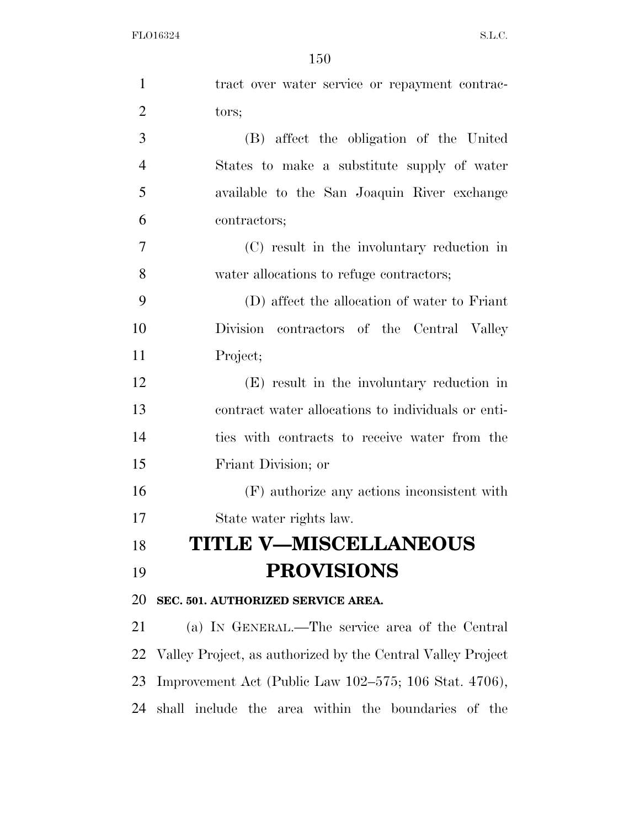| $\mathbf{1}$   | tract over water service or repayment contrac-              |
|----------------|-------------------------------------------------------------|
| $\overline{2}$ | tors;                                                       |
| $\mathfrak{Z}$ | (B) affect the obligation of the United                     |
| $\overline{4}$ | States to make a substitute supply of water                 |
| 5              | available to the San Joaquin River exchange                 |
| 6              | contractors;                                                |
| $\tau$         | (C) result in the involuntary reduction in                  |
| 8              | water allocations to refuge contractors;                    |
| 9              | (D) affect the allocation of water to Friant                |
| 10             | Division contractors of the Central Valley                  |
| 11             | Project;                                                    |
| 12             | (E) result in the involuntary reduction in                  |
| 13             | contract water allocations to individuals or enti-          |
| 14             | ties with contracts to receive water from the               |
| 15             | Friant Division; or                                         |
| 16             | (F) authorize any actions inconsistent with                 |
| 17             | State water rights law.                                     |
| 18             | <b>TITLE V-MISCELLANEOUS</b>                                |
| 19             | <b>PROVISIONS</b>                                           |
| 20             | SEC. 501. AUTHORIZED SERVICE AREA.                          |
| 21             | (a) IN GENERAL.—The service area of the Central             |
| 22             | Valley Project, as authorized by the Central Valley Project |
| 23             | Improvement Act (Public Law 102–575; 106 Stat. 4706),       |
| 24             | shall include the area within the boundaries of the         |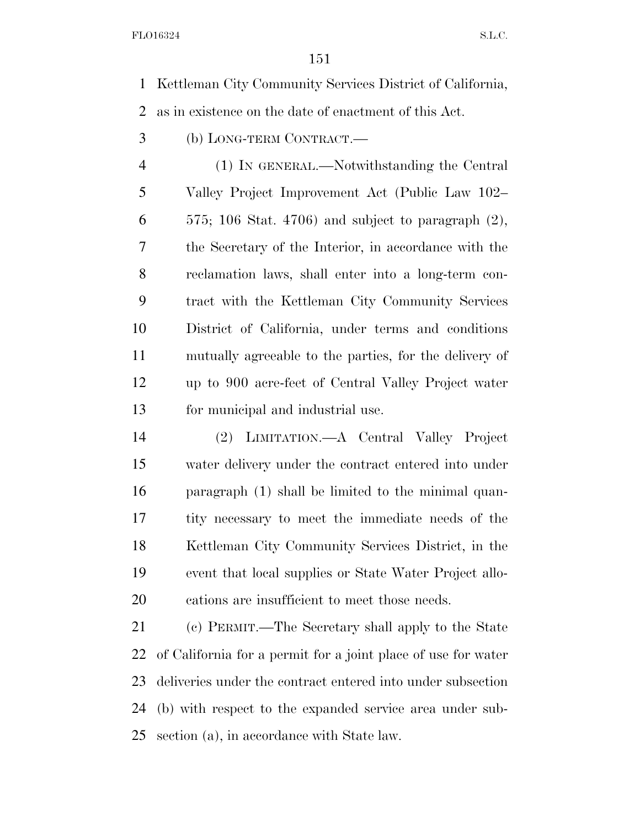Kettleman City Community Services District of California, as in existence on the date of enactment of this Act.

(b) LONG-TERM CONTRACT.—

 (1) IN GENERAL.—Notwithstanding the Central Valley Project Improvement Act (Public Law 102– 575; 106 Stat. 4706) and subject to paragraph  $(2)$ , the Secretary of the Interior, in accordance with the reclamation laws, shall enter into a long-term con- tract with the Kettleman City Community Services District of California, under terms and conditions mutually agreeable to the parties, for the delivery of up to 900 acre-feet of Central Valley Project water for municipal and industrial use.

 (2) LIMITATION.—A Central Valley Project water delivery under the contract entered into under paragraph (1) shall be limited to the minimal quan- tity necessary to meet the immediate needs of the Kettleman City Community Services District, in the event that local supplies or State Water Project allo-cations are insufficient to meet those needs.

 (c) PERMIT.—The Secretary shall apply to the State of California for a permit for a joint place of use for water deliveries under the contract entered into under subsection (b) with respect to the expanded service area under sub-section (a), in accordance with State law.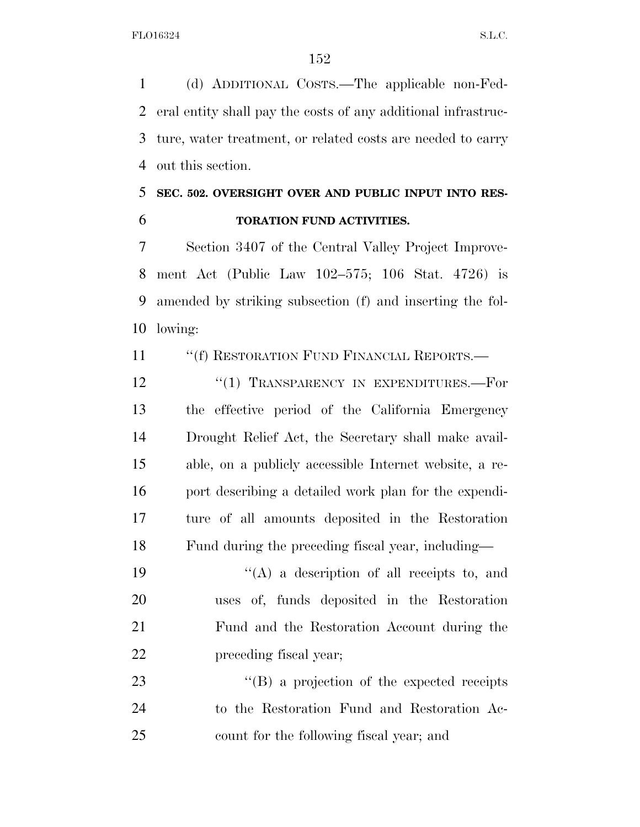(d) ADDITIONAL COSTS.—The applicable non-Fed- eral entity shall pay the costs of any additional infrastruc- ture, water treatment, or related costs are needed to carry out this section.

# **SEC. 502. OVERSIGHT OVER AND PUBLIC INPUT INTO RES-TORATION FUND ACTIVITIES.**

 Section 3407 of the Central Valley Project Improve- ment Act (Public Law 102–575; 106 Stat. 4726) is amended by striking subsection (f) and inserting the fol-lowing:

11 ""(f) RESTORATION FUND FINANCIAL REPORTS.—

12 "(1) TRANSPARENCY IN EXPENDITURES.—For the effective period of the California Emergency Drought Relief Act, the Secretary shall make avail- able, on a publicly accessible Internet website, a re-16 port describing a detailed work plan for the expendi- ture of all amounts deposited in the Restoration Fund during the preceding fiscal year, including—

 $((A)$  a description of all receipts to, and uses of, funds deposited in the Restoration Fund and the Restoration Account during the preceding fiscal year;

23 ''(B) a projection of the expected receipts to the Restoration Fund and Restoration Ac-count for the following fiscal year; and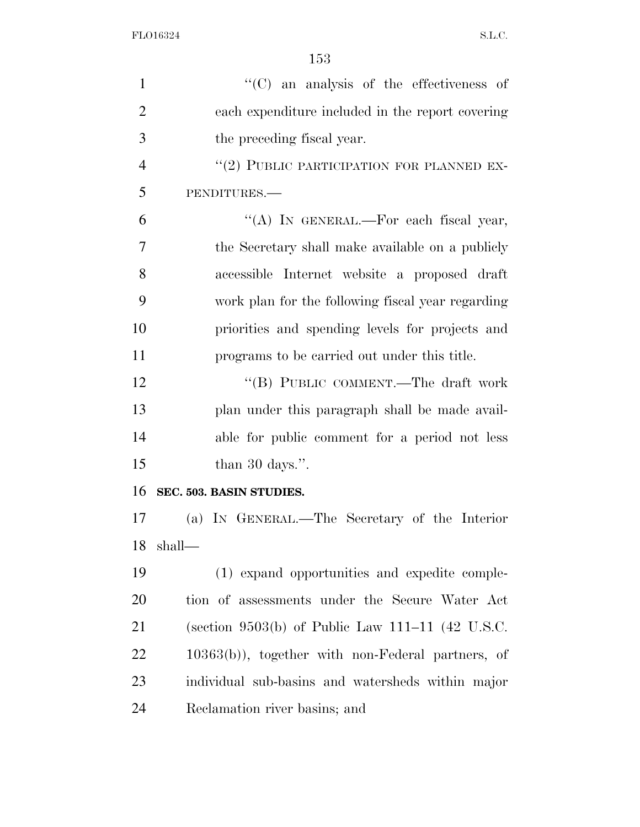| $\mathbf{1}$   | "(C) an analysis of the effectiveness of            |
|----------------|-----------------------------------------------------|
| $\overline{2}$ | each expenditure included in the report covering    |
| 3              | the preceding fiscal year.                          |
| $\overline{4}$ | "(2) PUBLIC PARTICIPATION FOR PLANNED EX-           |
| 5              | PENDITURES.-                                        |
| 6              | "(A) IN GENERAL.—For each fiscal year,              |
| 7              | the Secretary shall make available on a publicly    |
| 8              | accessible Internet website a proposed draft        |
| 9              | work plan for the following fiscal year regarding   |
| 10             | priorities and spending levels for projects and     |
| 11             | programs to be carried out under this title.        |
| 12             | "(B) PUBLIC COMMENT.—The draft work                 |
| 13             | plan under this paragraph shall be made avail-      |
| 14             | able for public comment for a period not less       |
| 15             | than 30 days.".                                     |
| 16             | SEC. 503. BASIN STUDIES.                            |
| 17             | (a) IN GENERAL.—The Secretary of the Interior       |
| 18             | shall—                                              |
| 19             | (1) expand opportunities and expedite comple-       |
| 20             | tion of assessments under the Secure Water Act      |
| 21             | (section 9503(b) of Public Law 111–11 (42 U.S.C.    |
| 22             | $10363(b)$ , together with non-Federal partners, of |
| 23             | individual sub-basins and watersheds within major   |
| 24             | Reclamation river basins; and                       |
|                |                                                     |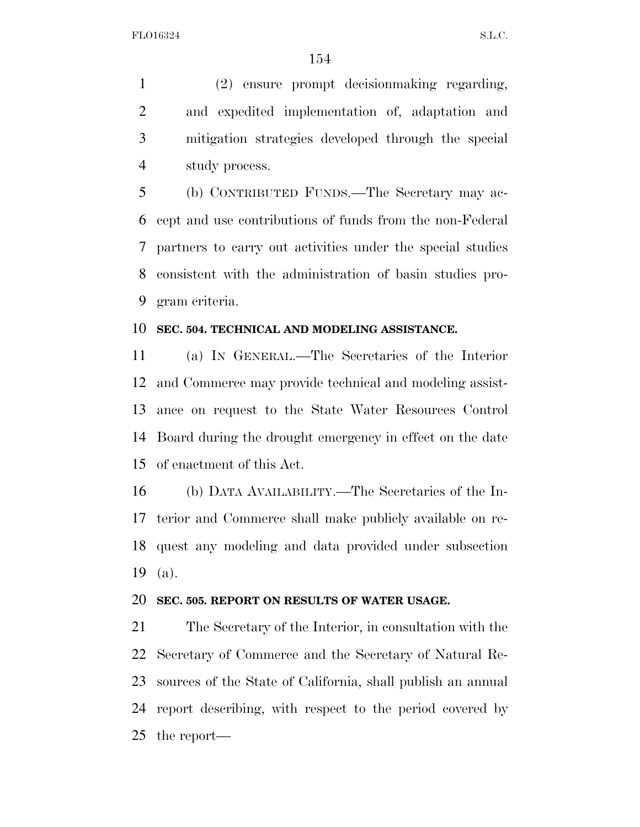(2) ensure prompt decisionmaking regarding, and expedited implementation of, adaptation and mitigation strategies developed through the special study process.

 (b) CONTRIBUTED FUNDS.—The Secretary may ac- cept and use contributions of funds from the non-Federal partners to carry out activities under the special studies consistent with the administration of basin studies pro-gram criteria.

#### **SEC. 504. TECHNICAL AND MODELING ASSISTANCE.**

 (a) IN GENERAL.—The Secretaries of the Interior and Commerce may provide technical and modeling assist- ance on request to the State Water Resources Control Board during the drought emergency in effect on the date of enactment of this Act.

 (b) DATA AVAILABILITY.—The Secretaries of the In- terior and Commerce shall make publicly available on re- quest any modeling and data provided under subsection (a).

#### **SEC. 505. REPORT ON RESULTS OF WATER USAGE.**

 The Secretary of the Interior, in consultation with the Secretary of Commerce and the Secretary of Natural Re- sources of the State of California, shall publish an annual report describing, with respect to the period covered by the report—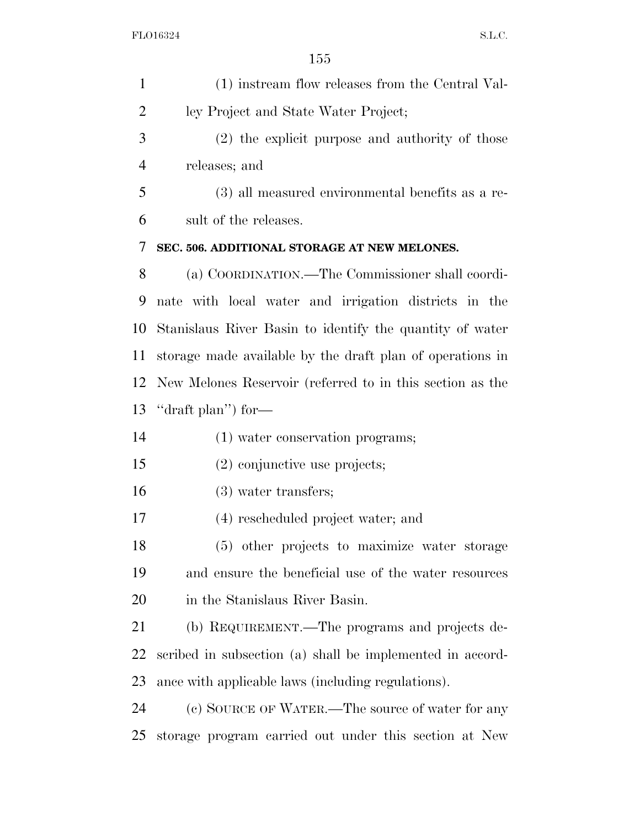| $\mathbf{1}$ | (1) instream flow releases from the Central Val-          |
|--------------|-----------------------------------------------------------|
| 2            | ley Project and State Water Project;                      |
| 3            | (2) the explicit purpose and authority of those           |
| 4            | releases; and                                             |
| 5            | (3) all measured environmental benefits as a re-          |
| 6            | sult of the releases.                                     |
| 7            | SEC. 506. ADDITIONAL STORAGE AT NEW MELONES.              |
| 8            | (a) COORDINATION.—The Commissioner shall coordi-          |
| 9            | nate with local water and irrigation districts in the     |
| 10           | Stanislaus River Basin to identify the quantity of water  |
| 11           | storage made available by the draft plan of operations in |
| 12           | New Melones Reservoir (referred to in this section as the |
| 13           | "draft plan") for-                                        |
| 14           | (1) water conservation programs;                          |
| 15           | $(2)$ conjunctive use projects;                           |
| 16           | $(3)$ water transfers;                                    |
| 17           | (4) rescheduled project water; and                        |
| 18           | (5) other projects to maximize water storage              |
| 19           | and ensure the beneficial use of the water resources      |
| 20           | in the Stanislaus River Basin.                            |
| 21           | (b) REQUIREMENT.—The programs and projects de-            |
| 22           | scribed in subsection (a) shall be implemented in accord- |
| 23           | ance with applicable laws (including regulations).        |
| 24           | (c) SOURCE OF WATER.—The source of water for any          |
| 25           | storage program carried out under this section at New     |
|              |                                                           |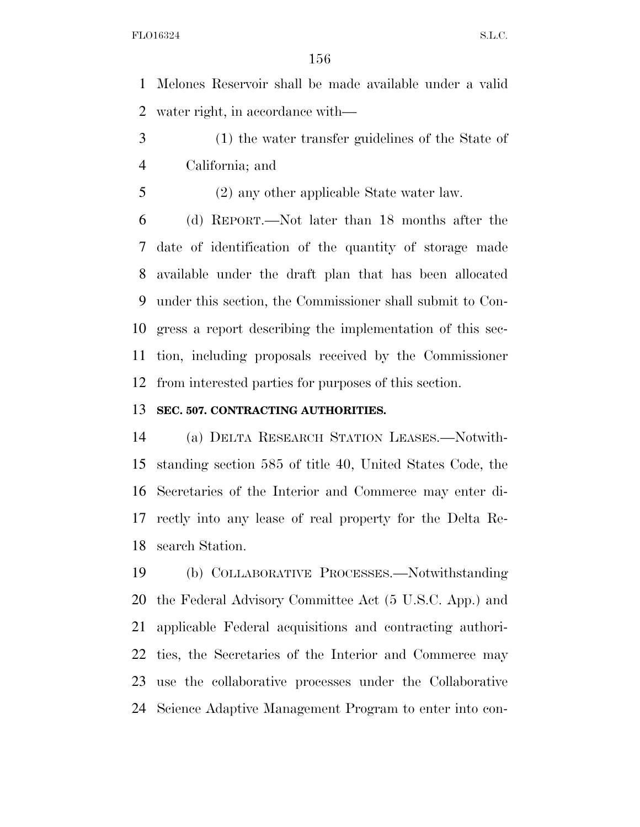Melones Reservoir shall be made available under a valid water right, in accordance with—

- (1) the water transfer guidelines of the State of California; and
- (2) any other applicable State water law.

 (d) REPORT.—Not later than 18 months after the date of identification of the quantity of storage made available under the draft plan that has been allocated under this section, the Commissioner shall submit to Con- gress a report describing the implementation of this sec- tion, including proposals received by the Commissioner from interested parties for purposes of this section.

#### **SEC. 507. CONTRACTING AUTHORITIES.**

 (a) DELTA RESEARCH STATION LEASES.—Notwith- standing section 585 of title 40, United States Code, the Secretaries of the Interior and Commerce may enter di- rectly into any lease of real property for the Delta Re-search Station.

 (b) COLLABORATIVE PROCESSES.—Notwithstanding the Federal Advisory Committee Act (5 U.S.C. App.) and applicable Federal acquisitions and contracting authori- ties, the Secretaries of the Interior and Commerce may use the collaborative processes under the Collaborative Science Adaptive Management Program to enter into con-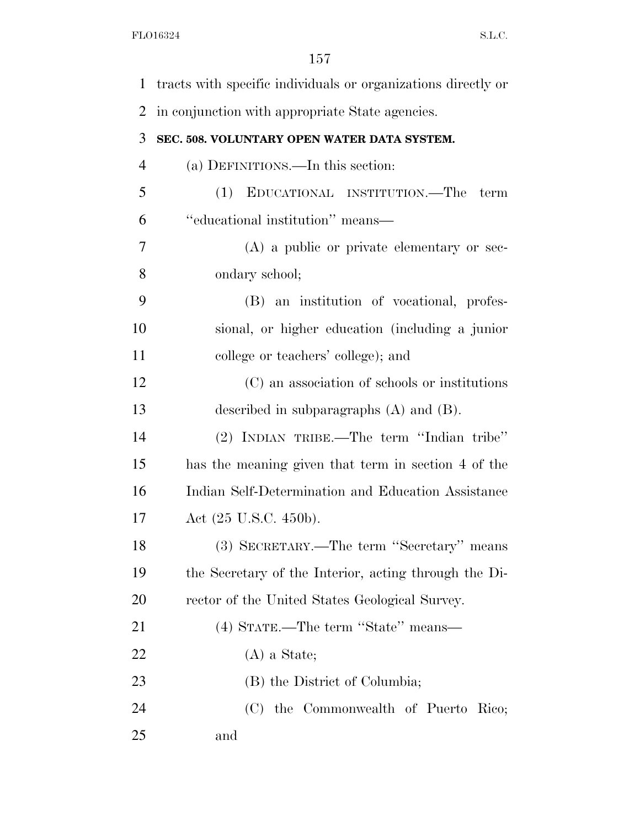| 1              | tracts with specific individuals or organizations directly or |
|----------------|---------------------------------------------------------------|
| 2              | in conjunction with appropriate State agencies.               |
| 3              | SEC. 508. VOLUNTARY OPEN WATER DATA SYSTEM.                   |
| $\overline{4}$ | (a) DEFINITIONS.—In this section:                             |
| 5              | (1) EDUCATIONAL INSTITUTION.—The<br>term                      |
| 6              | "educational institution" means-                              |
| 7              | (A) a public or private elementary or sec-                    |
| 8              | ondary school;                                                |
| 9              | (B) an institution of vocational, profes-                     |
| 10             | sional, or higher education (including a junior               |
| 11             | college or teachers' college); and                            |
| 12             | (C) an association of schools or institutions                 |
| 13             | described in subparagraphs $(A)$ and $(B)$ .                  |
| 14             | (2) INDIAN TRIBE.—The term "Indian tribe"                     |
| 15             | has the meaning given that term in section 4 of the           |
| 16             | Indian Self-Determination and Education Assistance            |
| 17             | Act (25 U.S.C. 450b).                                         |
| 18             | (3) SECRETARY.—The term "Secretary" means                     |
| 19             | the Secretary of the Interior, acting through the Di-         |
| 20             | rector of the United States Geological Survey.                |
| 21             | (4) STATE.—The term "State" means—                            |
| 22             | $(A)$ a State;                                                |
| 23             | (B) the District of Columbia;                                 |
| 24             | (C) the Commonwealth of Puerto Rico;                          |
| 25             | and                                                           |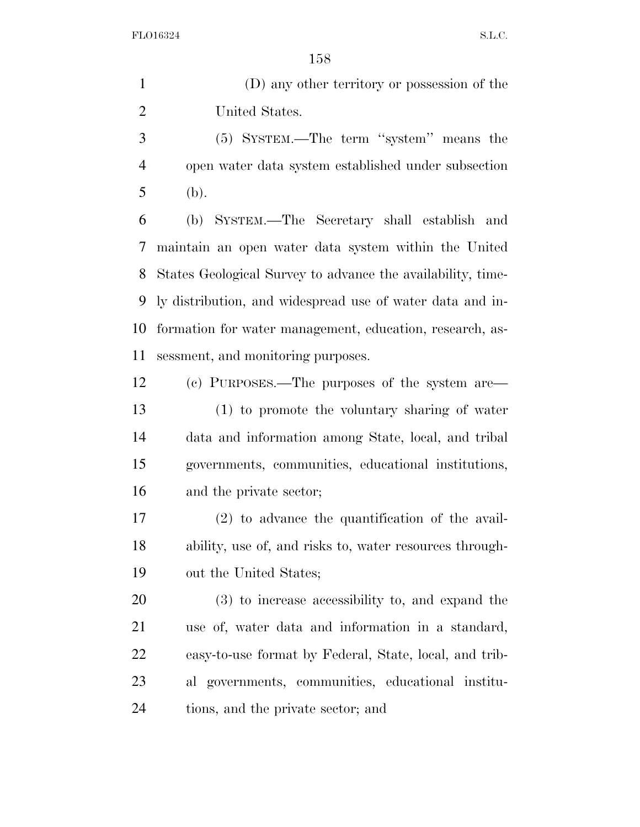(D) any other territory or possession of the United States.

 (5) SYSTEM.—The term ''system'' means the open water data system established under subsection (b).

 (b) SYSTEM.—The Secretary shall establish and maintain an open water data system within the United States Geological Survey to advance the availability, time- ly distribution, and widespread use of water data and in- formation for water management, education, research, as-sessment, and monitoring purposes.

 (c) PURPOSES.—The purposes of the system are— (1) to promote the voluntary sharing of water data and information among State, local, and tribal governments, communities, educational institutions, and the private sector;

 (2) to advance the quantification of the avail- ability, use of, and risks to, water resources through-out the United States;

 (3) to increase accessibility to, and expand the use of, water data and information in a standard, easy-to-use format by Federal, State, local, and trib- al governments, communities, educational institu-tions, and the private sector; and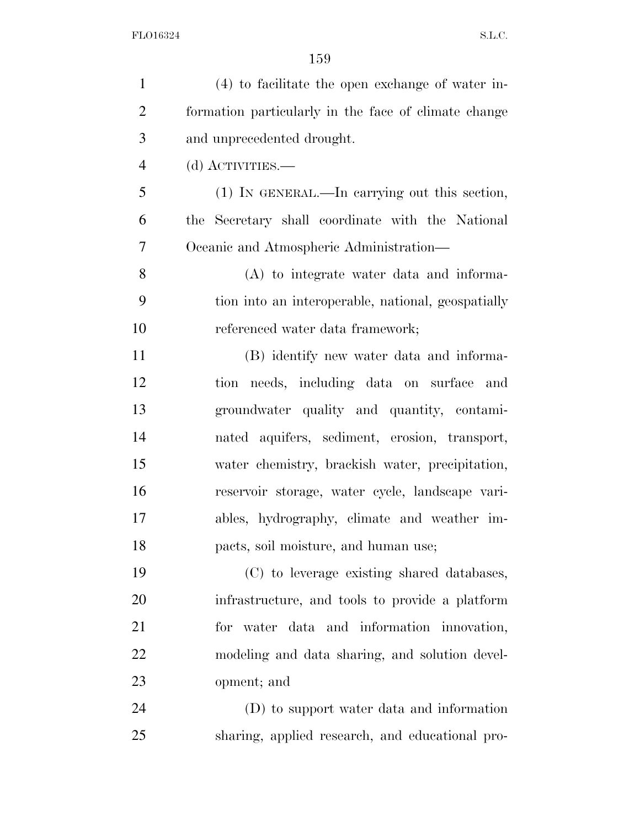| $\mathbf{1}$   | $(4)$ to facilitate the open exchange of water in-   |
|----------------|------------------------------------------------------|
| $\overline{2}$ | formation particularly in the face of climate change |
| 3              | and unprecedented drought.                           |
| $\overline{4}$ | (d) ACTIVITIES.—                                     |
| 5              | (1) IN GENERAL.—In carrying out this section,        |
| 6              | the Secretary shall coordinate with the National     |
| 7              | Oceanic and Atmospheric Administration—              |
| 8              | (A) to integrate water data and informa-             |
| 9              | tion into an interoperable, national, geospatially   |
| 10             | referenced water data framework;                     |
| 11             | (B) identify new water data and informa-             |
| 12             | tion needs, including data on surface and            |
| 13             | groundwater quality and quantity, contami-           |
| 14             | nated aquifers, sediment, erosion, transport,        |
| 15             | water chemistry, brackish water, precipitation,      |
| 16             | reservoir storage, water cycle, landscape vari-      |
| 17             | ables, hydrography, climate and weather im-          |
| 18             | pacts, soil moisture, and human use;                 |
| 19             | (C) to leverage existing shared databases,           |
| 20             | infrastructure, and tools to provide a platform      |
| 21             | for water data and information innovation,           |
| 22             | modeling and data sharing, and solution devel-       |
| 23             | opment; and                                          |
| 24             | (D) to support water data and information            |
| 25             | sharing, applied research, and educational pro-      |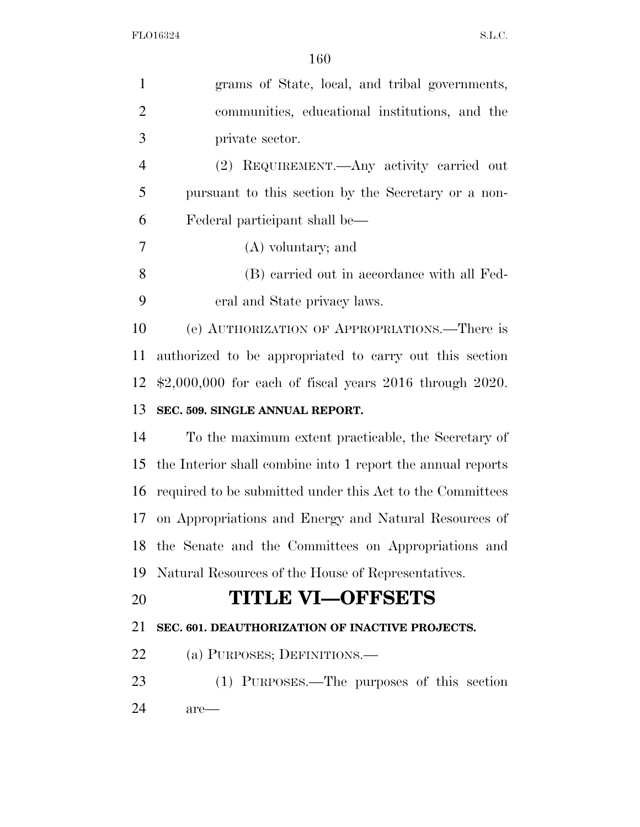| $\mathbf{1}$   | grams of State, local, and tribal governments,                  |
|----------------|-----------------------------------------------------------------|
| $\overline{2}$ | communities, educational institutions, and the                  |
| 3              | private sector.                                                 |
| $\overline{4}$ | (2) REQUIREMENT.—Any activity carried out                       |
| 5              | pursuant to this section by the Secretary or a non-             |
| 6              | Federal participant shall be—                                   |
| $\overline{7}$ | (A) voluntary; and                                              |
| 8              | (B) carried out in accordance with all Fed-                     |
| 9              | eral and State privacy laws.                                    |
| 10             | (e) AUTHORIZATION OF APPROPRIATIONS.—There is                   |
| 11             | authorized to be appropriated to carry out this section         |
| 12             | $\text{$}2,000,000$ for each of fiscal years 2016 through 2020. |
| 13             | SEC. 509. SINGLE ANNUAL REPORT.                                 |
| 14             | To the maximum extent practicable, the Secretary of             |
| 15             | the Interior shall combine into 1 report the annual reports     |
| 16             | required to be submitted under this Act to the Committees       |
| 17             | on Appropriations and Energy and Natural Resources of           |
|                | 18 the Senate and the Committees on Appropriations and          |
| 19             | Natural Resources of the House of Representatives.              |
| 20             | <b>TITLE VI-OFFSETS</b>                                         |
| 21             | SEC. 601. DEAUTHORIZATION OF INACTIVE PROJECTS.                 |
| 22             | (a) PURPOSES; DEFINITIONS.                                      |
| 23             | (1) PURPOSES.—The purposes of this section                      |
| 24             | are—                                                            |
|                |                                                                 |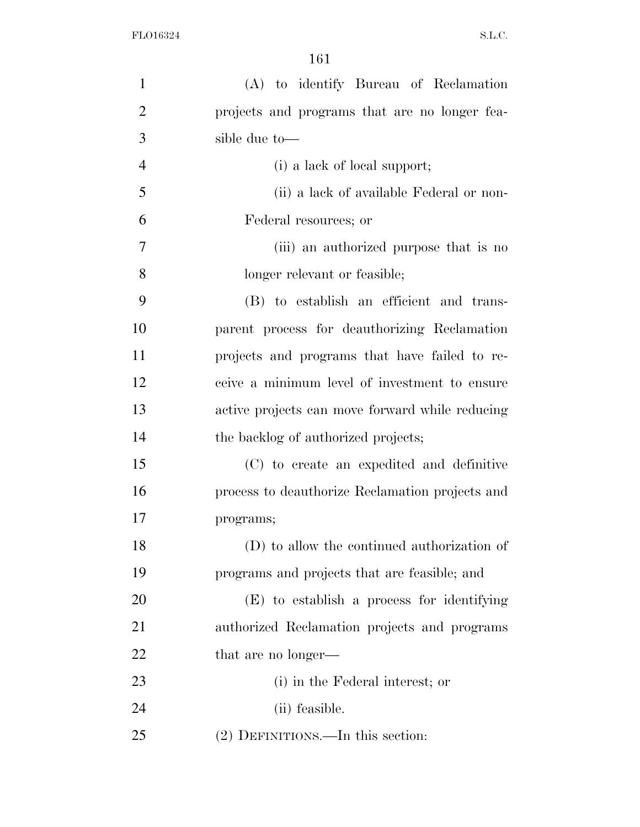| $\mathbf{1}$   | (A) to identify Bureau of Reclamation           |
|----------------|-------------------------------------------------|
| $\overline{2}$ | projects and programs that are no longer fea-   |
| 3              | sible due to-                                   |
| $\overline{4}$ | (i) a lack of local support;                    |
| 5              | (ii) a lack of available Federal or non-        |
| 6              | Federal resources; or                           |
| 7              | (iii) an authorized purpose that is no          |
| 8              | longer relevant or feasible;                    |
| 9              | (B) to establish an efficient and trans-        |
| 10             | parent process for deauthorizing Reclamation    |
| 11             | projects and programs that have failed to re-   |
| 12             | ceive a minimum level of investment to ensure   |
| 13             | active projects can move forward while reducing |
| 14             | the backlog of authorized projects;             |
| 15             | (C) to create an expedited and definitive       |
| 16             | process to deauthorize Reclamation projects and |
| 17             | programs;                                       |
| 18             | (D) to allow the continued authorization of     |
| 19             | programs and projects that are feasible; and    |
| 20             | (E) to establish a process for identifying      |
| 21             | authorized Reclamation projects and programs    |
| <u>22</u>      | that are no longer—                             |
| 23             | (i) in the Federal interest; or                 |
| 24             | (ii) feasible.                                  |
| 25             | (2) DEFINITIONS.—In this section:               |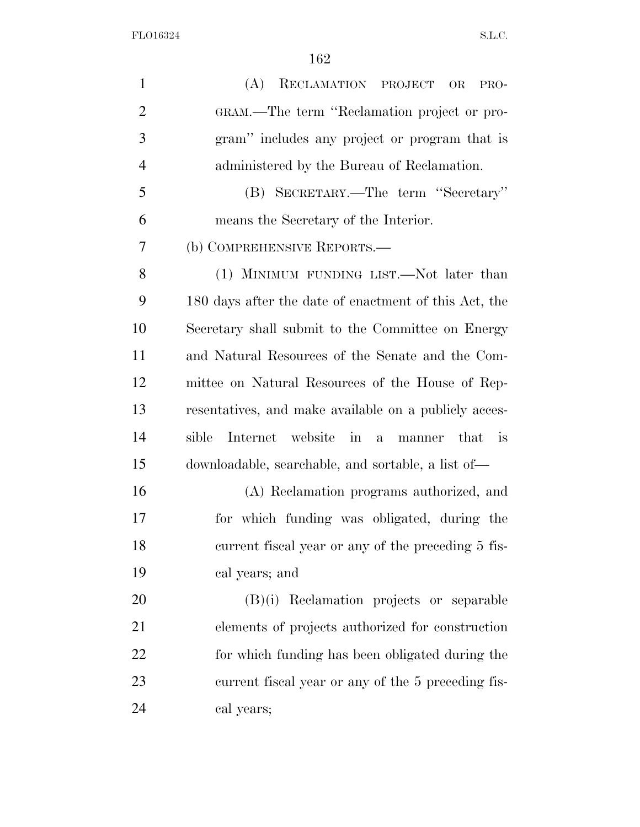(A) RECLAMATION PROJECT OR PRO- GRAM.—The term ''Reclamation project or pro- gram'' includes any project or program that is administered by the Bureau of Reclamation. (B) SECRETARY.—The term ''Secretary'' means the Secretary of the Interior. (b) COMPREHENSIVE REPORTS.— 8 (1) MINIMUM FUNDING LIST.—Not later than 180 days after the date of enactment of this Act, the Secretary shall submit to the Committee on Energy and Natural Resources of the Senate and the Com- mittee on Natural Resources of the House of Rep- resentatives, and make available on a publicly acces- sible Internet website in a manner that is downloadable, searchable, and sortable, a list of— (A) Reclamation programs authorized, and for which funding was obligated, during the current fiscal year or any of the preceding 5 fis- cal years; and (B)(i) Reclamation projects or separable elements of projects authorized for construction for which funding has been obligated during the current fiscal year or any of the 5 preceding fis-cal years;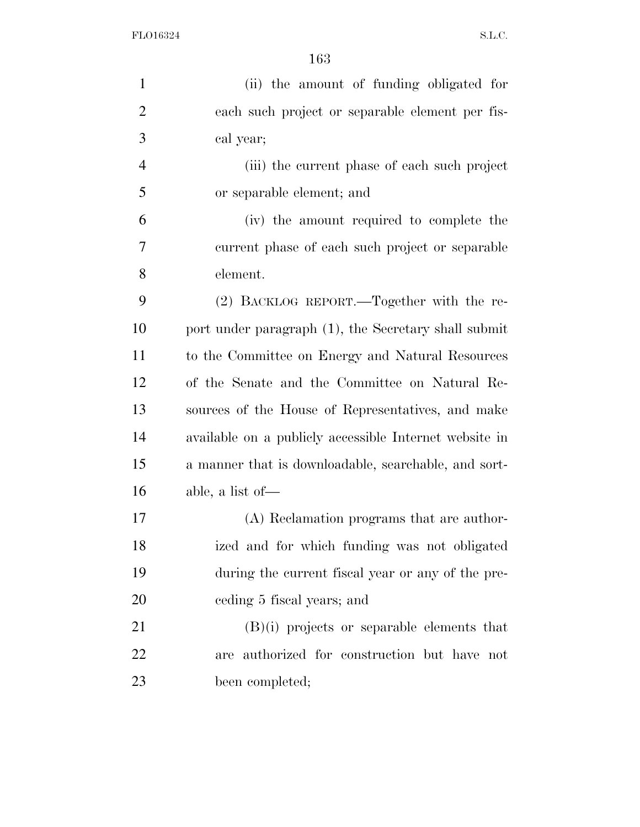| $\mathbf{1}$   | (ii) the amount of funding obligated for               |
|----------------|--------------------------------------------------------|
| $\overline{2}$ | each such project or separable element per fis-        |
| 3              | cal year;                                              |
| $\overline{4}$ | (iii) the current phase of each such project           |
| 5              | or separable element; and                              |
| 6              | (iv) the amount required to complete the               |
| 7              | current phase of each such project or separable        |
| 8              | element.                                               |
| 9              | (2) BACKLOG REPORT.—Together with the re-              |
| 10             | port under paragraph (1), the Secretary shall submit   |
| 11             | to the Committee on Energy and Natural Resources       |
| 12             | of the Senate and the Committee on Natural Re-         |
| 13             | sources of the House of Representatives, and make      |
| 14             | available on a publicly accessible Internet website in |
| 15             | a manner that is downloadable, searchable, and sort-   |
| 16             | able, a list of $-$                                    |
| 17             | (A) Reclamation programs that are author-              |
| 18             | ized and for which funding was not obligated           |
| 19             | during the current fiscal year or any of the pre-      |
| 20             | eeding 5 fiscal years; and                             |
| 21             | $(B)(i)$ projects or separable elements that           |
| 22             | are authorized for construction but have not           |
| 23             | been completed;                                        |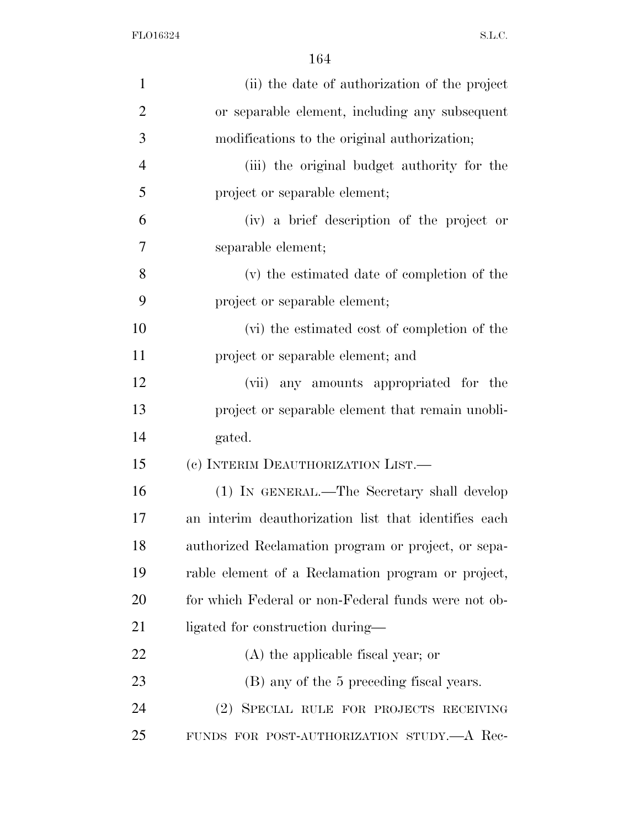| $\mathbf{1}$   | (ii) the date of authorization of the project        |
|----------------|------------------------------------------------------|
| $\overline{2}$ | or separable element, including any subsequent       |
| 3              | modifications to the original authorization;         |
| 4              | (iii) the original budget authority for the          |
| 5              | project or separable element;                        |
| 6              | (iv) a brief description of the project or           |
| 7              | separable element;                                   |
| 8              | (v) the estimated date of completion of the          |
| 9              | project or separable element;                        |
| 10             | (vi) the estimated cost of completion of the         |
| 11             | project or separable element; and                    |
| 12             | (vii) any amounts appropriated for the               |
| 13             | project or separable element that remain unobli-     |
| 14             | gated.                                               |
| 15             | (c) INTERIM DEAUTHORIZATION LIST.—                   |
| 16             | (1) IN GENERAL.—The Secretary shall develop          |
| 17             | an interim deauthorization list that identifies each |
| 18             | authorized Reclamation program or project, or sepa-  |
| 19             | rable element of a Reclamation program or project,   |
| 20             | for which Federal or non-Federal funds were not ob-  |
| 21             | ligated for construction during—                     |
| 22             | (A) the applicable fiscal year; or                   |
| 23             | (B) any of the 5 preceding fiscal years.             |
| 24             | (2) SPECIAL RULE FOR PROJECTS RECEIVING              |
| 25             | FUNDS FOR POST-AUTHORIZATION STUDY. A Rec-           |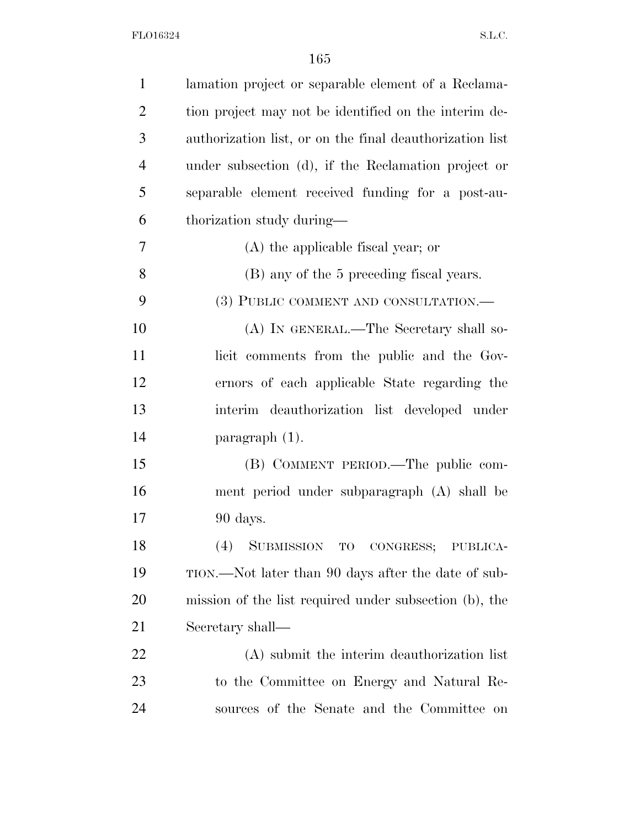| lamation project or separable element of a Reclama-      |
|----------------------------------------------------------|
| tion project may not be identified on the interim de-    |
| authorization list, or on the final deauthorization list |
| under subsection (d), if the Reclamation project or      |
| separable element received funding for a post-au-        |
| thorization study during—                                |
| (A) the applicable fiscal year; or                       |
| (B) any of the 5 preceding fiscal years.                 |
| (3) PUBLIC COMMENT AND CONSULTATION.—                    |
| (A) IN GENERAL.—The Secretary shall so-                  |
| licit comments from the public and the Gov-              |
| ernors of each applicable State regarding the            |
| interim deauthorization list developed under             |
| $\frac{1}{2}$ paragraph $(1)$ .                          |
| (B) COMMENT PERIOD.—The public com-                      |
| ment period under subparagraph (A) shall be              |
| 90 days.                                                 |
| SUBMISSION TO CONGRESS; PUBLICA-<br>(4)                  |
| TION.—Not later than 90 days after the date of sub-      |
| mission of the list required under subsection (b), the   |
| Secretary shall—                                         |
|                                                          |
| (A) submit the interim deauthorization list              |
| to the Committee on Energy and Natural Re-               |
|                                                          |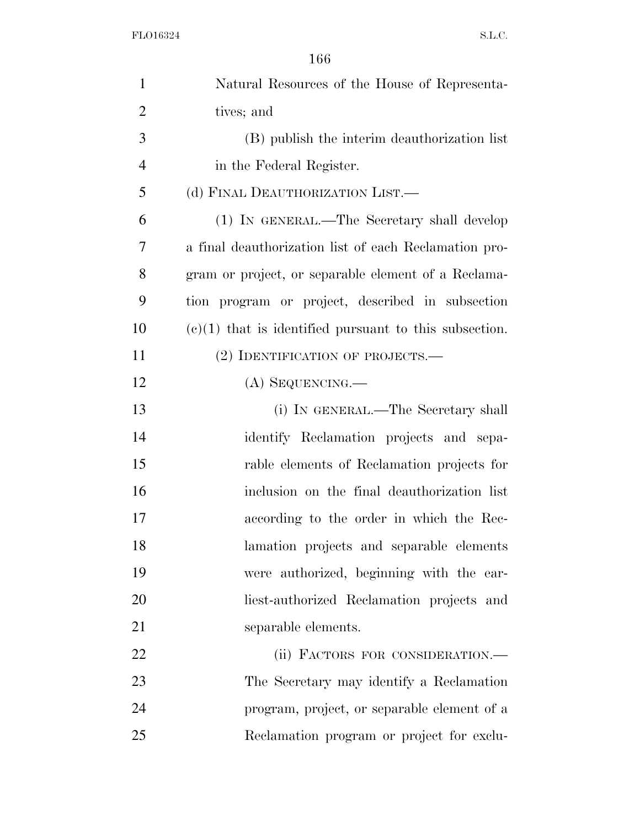| $\mathbf{1}$   | Natural Resources of the House of Representa-            |
|----------------|----------------------------------------------------------|
| $\overline{2}$ | tives; and                                               |
| 3              | (B) publish the interim deauthorization list             |
| $\overline{4}$ | in the Federal Register.                                 |
| 5              | (d) FINAL DEAUTHORIZATION LIST.—                         |
| 6              | (1) IN GENERAL.—The Secretary shall develop              |
| 7              | a final deauthorization list of each Reclamation pro-    |
| 8              | gram or project, or separable element of a Reclama-      |
| 9              | tion program or project, described in subsection         |
| 10             | $(e)(1)$ that is identified pursuant to this subsection. |
| 11             | (2) IDENTIFICATION OF PROJECTS.—                         |
| 12             | (A) SEQUENCING.—                                         |
| 13             | (i) IN GENERAL.—The Secretary shall                      |
| 14             | identify Reclamation projects and sepa-                  |
| 15             | rable elements of Reclamation projects for               |
| 16             | inclusion on the final deauthorization list              |
| 17             | according to the order in which the Rec-                 |
| 18             | lamation projects and separable elements                 |
| 19             | were authorized, beginning with the ear-                 |
| 20             | liest-authorized Reclamation projects and                |
| 21             | separable elements.                                      |
| 22             | (ii) FACTORS FOR CONSIDERATION.-                         |
| 23             | The Secretary may identify a Reclamation                 |
| 24             | program, project, or separable element of a              |
| 25             | Reclamation program or project for exclu-                |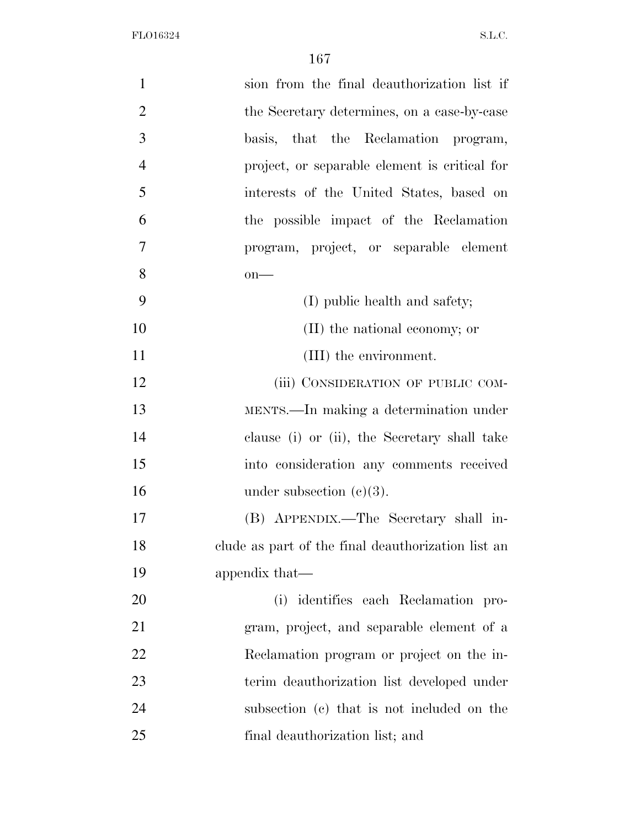| $\mathbf{1}$   | sion from the final deauthorization list if        |
|----------------|----------------------------------------------------|
| $\overline{2}$ | the Secretary determines, on a case-by-case        |
| 3              | basis, that the Reclamation program,               |
| $\overline{4}$ | project, or separable element is critical for      |
| 5              | interests of the United States, based on           |
| 6              | the possible impact of the Reclamation             |
| $\overline{7}$ | program, project, or separable element             |
| 8              | $on$ —                                             |
| 9              | (I) public health and safety;                      |
| 10             | (II) the national economy; or                      |
| 11             | (III) the environment.                             |
| 12             | (iii) CONSIDERATION OF PUBLIC COM-                 |
| 13             | MENTS.—In making a determination under             |
| 14             | clause (i) or (ii), the Secretary shall take       |
| 15             | into consideration any comments received           |
| 16             | under subsection $(c)(3)$ .                        |
| 17             | (B) APPENDIX.—The Secretary shall in-              |
| 18             | clude as part of the final deauthorization list an |
| 19             | appendix that—                                     |
| 20             | (i) identifies each Reclamation pro-               |
| 21             | gram, project, and separable element of a          |
| 22             | Reclamation program or project on the in-          |
| 23             | terim deauthorization list developed under         |
| 24             | subsection (c) that is not included on the         |
| 25             | final deauthorization list; and                    |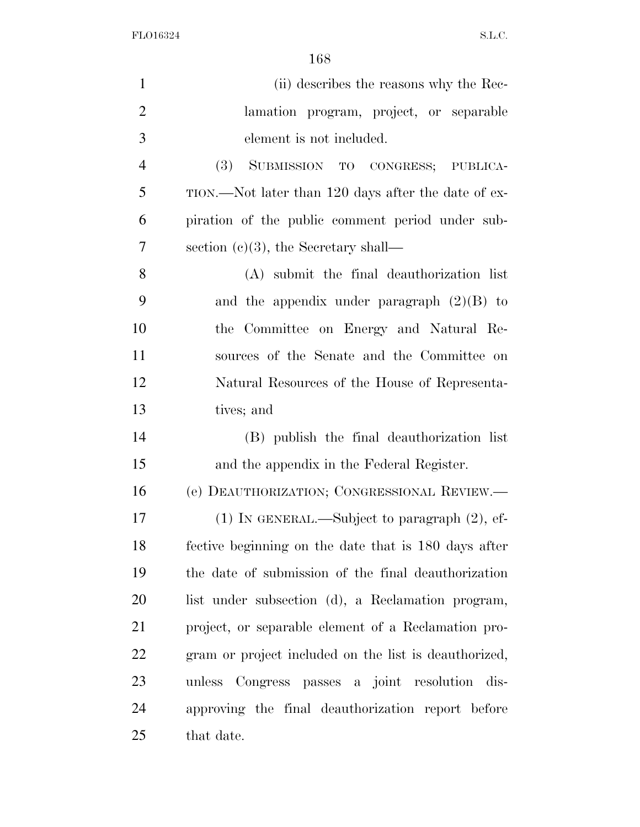| $\mathbf{1}$   | (ii) describes the reasons why the Rec-               |
|----------------|-------------------------------------------------------|
| $\overline{2}$ | lamation program, project, or separable               |
| 3              | element is not included.                              |
| $\overline{4}$ | (3) SUBMISSION TO CONGRESS; PUBLICA-                  |
| 5              | TION.—Not later than 120 days after the date of ex-   |
| 6              | piration of the public comment period under sub-      |
| 7              | section $(c)(3)$ , the Secretary shall—               |
| 8              | (A) submit the final deauthorization list             |
| 9              | and the appendix under paragraph $(2)(B)$ to          |
| 10             | the Committee on Energy and Natural Re-               |
| 11             | sources of the Senate and the Committee on            |
| 12             | Natural Resources of the House of Representa-         |
| 13             | tives; and                                            |
| 14             | (B) publish the final deauthorization list            |
| 15             | and the appendix in the Federal Register.             |
| 16             | (e) DEAUTHORIZATION; CONGRESSIONAL REVIEW.-           |
| 17             | $(1)$ In GENERAL.—Subject to paragraph $(2)$ , ef-    |
| 18             | fective beginning on the date that is 180 days after  |
| 19             | the date of submission of the final deauthorization   |
| 20             | list under subsection (d), a Reclamation program,     |
| 21             | project, or separable element of a Reclamation pro-   |
| 22             | gram or project included on the list is deauthorized, |
| 23             | unless Congress passes a joint resolution dis-        |
| 24             | approving the final deauthorization report before     |
| 25             | that date.                                            |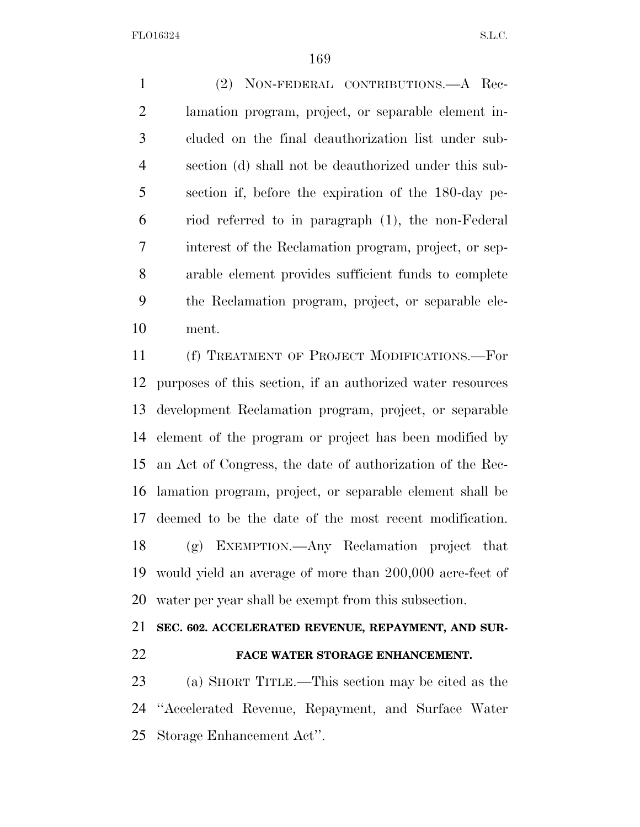(2) NON-FEDERAL CONTRIBUTIONS.—A Rec- lamation program, project, or separable element in- cluded on the final deauthorization list under sub- section (d) shall not be deauthorized under this sub- section if, before the expiration of the 180-day pe- riod referred to in paragraph (1), the non-Federal interest of the Reclamation program, project, or sep- arable element provides sufficient funds to complete the Reclamation program, project, or separable ele-ment.

 (f) TREATMENT OF PROJECT MODIFICATIONS.—For purposes of this section, if an authorized water resources development Reclamation program, project, or separable element of the program or project has been modified by an Act of Congress, the date of authorization of the Rec- lamation program, project, or separable element shall be deemed to be the date of the most recent modification. (g) EXEMPTION.—Any Reclamation project that would yield an average of more than 200,000 acre-feet of water per year shall be exempt from this subsection.

## **SEC. 602. ACCELERATED REVENUE, REPAYMENT, AND SUR-**

### **FACE WATER STORAGE ENHANCEMENT.**

 (a) SHORT TITLE.—This section may be cited as the ''Accelerated Revenue, Repayment, and Surface Water Storage Enhancement Act''.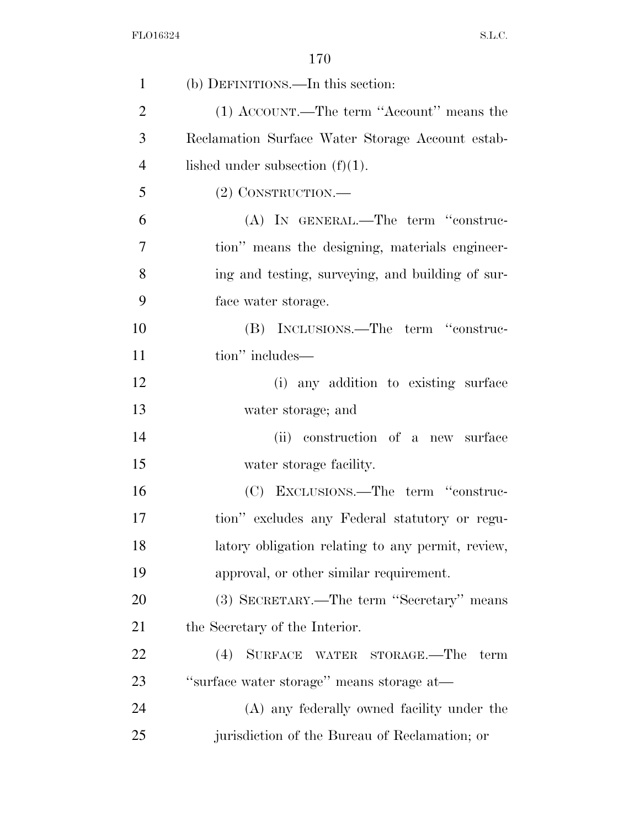| $\mathbf{1}$   | (b) DEFINITIONS.—In this section:                 |
|----------------|---------------------------------------------------|
| $\overline{2}$ | (1) ACCOUNT.—The term "Account" means the         |
| 3              | Reclamation Surface Water Storage Account estab-  |
| $\overline{4}$ | lished under subsection $(f)(1)$ .                |
| 5              | $(2)$ CONSTRUCTION.—                              |
| 6              | (A) IN GENERAL.—The term "construc-               |
| 7              | tion" means the designing, materials engineer-    |
| 8              | ing and testing, surveying, and building of sur-  |
| 9              | face water storage.                               |
| 10             | (B) INCLUSIONS.—The term "construc-               |
| 11             | tion" includes—                                   |
| 12             | (i) any addition to existing surface              |
| 13             | water storage; and                                |
| 14             | (ii) construction of a new surface                |
| 15             | water storage facility.                           |
| 16             | (C) EXCLUSIONS.—The term "construc-               |
| 17             | tion" excludes any Federal statutory or regu-     |
| 18             | latory obligation relating to any permit, review, |
| 19             | approval, or other similar requirement.           |
| 20             | (3) SECRETARY.—The term "Secretary" means         |
| 21             | the Secretary of the Interior.                    |
| 22             | $(4)$ SURFACE<br>WATER STORAGE.—The<br>term       |
| 23             | "surface water storage" means storage at—         |
| 24             | (A) any federally owned facility under the        |
| 25             | jurisdiction of the Bureau of Reclamation; or     |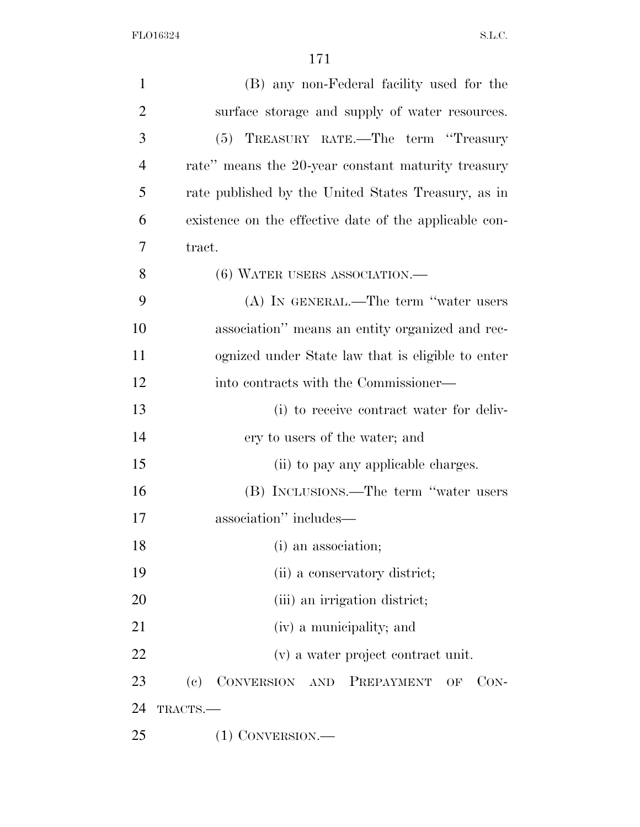| $\mathbf{1}$   | (B) any non-Federal facility used for the              |
|----------------|--------------------------------------------------------|
| $\overline{2}$ | surface storage and supply of water resources.         |
| 3              | (5) TREASURY RATE.—The term "Treasury                  |
| $\overline{4}$ | rate" means the 20-year constant maturity treasury     |
| 5              | rate published by the United States Treasury, as in    |
| 6              | existence on the effective date of the applicable con- |
| 7              | tract.                                                 |
| 8              | $(6)$ WATER USERS ASSOCIATION.—                        |
| 9              | $(A)$ IN GENERAL.—The term "water users"               |
| 10             | association" means an entity organized and rec-        |
| 11             | ognized under State law that is eligible to enter      |
| 12             | into contracts with the Commissioner—                  |
| 13             | (i) to receive contract water for deliv-               |
| 14             | ery to users of the water; and                         |
| 15             | (ii) to pay any applicable charges.                    |
| 16             | (B) INCLUSIONS.—The term "water users                  |
| 17             | association" includes—                                 |
| 18             | (i) an association;                                    |
| 19             | (ii) a conservatory district;                          |
| 20             | (iii) an irrigation district;                          |
| 21             | (iv) a municipality; and                               |
| 22             | (v) a water project contract unit.                     |
| 23             | CONVERSION AND<br>(e)<br>PREPAYMENT<br>$CON-$<br>OF    |
| 24             | TRACTS.                                                |
| 25             | $(1)$ CONVERSION.—                                     |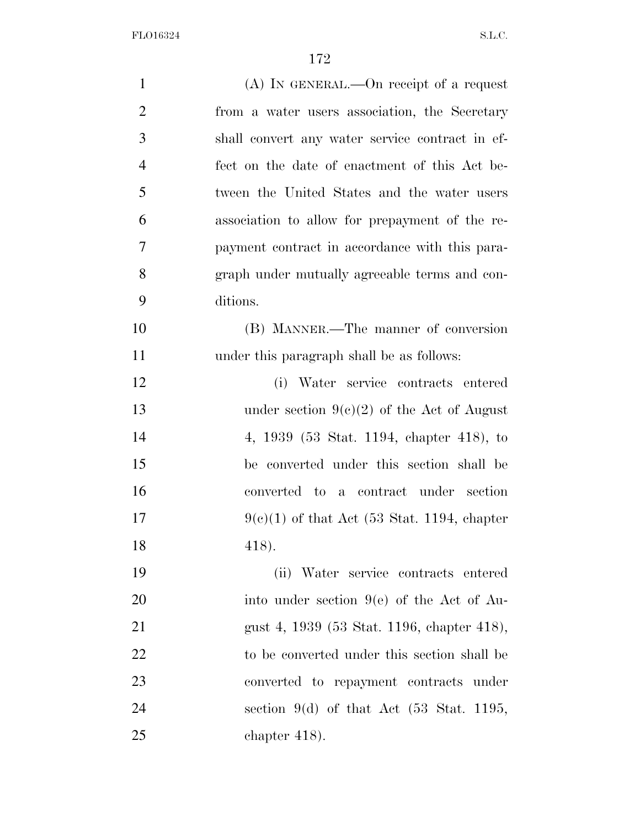| $\mathbf{1}$   | $(A)$ In GENERAL.—On receipt of a request           |
|----------------|-----------------------------------------------------|
| $\overline{2}$ | from a water users association, the Secretary       |
| 3              | shall convert any water service contract in ef-     |
| $\overline{4}$ | fect on the date of enactment of this Act be-       |
| 5              | tween the United States and the water users         |
| 6              | association to allow for prepayment of the re-      |
| 7              | payment contract in accordance with this para-      |
| 8              | graph under mutually agreeable terms and con-       |
| 9              | ditions.                                            |
| 10             | (B) MANNER.—The manner of conversion                |
| 11             | under this paragraph shall be as follows:           |
| 12             | (i) Water service contracts entered                 |
| 13             | under section $9(c)(2)$ of the Act of August        |
| 14             | 4, 1939 (53 Stat. 1194, chapter 418), to            |
| 15             | be converted under this section shall be            |
| 16             | converted to a contract under section               |
| 17             | $9(e)(1)$ of that Act (53 Stat. 1194, chapter       |
| 18             | 418).                                               |
| 19             | (ii) Water service contracts entered                |
| 20             | into under section $9(e)$ of the Act of Au-         |
| 21             | gust 4, 1939 (53 Stat. 1196, chapter 418),          |
| 22             | to be converted under this section shall be         |
| 23             | converted to repayment contracts under              |
| 24             | section 9(d) of that Act $(53 \text{ Stat. } 1195,$ |
| 25             | chapter $418$ ).                                    |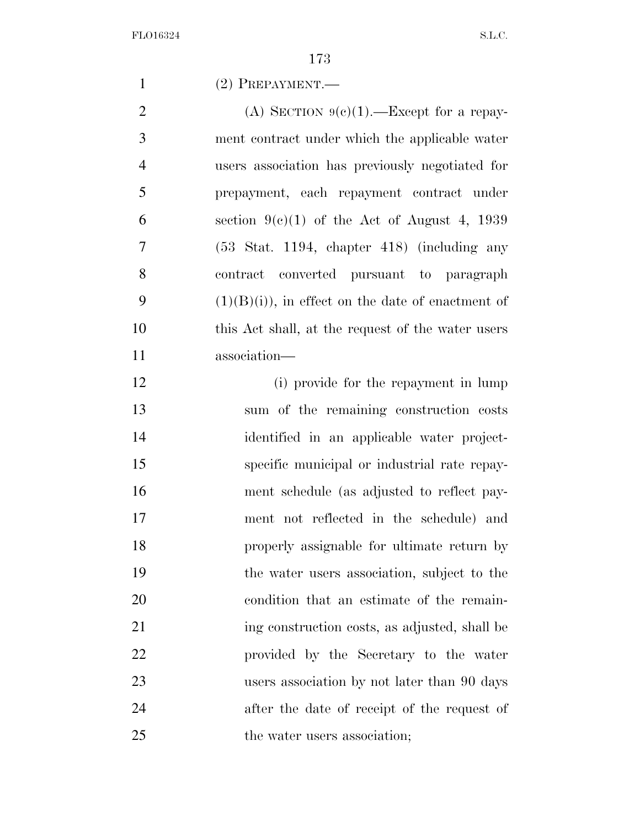(2) PREPAYMENT.—

2 (A) SECTION  $9(c)(1)$ . Except for a repay- ment contract under which the applicable water users association has previously negotiated for prepayment, each repayment contract under 6 section  $9(e)(1)$  of the Act of August 4, 1939 (53 Stat. 1194, chapter 418) (including any contract converted pursuant to paragraph  $(1)(B)(i)$ , in effect on the date of enactment of this Act shall, at the request of the water users association—

12 (i) provide for the repayment in lump sum of the remaining construction costs identified in an applicable water project- specific municipal or industrial rate repay- ment schedule (as adjusted to reflect pay- ment not reflected in the schedule) and properly assignable for ultimate return by the water users association, subject to the condition that an estimate of the remain-21 ing construction costs, as adjusted, shall be provided by the Secretary to the water users association by not later than 90 days after the date of receipt of the request of 25 the water users association;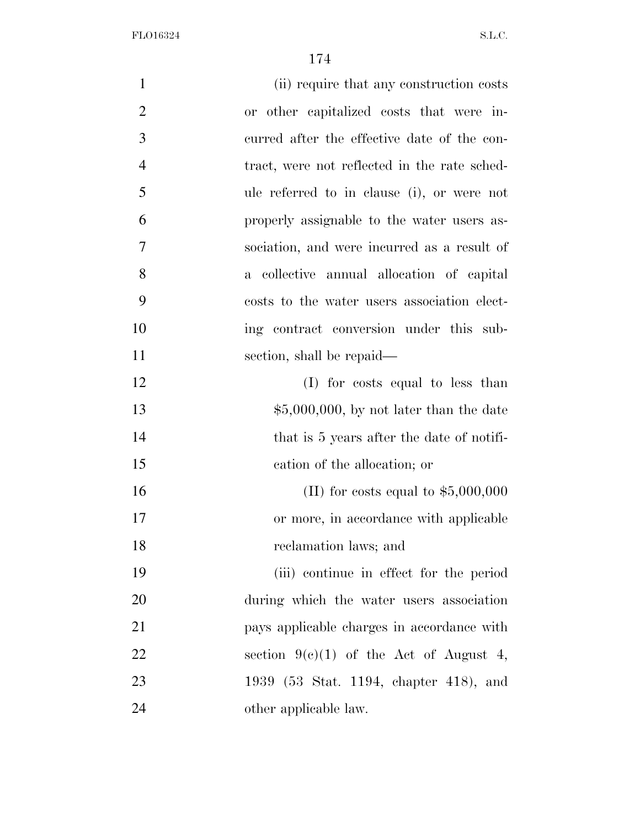| $\mathbf{1}$   | (ii) require that any construction costs     |
|----------------|----------------------------------------------|
| $\overline{2}$ | or other capitalized costs that were in-     |
| 3              | curred after the effective date of the con-  |
| $\overline{4}$ | tract, were not reflected in the rate sched- |
| 5              | ule referred to in clause (i), or were not   |
| 6              | properly assignable to the water users as-   |
| $\overline{7}$ | sociation, and were incurred as a result of  |
| 8              | a collective annual allocation of capital    |
| 9              | costs to the water users association elect-  |
| 10             | ing contract conversion under this sub-      |
| 11             | section, shall be repaid—                    |
| 12             | (I) for costs equal to less than             |
| 13             | $$5,000,000$ , by not later than the date    |
| 14             | that is 5 years after the date of notifi-    |
| 15             | cation of the allocation; or                 |
| 16             | (II) for costs equal to $$5,000,000$         |
| 17             | or more, in accordance with applicable       |
| 18             | reclamation laws; and                        |
| 19             | (iii) continue in effect for the period      |
| 20             | during which the water users association     |
| 21             | pays applicable charges in accordance with   |
| 22             | section $9(c)(1)$ of the Act of August 4,    |
| 23             | 1939 (53 Stat. 1194, chapter 418), and       |
| 24             | other applicable law.                        |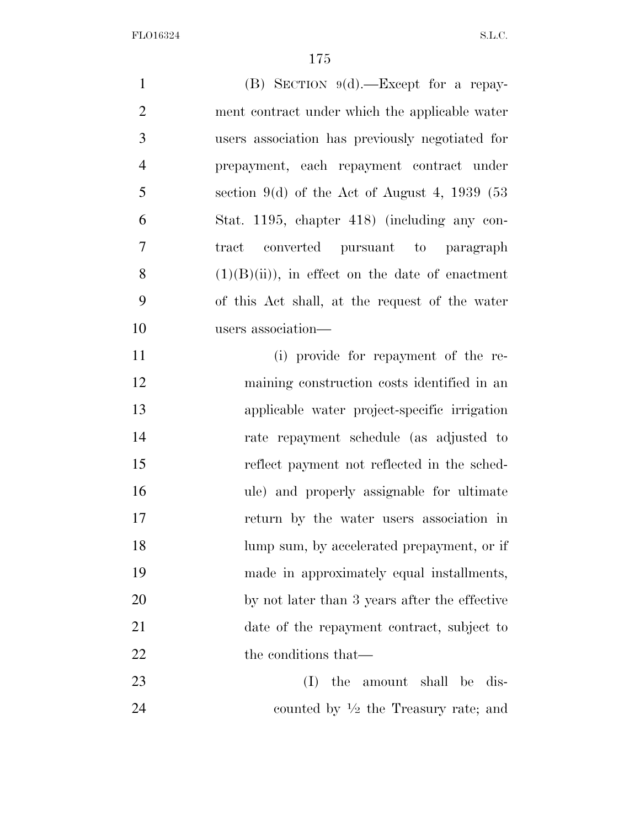(B) SECTION 9(d).—Except for a repay- ment contract under which the applicable water users association has previously negotiated for prepayment, each repayment contract under section 9(d) of the Act of August 4, 1939 (53) Stat. 1195, chapter 418) (including any con- tract converted pursuant to paragraph  $(1)(B)(ii)$ , in effect on the date of enactment of this Act shall, at the request of the water users association— (i) provide for repayment of the re- maining construction costs identified in an applicable water project-specific irrigation rate repayment schedule (as adjusted to reflect payment not reflected in the sched- ule) and properly assignable for ultimate return by the water users association in 18 lump sum, by accelerated prepayment, or if made in approximately equal installments, by not later than 3 years after the effective date of the repayment contract, subject to 22 the conditions that— (I) the amount shall be dis-*counted by*  $\frac{1}{2}$  *the Treasury rate; and*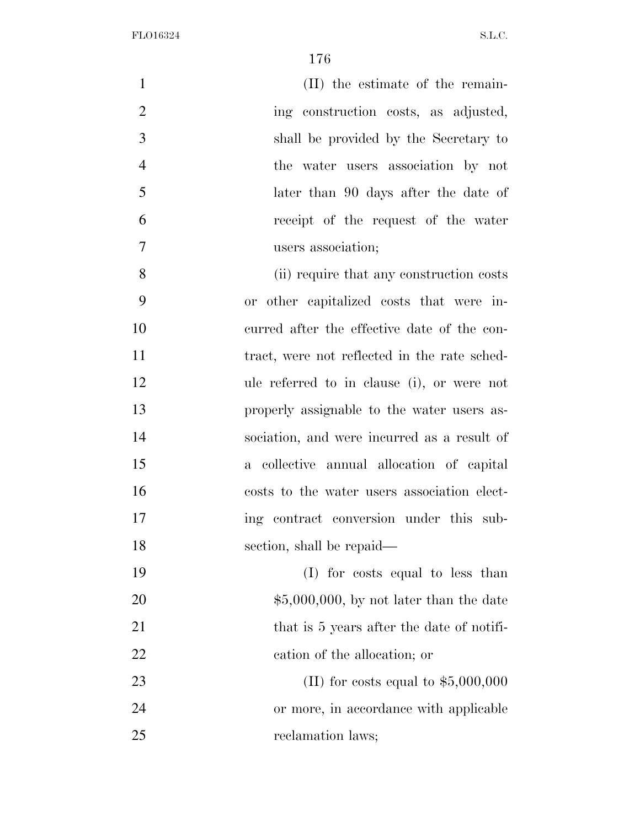| $\mathbf{1}$   | (II) the estimate of the remain-             |
|----------------|----------------------------------------------|
| $\overline{2}$ | ing construction costs, as adjusted,         |
| 3              | shall be provided by the Secretary to        |
| $\overline{4}$ | the water users association by not           |
| 5              | later than 90 days after the date of         |
| 6              | receipt of the request of the water          |
| 7              | users association;                           |
| 8              | (ii) require that any construction costs     |
| 9              | or other capitalized costs that were in-     |
| 10             | curred after the effective date of the con-  |
| 11             | tract, were not reflected in the rate sched- |
| 12             | ule referred to in clause (i), or were not   |
| 13             | properly assignable to the water users as-   |
| 14             | sociation, and were incurred as a result of  |
| 15             | a collective annual allocation of capital    |
| 16             | costs to the water users association elect-  |
| 17             | ing contract conversion under this sub-      |
| 18             | section, shall be repaid—                    |
| 19             | (I) for costs equal to less than             |
| 20             | $$5,000,000,$ by not later than the date     |
| 21             | that is 5 years after the date of notifi-    |
| 22             | cation of the allocation; or                 |
| 23             | (II) for costs equal to $$5,000,000$         |
| 24             | or more, in accordance with applicable       |
| 25             | reclamation laws;                            |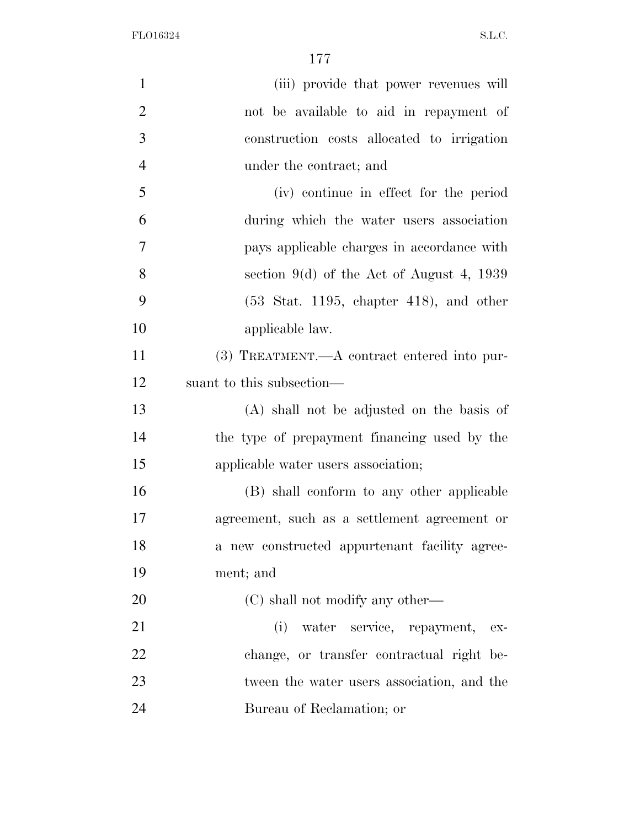| $\mathbf{1}$   | (iii) provide that power revenues will                       |
|----------------|--------------------------------------------------------------|
| $\overline{2}$ | not be available to aid in repayment of                      |
| 3              | construction costs allocated to irrigation                   |
| $\overline{4}$ | under the contract; and                                      |
| 5              | (iv) continue in effect for the period                       |
| 6              | during which the water users association                     |
| $\tau$         | pays applicable charges in accordance with                   |
| 8              | section $9(d)$ of the Act of August 4, 1939                  |
| 9              | $(53 \text{ Stat. } 1195, \text{ chapter } 418)$ , and other |
| 10             | applicable law.                                              |
| 11             | (3) TREATMENT.—A contract entered into pur-                  |
| 12             | suant to this subsection—                                    |
| 13             | (A) shall not be adjusted on the basis of                    |
| 14             | the type of prepayment financing used by the                 |
| 15             | applicable water users association;                          |
| 16             | (B) shall conform to any other applicable                    |
| 17             | agreement, such as a settlement agreement or                 |
| 18             | a new constructed appurtenant facility agree-                |
| 19             | ment; and                                                    |
| 20             | (C) shall not modify any other—                              |
| 21             | water service, repayment,<br>(i)<br>ex-                      |
| 22             | change, or transfer contractual right be-                    |
| 23             | tween the water users association, and the                   |
| 24             | Bureau of Reclamation; or                                    |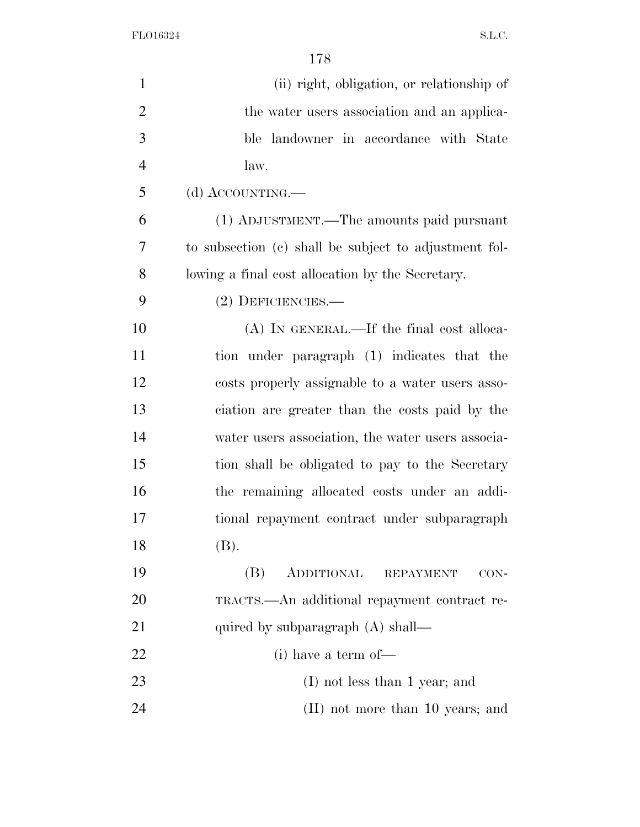| $\mathbf{1}$   | (ii) right, obligation, or relationship of            |
|----------------|-------------------------------------------------------|
| $\overline{2}$ | the water users association and an applica-           |
| 3              | ble landowner in accordance with State                |
| $\overline{4}$ | law.                                                  |
| 5              | (d) ACCOUNTING.—                                      |
| 6              | (1) ADJUSTMENT.—The amounts paid pursuant             |
| 7              | to subsection (c) shall be subject to adjustment fol- |
| 8              | lowing a final cost allocation by the Secretary.      |
| 9              | $(2)$ DEFICIENCIES.—                                  |
| 10             | $(A)$ In GENERAL.—If the final cost alloca-           |
| 11             | tion under paragraph (1) indicates that the           |
| 12             | costs properly assignable to a water users asso-      |
| 13             | ciation are greater than the costs paid by the        |
| 14             | water users association, the water users associa-     |
| 15             | tion shall be obligated to pay to the Secretary       |
| 16             | the remaining allocated costs under an addi-          |
| 17             | tional repayment contract under subparagraph          |
| 18             | (B).                                                  |
| 19             | (B)<br>ADDITIONAL<br><b>REPAYMENT</b><br>CON-         |
| 20             | TRACTS.—An additional repayment contract re-          |
| 21             | quired by subparagraph (A) shall—                     |
| 22             | $(i)$ have a term of —                                |
| 23             | $(I)$ not less than 1 year; and                       |
| 24             | (II) not more than 10 years; and                      |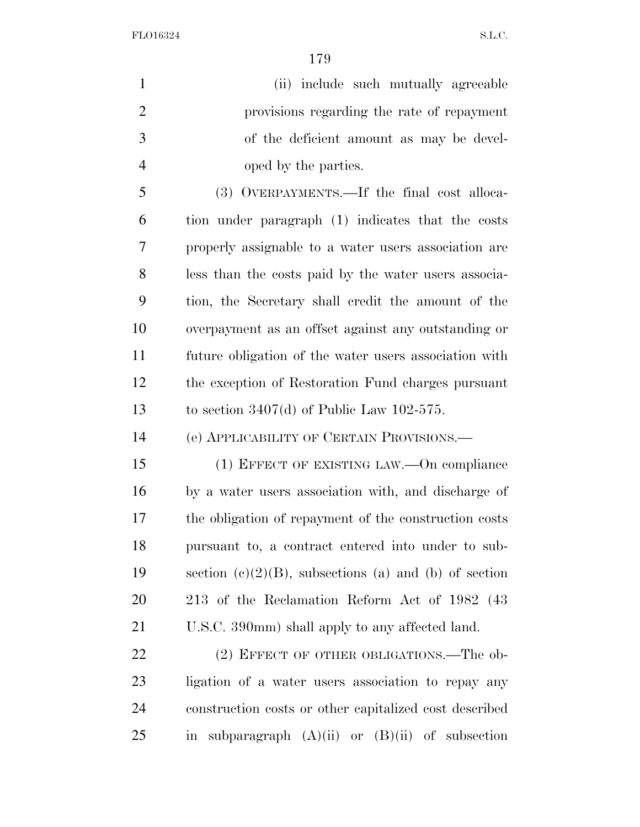(ii) include such mutually agreeable provisions regarding the rate of repayment of the deficient amount as may be devel- oped by the parties. (3) OVERPAYMENTS.—If the final cost alloca-tion under paragraph (1) indicates that the costs

 properly assignable to a water users association are less than the costs paid by the water users associa- tion, the Secretary shall credit the amount of the overpayment as an offset against any outstanding or future obligation of the water users association with the exception of Restoration Fund charges pursuant to section 3407(d) of Public Law 102-575.

(e) APPLICABILITY OF CERTAIN PROVISIONS.—

 (1) EFFECT OF EXISTING LAW.—On compliance by a water users association with, and discharge of the obligation of repayment of the construction costs pursuant to, a contract entered into under to sub-19 section  $(c)(2)(B)$ , subsections (a) and (b) of section 213 of the Reclamation Reform Act of 1982 (43 U.S.C. 390mm) shall apply to any affected land.

22 (2) EFFECT OF OTHER OBLIGATIONS.—The ob- ligation of a water users association to repay any construction costs or other capitalized cost described 25 in subparagraph  $(A)(ii)$  or  $(B)(ii)$  of subsection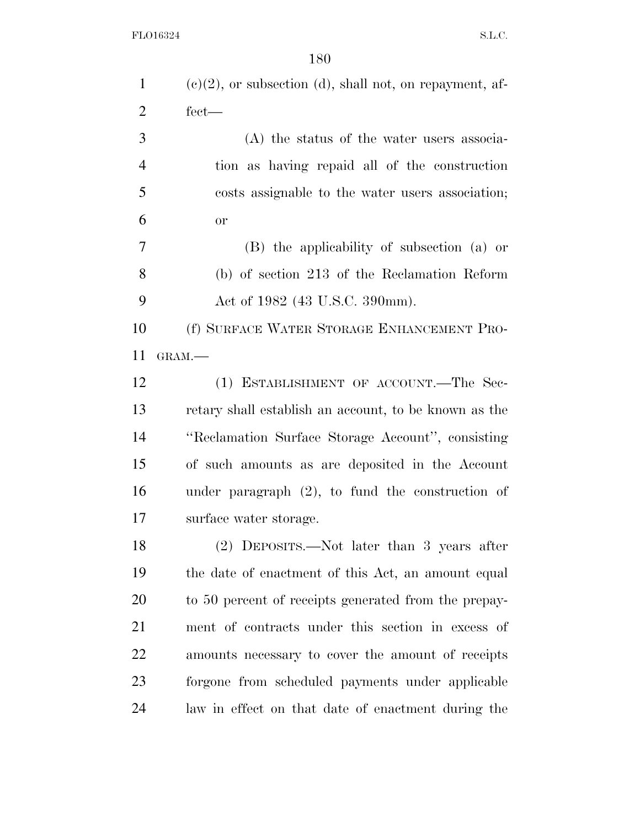| $\mathbf{1}$   | $(e)(2)$ , or subsection (d), shall not, on repayment, af- |
|----------------|------------------------------------------------------------|
| $\overline{2}$ | $fect-$                                                    |
| 3              | (A) the status of the water users associa-                 |
| $\overline{4}$ | tion as having repaid all of the construction              |
| 5              | costs assignable to the water users association;           |
| 6              | <b>or</b>                                                  |
| 7              | (B) the applicability of subsection (a) or                 |
| 8              | (b) of section 213 of the Reclamation Reform               |
| 9              | Act of 1982 (43 U.S.C. 390mm).                             |
| 10             | (f) SURFACE WATER STORAGE ENHANCEMENT PRO-                 |
| 11             | GRAM.-                                                     |
| 12             | (1) ESTABLISHMENT OF ACCOUNT.—The Sec-                     |
| 13             | retary shall establish an account, to be known as the      |
| 14             | "Reclamation Surface Storage Account", consisting          |
| 15             | of such amounts as are deposited in the Account            |
| 16             | under paragraph $(2)$ , to fund the construction of        |
| 17             | surface water storage.                                     |
| 18             | (2) DEPOSITS.—Not later than 3 years after                 |
| 19             | the date of enactment of this Act, an amount equal         |
| 20             | to 50 percent of receipts generated from the prepay-       |
| 21             | ment of contracts under this section in excess of          |
| 22             | amounts necessary to cover the amount of receipts          |
| 23             | forgone from scheduled payments under applicable           |
| 24             | law in effect on that date of enactment during the         |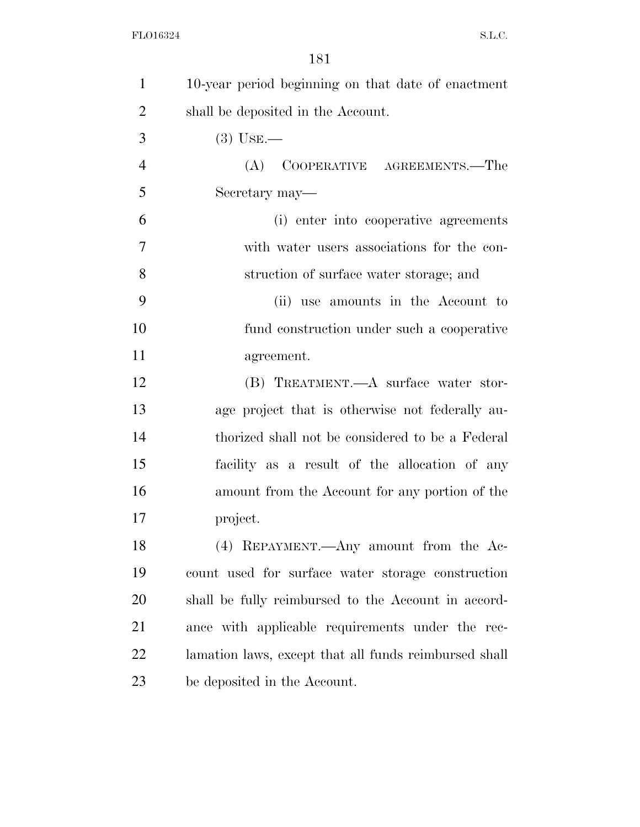| 1              | 10-year period beginning on that date of enactment    |
|----------------|-------------------------------------------------------|
| $\overline{2}$ | shall be deposited in the Account.                    |
| 3              | $(3)$ USE.—                                           |
| $\overline{4}$ | (A) COOPERATIVE AGREEMENTS.—The                       |
| 5              | Secretary may—                                        |
| 6              | (i) enter into cooperative agreements                 |
| 7              | with water users associations for the con-            |
| 8              | struction of surface water storage; and               |
| 9              | (ii) use amounts in the Account to                    |
| 10             | fund construction under such a cooperative            |
| 11             | agreement.                                            |
| 12             | (B) TREATMENT.—A surface water stor-                  |
| 13             | age project that is otherwise not federally au-       |
| 14             | thorized shall not be considered to be a Federal      |
| 15             | facility as a result of the allocation of any         |
| 16             | amount from the Account for any portion of the        |
| 17             | project.                                              |
| 18             | (4) REPAYMENT.—Any amount from the Ac-                |
| 19             | count used for surface water storage construction     |
| 20             | shall be fully reimbursed to the Account in accord-   |
| 21             | ance with applicable requirements under the rec-      |
| 22             | lamation laws, except that all funds reimbursed shall |
| 23             | be deposited in the Account.                          |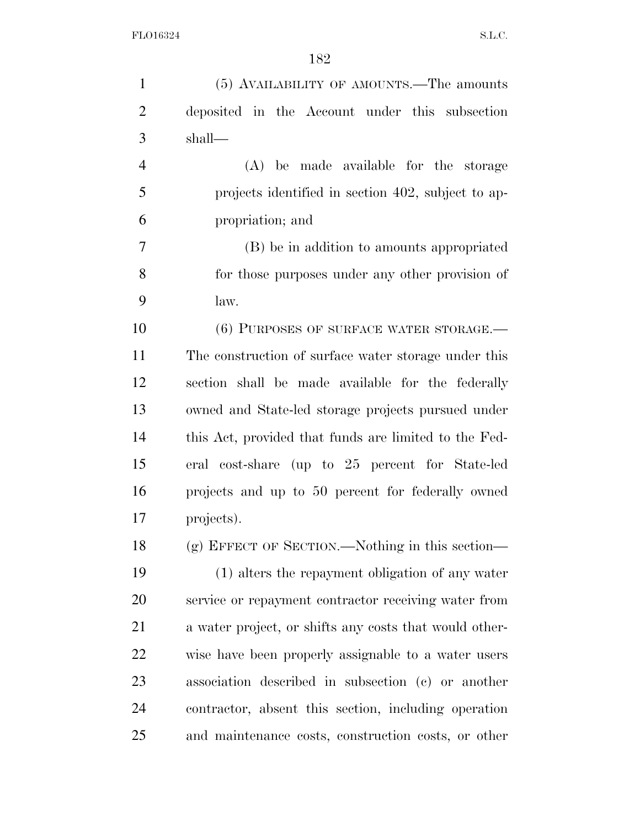| $\mathbf{1}$   | (5) AVAILABILITY OF AMOUNTS.—The amounts               |
|----------------|--------------------------------------------------------|
| $\overline{2}$ | deposited in the Account under this subsection         |
| 3              | shall—                                                 |
| $\overline{4}$ | (A) be made available for the storage                  |
| 5              | projects identified in section 402, subject to ap-     |
| 6              | propriation; and                                       |
| 7              | (B) be in addition to amounts appropriated             |
| 8              | for those purposes under any other provision of        |
| 9              | law.                                                   |
| 10             | (6) PURPOSES OF SURFACE WATER STORAGE.-                |
| 11             | The construction of surface water storage under this   |
| 12             | section shall be made available for the federally      |
| 13             | owned and State-led storage projects pursued under     |
| 14             | this Act, provided that funds are limited to the Fed-  |
| 15             | eral cost-share (up to 25 percent for State-led        |
| 16             | projects and up to 50 percent for federally owned      |
| 17             | projects).                                             |
| 18             | (g) EFFECT OF SECTION.—Nothing in this section—        |
| 19             | (1) alters the repayment obligation of any water       |
| 20             | service or repayment contractor receiving water from   |
| 21             | a water project, or shifts any costs that would other- |
| <u>22</u>      | wise have been properly assignable to a water users    |
| 23             | association described in subsection (c) or another     |
| 24             | contractor, absent this section, including operation   |
| 25             | and maintenance costs, construction costs, or other    |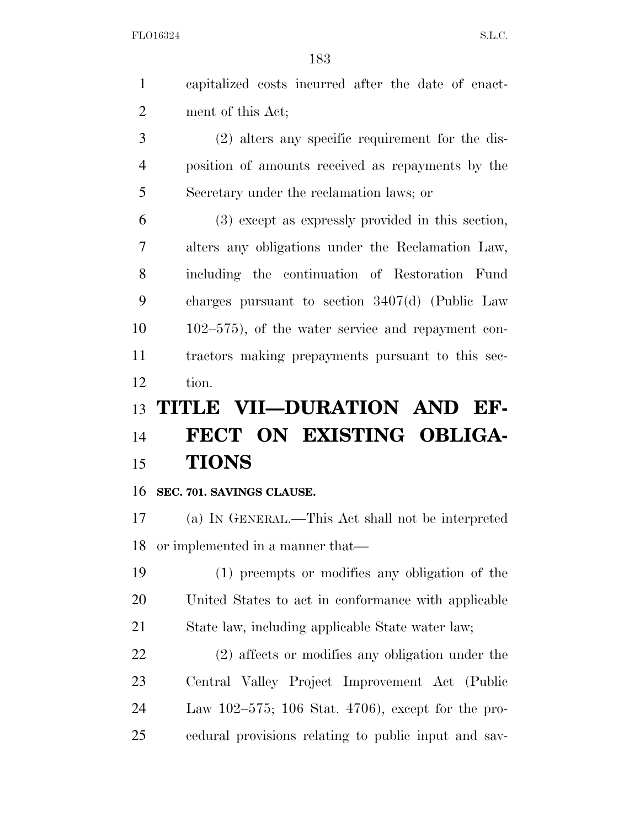capitalized costs incurred after the date of enact-ment of this Act;

 (2) alters any specific requirement for the dis- position of amounts received as repayments by the Secretary under the reclamation laws; or

 (3) except as expressly provided in this section, alters any obligations under the Reclamation Law, including the continuation of Restoration Fund charges pursuant to section 3407(d) (Public Law 102–575), of the water service and repayment con- tractors making prepayments pursuant to this sec-tion.

## **TITLE VII—DURATION AND EF-**

## **FECT ON EXISTING OBLIGA-TIONS**

## **SEC. 701. SAVINGS CLAUSE.**

 (a) IN GENERAL.—This Act shall not be interpreted or implemented in a manner that—

 (1) preempts or modifies any obligation of the United States to act in conformance with applicable State law, including applicable State water law;

 (2) affects or modifies any obligation under the Central Valley Project Improvement Act (Public Law 102–575; 106 Stat. 4706), except for the pro-cedural provisions relating to public input and sav-